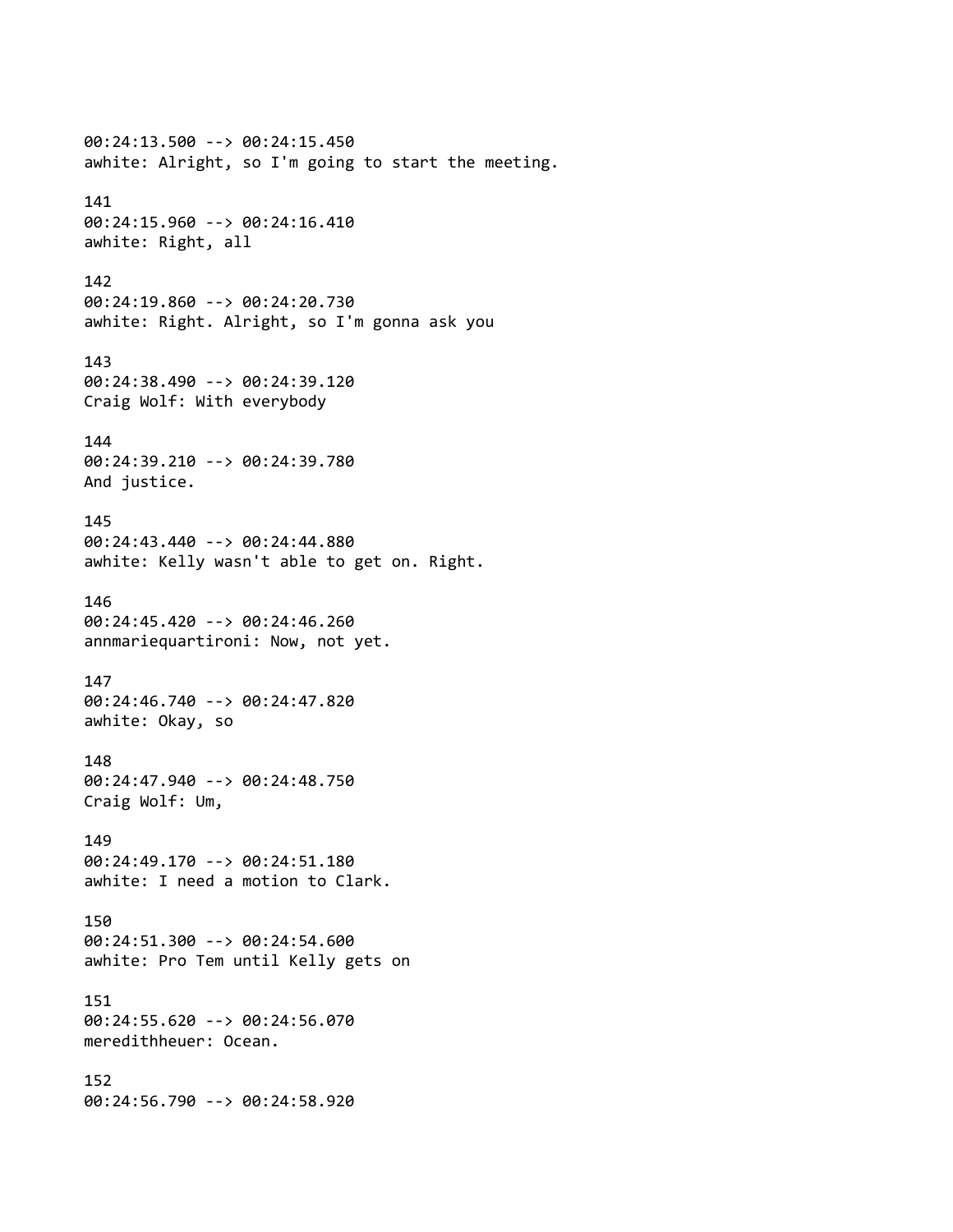00:24:13.500 --> 00:24:15.450 awhite: Alright, so I'm going to start the meeting. 141 00:24:15.960 --> 00:24:16.410 awhite: Right, all 142 00:24:19.860 --> 00:24:20.730 awhite: Right. Alright, so I'm gonna ask you 143 00:24:38.490 --> 00:24:39.120 Craig Wolf: With everybody 144 00:24:39.210 --> 00:24:39.780 And justice. 145 00:24:43.440 --> 00:24:44.880 awhite: Kelly wasn't able to get on. Right. 146 00:24:45.420 --> 00:24:46.260 annmariequartironi: Now, not yet. 147 00:24:46.740 --> 00:24:47.820 awhite: Okay, so 148 00:24:47.940 --> 00:24:48.750 Craig Wolf: Um, 149 00:24:49.170 --> 00:24:51.180 awhite: I need a motion to Clark. 150 00:24:51.300 --> 00:24:54.600 awhite: Pro Tem until Kelly gets on 151 00:24:55.620 --> 00:24:56.070 meredithheuer: Ocean. 152 00:24:56.790 --> 00:24:58.920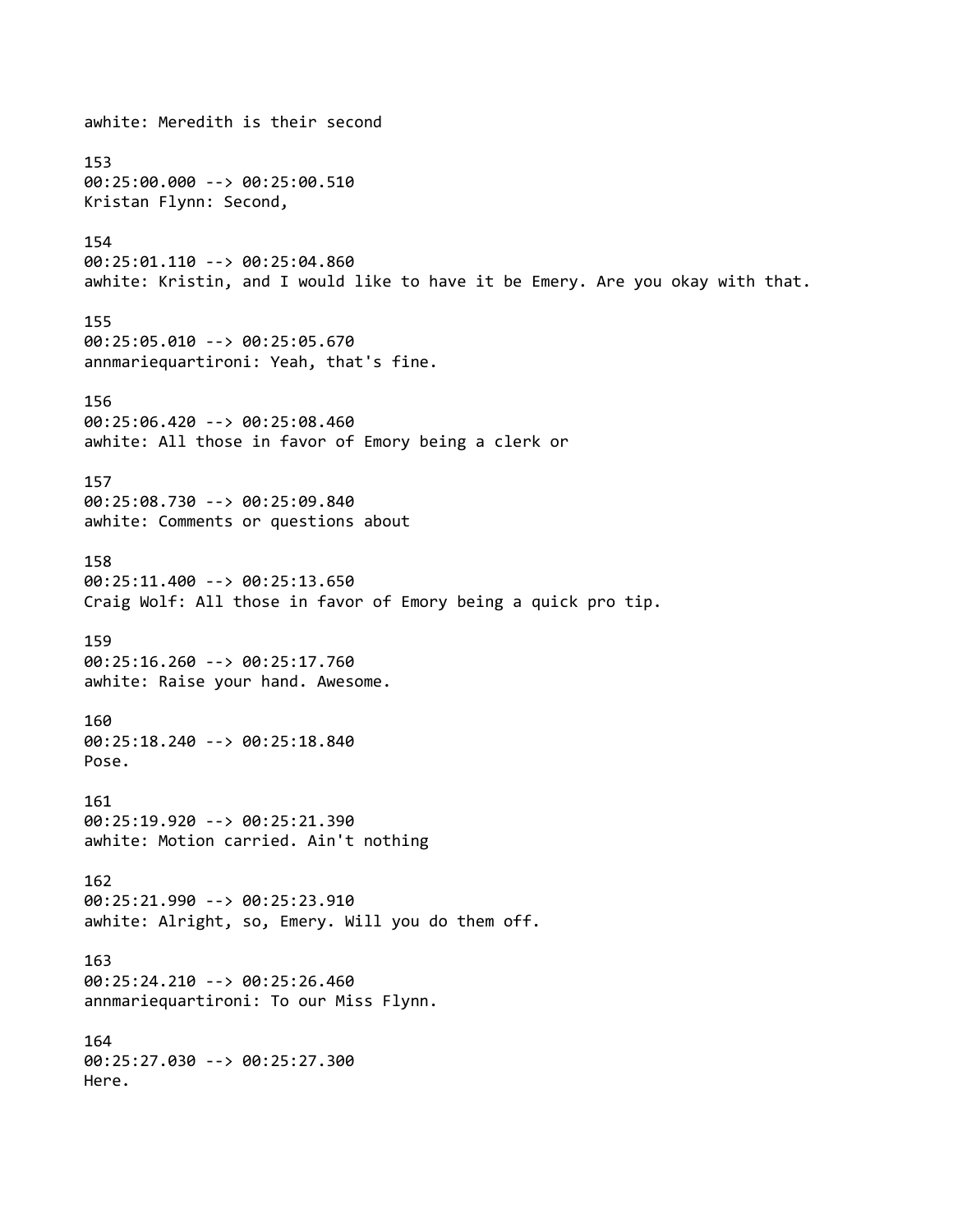awhite: Meredith is their second 153 00:25:00.000 --> 00:25:00.510 Kristan Flynn: Second, 154 00:25:01.110 --> 00:25:04.860 awhite: Kristin, and I would like to have it be Emery. Are you okay with that. 155 00:25:05.010 --> 00:25:05.670 annmariequartironi: Yeah, that's fine. 156 00:25:06.420 --> 00:25:08.460 awhite: All those in favor of Emory being a clerk or 157 00:25:08.730 --> 00:25:09.840 awhite: Comments or questions about 158 00:25:11.400 --> 00:25:13.650 Craig Wolf: All those in favor of Emory being a quick pro tip. 159 00:25:16.260 --> 00:25:17.760 awhite: Raise your hand. Awesome. 160 00:25:18.240 --> 00:25:18.840 Pose. 161 00:25:19.920 --> 00:25:21.390 awhite: Motion carried. Ain't nothing 162 00:25:21.990 --> 00:25:23.910 awhite: Alright, so, Emery. Will you do them off. 163 00:25:24.210 --> 00:25:26.460 annmariequartironi: To our Miss Flynn. 164 00:25:27.030 --> 00:25:27.300 Here.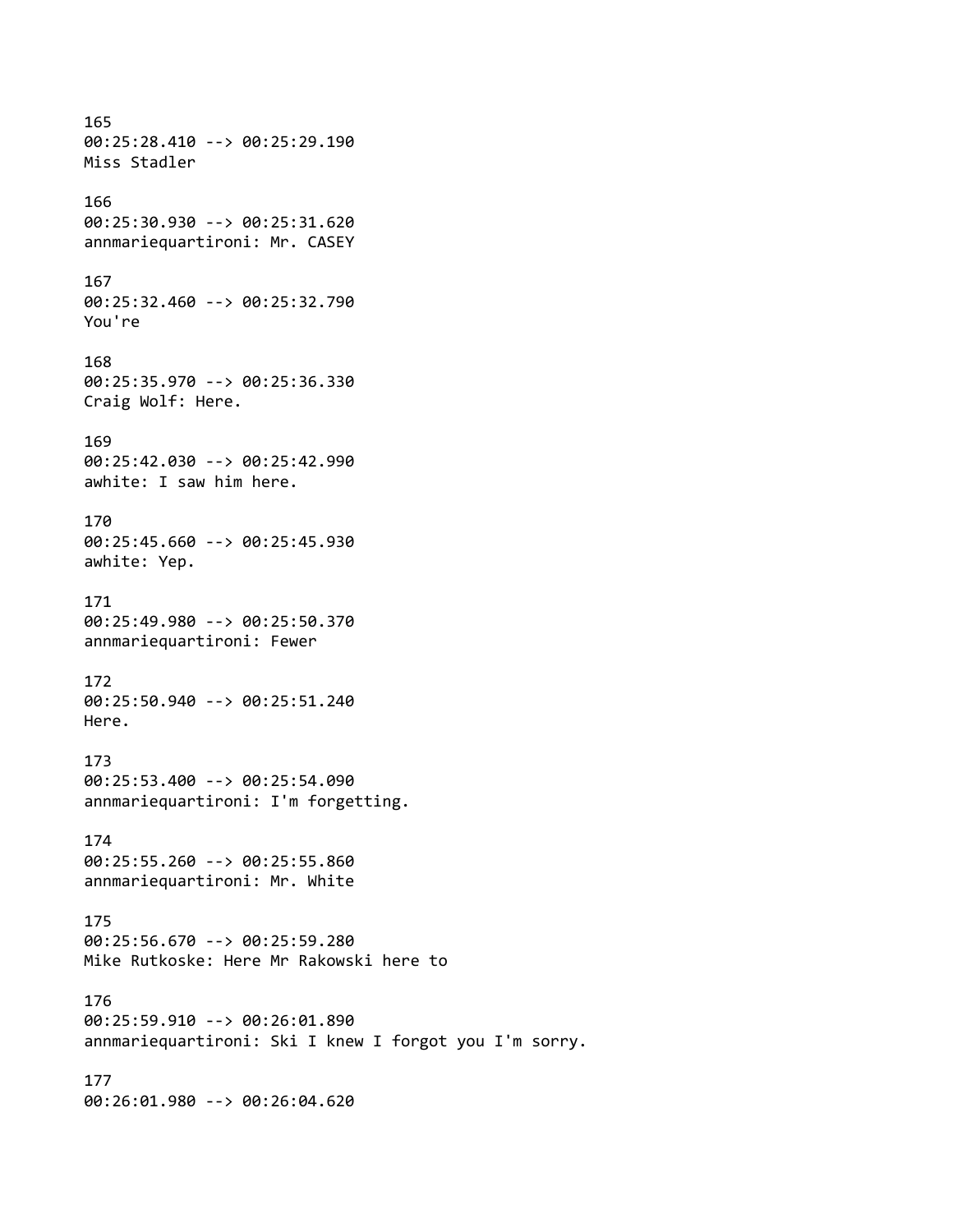# 165 00:25:28.410 --> 00:25:29.190 Miss Stadler 166 00:25:30.930 --> 00:25:31.620 annmariequartironi: Mr. CASEY 167 00:25:32.460 --> 00:25:32.790 You're

# 168 00:25:35.970 --> 00:25:36.330 Craig Wolf: Here.

169 00:25:42.030 --> 00:25:42.990 awhite: I saw him here.

# 170

00:25:45.660 --> 00:25:45.930 awhite: Yep.

# 171

00:25:49.980 --> 00:25:50.370 annmariequartironi: Fewer

# 172

00:25:50.940 --> 00:25:51.240 Here.

# 173

00:25:53.400 --> 00:25:54.090 annmariequartironi: I'm forgetting.

# 174

00:25:55.260 --> 00:25:55.860 annmariequartironi: Mr. White

#### 175

00:25:56.670 --> 00:25:59.280 Mike Rutkoske: Here Mr Rakowski here to

## 176

00:25:59.910 --> 00:26:01.890 annmariequartironi: Ski I knew I forgot you I'm sorry.

#### 177

00:26:01.980 --> 00:26:04.620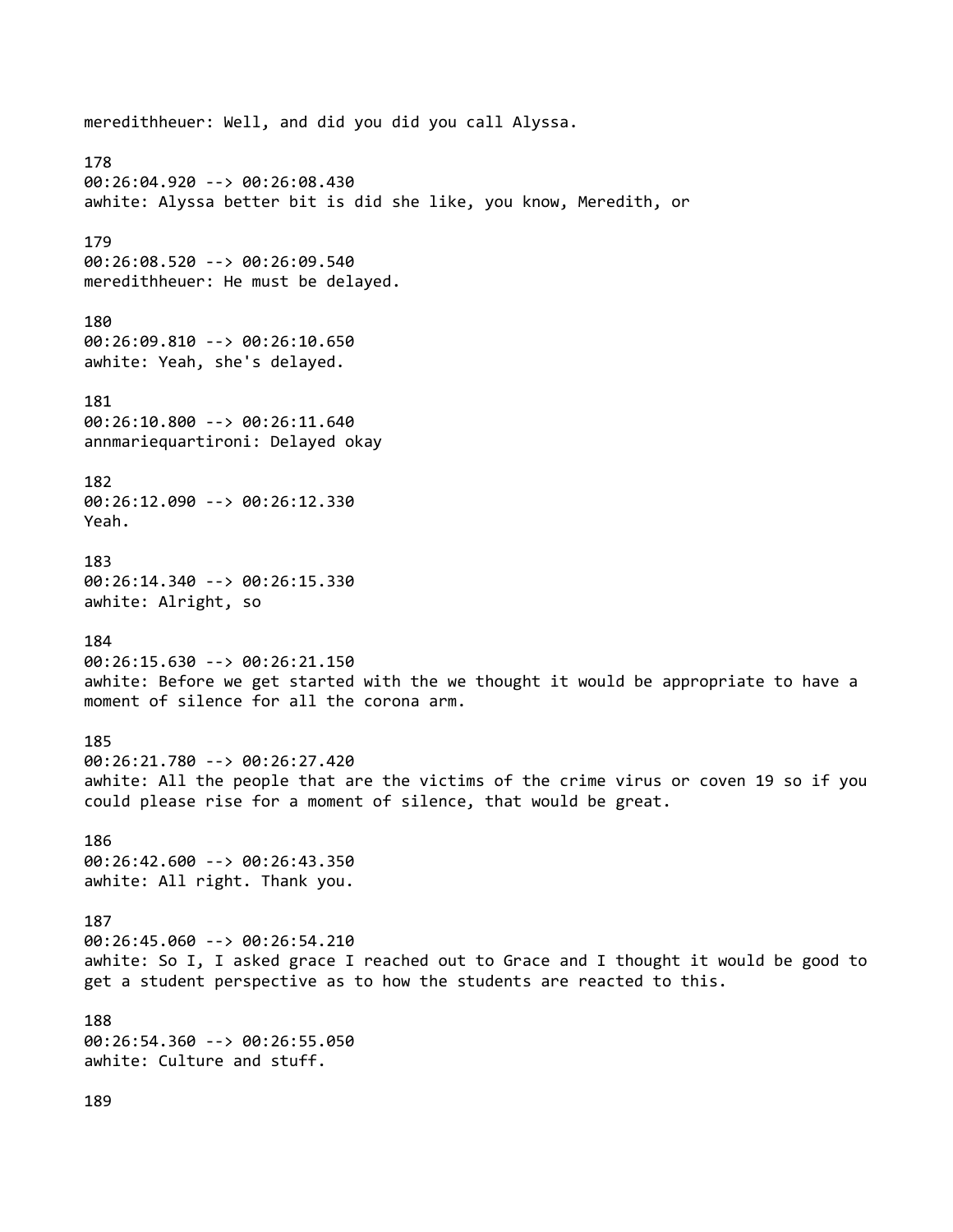meredithheuer: Well, and did you did you call Alyssa. 178 00:26:04.920 --> 00:26:08.430 awhite: Alyssa better bit is did she like, you know, Meredith, or 179 00:26:08.520 --> 00:26:09.540 meredithheuer: He must be delayed. 180 00:26:09.810 --> 00:26:10.650 awhite: Yeah, she's delayed. 181 00:26:10.800 --> 00:26:11.640 annmariequartironi: Delayed okay 182 00:26:12.090 --> 00:26:12.330 Yeah. 183 00:26:14.340 --> 00:26:15.330 awhite: Alright, so 184 00:26:15.630 --> 00:26:21.150 awhite: Before we get started with the we thought it would be appropriate to have a moment of silence for all the corona arm. 185 00:26:21.780 --> 00:26:27.420 awhite: All the people that are the victims of the crime virus or coven 19 so if you could please rise for a moment of silence, that would be great. 186 00:26:42.600 --> 00:26:43.350 awhite: All right. Thank you. 187 00:26:45.060 --> 00:26:54.210 awhite: So I, I asked grace I reached out to Grace and I thought it would be good to get a student perspective as to how the students are reacted to this. 188 00:26:54.360 --> 00:26:55.050 awhite: Culture and stuff.

189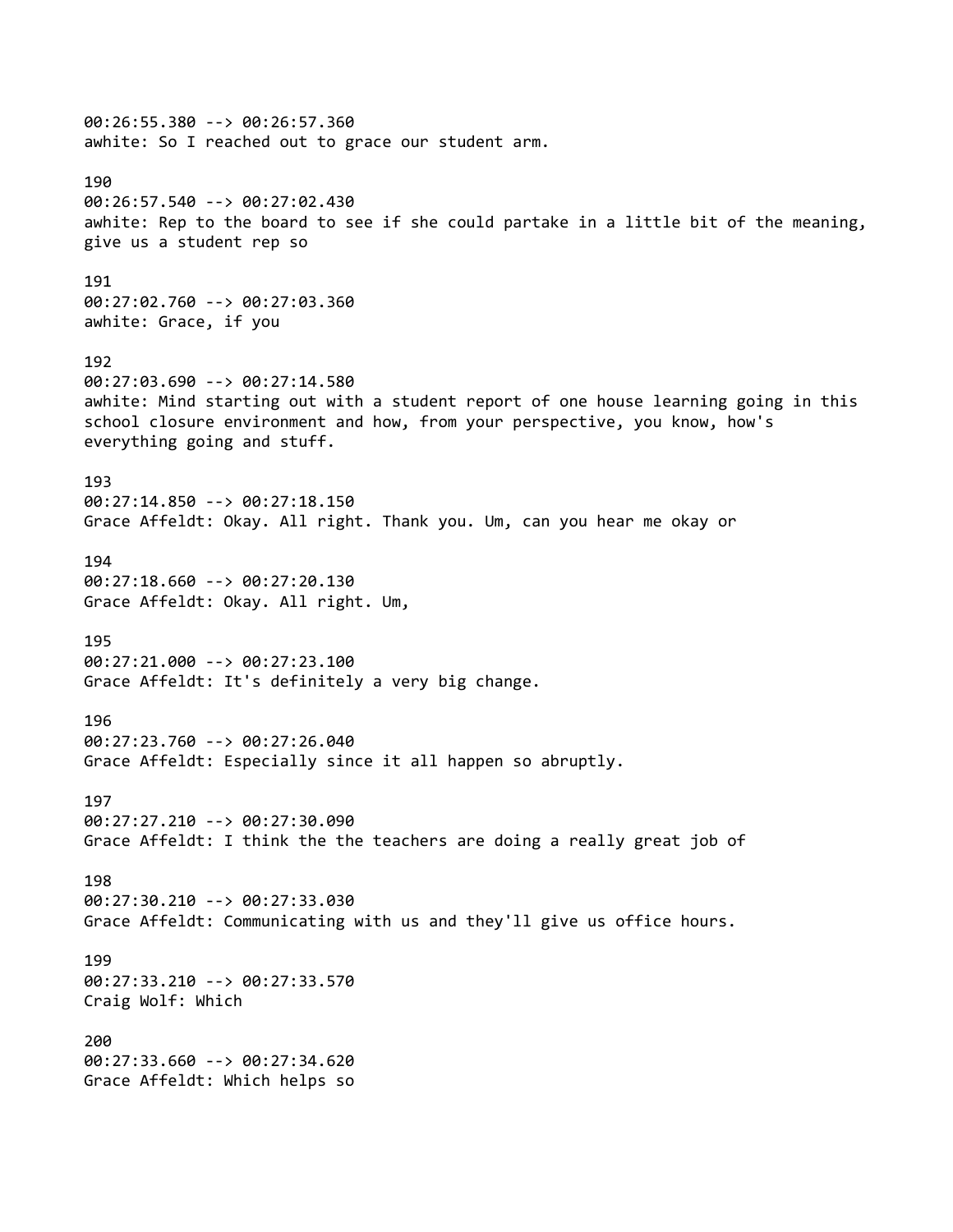00:26:55.380 --> 00:26:57.360 awhite: So I reached out to grace our student arm. 190 00:26:57.540 --> 00:27:02.430 awhite: Rep to the board to see if she could partake in a little bit of the meaning, give us a student rep so 191 00:27:02.760 --> 00:27:03.360 awhite: Grace, if you 192 00:27:03.690 --> 00:27:14.580 awhite: Mind starting out with a student report of one house learning going in this school closure environment and how, from your perspective, you know, how's everything going and stuff. 193 00:27:14.850 --> 00:27:18.150 Grace Affeldt: Okay. All right. Thank you. Um, can you hear me okay or 194 00:27:18.660 --> 00:27:20.130 Grace Affeldt: Okay. All right. Um, 195 00:27:21.000 --> 00:27:23.100 Grace Affeldt: It's definitely a very big change. 196 00:27:23.760 --> 00:27:26.040 Grace Affeldt: Especially since it all happen so abruptly. 197 00:27:27.210 --> 00:27:30.090 Grace Affeldt: I think the the teachers are doing a really great job of 198 00:27:30.210 --> 00:27:33.030 Grace Affeldt: Communicating with us and they'll give us office hours. 199 00:27:33.210 --> 00:27:33.570 Craig Wolf: Which 200 00:27:33.660 --> 00:27:34.620 Grace Affeldt: Which helps so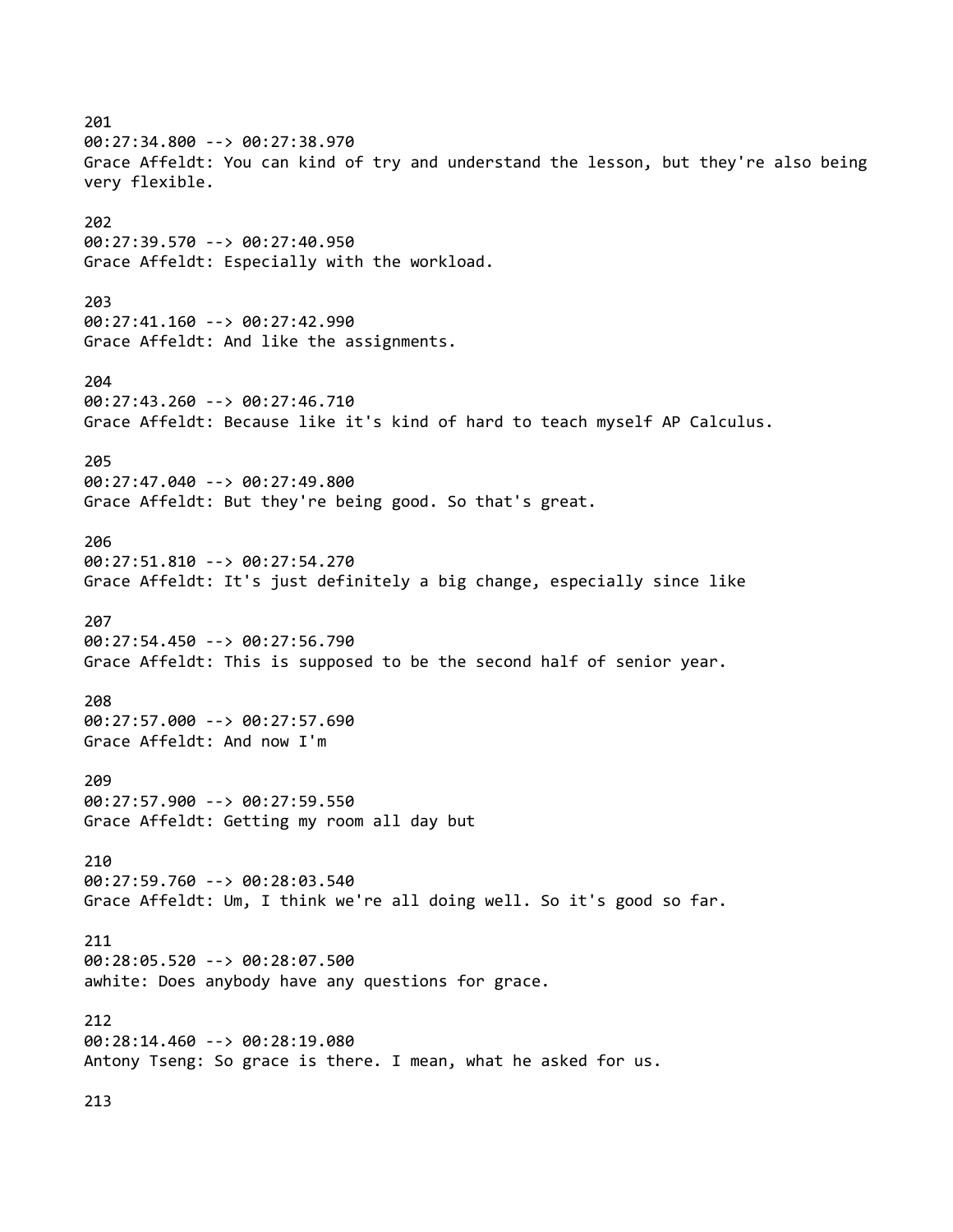201 00:27:34.800 --> 00:27:38.970 Grace Affeldt: You can kind of try and understand the lesson, but they're also being very flexible. 202 00:27:39.570 --> 00:27:40.950 Grace Affeldt: Especially with the workload. 203 00:27:41.160 --> 00:27:42.990 Grace Affeldt: And like the assignments. 204 00:27:43.260 --> 00:27:46.710 Grace Affeldt: Because like it's kind of hard to teach myself AP Calculus. 205 00:27:47.040 --> 00:27:49.800 Grace Affeldt: But they're being good. So that's great. 206 00:27:51.810 --> 00:27:54.270 Grace Affeldt: It's just definitely a big change, especially since like 207 00:27:54.450 --> 00:27:56.790 Grace Affeldt: This is supposed to be the second half of senior year. 208 00:27:57.000 --> 00:27:57.690 Grace Affeldt: And now I'm 209 00:27:57.900 --> 00:27:59.550 Grace Affeldt: Getting my room all day but 210 00:27:59.760 --> 00:28:03.540 Grace Affeldt: Um, I think we're all doing well. So it's good so far. 211 00:28:05.520 --> 00:28:07.500 awhite: Does anybody have any questions for grace. 212 00:28:14.460 --> 00:28:19.080 Antony Tseng: So grace is there. I mean, what he asked for us. 213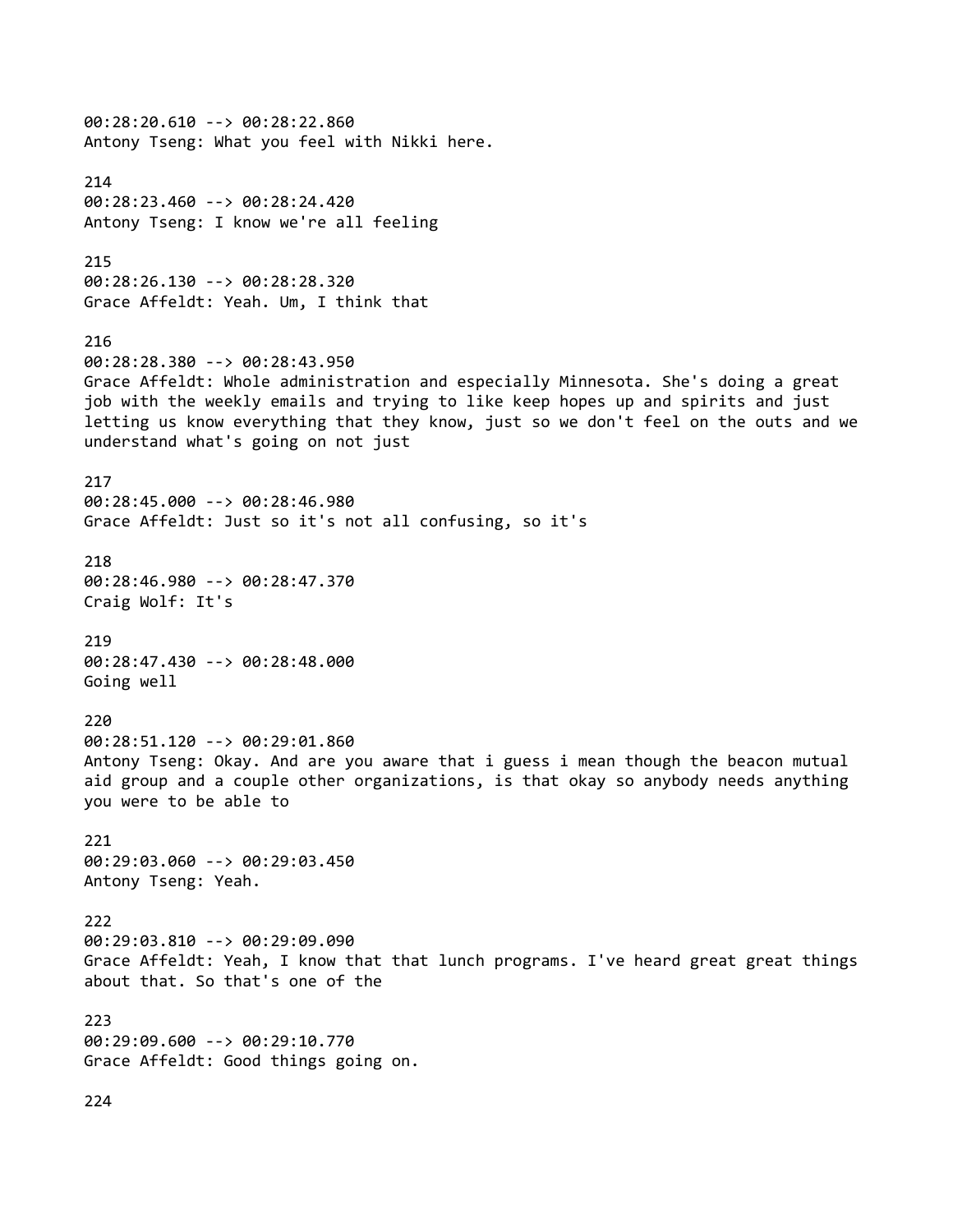00:28:20.610 --> 00:28:22.860 Antony Tseng: What you feel with Nikki here. 214 00:28:23.460 --> 00:28:24.420 Antony Tseng: I know we're all feeling 215 00:28:26.130 --> 00:28:28.320 Grace Affeldt: Yeah. Um, I think that 216 00:28:28.380 --> 00:28:43.950 Grace Affeldt: Whole administration and especially Minnesota. She's doing a great job with the weekly emails and trying to like keep hopes up and spirits and just letting us know everything that they know, just so we don't feel on the outs and we understand what's going on not just 217 00:28:45.000 --> 00:28:46.980 Grace Affeldt: Just so it's not all confusing, so it's 218 00:28:46.980 --> 00:28:47.370 Craig Wolf: It's 219 00:28:47.430 --> 00:28:48.000 Going well 220 00:28:51.120 --> 00:29:01.860 Antony Tseng: Okay. And are you aware that i guess i mean though the beacon mutual aid group and a couple other organizations, is that okay so anybody needs anything you were to be able to 221 00:29:03.060 --> 00:29:03.450 Antony Tseng: Yeah. 222 00:29:03.810 --> 00:29:09.090 Grace Affeldt: Yeah, I know that that lunch programs. I've heard great great things about that. So that's one of the 223 00:29:09.600 --> 00:29:10.770 Grace Affeldt: Good things going on.

224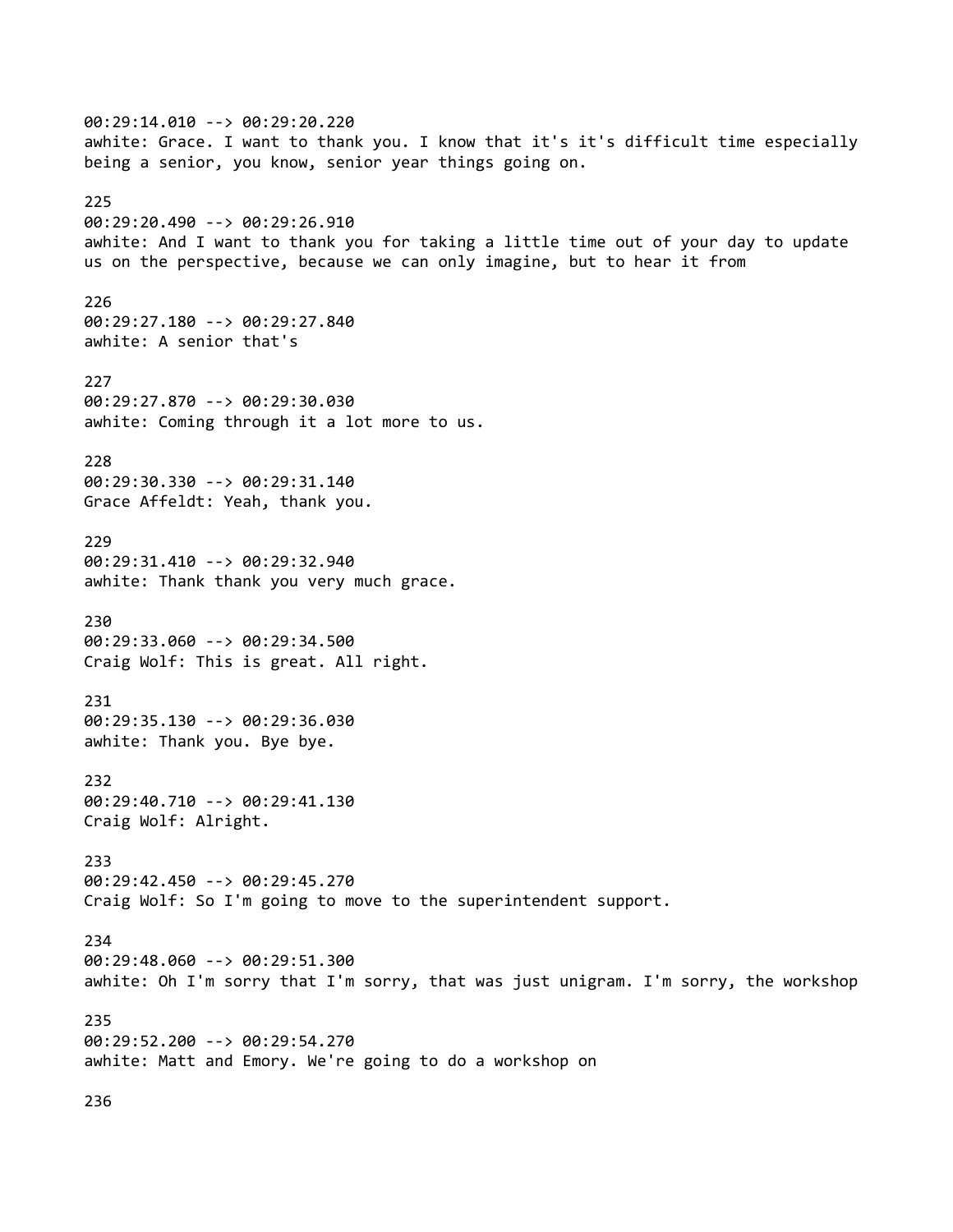00:29:14.010 --> 00:29:20.220 awhite: Grace. I want to thank you. I know that it's it's difficult time especially being a senior, you know, senior year things going on. 225 00:29:20.490 --> 00:29:26.910 awhite: And I want to thank you for taking a little time out of your day to update us on the perspective, because we can only imagine, but to hear it from 226 00:29:27.180 --> 00:29:27.840 awhite: A senior that's 227 00:29:27.870 --> 00:29:30.030 awhite: Coming through it a lot more to us. 228 00:29:30.330 --> 00:29:31.140 Grace Affeldt: Yeah, thank you. 229 00:29:31.410 --> 00:29:32.940 awhite: Thank thank you very much grace. 230 00:29:33.060 --> 00:29:34.500 Craig Wolf: This is great. All right. 231 00:29:35.130 --> 00:29:36.030 awhite: Thank you. Bye bye. 232 00:29:40.710 --> 00:29:41.130 Craig Wolf: Alright. 233 00:29:42.450 --> 00:29:45.270 Craig Wolf: So I'm going to move to the superintendent support. 234 00:29:48.060 --> 00:29:51.300 awhite: Oh I'm sorry that I'm sorry, that was just unigram. I'm sorry, the workshop 235 00:29:52.200 --> 00:29:54.270 awhite: Matt and Emory. We're going to do a workshop on

236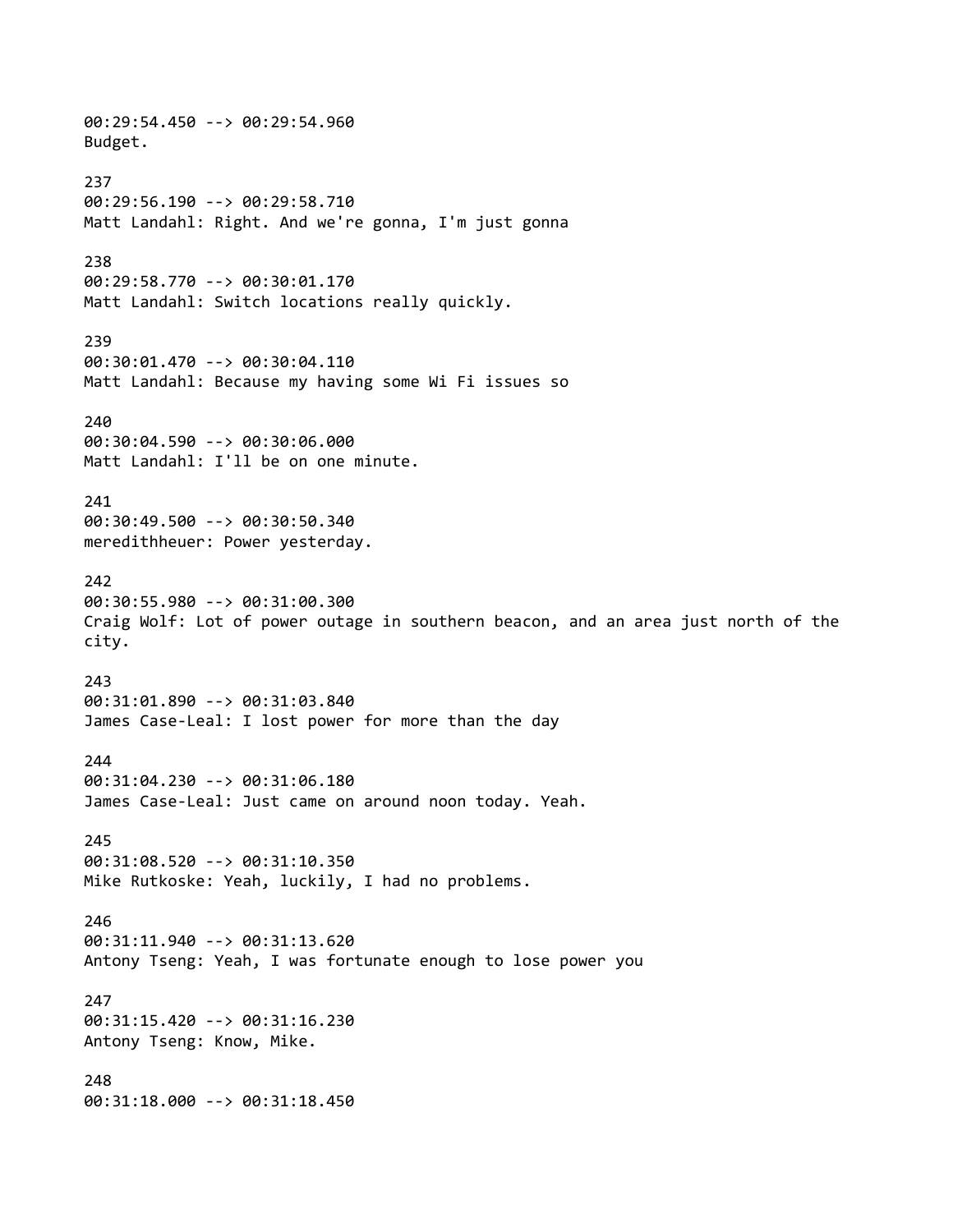00:29:54.450 --> 00:29:54.960 Budget. 237 00:29:56.190 --> 00:29:58.710 Matt Landahl: Right. And we're gonna, I'm just gonna 238 00:29:58.770 --> 00:30:01.170 Matt Landahl: Switch locations really quickly. 239 00:30:01.470 --> 00:30:04.110 Matt Landahl: Because my having some Wi Fi issues so 240 00:30:04.590 --> 00:30:06.000 Matt Landahl: I'll be on one minute. 241 00:30:49.500 --> 00:30:50.340 meredithheuer: Power yesterday. 242 00:30:55.980 --> 00:31:00.300 Craig Wolf: Lot of power outage in southern beacon, and an area just north of the city. 243 00:31:01.890 --> 00:31:03.840 James Case-Leal: I lost power for more than the day 244 00:31:04.230 --> 00:31:06.180 James Case-Leal: Just came on around noon today. Yeah. 245 00:31:08.520 --> 00:31:10.350 Mike Rutkoske: Yeah, luckily, I had no problems. 246 00:31:11.940 --> 00:31:13.620 Antony Tseng: Yeah, I was fortunate enough to lose power you 247 00:31:15.420 --> 00:31:16.230 Antony Tseng: Know, Mike. 248 00:31:18.000 --> 00:31:18.450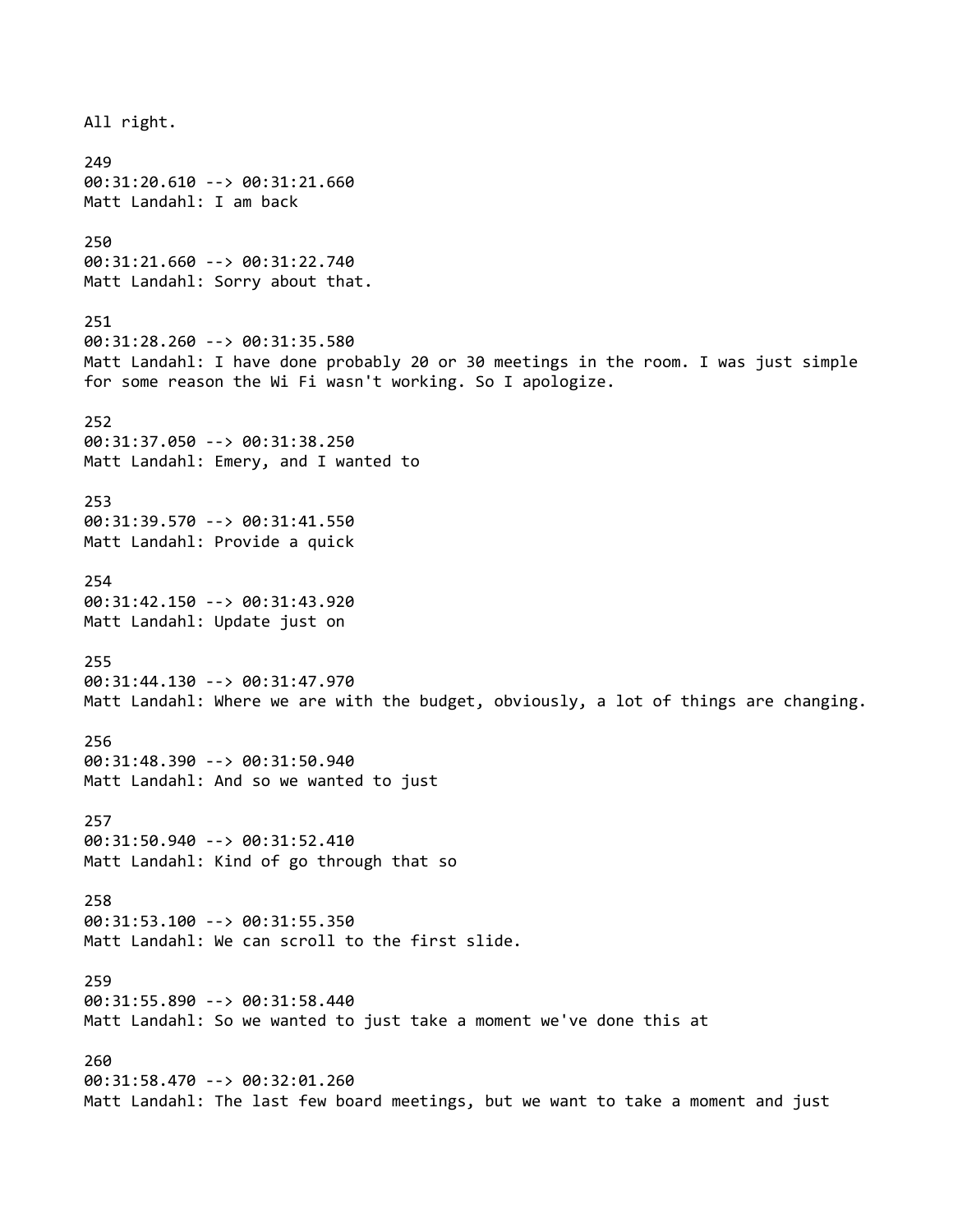All right. 249 00:31:20.610 --> 00:31:21.660 Matt Landahl: I am back 250 00:31:21.660 --> 00:31:22.740 Matt Landahl: Sorry about that. 251 00:31:28.260 --> 00:31:35.580 Matt Landahl: I have done probably 20 or 30 meetings in the room. I was just simple for some reason the Wi Fi wasn't working. So I apologize. 252 00:31:37.050 --> 00:31:38.250 Matt Landahl: Emery, and I wanted to 253 00:31:39.570 --> 00:31:41.550 Matt Landahl: Provide a quick 254 00:31:42.150 --> 00:31:43.920 Matt Landahl: Update just on 255 00:31:44.130 --> 00:31:47.970 Matt Landahl: Where we are with the budget, obviously, a lot of things are changing. 256 00:31:48.390 --> 00:31:50.940 Matt Landahl: And so we wanted to just 257 00:31:50.940 --> 00:31:52.410 Matt Landahl: Kind of go through that so 258 00:31:53.100 --> 00:31:55.350 Matt Landahl: We can scroll to the first slide. 259 00:31:55.890 --> 00:31:58.440 Matt Landahl: So we wanted to just take a moment we've done this at 260 00:31:58.470 --> 00:32:01.260 Matt Landahl: The last few board meetings, but we want to take a moment and just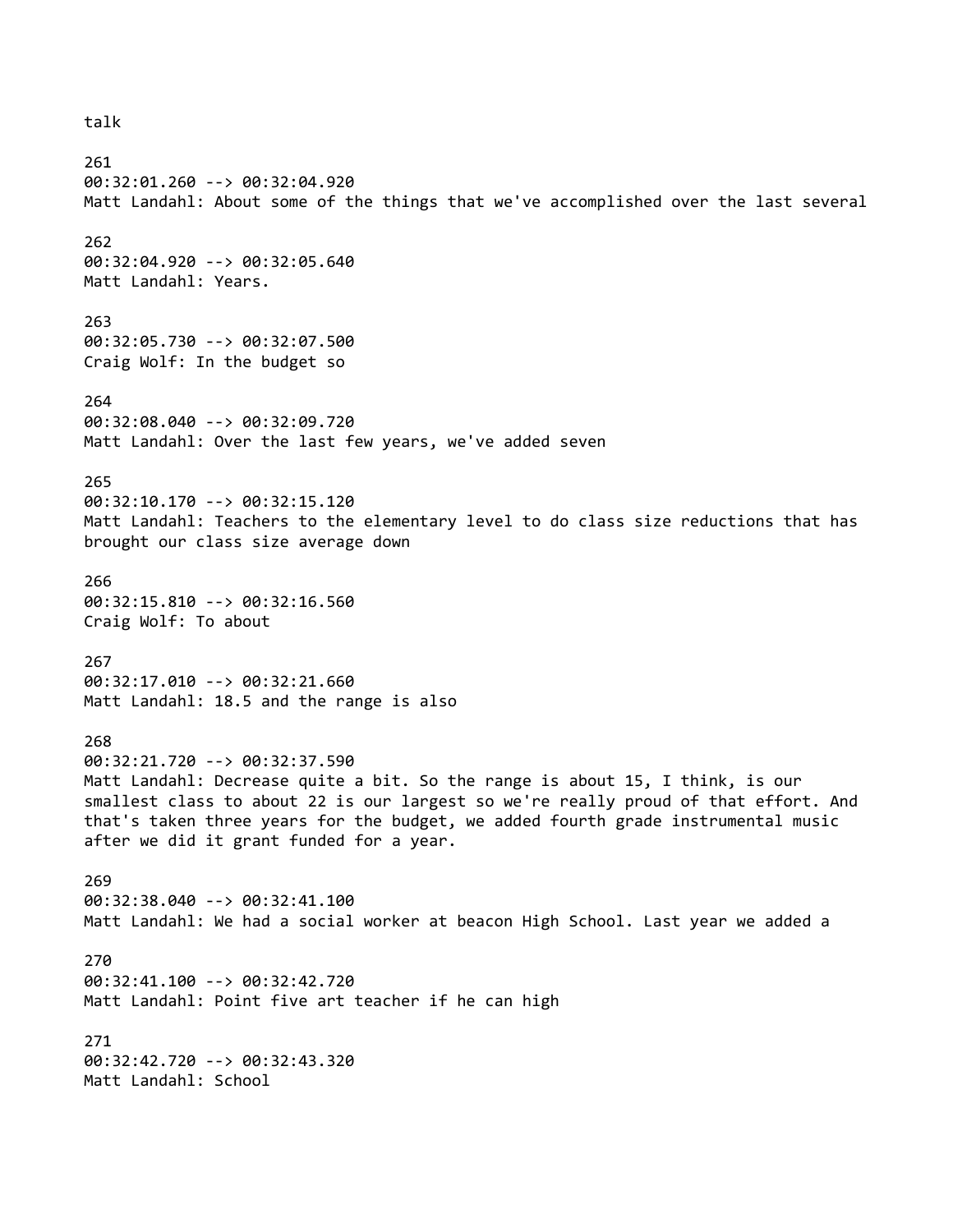## talk

261 00:32:01.260 --> 00:32:04.920 Matt Landahl: About some of the things that we've accomplished over the last several

# 262

00:32:04.920 --> 00:32:05.640 Matt Landahl: Years.

# 263

00:32:05.730 --> 00:32:07.500 Craig Wolf: In the budget so

## 264

00:32:08.040 --> 00:32:09.720 Matt Landahl: Over the last few years, we've added seven

## 265

00:32:10.170 --> 00:32:15.120 Matt Landahl: Teachers to the elementary level to do class size reductions that has brought our class size average down

## 266

00:32:15.810 --> 00:32:16.560 Craig Wolf: To about

#### 267

00:32:17.010 --> 00:32:21.660 Matt Landahl: 18.5 and the range is also

# 268

00:32:21.720 --> 00:32:37.590 Matt Landahl: Decrease quite a bit. So the range is about 15, I think, is our smallest class to about 22 is our largest so we're really proud of that effort. And that's taken three years for the budget, we added fourth grade instrumental music after we did it grant funded for a year.

#### 269

00:32:38.040 --> 00:32:41.100 Matt Landahl: We had a social worker at beacon High School. Last year we added a

#### 270

00:32:41.100 --> 00:32:42.720 Matt Landahl: Point five art teacher if he can high

# 271 00:32:42.720 --> 00:32:43.320 Matt Landahl: School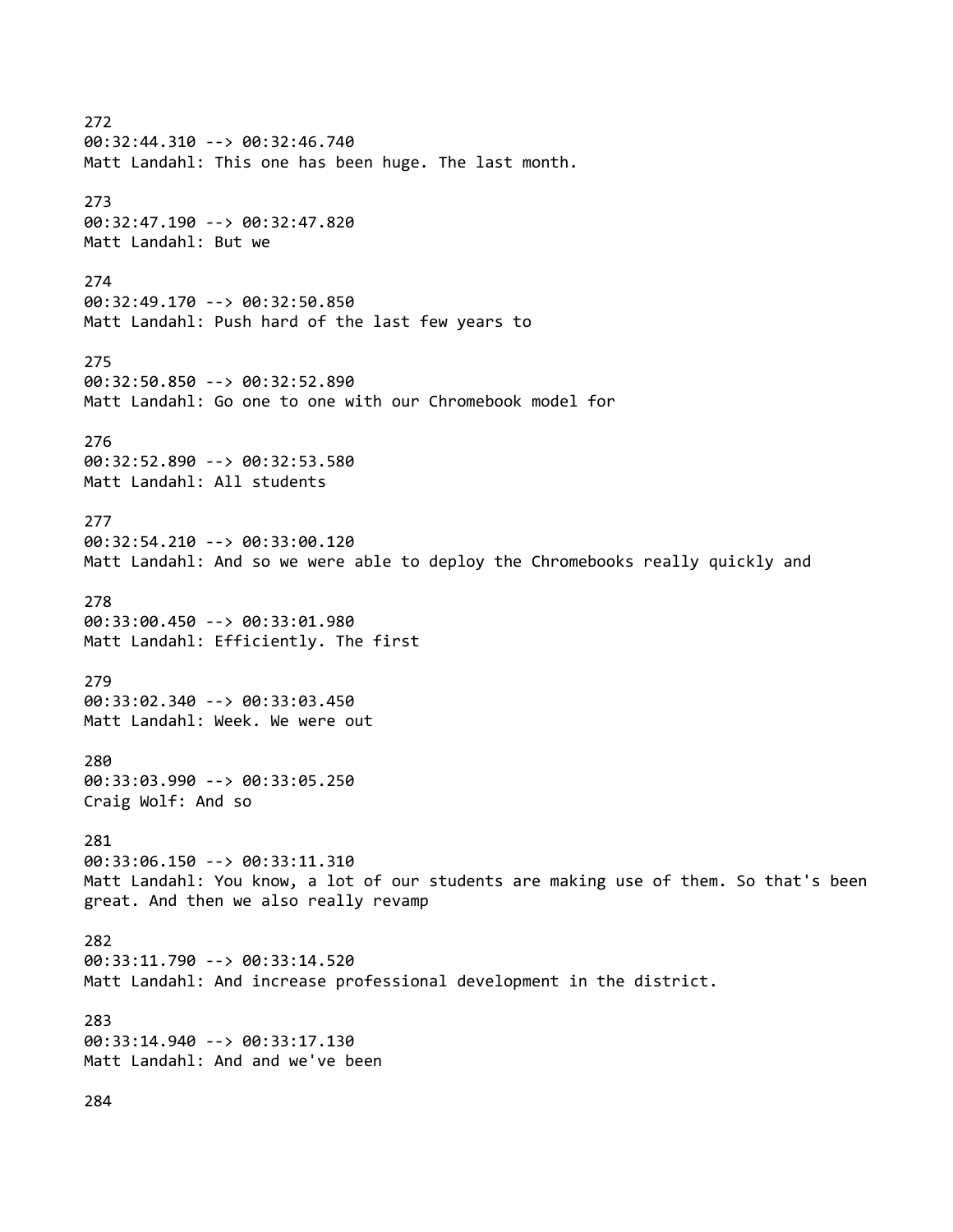272 00:32:44.310 --> 00:32:46.740 Matt Landahl: This one has been huge. The last month. 273 00:32:47.190 --> 00:32:47.820 Matt Landahl: But we 274 00:32:49.170 --> 00:32:50.850 Matt Landahl: Push hard of the last few years to 275 00:32:50.850 --> 00:32:52.890 Matt Landahl: Go one to one with our Chromebook model for 276 00:32:52.890 --> 00:32:53.580 Matt Landahl: All students 277 00:32:54.210 --> 00:33:00.120 Matt Landahl: And so we were able to deploy the Chromebooks really quickly and 278 00:33:00.450 --> 00:33:01.980 Matt Landahl: Efficiently. The first 279 00:33:02.340 --> 00:33:03.450 Matt Landahl: Week. We were out 280 00:33:03.990 --> 00:33:05.250 Craig Wolf: And so 281 00:33:06.150 --> 00:33:11.310 Matt Landahl: You know, a lot of our students are making use of them. So that's been great. And then we also really revamp 282 00:33:11.790 --> 00:33:14.520 Matt Landahl: And increase professional development in the district. 283 00:33:14.940 --> 00:33:17.130 Matt Landahl: And and we've been 284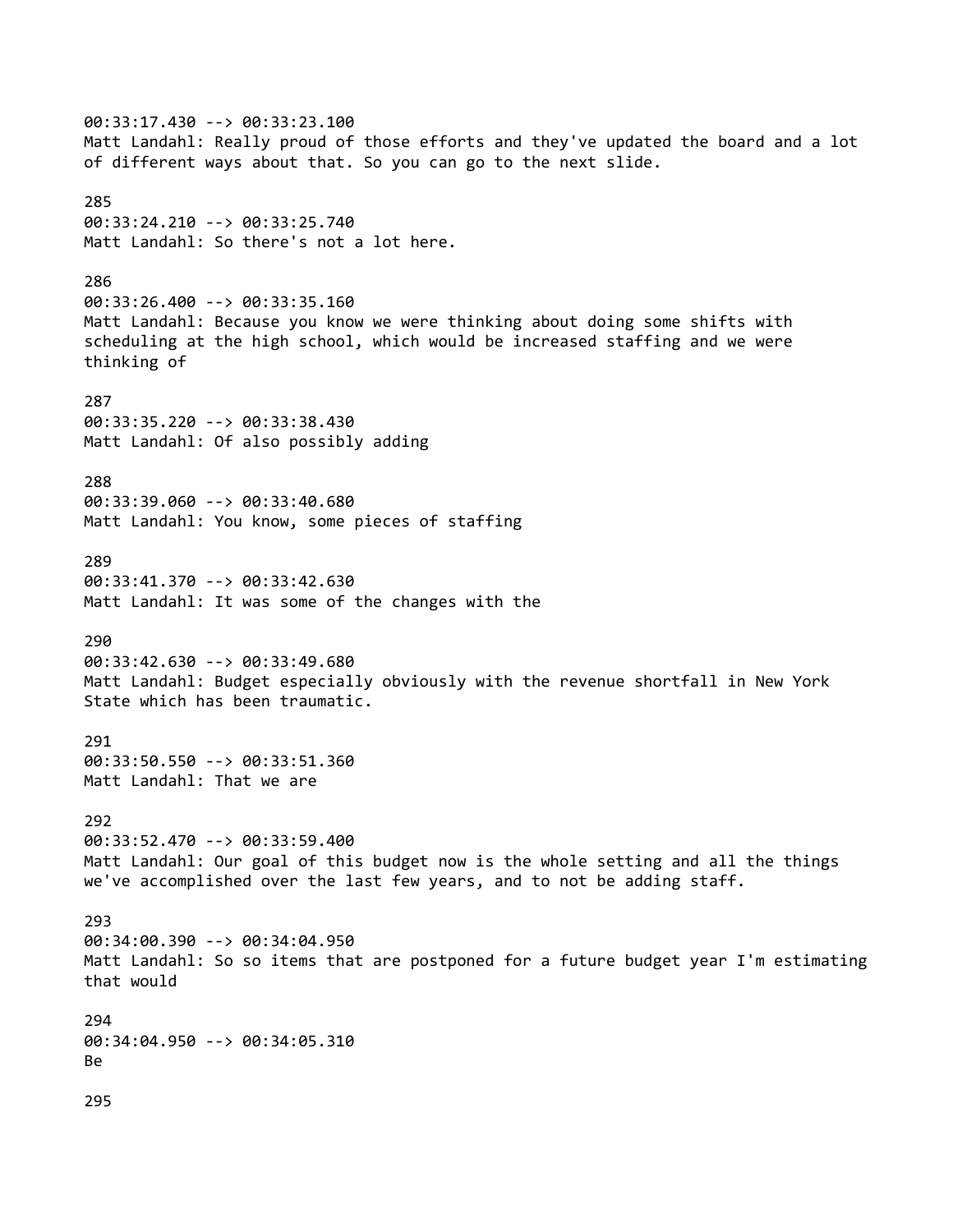00:33:17.430 --> 00:33:23.100 Matt Landahl: Really proud of those efforts and they've updated the board and a lot of different ways about that. So you can go to the next slide. 285 00:33:24.210 --> 00:33:25.740 Matt Landahl: So there's not a lot here. 286 00:33:26.400 --> 00:33:35.160 Matt Landahl: Because you know we were thinking about doing some shifts with scheduling at the high school, which would be increased staffing and we were thinking of 287 00:33:35.220 --> 00:33:38.430 Matt Landahl: Of also possibly adding 288 00:33:39.060 --> 00:33:40.680 Matt Landahl: You know, some pieces of staffing 289 00:33:41.370 --> 00:33:42.630 Matt Landahl: It was some of the changes with the 290 00:33:42.630 --> 00:33:49.680 Matt Landahl: Budget especially obviously with the revenue shortfall in New York State which has been traumatic. 291 00:33:50.550 --> 00:33:51.360 Matt Landahl: That we are 292 00:33:52.470 --> 00:33:59.400 Matt Landahl: Our goal of this budget now is the whole setting and all the things we've accomplished over the last few years, and to not be adding staff. 293 00:34:00.390 --> 00:34:04.950 Matt Landahl: So so items that are postponed for a future budget year I'm estimating that would 294 00:34:04.950 --> 00:34:05.310 Be 295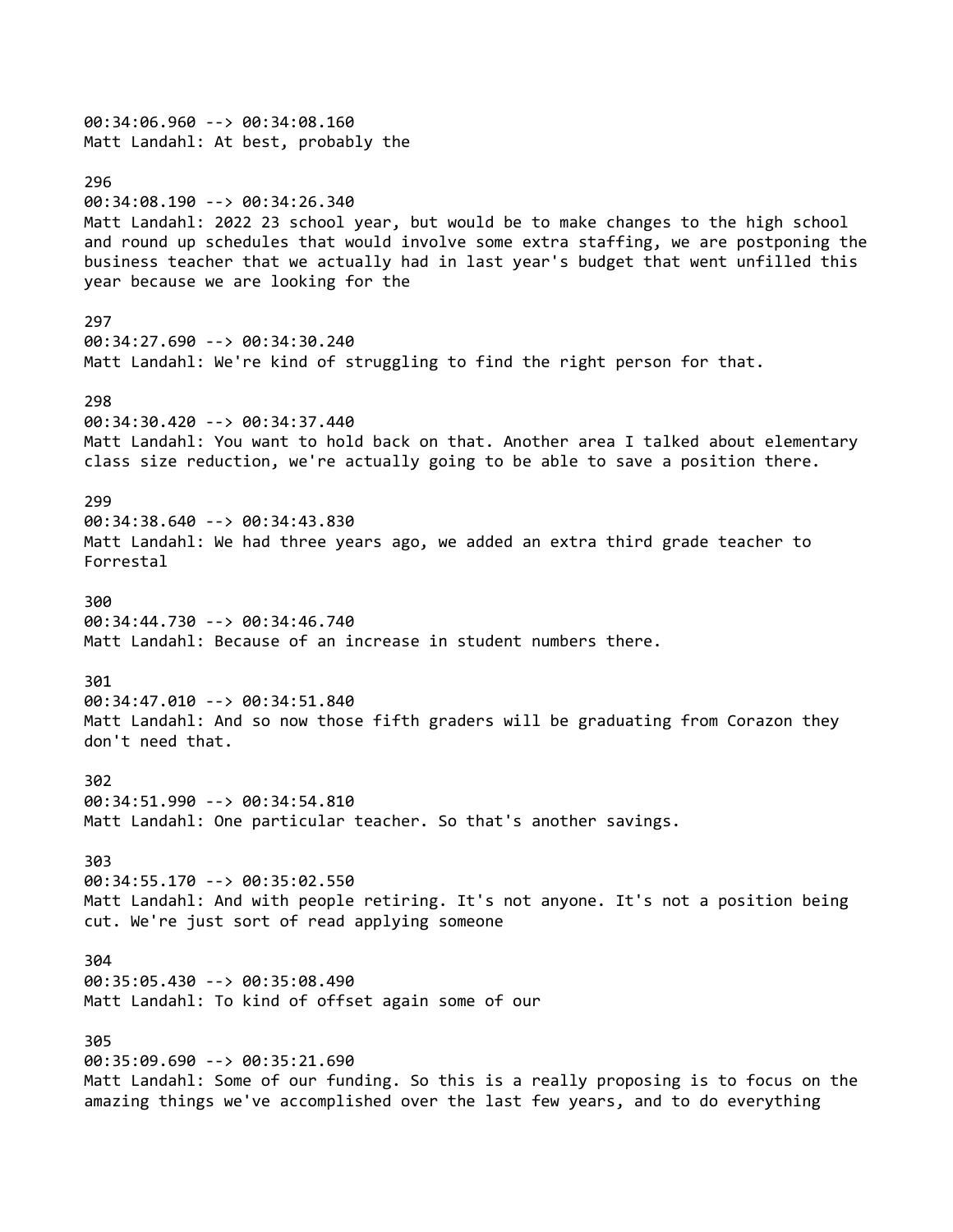00:34:06.960 --> 00:34:08.160 Matt Landahl: At best, probably the 296 00:34:08.190 --> 00:34:26.340 Matt Landahl: 2022 23 school year, but would be to make changes to the high school and round up schedules that would involve some extra staffing, we are postponing the business teacher that we actually had in last year's budget that went unfilled this year because we are looking for the 297 00:34:27.690 --> 00:34:30.240 Matt Landahl: We're kind of struggling to find the right person for that. 298 00:34:30.420 --> 00:34:37.440 Matt Landahl: You want to hold back on that. Another area I talked about elementary class size reduction, we're actually going to be able to save a position there. 299 00:34:38.640 --> 00:34:43.830 Matt Landahl: We had three years ago, we added an extra third grade teacher to Forrestal 300 00:34:44.730 --> 00:34:46.740 Matt Landahl: Because of an increase in student numbers there. 301 00:34:47.010 --> 00:34:51.840 Matt Landahl: And so now those fifth graders will be graduating from Corazon they don't need that. 302 00:34:51.990 --> 00:34:54.810 Matt Landahl: One particular teacher. So that's another savings. 303 00:34:55.170 --> 00:35:02.550 Matt Landahl: And with people retiring. It's not anyone. It's not a position being cut. We're just sort of read applying someone 304 00:35:05.430 --> 00:35:08.490 Matt Landahl: To kind of offset again some of our 305 00:35:09.690 --> 00:35:21.690 Matt Landahl: Some of our funding. So this is a really proposing is to focus on the amazing things we've accomplished over the last few years, and to do everything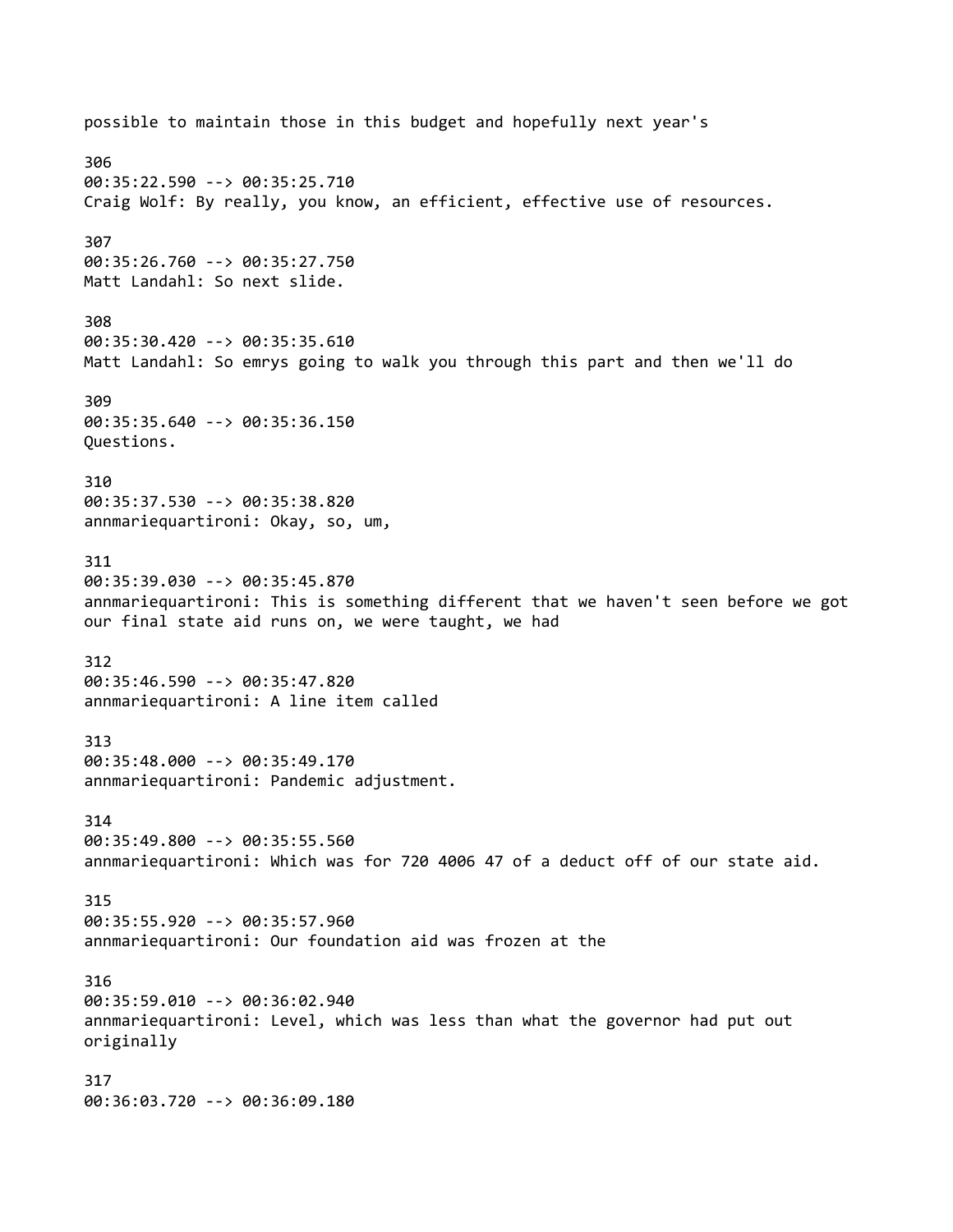possible to maintain those in this budget and hopefully next year's 306 00:35:22.590 --> 00:35:25.710 Craig Wolf: By really, you know, an efficient, effective use of resources. 307 00:35:26.760 --> 00:35:27.750 Matt Landahl: So next slide. 308 00:35:30.420 --> 00:35:35.610 Matt Landahl: So emrys going to walk you through this part and then we'll do 309 00:35:35.640 --> 00:35:36.150 Questions. 310 00:35:37.530 --> 00:35:38.820 annmariequartironi: Okay, so, um, 311 00:35:39.030 --> 00:35:45.870 annmariequartironi: This is something different that we haven't seen before we got our final state aid runs on, we were taught, we had 312 00:35:46.590 --> 00:35:47.820 annmariequartironi: A line item called 313 00:35:48.000 --> 00:35:49.170 annmariequartironi: Pandemic adjustment. 314 00:35:49.800 --> 00:35:55.560 annmariequartironi: Which was for 720 4006 47 of a deduct off of our state aid. 315 00:35:55.920 --> 00:35:57.960 annmariequartironi: Our foundation aid was frozen at the 316 00:35:59.010 --> 00:36:02.940 annmariequartironi: Level, which was less than what the governor had put out originally 317 00:36:03.720 --> 00:36:09.180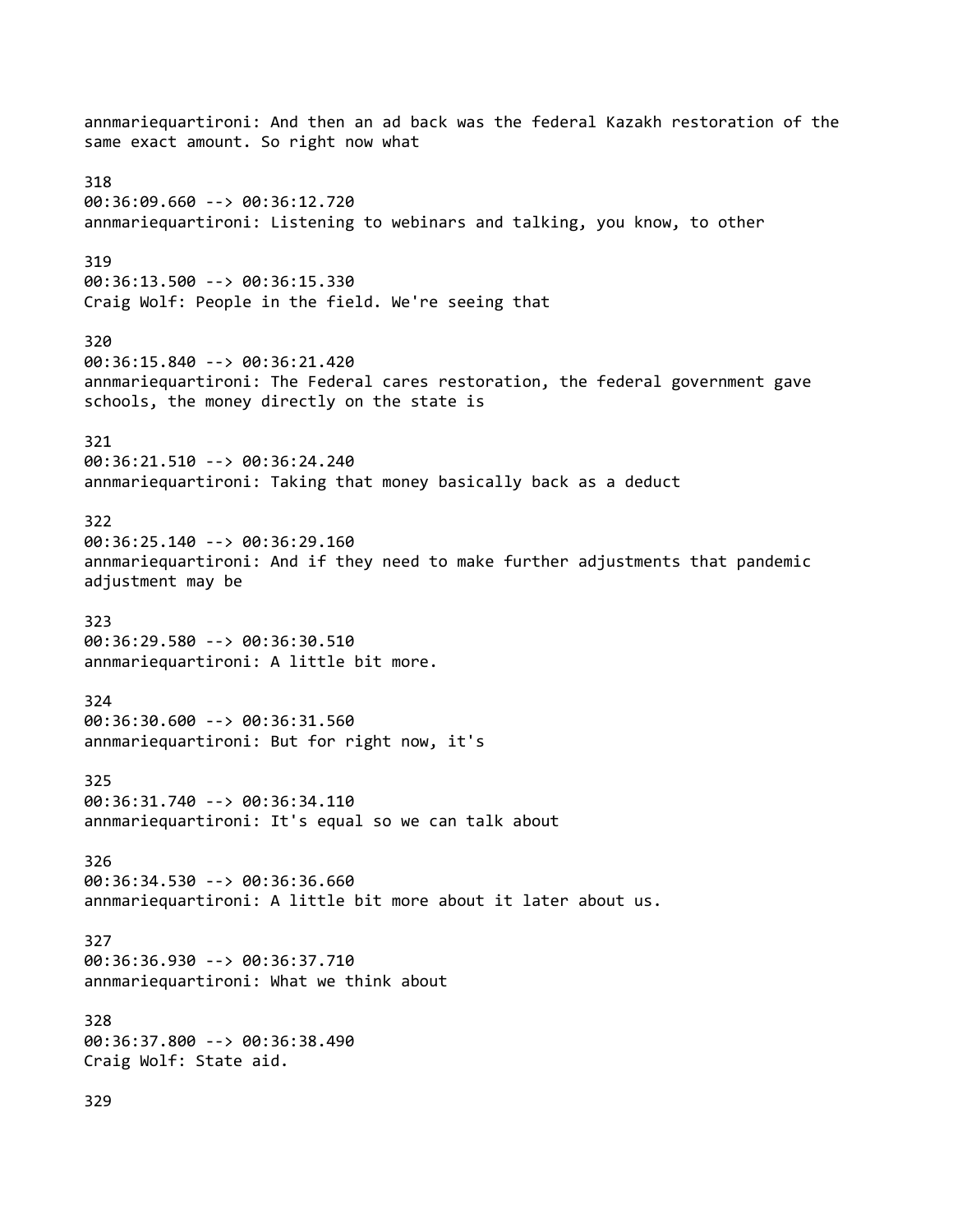annmariequartironi: And then an ad back was the federal Kazakh restoration of the same exact amount. So right now what 318 00:36:09.660 --> 00:36:12.720 annmariequartironi: Listening to webinars and talking, you know, to other 319 00:36:13.500 --> 00:36:15.330 Craig Wolf: People in the field. We're seeing that 320 00:36:15.840 --> 00:36:21.420 annmariequartironi: The Federal cares restoration, the federal government gave schools, the money directly on the state is 321 00:36:21.510 --> 00:36:24.240 annmariequartironi: Taking that money basically back as a deduct 322 00:36:25.140 --> 00:36:29.160 annmariequartironi: And if they need to make further adjustments that pandemic adjustment may be 323 00:36:29.580 --> 00:36:30.510 annmariequartironi: A little bit more. 324 00:36:30.600 --> 00:36:31.560 annmariequartironi: But for right now, it's 325 00:36:31.740 --> 00:36:34.110 annmariequartironi: It's equal so we can talk about 326 00:36:34.530 --> 00:36:36.660 annmariequartironi: A little bit more about it later about us. 327 00:36:36.930 --> 00:36:37.710 annmariequartironi: What we think about 328 00:36:37.800 --> 00:36:38.490 Craig Wolf: State aid. 329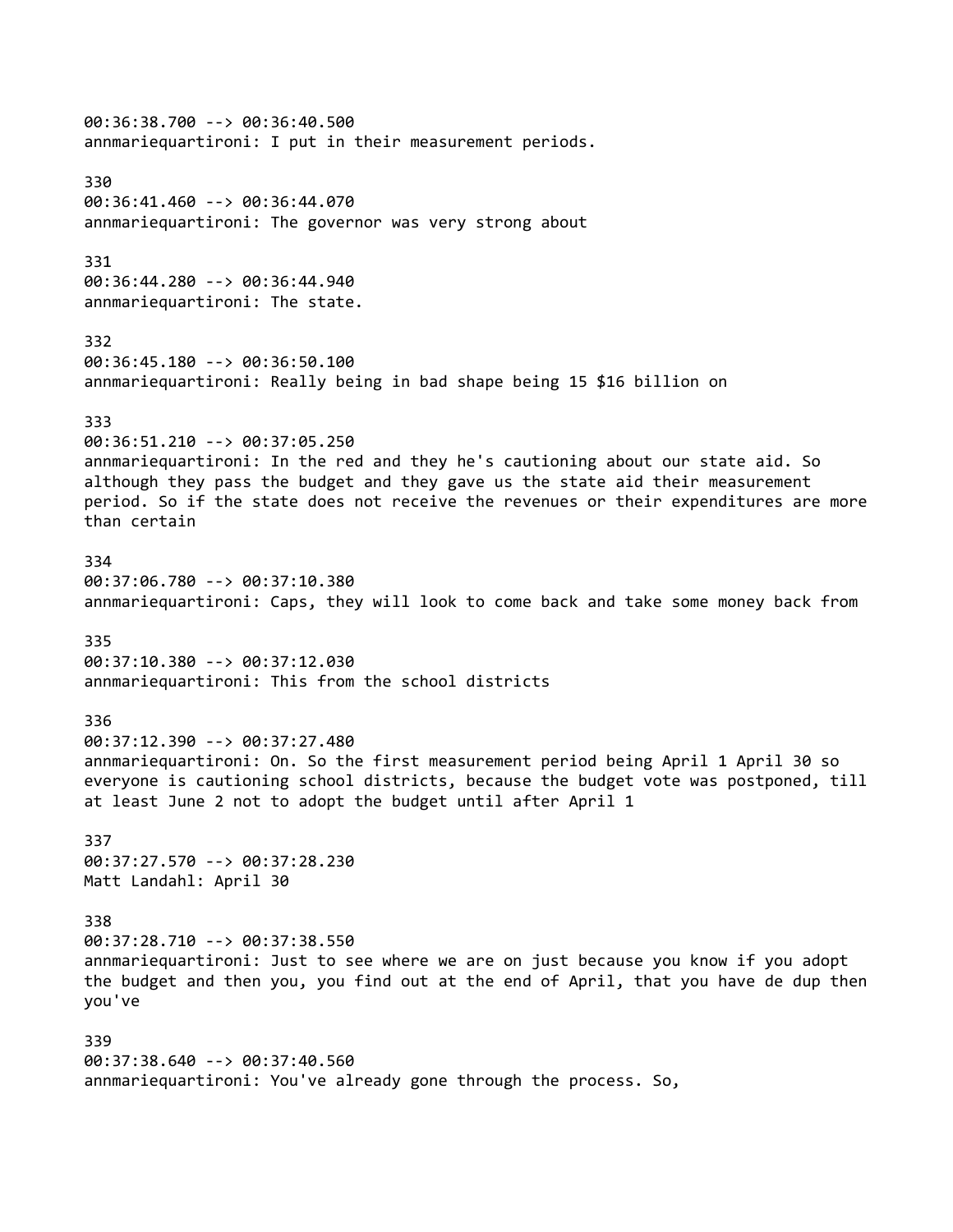00:36:38.700 --> 00:36:40.500 annmariequartironi: I put in their measurement periods. 330 00:36:41.460 --> 00:36:44.070 annmariequartironi: The governor was very strong about 331 00:36:44.280 --> 00:36:44.940 annmariequartironi: The state. 332 00:36:45.180 --> 00:36:50.100 annmariequartironi: Really being in bad shape being 15 \$16 billion on 333 00:36:51.210 --> 00:37:05.250 annmariequartironi: In the red and they he's cautioning about our state aid. So although they pass the budget and they gave us the state aid their measurement period. So if the state does not receive the revenues or their expenditures are more than certain 334 00:37:06.780 --> 00:37:10.380 annmariequartironi: Caps, they will look to come back and take some money back from 335 00:37:10.380 --> 00:37:12.030 annmariequartironi: This from the school districts 336 00:37:12.390 --> 00:37:27.480 annmariequartironi: On. So the first measurement period being April 1 April 30 so everyone is cautioning school districts, because the budget vote was postponed, till at least June 2 not to adopt the budget until after April 1 337 00:37:27.570 --> 00:37:28.230 Matt Landahl: April 30 338 00:37:28.710 --> 00:37:38.550 annmariequartironi: Just to see where we are on just because you know if you adopt the budget and then you, you find out at the end of April, that you have de dup then you've 339 00:37:38.640 --> 00:37:40.560 annmariequartironi: You've already gone through the process. So,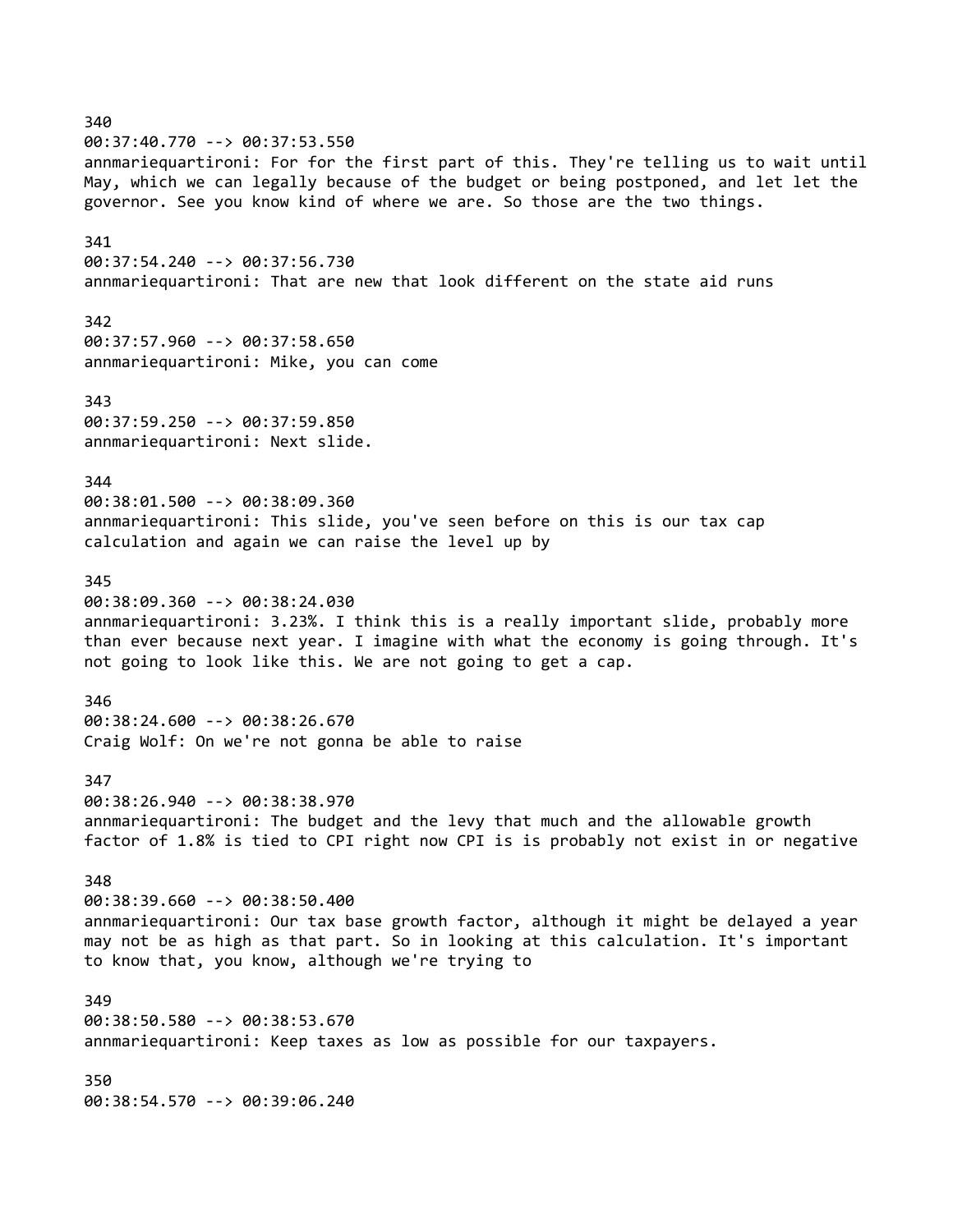340 00:37:40.770 --> 00:37:53.550 annmariequartironi: For for the first part of this. They're telling us to wait until May, which we can legally because of the budget or being postponed, and let let the governor. See you know kind of where we are. So those are the two things. 341 00:37:54.240 --> 00:37:56.730 annmariequartironi: That are new that look different on the state aid runs 342 00:37:57.960 --> 00:37:58.650 annmariequartironi: Mike, you can come 343 00:37:59.250 --> 00:37:59.850 annmariequartironi: Next slide. 344 00:38:01.500 --> 00:38:09.360 annmariequartironi: This slide, you've seen before on this is our tax cap calculation and again we can raise the level up by 345 00:38:09.360 --> 00:38:24.030 annmariequartironi: 3.23%. I think this is a really important slide, probably more than ever because next year. I imagine with what the economy is going through. It's not going to look like this. We are not going to get a cap. 346 00:38:24.600 --> 00:38:26.670 Craig Wolf: On we're not gonna be able to raise 347 00:38:26.940 --> 00:38:38.970 annmariequartironi: The budget and the levy that much and the allowable growth factor of 1.8% is tied to CPI right now CPI is is probably not exist in or negative 348 00:38:39.660 --> 00:38:50.400 annmariequartironi: Our tax base growth factor, although it might be delayed a year may not be as high as that part. So in looking at this calculation. It's important to know that, you know, although we're trying to 349 00:38:50.580 --> 00:38:53.670 annmariequartironi: Keep taxes as low as possible for our taxpayers. 350 00:38:54.570 --> 00:39:06.240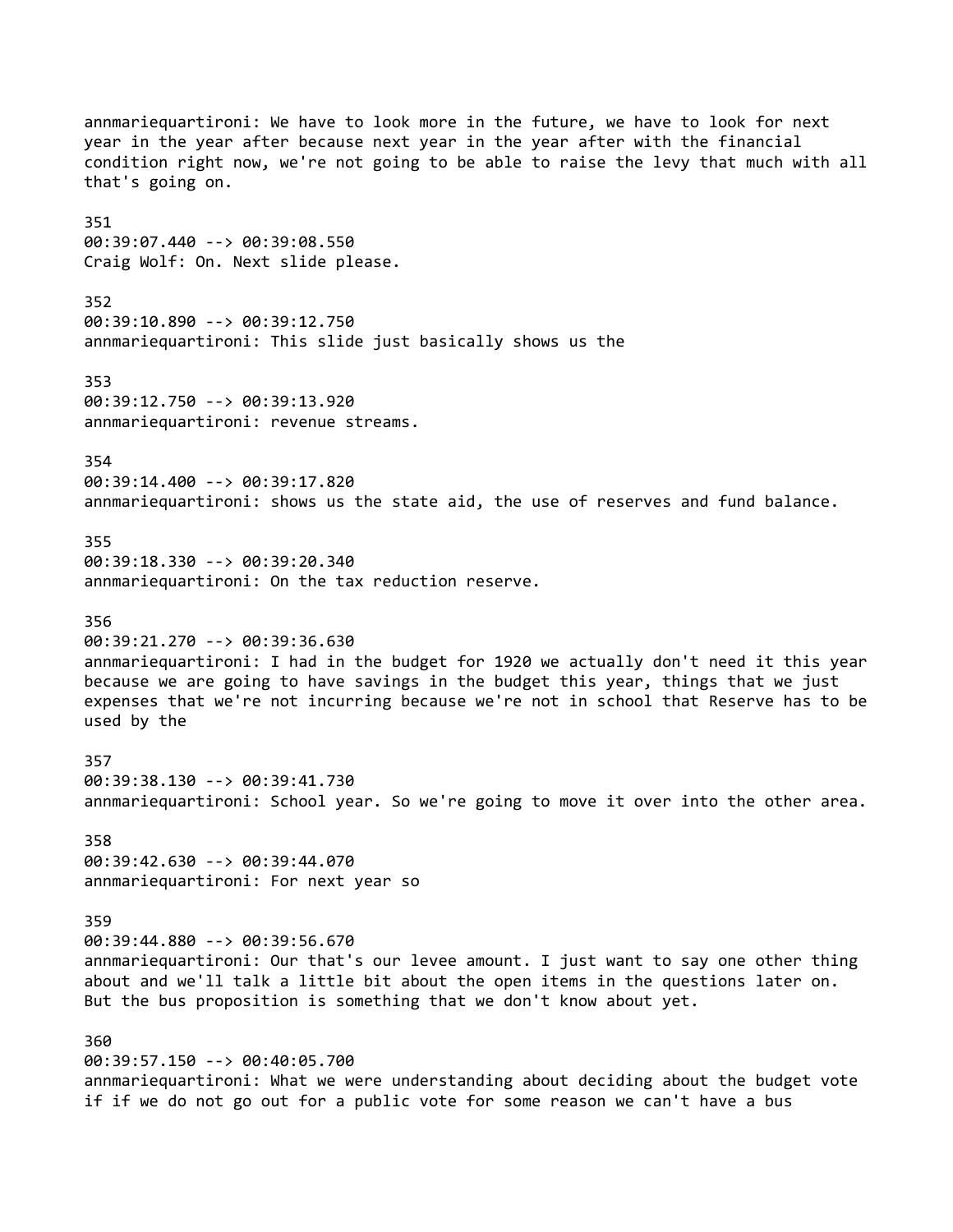annmariequartironi: We have to look more in the future, we have to look for next year in the year after because next year in the year after with the financial condition right now, we're not going to be able to raise the levy that much with all that's going on. 351 00:39:07.440 --> 00:39:08.550 Craig Wolf: On. Next slide please. 352 00:39:10.890 --> 00:39:12.750 annmariequartironi: This slide just basically shows us the 353 00:39:12.750 --> 00:39:13.920 annmariequartironi: revenue streams. 354 00:39:14.400 --> 00:39:17.820 annmariequartironi: shows us the state aid, the use of reserves and fund balance. 355 00:39:18.330 --> 00:39:20.340 annmariequartironi: On the tax reduction reserve. 356 00:39:21.270 --> 00:39:36.630 annmariequartironi: I had in the budget for 1920 we actually don't need it this year because we are going to have savings in the budget this year, things that we just expenses that we're not incurring because we're not in school that Reserve has to be used by the 357 00:39:38.130 --> 00:39:41.730 annmariequartironi: School year. So we're going to move it over into the other area. 358 00:39:42.630 --> 00:39:44.070 annmariequartironi: For next year so 359 00:39:44.880 --> 00:39:56.670 annmariequartironi: Our that's our levee amount. I just want to say one other thing about and we'll talk a little bit about the open items in the questions later on. But the bus proposition is something that we don't know about yet. 360 00:39:57.150 --> 00:40:05.700 annmariequartironi: What we were understanding about deciding about the budget vote if if we do not go out for a public vote for some reason we can't have a bus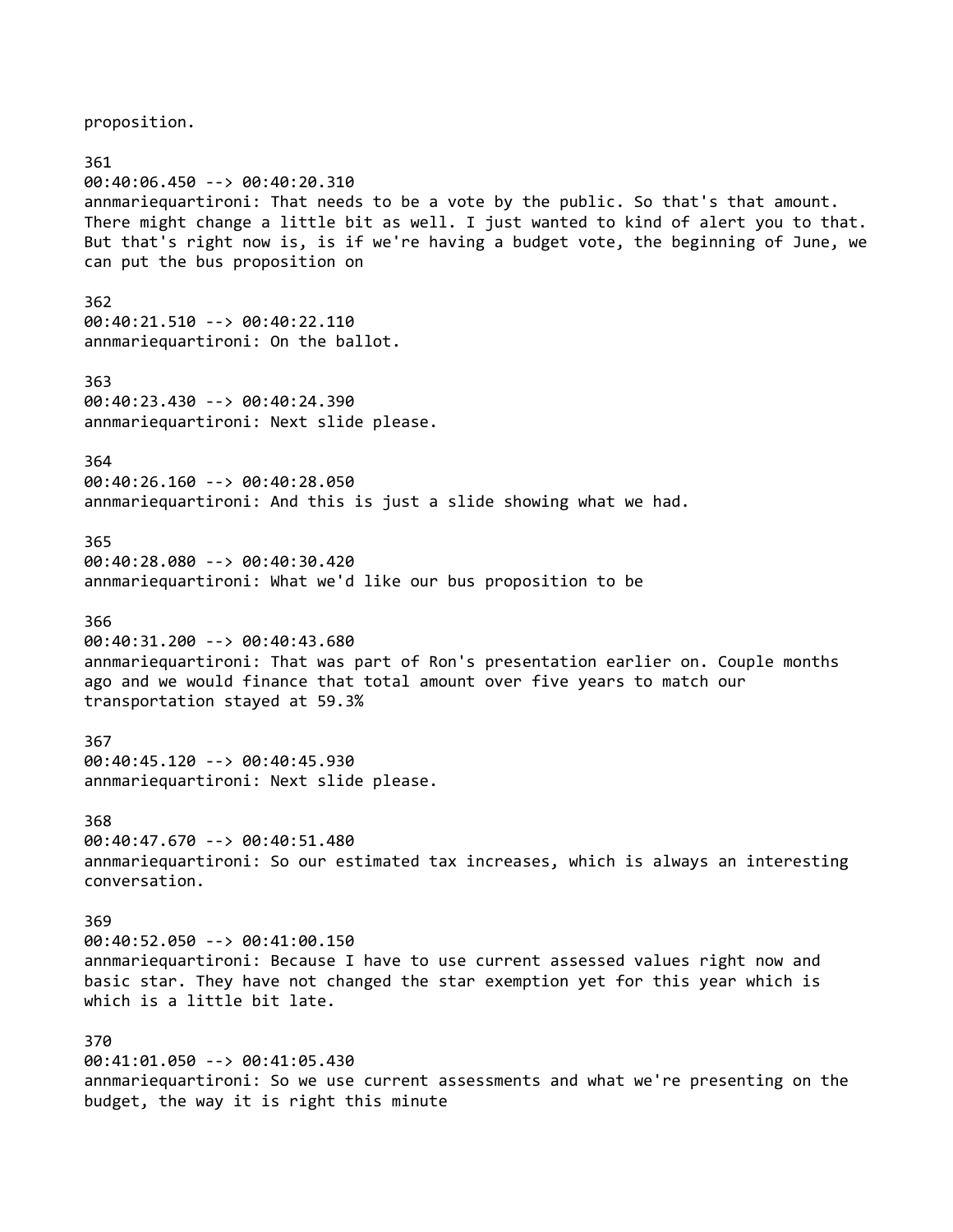proposition.

361 00:40:06.450 --> 00:40:20.310 annmariequartironi: That needs to be a vote by the public. So that's that amount. There might change a little bit as well. I just wanted to kind of alert you to that. But that's right now is, is if we're having a budget vote, the beginning of June, we can put the bus proposition on 362 00:40:21.510 --> 00:40:22.110 annmariequartironi: On the ballot. 363 00:40:23.430 --> 00:40:24.390 annmariequartironi: Next slide please. 364 00:40:26.160 --> 00:40:28.050 annmariequartironi: And this is just a slide showing what we had. 365 00:40:28.080 --> 00:40:30.420 annmariequartironi: What we'd like our bus proposition to be 366 00:40:31.200 --> 00:40:43.680 annmariequartironi: That was part of Ron's presentation earlier on. Couple months ago and we would finance that total amount over five years to match our transportation stayed at 59.3% 367 00:40:45.120 --> 00:40:45.930 annmariequartironi: Next slide please. 368 00:40:47.670 --> 00:40:51.480 annmariequartironi: So our estimated tax increases, which is always an interesting conversation. 369 00:40:52.050 --> 00:41:00.150 annmariequartironi: Because I have to use current assessed values right now and basic star. They have not changed the star exemption yet for this year which is which is a little bit late. 370 00:41:01.050 --> 00:41:05.430 annmariequartironi: So we use current assessments and what we're presenting on the budget, the way it is right this minute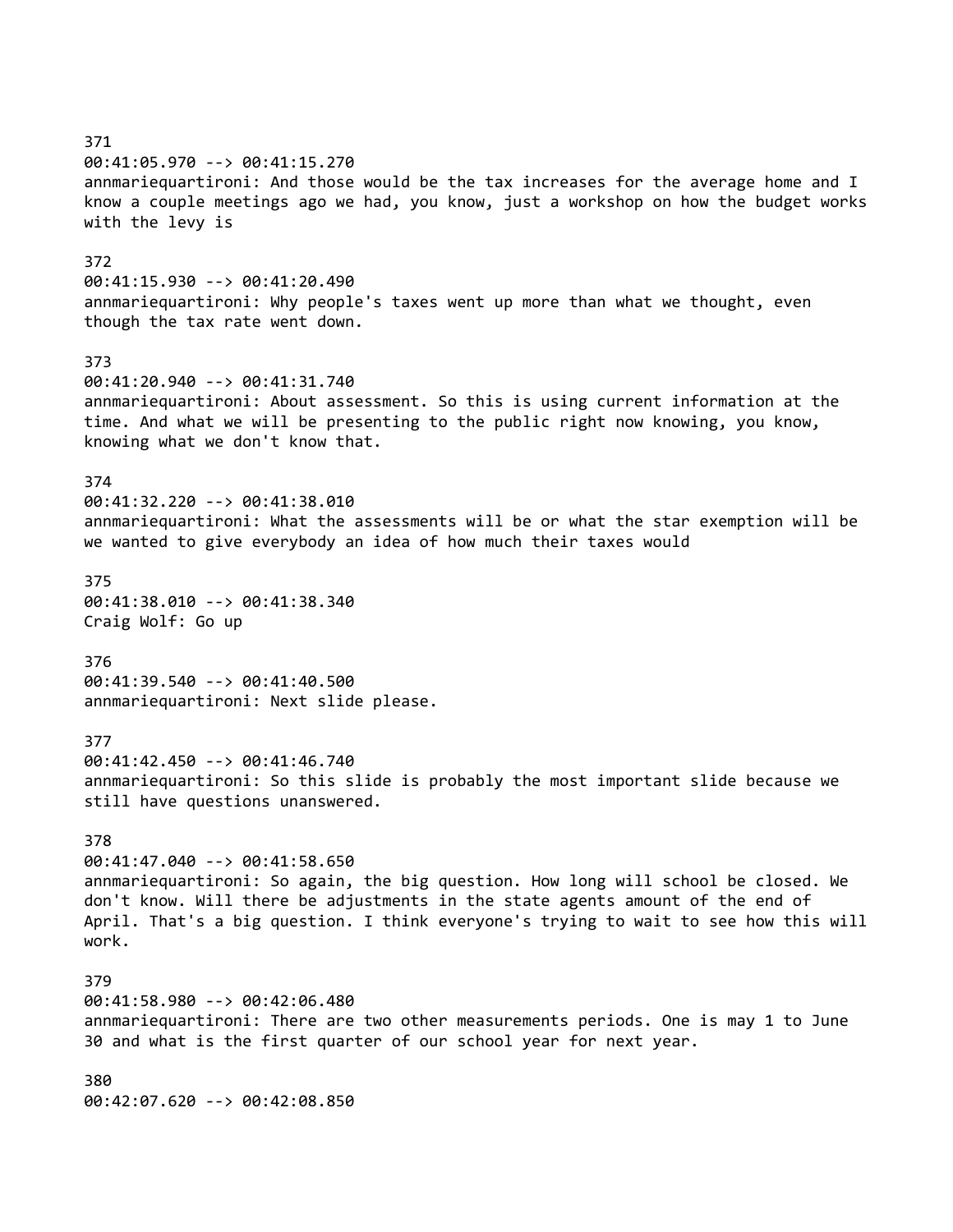371 00:41:05.970 --> 00:41:15.270 annmariequartironi: And those would be the tax increases for the average home and I know a couple meetings ago we had, you know, just a workshop on how the budget works with the levy is 372 00:41:15.930 --> 00:41:20.490 annmariequartironi: Why people's taxes went up more than what we thought, even though the tax rate went down. 373 00:41:20.940 --> 00:41:31.740 annmariequartironi: About assessment. So this is using current information at the time. And what we will be presenting to the public right now knowing, you know, knowing what we don't know that. 374 00:41:32.220 --> 00:41:38.010 annmariequartironi: What the assessments will be or what the star exemption will be we wanted to give everybody an idea of how much their taxes would 375 00:41:38.010 --> 00:41:38.340 Craig Wolf: Go up 376 00:41:39.540 --> 00:41:40.500 annmariequartironi: Next slide please. 377 00:41:42.450 --> 00:41:46.740 annmariequartironi: So this slide is probably the most important slide because we still have questions unanswered. 378 00:41:47.040 --> 00:41:58.650 annmariequartironi: So again, the big question. How long will school be closed. We don't know. Will there be adjustments in the state agents amount of the end of April. That's a big question. I think everyone's trying to wait to see how this will work. 379 00:41:58.980 --> 00:42:06.480 annmariequartironi: There are two other measurements periods. One is may 1 to June 30 and what is the first quarter of our school year for next year. 380 00:42:07.620 --> 00:42:08.850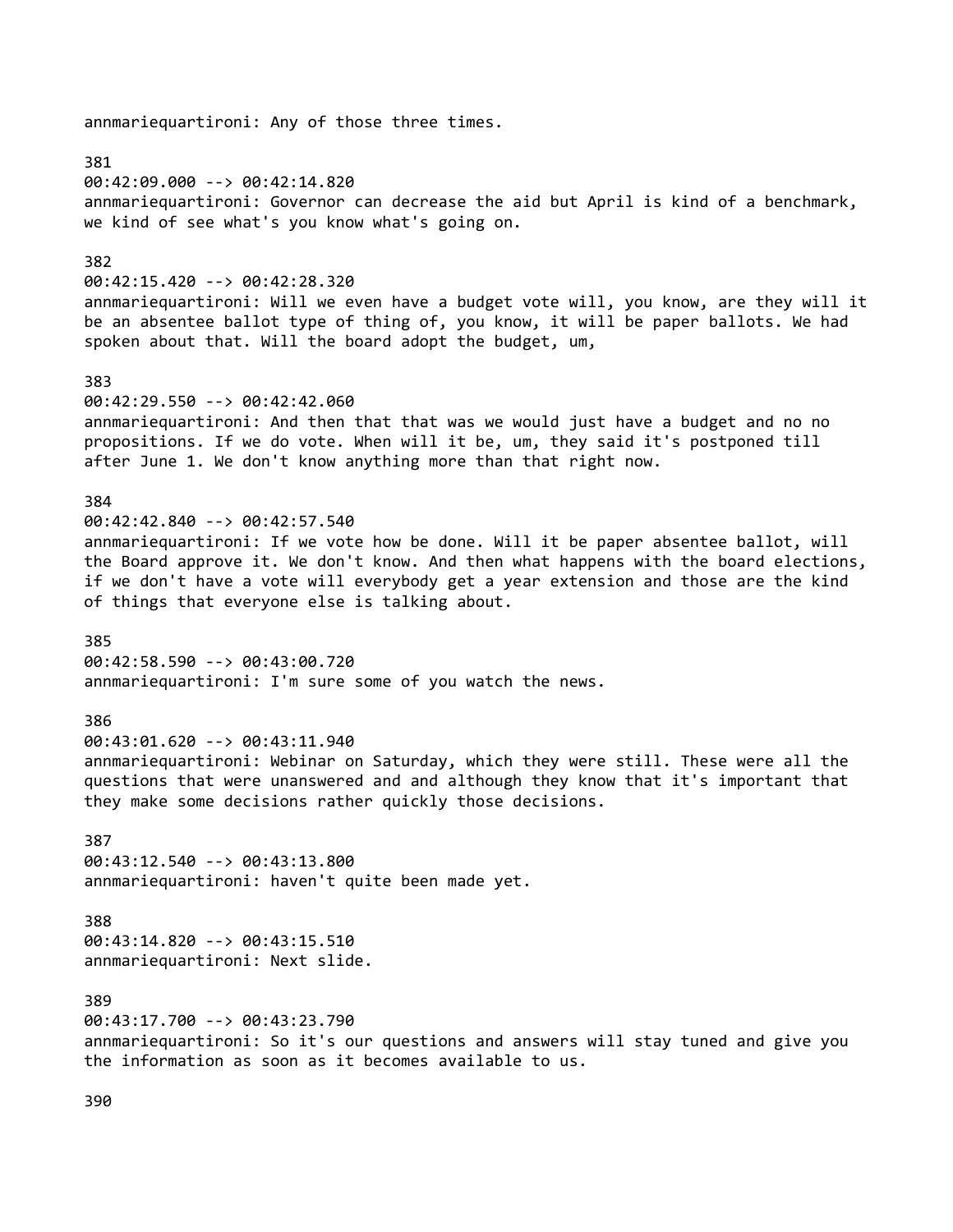381 00:42:09.000 --> 00:42:14.820 annmariequartironi: Governor can decrease the aid but April is kind of a benchmark, we kind of see what's you know what's going on. 382 00:42:15.420 --> 00:42:28.320 annmariequartironi: Will we even have a budget vote will, you know, are they will it be an absentee ballot type of thing of, you know, it will be paper ballots. We had spoken about that. Will the board adopt the budget, um, 383 00:42:29.550 --> 00:42:42.060 annmariequartironi: And then that that was we would just have a budget and no no propositions. If we do vote. When will it be, um, they said it's postponed till after June 1. We don't know anything more than that right now. 384 00:42:42.840 --> 00:42:57.540 annmariequartironi: If we vote how be done. Will it be paper absentee ballot, will the Board approve it. We don't know. And then what happens with the board elections, if we don't have a vote will everybody get a year extension and those are the kind of things that everyone else is talking about. 385 00:42:58.590 --> 00:43:00.720 annmariequartironi: I'm sure some of you watch the news. 386 00:43:01.620 --> 00:43:11.940 annmariequartironi: Webinar on Saturday, which they were still. These were all the questions that were unanswered and and although they know that it's important that they make some decisions rather quickly those decisions. 387 00:43:12.540 --> 00:43:13.800 annmariequartironi: haven't quite been made yet. 388 00:43:14.820 --> 00:43:15.510 annmariequartironi: Next slide. 389 00:43:17.700 --> 00:43:23.790 annmariequartironi: So it's our questions and answers will stay tuned and give you the information as soon as it becomes available to us.

annmariequartironi: Any of those three times.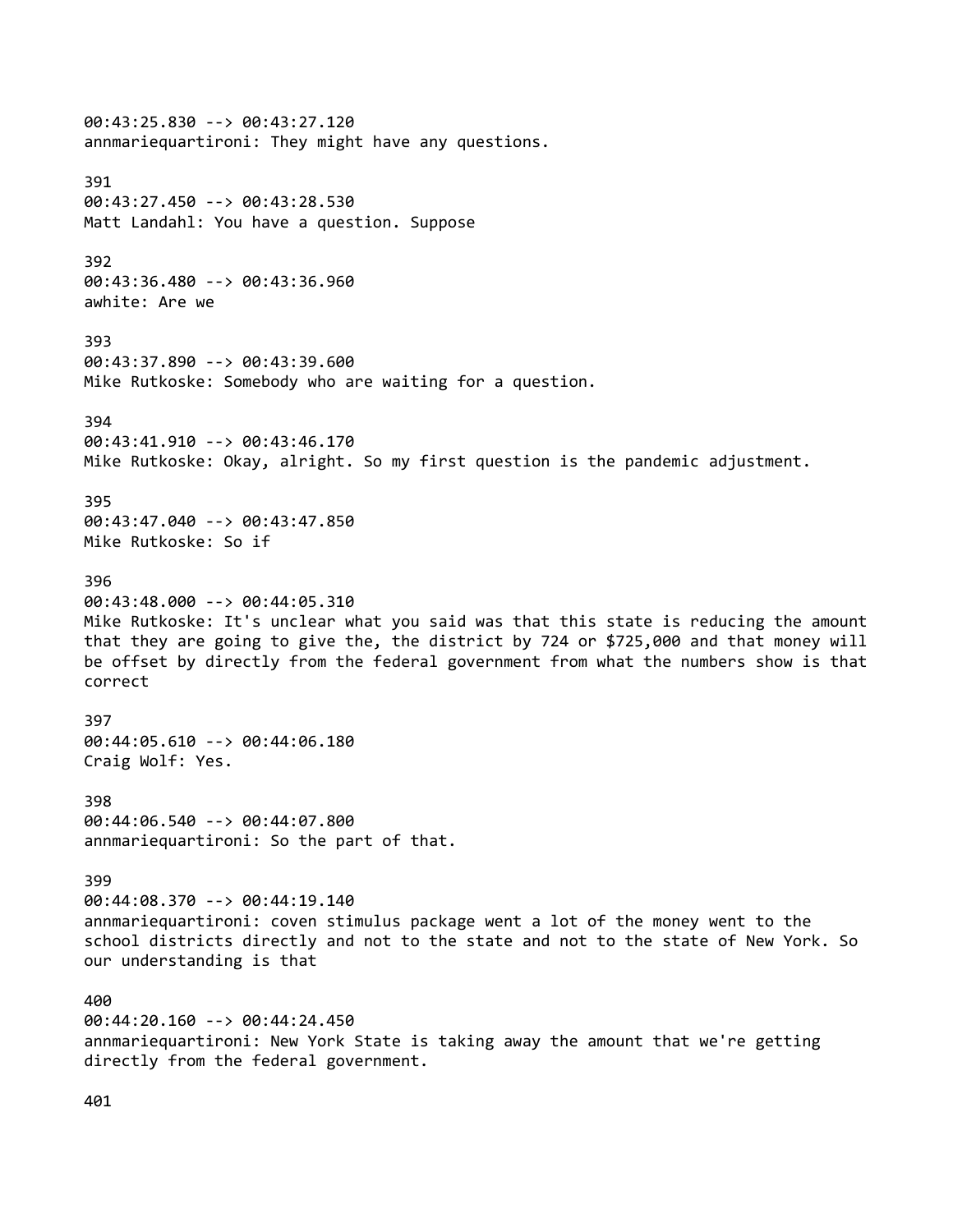00:43:25.830 --> 00:43:27.120 annmariequartironi: They might have any questions. 391 00:43:27.450 --> 00:43:28.530 Matt Landahl: You have a question. Suppose 392 00:43:36.480 --> 00:43:36.960 awhite: Are we 393 00:43:37.890 --> 00:43:39.600 Mike Rutkoske: Somebody who are waiting for a question. 394 00:43:41.910 --> 00:43:46.170 Mike Rutkoske: Okay, alright. So my first question is the pandemic adjustment. 395 00:43:47.040 --> 00:43:47.850 Mike Rutkoske: So if 396 00:43:48.000 --> 00:44:05.310 Mike Rutkoske: It's unclear what you said was that this state is reducing the amount that they are going to give the, the district by 724 or \$725,000 and that money will be offset by directly from the federal government from what the numbers show is that correct 397 00:44:05.610 --> 00:44:06.180 Craig Wolf: Yes. 398 00:44:06.540 --> 00:44:07.800 annmariequartironi: So the part of that. 399 00:44:08.370 --> 00:44:19.140 annmariequartironi: coven stimulus package went a lot of the money went to the school districts directly and not to the state and not to the state of New York. So our understanding is that 400 00:44:20.160 --> 00:44:24.450 annmariequartironi: New York State is taking away the amount that we're getting directly from the federal government.

401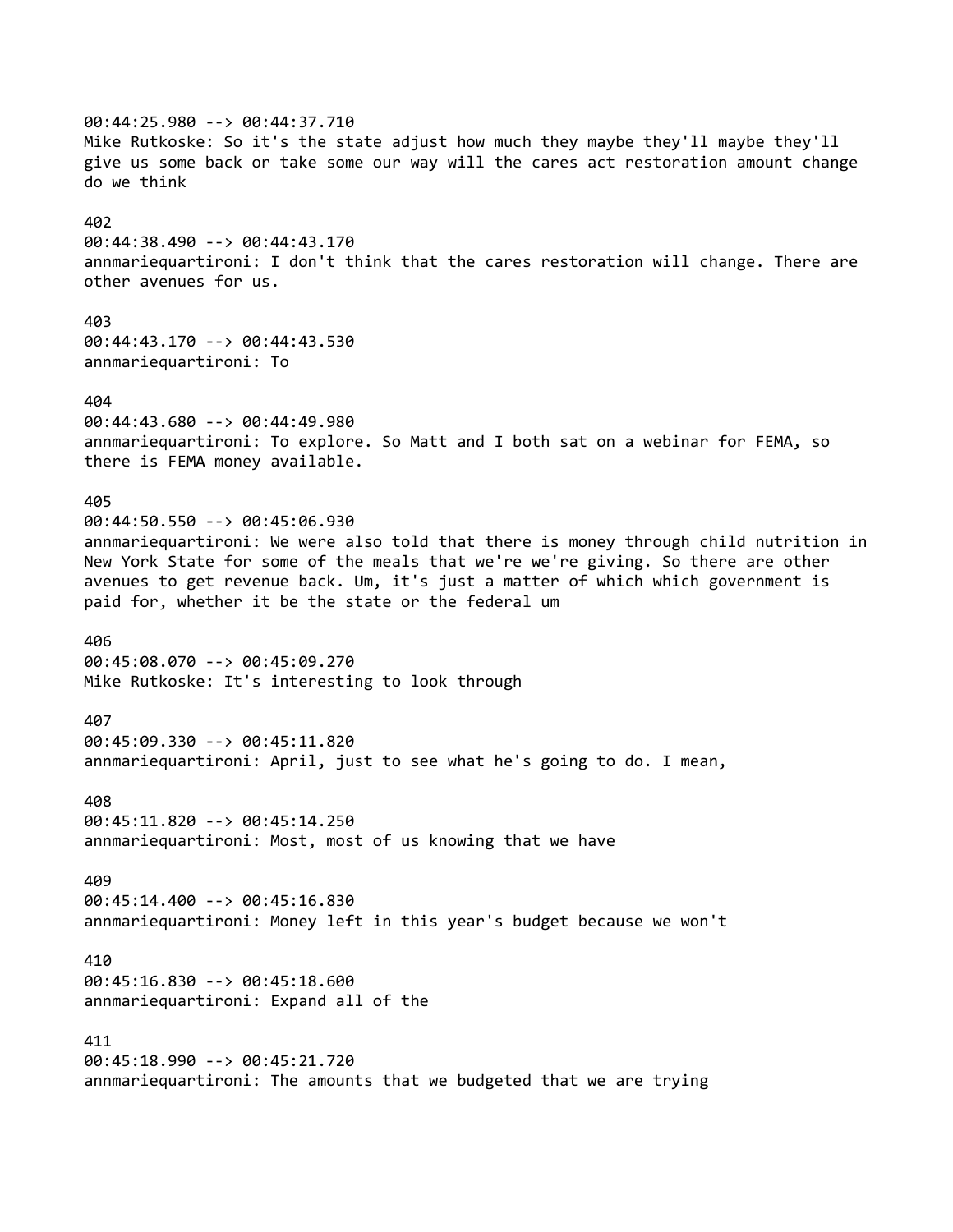00:44:25.980 --> 00:44:37.710 Mike Rutkoske: So it's the state adjust how much they maybe they'll maybe they'll give us some back or take some our way will the cares act restoration amount change do we think 402 00:44:38.490 --> 00:44:43.170 annmariequartironi: I don't think that the cares restoration will change. There are other avenues for us. 403 00:44:43.170 --> 00:44:43.530 annmariequartironi: To 404 00:44:43.680 --> 00:44:49.980 annmariequartironi: To explore. So Matt and I both sat on a webinar for FEMA, so there is FEMA money available. 405 00:44:50.550 --> 00:45:06.930 annmariequartironi: We were also told that there is money through child nutrition in New York State for some of the meals that we're we're giving. So there are other avenues to get revenue back. Um, it's just a matter of which which government is paid for, whether it be the state or the federal um 406 00:45:08.070 --> 00:45:09.270 Mike Rutkoske: It's interesting to look through 407 00:45:09.330 --> 00:45:11.820 annmariequartironi: April, just to see what he's going to do. I mean, 408 00:45:11.820 --> 00:45:14.250 annmariequartironi: Most, most of us knowing that we have 409 00:45:14.400 --> 00:45:16.830 annmariequartironi: Money left in this year's budget because we won't 410 00:45:16.830 --> 00:45:18.600 annmariequartironi: Expand all of the 411 00:45:18.990 --> 00:45:21.720 annmariequartironi: The amounts that we budgeted that we are trying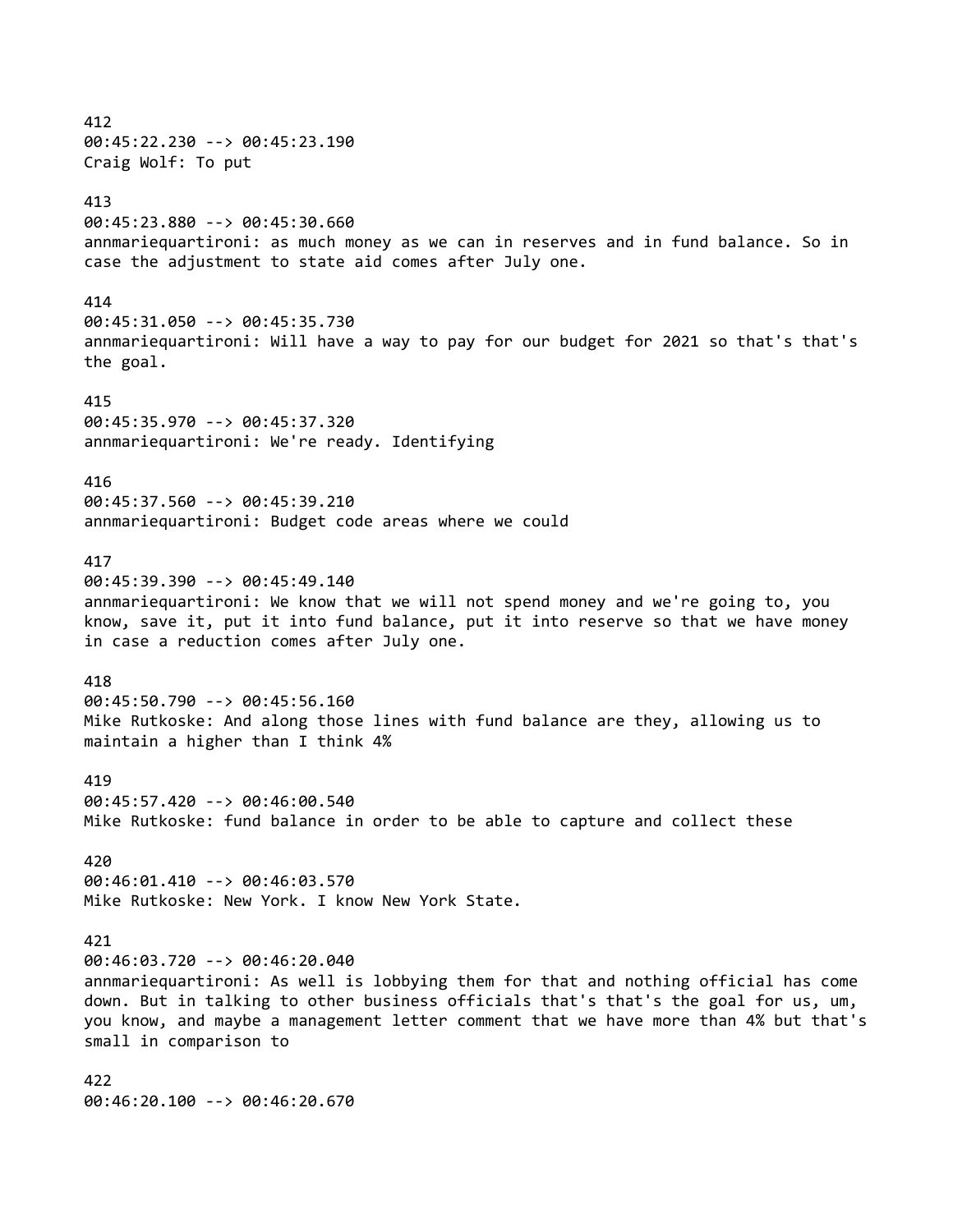412 00:45:22.230 --> 00:45:23.190 Craig Wolf: To put 413 00:45:23.880 --> 00:45:30.660 annmariequartironi: as much money as we can in reserves and in fund balance. So in case the adjustment to state aid comes after July one. 414 00:45:31.050 --> 00:45:35.730 annmariequartironi: Will have a way to pay for our budget for 2021 so that's that's the goal. 415 00:45:35.970 --> 00:45:37.320 annmariequartironi: We're ready. Identifying 416 00:45:37.560 --> 00:45:39.210 annmariequartironi: Budget code areas where we could 417 00:45:39.390 --> 00:45:49.140 annmariequartironi: We know that we will not spend money and we're going to, you know, save it, put it into fund balance, put it into reserve so that we have money in case a reduction comes after July one. 418 00:45:50.790 --> 00:45:56.160 Mike Rutkoske: And along those lines with fund balance are they, allowing us to maintain a higher than I think 4% 419 00:45:57.420 --> 00:46:00.540 Mike Rutkoske: fund balance in order to be able to capture and collect these 420 00:46:01.410 --> 00:46:03.570 Mike Rutkoske: New York. I know New York State. 421 00:46:03.720 --> 00:46:20.040 annmariequartironi: As well is lobbying them for that and nothing official has come down. But in talking to other business officials that's that's the goal for us, um, you know, and maybe a management letter comment that we have more than 4% but that's small in comparison to 422

00:46:20.100 --> 00:46:20.670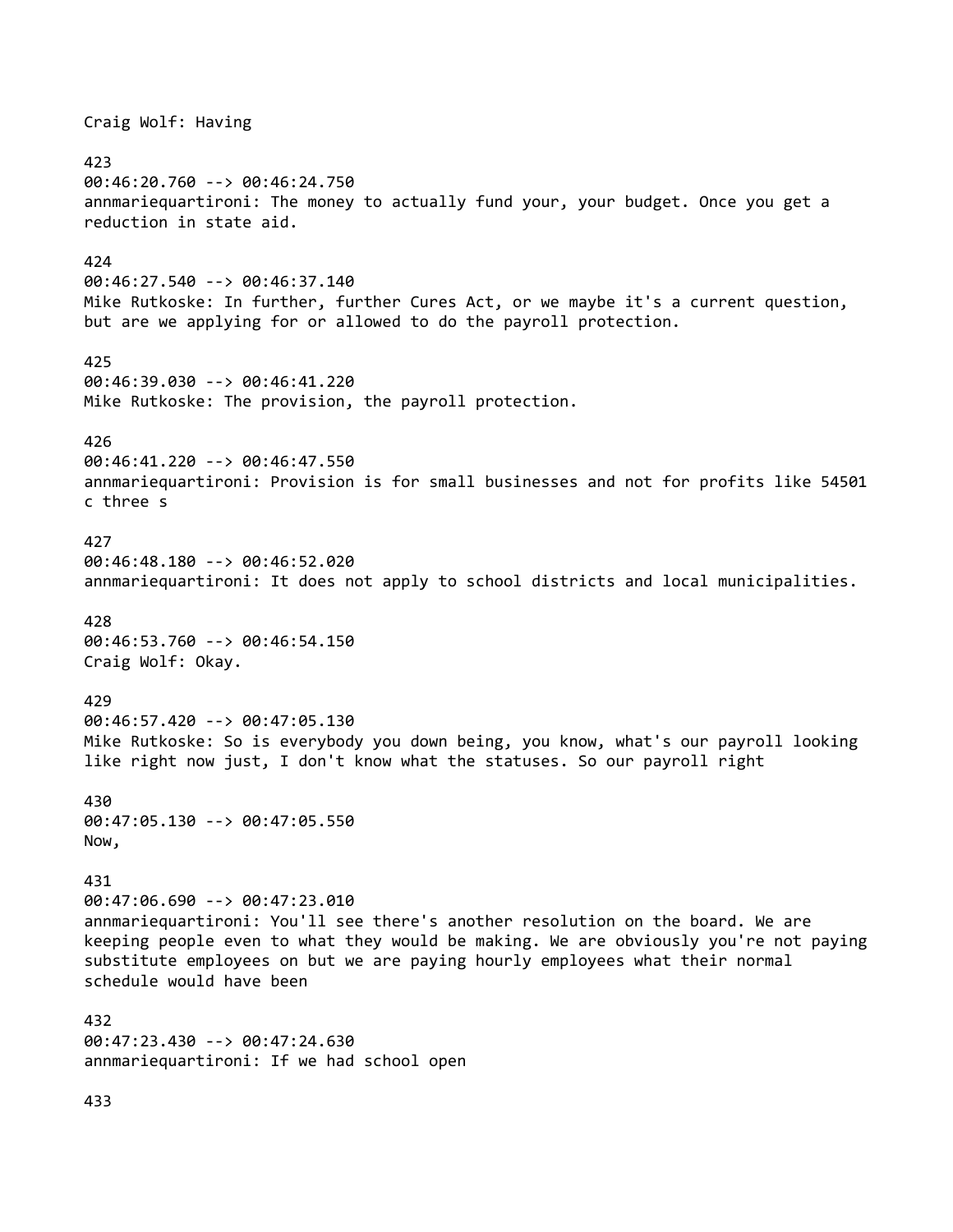Craig Wolf: Having 423 00:46:20.760 --> 00:46:24.750 annmariequartironi: The money to actually fund your, your budget. Once you get a reduction in state aid. 424 00:46:27.540 --> 00:46:37.140 Mike Rutkoske: In further, further Cures Act, or we maybe it's a current question, but are we applying for or allowed to do the payroll protection. 425 00:46:39.030 --> 00:46:41.220 Mike Rutkoske: The provision, the payroll protection. 426 00:46:41.220 --> 00:46:47.550 annmariequartironi: Provision is for small businesses and not for profits like 54501 c three s 427 00:46:48.180 --> 00:46:52.020 annmariequartironi: It does not apply to school districts and local municipalities. 428 00:46:53.760 --> 00:46:54.150 Craig Wolf: Okay. 429 00:46:57.420 --> 00:47:05.130 Mike Rutkoske: So is everybody you down being, you know, what's our payroll looking like right now just, I don't know what the statuses. So our payroll right 430 00:47:05.130 --> 00:47:05.550 Now, 431 00:47:06.690 --> 00:47:23.010 annmariequartironi: You'll see there's another resolution on the board. We are keeping people even to what they would be making. We are obviously you're not paying substitute employees on but we are paying hourly employees what their normal schedule would have been 432 00:47:23.430 --> 00:47:24.630 annmariequartironi: If we had school open

433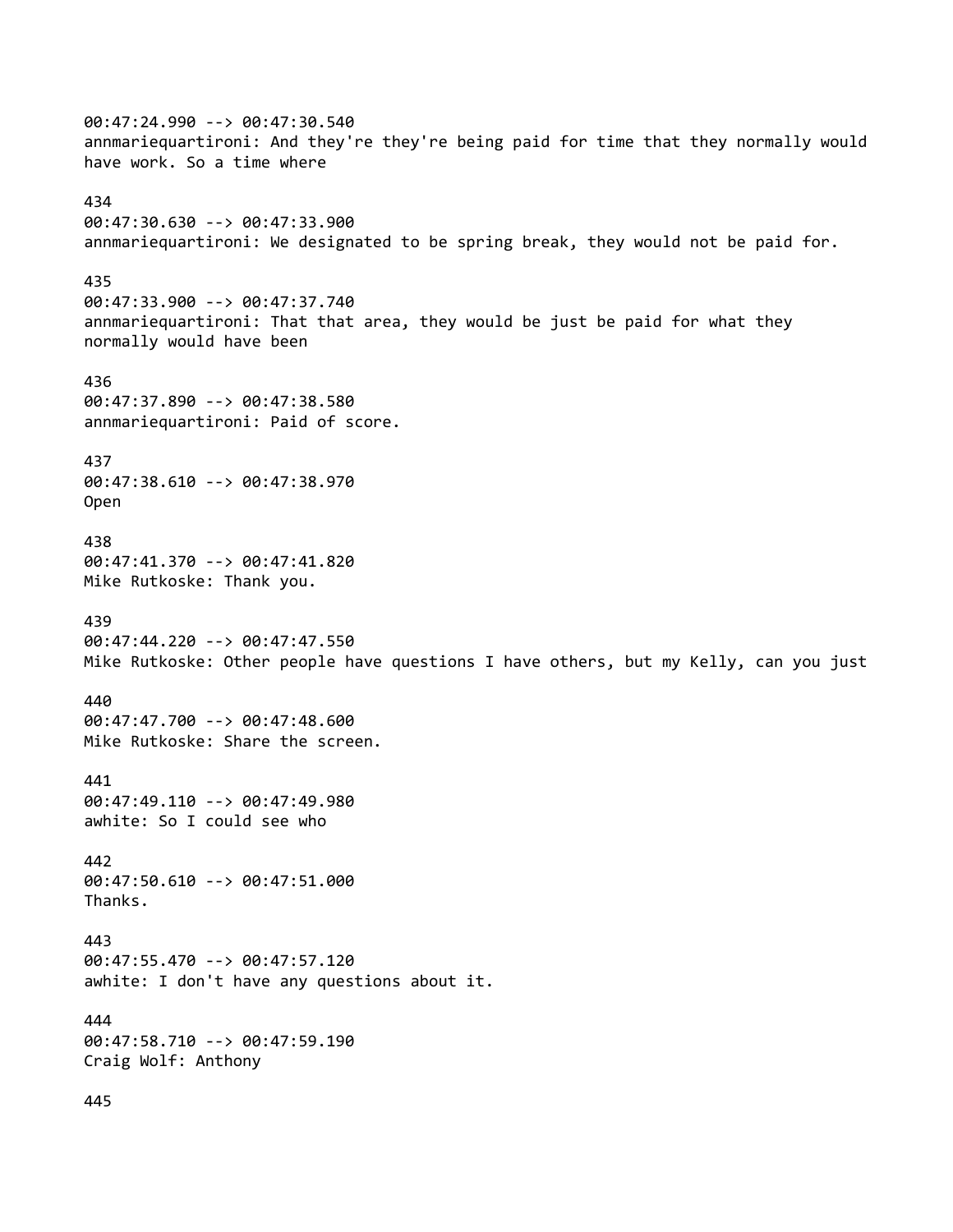00:47:24.990 --> 00:47:30.540 annmariequartironi: And they're they're being paid for time that they normally would have work. So a time where 434 00:47:30.630 --> 00:47:33.900 annmariequartironi: We designated to be spring break, they would not be paid for. 435 00:47:33.900 --> 00:47:37.740 annmariequartironi: That that area, they would be just be paid for what they normally would have been 436 00:47:37.890 --> 00:47:38.580 annmariequartironi: Paid of score. 437 00:47:38.610 --> 00:47:38.970 Open 438 00:47:41.370 --> 00:47:41.820 Mike Rutkoske: Thank you. 439 00:47:44.220 --> 00:47:47.550 Mike Rutkoske: Other people have questions I have others, but my Kelly, can you just 440 00:47:47.700 --> 00:47:48.600 Mike Rutkoske: Share the screen. 441 00:47:49.110 --> 00:47:49.980 awhite: So I could see who 442 00:47:50.610 --> 00:47:51.000 Thanks. 443 00:47:55.470 --> 00:47:57.120 awhite: I don't have any questions about it. 444 00:47:58.710 --> 00:47:59.190 Craig Wolf: Anthony 445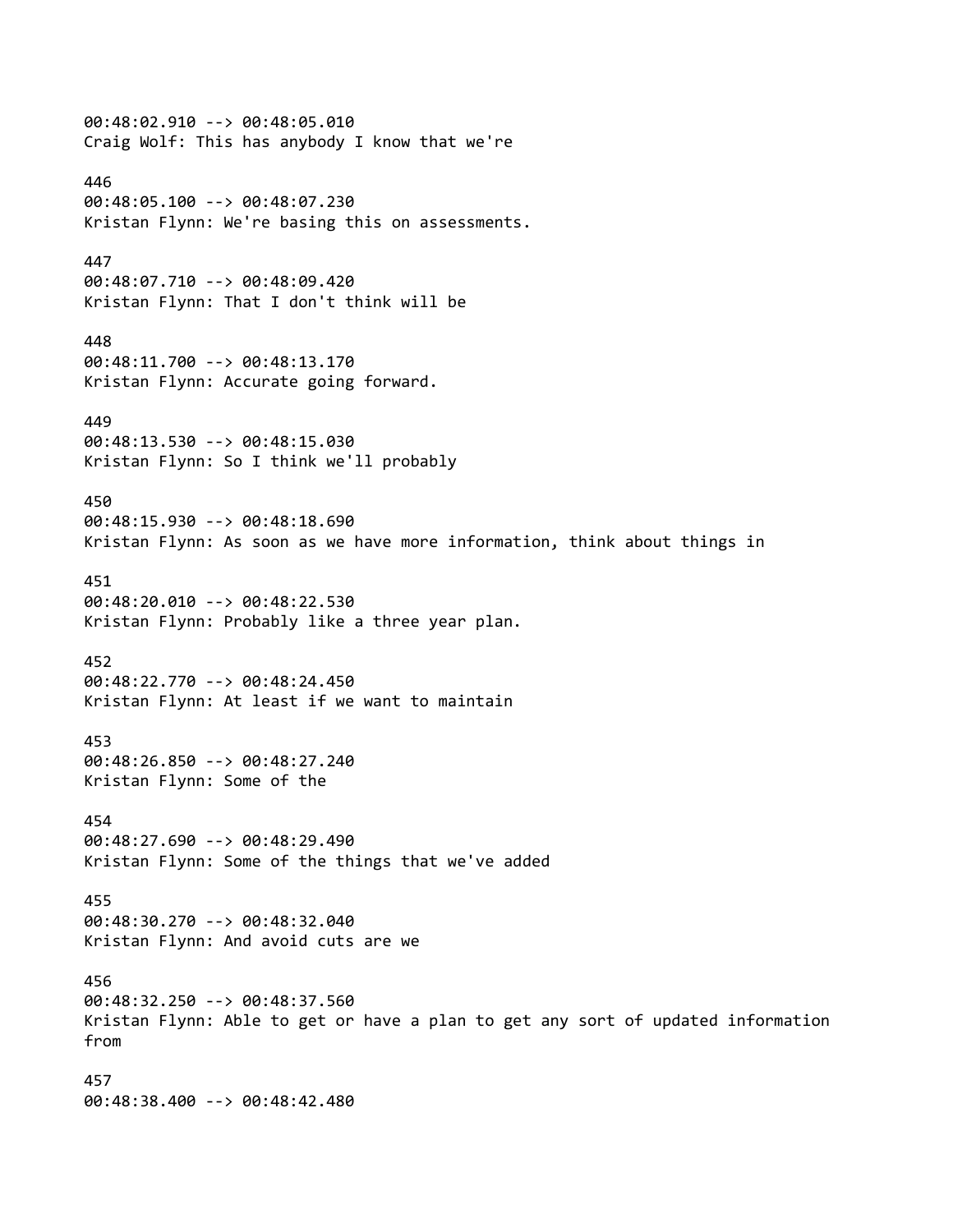00:48:02.910 --> 00:48:05.010 Craig Wolf: This has anybody I know that we're 446 00:48:05.100 --> 00:48:07.230 Kristan Flynn: We're basing this on assessments. 447 00:48:07.710 --> 00:48:09.420 Kristan Flynn: That I don't think will be 448 00:48:11.700 --> 00:48:13.170 Kristan Flynn: Accurate going forward. 449 00:48:13.530 --> 00:48:15.030 Kristan Flynn: So I think we'll probably 450 00:48:15.930 --> 00:48:18.690 Kristan Flynn: As soon as we have more information, think about things in 451 00:48:20.010 --> 00:48:22.530 Kristan Flynn: Probably like a three year plan. 452 00:48:22.770 --> 00:48:24.450 Kristan Flynn: At least if we want to maintain 453 00:48:26.850 --> 00:48:27.240 Kristan Flynn: Some of the 454 00:48:27.690 --> 00:48:29.490 Kristan Flynn: Some of the things that we've added 455 00:48:30.270 --> 00:48:32.040 Kristan Flynn: And avoid cuts are we 456 00:48:32.250 --> 00:48:37.560 Kristan Flynn: Able to get or have a plan to get any sort of updated information from 457 00:48:38.400 --> 00:48:42.480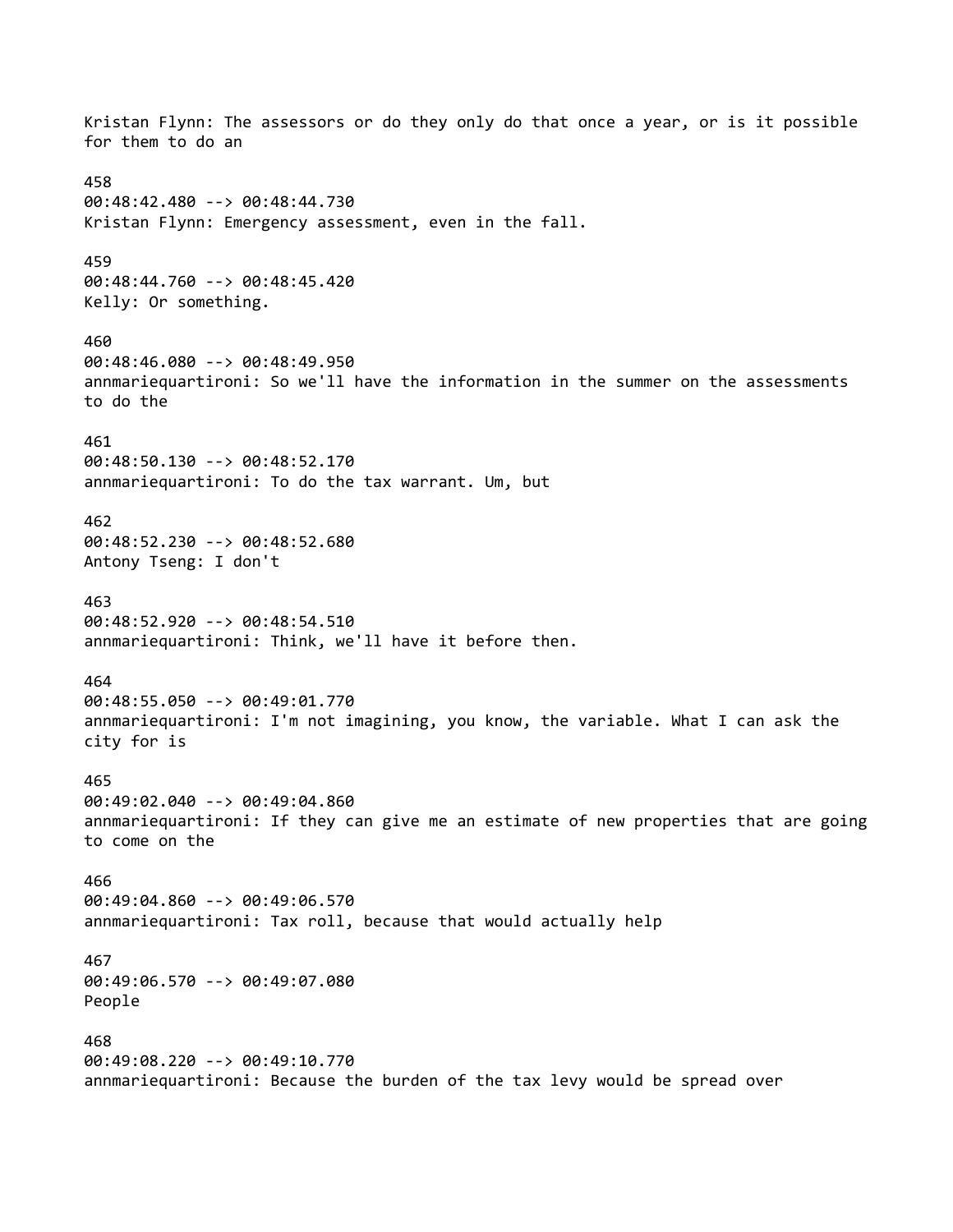Kristan Flynn: The assessors or do they only do that once a year, or is it possible for them to do an 458 00:48:42.480 --> 00:48:44.730 Kristan Flynn: Emergency assessment, even in the fall. 459 00:48:44.760 --> 00:48:45.420 Kelly: Or something. 460 00:48:46.080 --> 00:48:49.950 annmariequartironi: So we'll have the information in the summer on the assessments to do the 461 00:48:50.130 --> 00:48:52.170 annmariequartironi: To do the tax warrant. Um, but 462 00:48:52.230 --> 00:48:52.680 Antony Tseng: I don't 463 00:48:52.920 --> 00:48:54.510 annmariequartironi: Think, we'll have it before then. 464 00:48:55.050 --> 00:49:01.770 annmariequartironi: I'm not imagining, you know, the variable. What I can ask the city for is 465 00:49:02.040 --> 00:49:04.860 annmariequartironi: If they can give me an estimate of new properties that are going to come on the 466 00:49:04.860 --> 00:49:06.570 annmariequartironi: Tax roll, because that would actually help 467 00:49:06.570 --> 00:49:07.080 People 468 00:49:08.220 --> 00:49:10.770 annmariequartironi: Because the burden of the tax levy would be spread over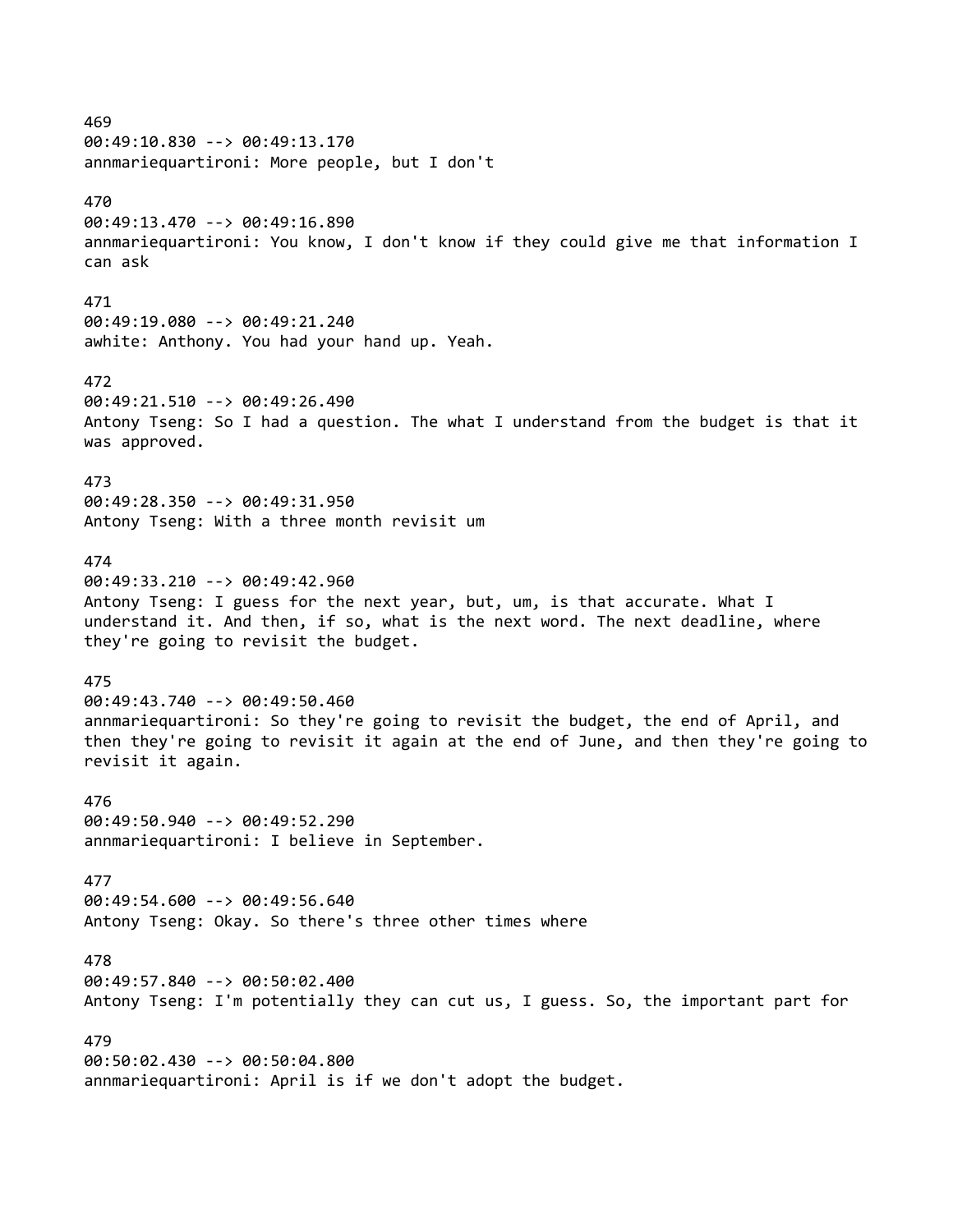# 469

00:49:10.830 --> 00:49:13.170 annmariequartironi: More people, but I don't

## 470

00:49:13.470 --> 00:49:16.890 annmariequartironi: You know, I don't know if they could give me that information I can ask

#### 471

00:49:19.080 --> 00:49:21.240 awhite: Anthony. You had your hand up. Yeah.

# 472

00:49:21.510 --> 00:49:26.490 Antony Tseng: So I had a question. The what I understand from the budget is that it was approved.

## 473

00:49:28.350 --> 00:49:31.950 Antony Tseng: With a three month revisit um

# 474

00:49:33.210 --> 00:49:42.960 Antony Tseng: I guess for the next year, but, um, is that accurate. What I understand it. And then, if so, what is the next word. The next deadline, where they're going to revisit the budget.

## 475

00:49:43.740 --> 00:49:50.460 annmariequartironi: So they're going to revisit the budget, the end of April, and then they're going to revisit it again at the end of June, and then they're going to revisit it again.

### 476

00:49:50.940 --> 00:49:52.290 annmariequartironi: I believe in September.

#### 477

00:49:54.600 --> 00:49:56.640 Antony Tseng: Okay. So there's three other times where

## 478

00:49:57.840 --> 00:50:02.400 Antony Tseng: I'm potentially they can cut us, I guess. So, the important part for

## 479

00:50:02.430 --> 00:50:04.800 annmariequartironi: April is if we don't adopt the budget.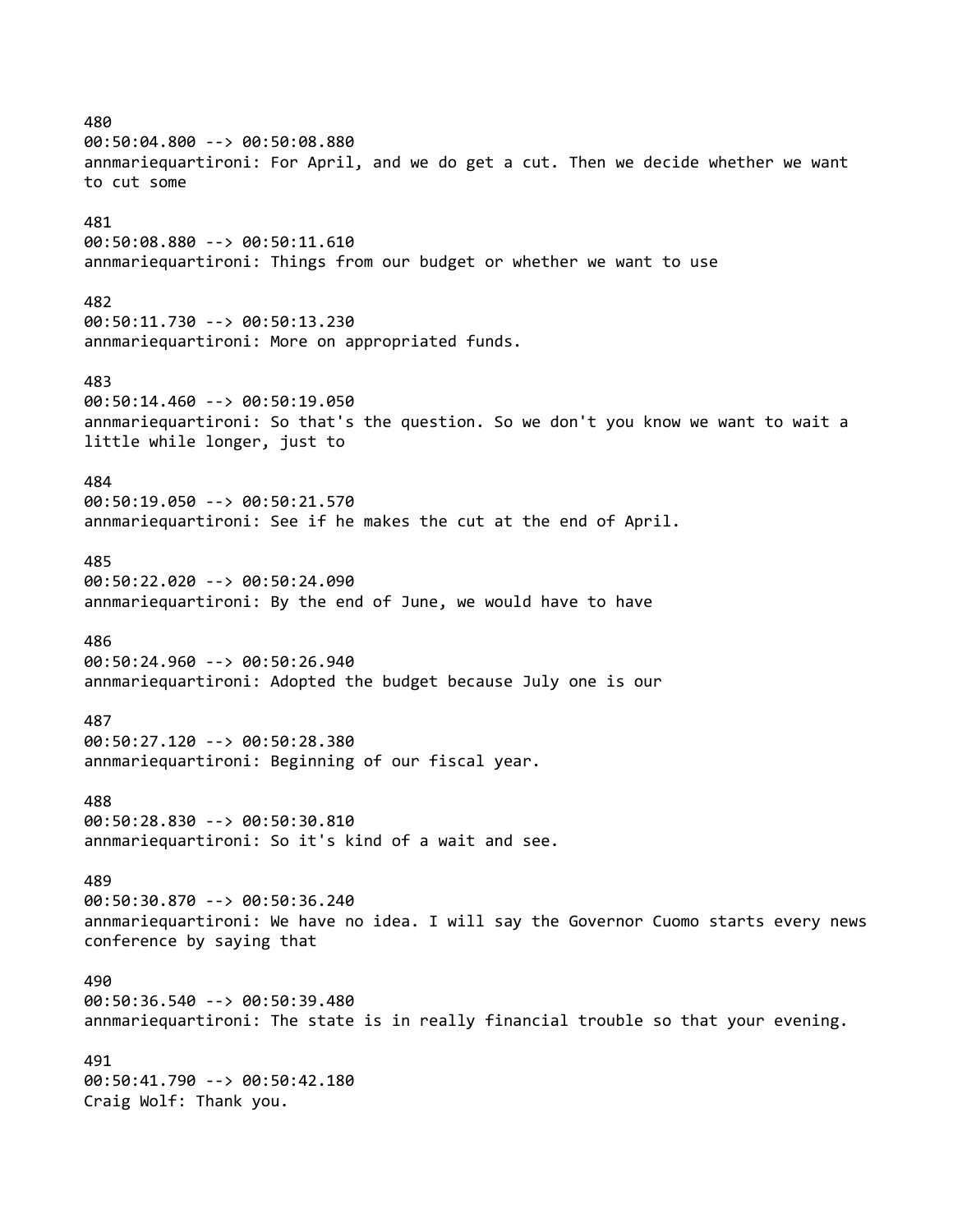# 480 00:50:04.800 --> 00:50:08.880 annmariequartironi: For April, and we do get a cut. Then we decide whether we want to cut some 481 00:50:08.880 --> 00:50:11.610 annmariequartironi: Things from our budget or whether we want to use 482 00:50:11.730 --> 00:50:13.230 annmariequartironi: More on appropriated funds. 483 00:50:14.460 --> 00:50:19.050 annmariequartironi: So that's the question. So we don't you know we want to wait a little while longer, just to 484 00:50:19.050 --> 00:50:21.570 annmariequartironi: See if he makes the cut at the end of April. 485 00:50:22.020 --> 00:50:24.090 annmariequartironi: By the end of June, we would have to have 486 00:50:24.960 --> 00:50:26.940 annmariequartironi: Adopted the budget because July one is our 487 00:50:27.120 --> 00:50:28.380 annmariequartironi: Beginning of our fiscal year. 488 00:50:28.830 --> 00:50:30.810 annmariequartironi: So it's kind of a wait and see. 489 00:50:30.870 --> 00:50:36.240 annmariequartironi: We have no idea. I will say the Governor Cuomo starts every news conference by saying that 490 00:50:36.540 --> 00:50:39.480 annmariequartironi: The state is in really financial trouble so that your evening. 491 00:50:41.790 --> 00:50:42.180 Craig Wolf: Thank you.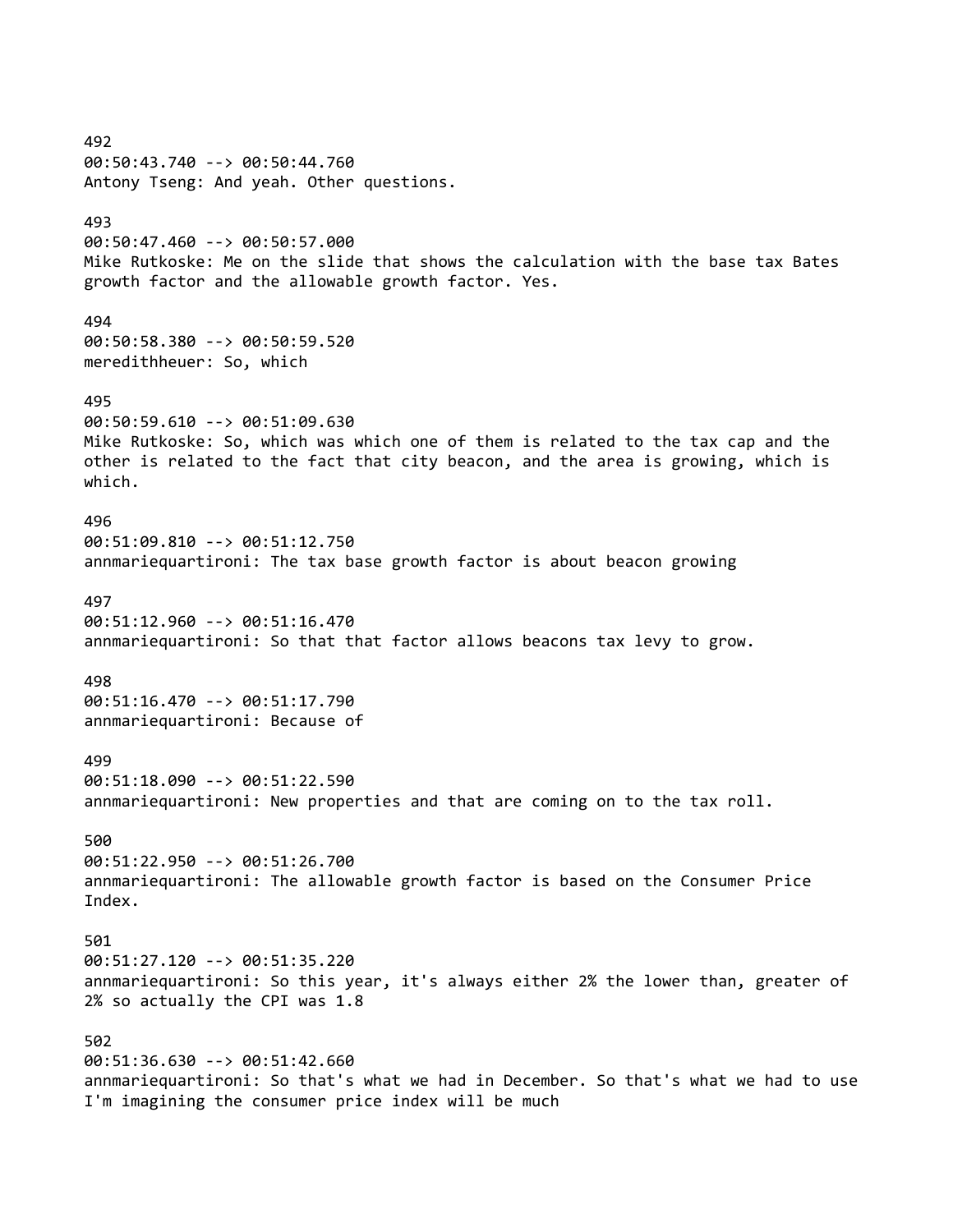492 00:50:43.740 --> 00:50:44.760 Antony Tseng: And yeah. Other questions. 493 00:50:47.460 --> 00:50:57.000 Mike Rutkoske: Me on the slide that shows the calculation with the base tax Bates growth factor and the allowable growth factor. Yes. 494 00:50:58.380 --> 00:50:59.520 meredithheuer: So, which 495 00:50:59.610 --> 00:51:09.630 Mike Rutkoske: So, which was which one of them is related to the tax cap and the other is related to the fact that city beacon, and the area is growing, which is which. 496 00:51:09.810 --> 00:51:12.750 annmariequartironi: The tax base growth factor is about beacon growing 497 00:51:12.960 --> 00:51:16.470 annmariequartironi: So that that factor allows beacons tax levy to grow. 498 00:51:16.470 --> 00:51:17.790 annmariequartironi: Because of 499 00:51:18.090 --> 00:51:22.590 annmariequartironi: New properties and that are coming on to the tax roll. 500 00:51:22.950 --> 00:51:26.700 annmariequartironi: The allowable growth factor is based on the Consumer Price Index. 501 00:51:27.120 --> 00:51:35.220 annmariequartironi: So this year, it's always either 2% the lower than, greater of 2% so actually the CPI was 1.8 502 00:51:36.630 --> 00:51:42.660 annmariequartironi: So that's what we had in December. So that's what we had to use I'm imagining the consumer price index will be much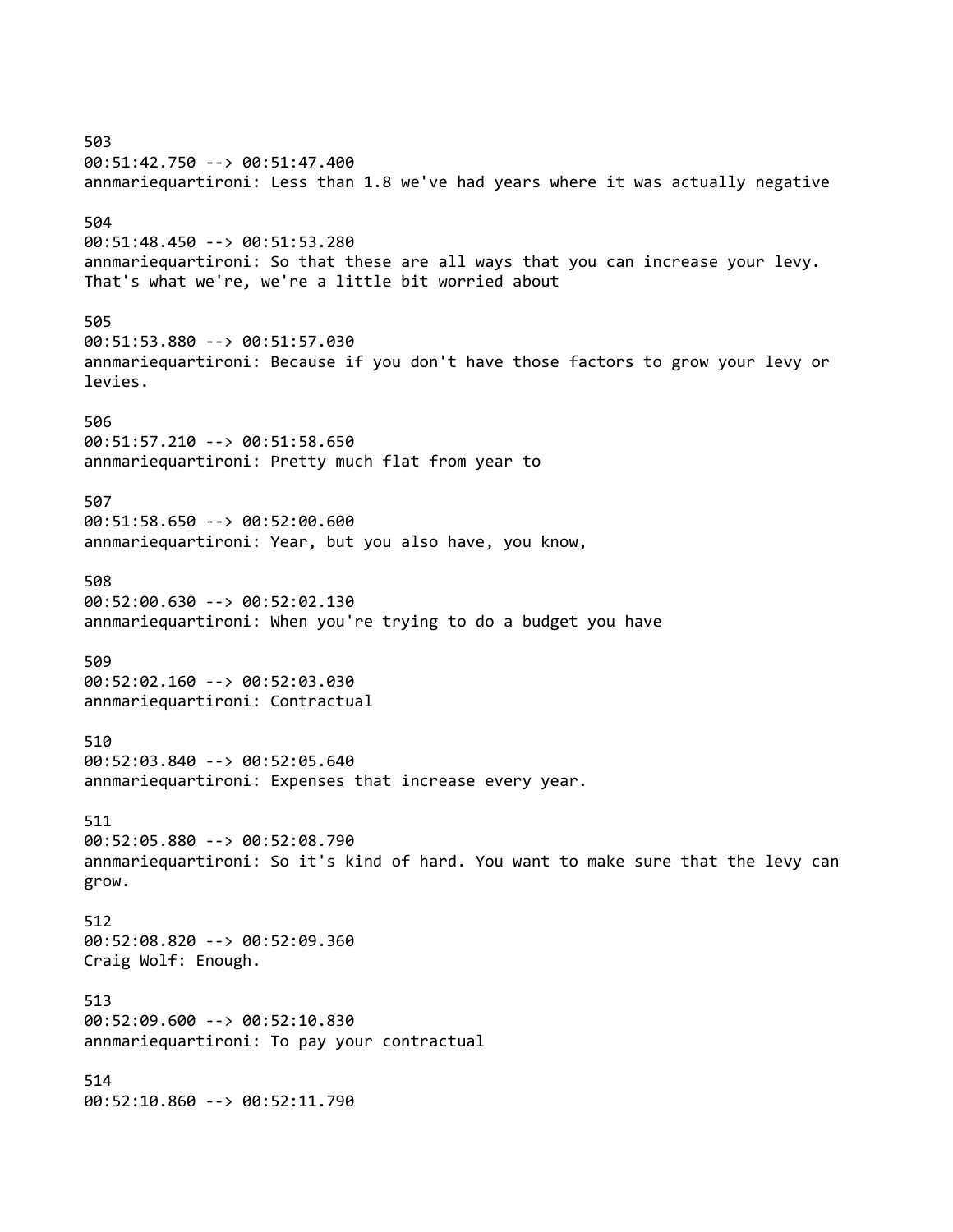503 00:51:42.750 --> 00:51:47.400 annmariequartironi: Less than 1.8 we've had years where it was actually negative 504 00:51:48.450 --> 00:51:53.280 annmariequartironi: So that these are all ways that you can increase your levy. That's what we're, we're a little bit worried about 505 00:51:53.880 --> 00:51:57.030 annmariequartironi: Because if you don't have those factors to grow your levy or levies. 506 00:51:57.210 --> 00:51:58.650 annmariequartironi: Pretty much flat from year to 507 00:51:58.650 --> 00:52:00.600 annmariequartironi: Year, but you also have, you know, 508 00:52:00.630 --> 00:52:02.130 annmariequartironi: When you're trying to do a budget you have 509 00:52:02.160 --> 00:52:03.030 annmariequartironi: Contractual 510 00:52:03.840 --> 00:52:05.640 annmariequartironi: Expenses that increase every year. 511 00:52:05.880 --> 00:52:08.790 annmariequartironi: So it's kind of hard. You want to make sure that the levy can grow. 512 00:52:08.820 --> 00:52:09.360 Craig Wolf: Enough. 513 00:52:09.600 --> 00:52:10.830 annmariequartironi: To pay your contractual 514 00:52:10.860 --> 00:52:11.790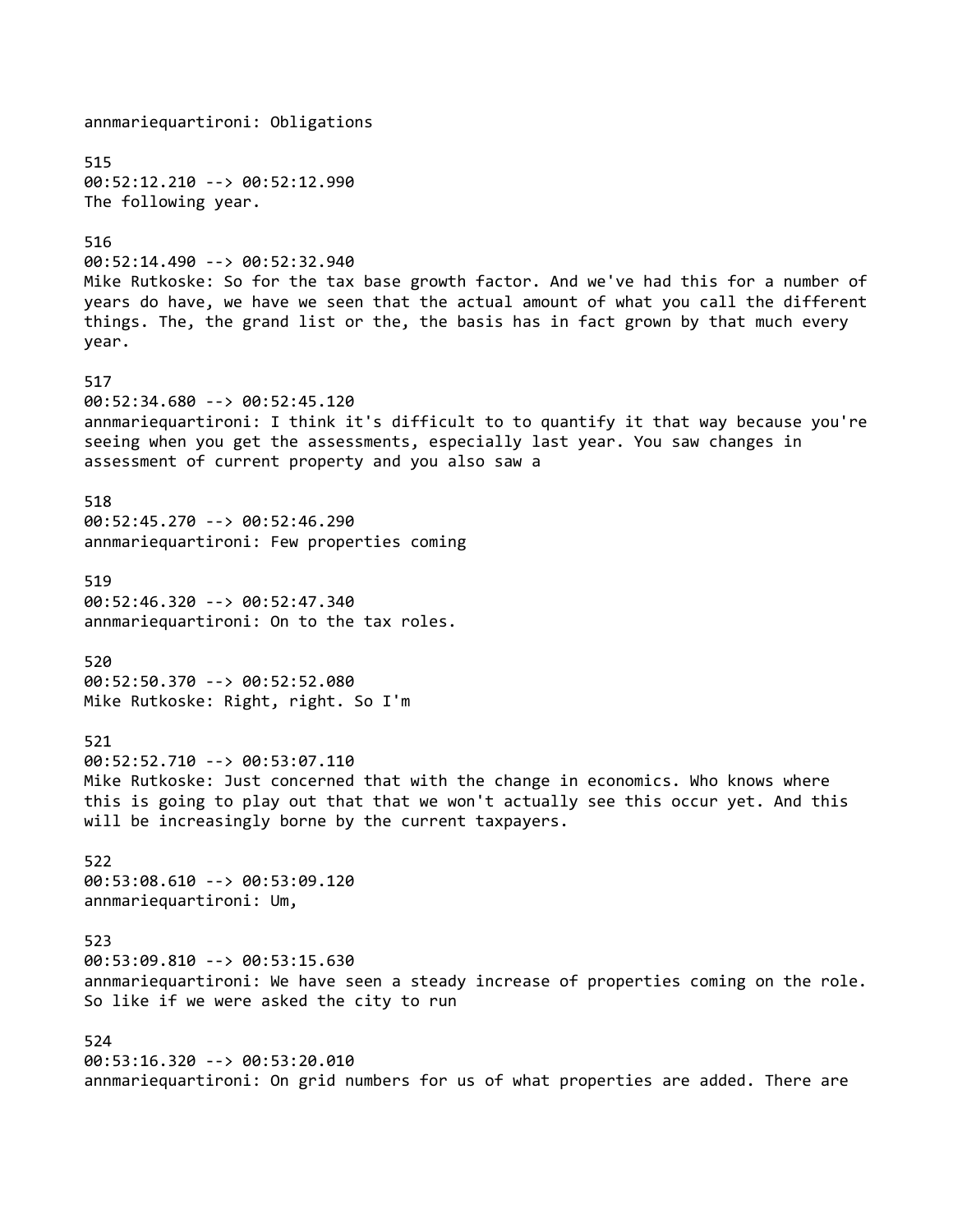annmariequartironi: Obligations 515 00:52:12.210 --> 00:52:12.990 The following year. 516 00:52:14.490 --> 00:52:32.940 Mike Rutkoske: So for the tax base growth factor. And we've had this for a number of years do have, we have we seen that the actual amount of what you call the different things. The, the grand list or the, the basis has in fact grown by that much every year. 517 00:52:34.680 --> 00:52:45.120 annmariequartironi: I think it's difficult to to quantify it that way because you're seeing when you get the assessments, especially last year. You saw changes in assessment of current property and you also saw a 518 00:52:45.270 --> 00:52:46.290 annmariequartironi: Few properties coming 519 00:52:46.320 --> 00:52:47.340 annmariequartironi: On to the tax roles. 520 00:52:50.370 --> 00:52:52.080 Mike Rutkoske: Right, right. So I'm 521 00:52:52.710 --> 00:53:07.110 Mike Rutkoske: Just concerned that with the change in economics. Who knows where this is going to play out that that we won't actually see this occur yet. And this will be increasingly borne by the current taxpayers. 522 00:53:08.610 --> 00:53:09.120 annmariequartironi: Um, 523 00:53:09.810 --> 00:53:15.630 annmariequartironi: We have seen a steady increase of properties coming on the role. So like if we were asked the city to run 524 00:53:16.320 --> 00:53:20.010 annmariequartironi: On grid numbers for us of what properties are added. There are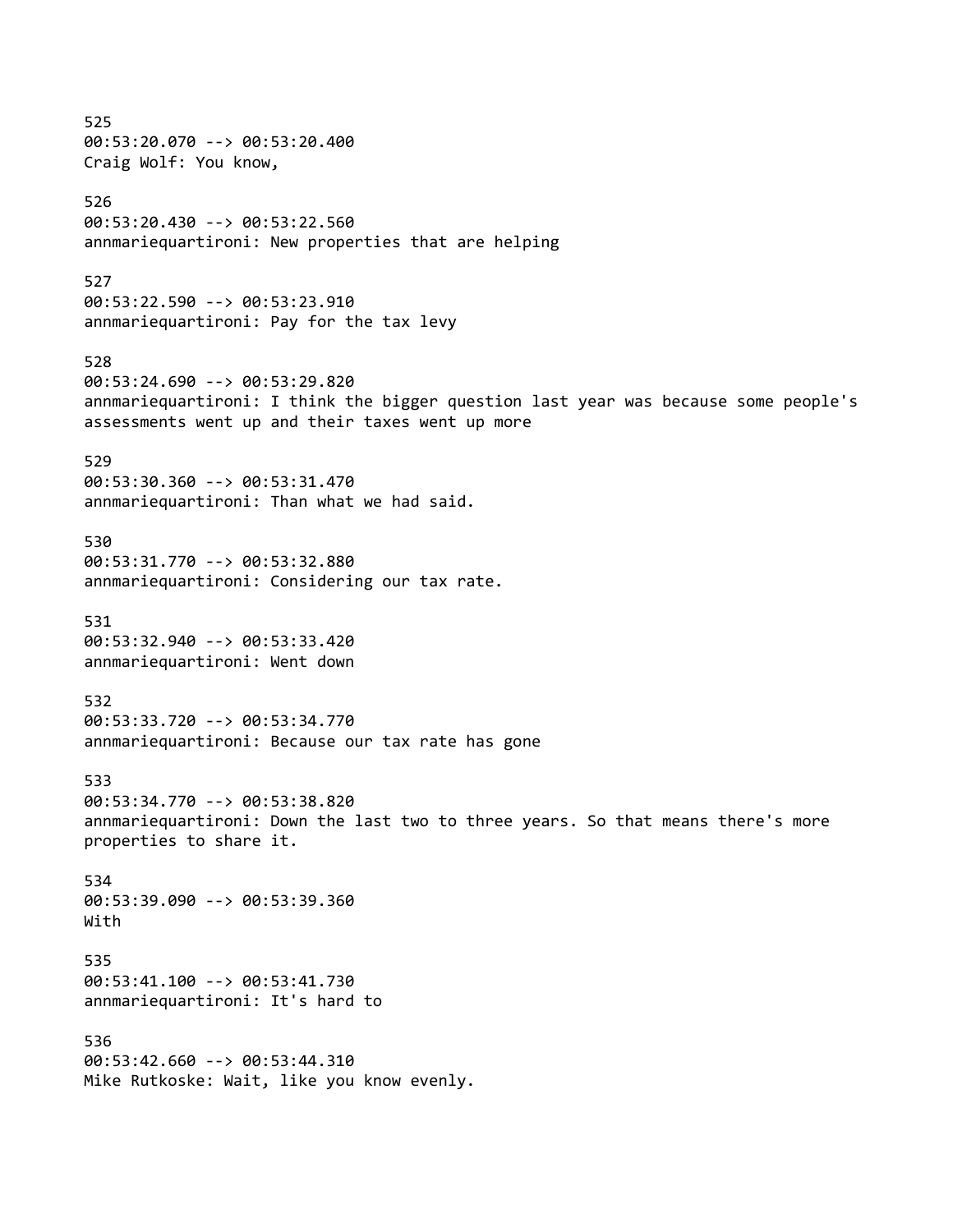525 00:53:20.070 --> 00:53:20.400 Craig Wolf: You know, 526 00:53:20.430 --> 00:53:22.560 annmariequartironi: New properties that are helping 527 00:53:22.590 --> 00:53:23.910 annmariequartironi: Pay for the tax levy 528 00:53:24.690 --> 00:53:29.820 annmariequartironi: I think the bigger question last year was because some people's assessments went up and their taxes went up more 529 00:53:30.360 --> 00:53:31.470 annmariequartironi: Than what we had said. 530 00:53:31.770 --> 00:53:32.880 annmariequartironi: Considering our tax rate. 531 00:53:32.940 --> 00:53:33.420 annmariequartironi: Went down 532 00:53:33.720 --> 00:53:34.770 annmariequartironi: Because our tax rate has gone 533 00:53:34.770 --> 00:53:38.820 annmariequartironi: Down the last two to three years. So that means there's more properties to share it. 534 00:53:39.090 --> 00:53:39.360 With 535 00:53:41.100 --> 00:53:41.730 annmariequartironi: It's hard to 536 00:53:42.660 --> 00:53:44.310 Mike Rutkoske: Wait, like you know evenly.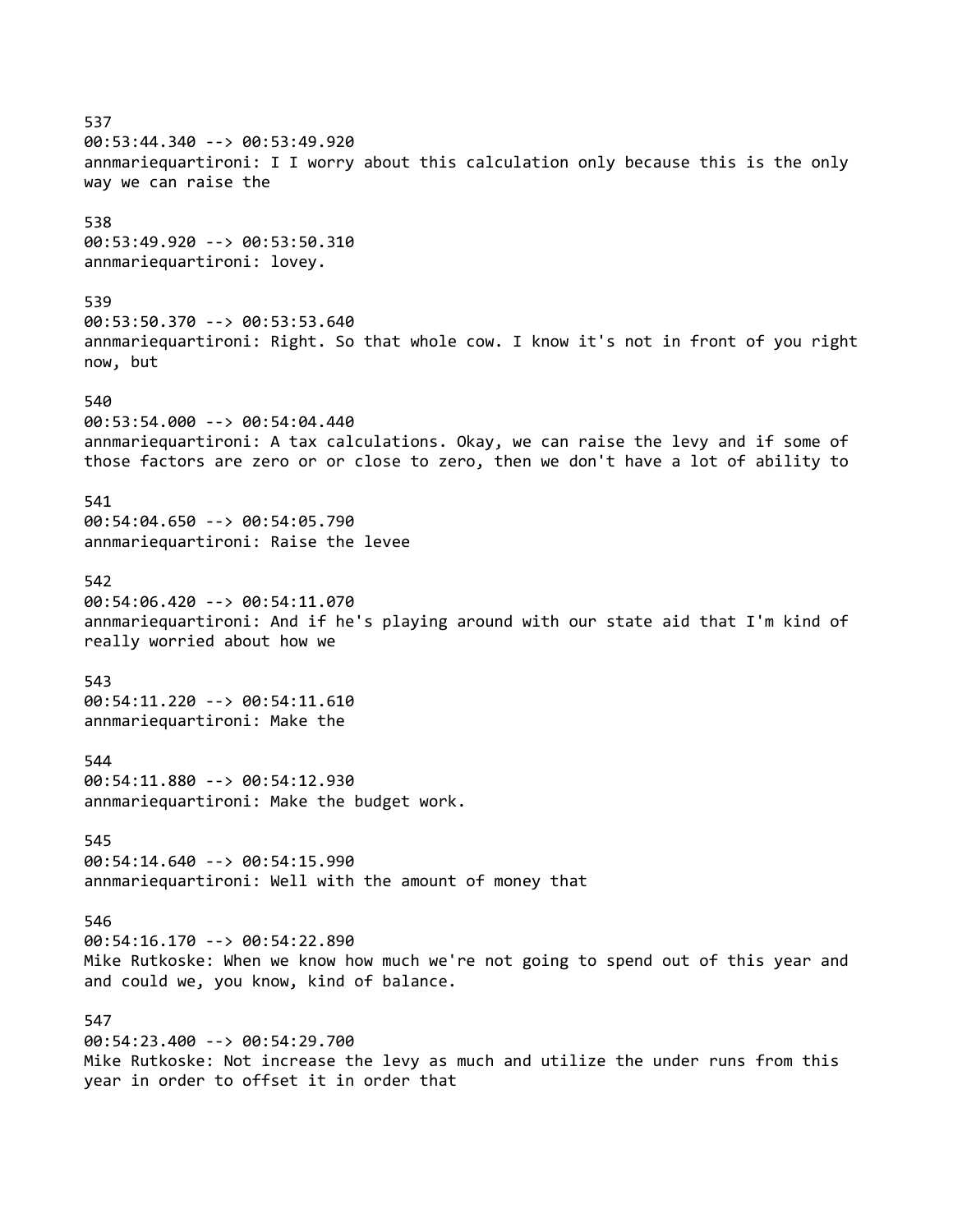537 00:53:44.340 --> 00:53:49.920 annmariequartironi: I I worry about this calculation only because this is the only way we can raise the 538 00:53:49.920 --> 00:53:50.310 annmariequartironi: lovey. 539 00:53:50.370 --> 00:53:53.640 annmariequartironi: Right. So that whole cow. I know it's not in front of you right now, but 540 00:53:54.000 --> 00:54:04.440 annmariequartironi: A tax calculations. Okay, we can raise the levy and if some of those factors are zero or or close to zero, then we don't have a lot of ability to 541 00:54:04.650 --> 00:54:05.790 annmariequartironi: Raise the levee 542 00:54:06.420 --> 00:54:11.070 annmariequartironi: And if he's playing around with our state aid that I'm kind of really worried about how we 543 00:54:11.220 --> 00:54:11.610 annmariequartironi: Make the 544 00:54:11.880 --> 00:54:12.930 annmariequartironi: Make the budget work. 545 00:54:14.640 --> 00:54:15.990 annmariequartironi: Well with the amount of money that 546 00:54:16.170 --> 00:54:22.890 Mike Rutkoske: When we know how much we're not going to spend out of this year and and could we, you know, kind of balance. 547 00:54:23.400 --> 00:54:29.700 Mike Rutkoske: Not increase the levy as much and utilize the under runs from this year in order to offset it in order that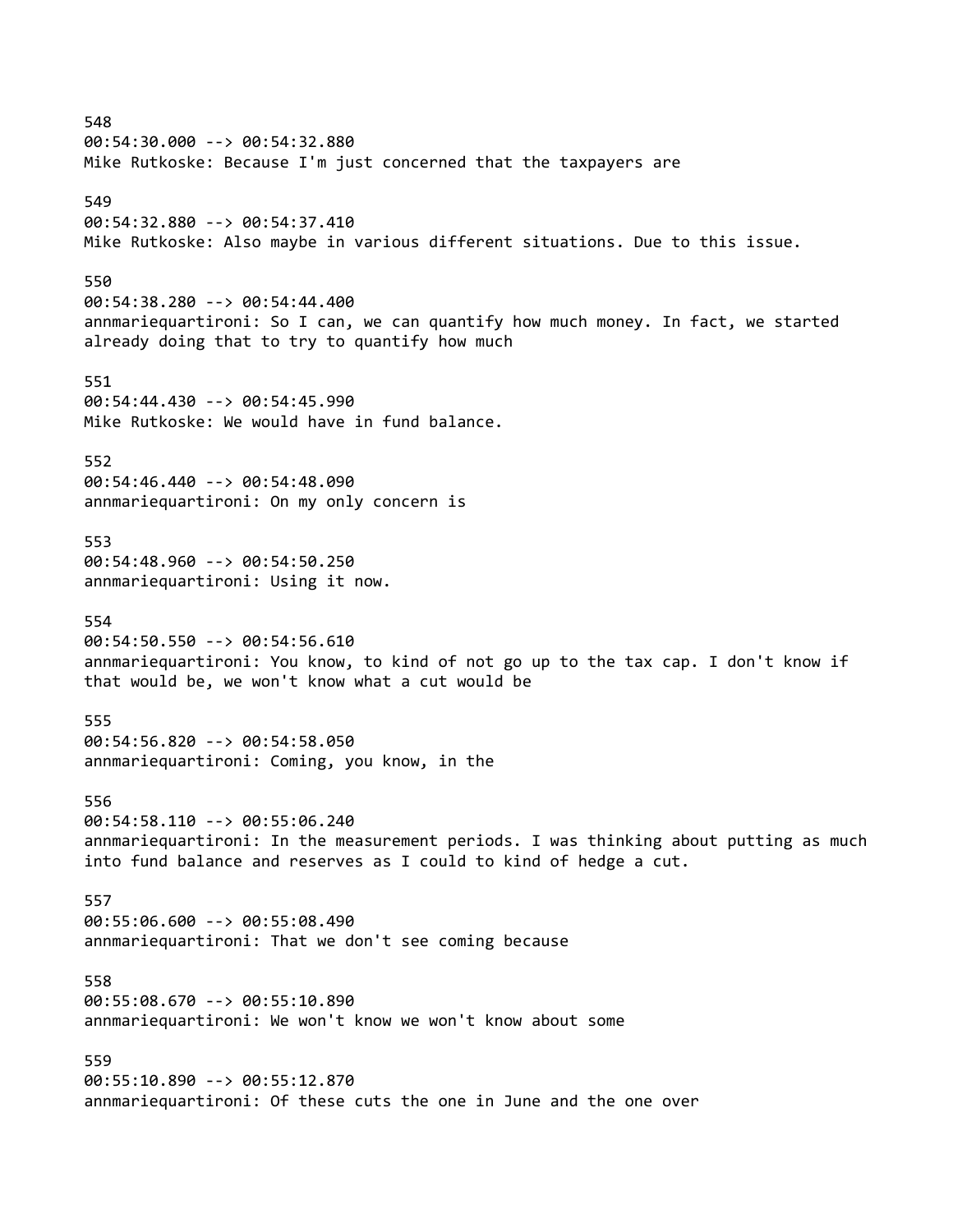548 00:54:30.000 --> 00:54:32.880 Mike Rutkoske: Because I'm just concerned that the taxpayers are 549 00:54:32.880 --> 00:54:37.410 Mike Rutkoske: Also maybe in various different situations. Due to this issue. 550 00:54:38.280 --> 00:54:44.400 annmariequartironi: So I can, we can quantify how much money. In fact, we started already doing that to try to quantify how much 551 00:54:44.430 --> 00:54:45.990 Mike Rutkoske: We would have in fund balance. 552 00:54:46.440 --> 00:54:48.090 annmariequartironi: On my only concern is 553 00:54:48.960 --> 00:54:50.250 annmariequartironi: Using it now. 554 00:54:50.550 --> 00:54:56.610 annmariequartironi: You know, to kind of not go up to the tax cap. I don't know if that would be, we won't know what a cut would be 555 00:54:56.820 --> 00:54:58.050 annmariequartironi: Coming, you know, in the 556 00:54:58.110 --> 00:55:06.240 annmariequartironi: In the measurement periods. I was thinking about putting as much into fund balance and reserves as I could to kind of hedge a cut. 557 00:55:06.600 --> 00:55:08.490 annmariequartironi: That we don't see coming because 558 00:55:08.670 --> 00:55:10.890 annmariequartironi: We won't know we won't know about some 559 00:55:10.890 --> 00:55:12.870 annmariequartironi: Of these cuts the one in June and the one over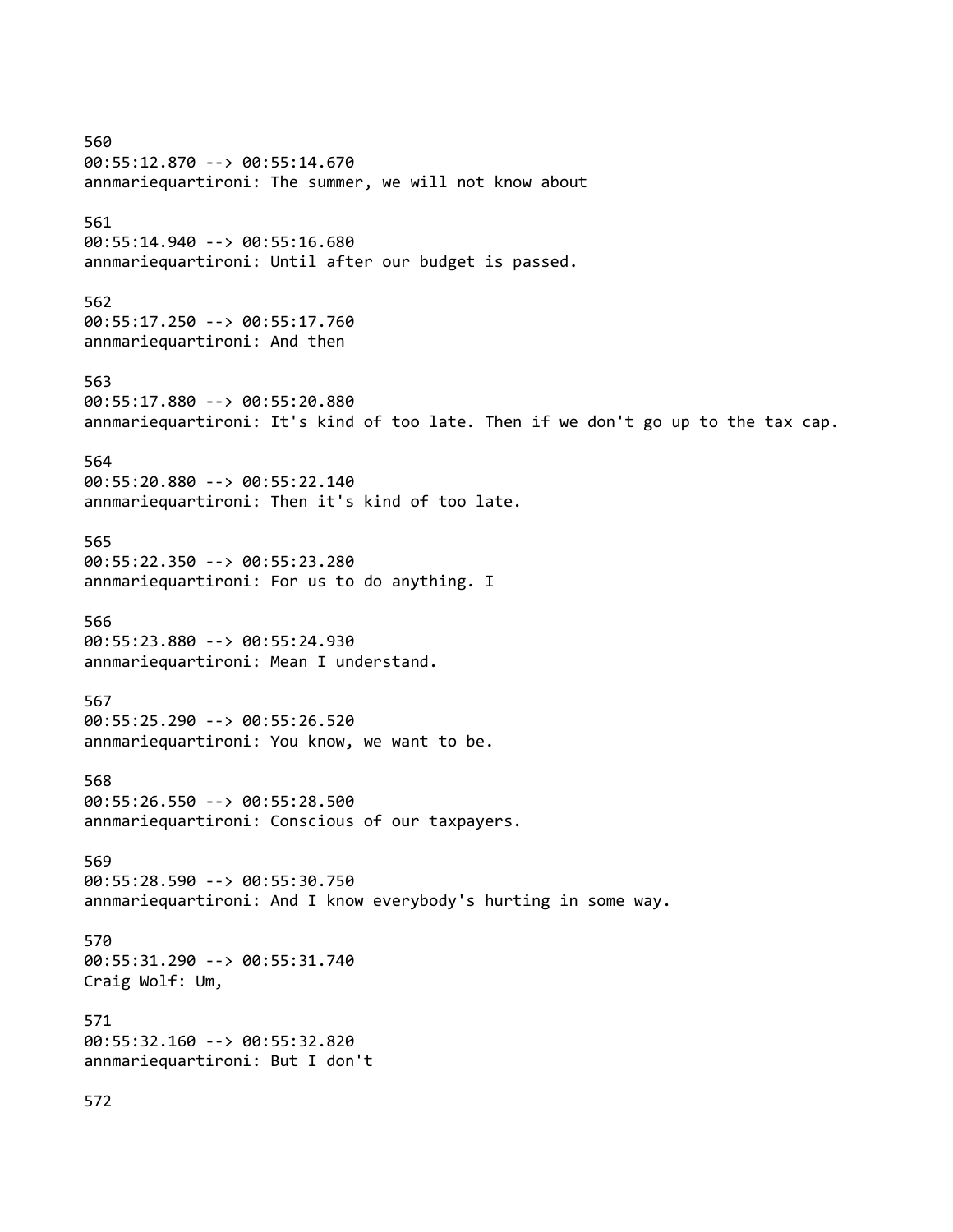560 00:55:12.870 --> 00:55:14.670 annmariequartironi: The summer, we will not know about 561 00:55:14.940 --> 00:55:16.680 annmariequartironi: Until after our budget is passed. 562 00:55:17.250 --> 00:55:17.760 annmariequartironi: And then 563 00:55:17.880 --> 00:55:20.880 annmariequartironi: It's kind of too late. Then if we don't go up to the tax cap. 564 00:55:20.880 --> 00:55:22.140 annmariequartironi: Then it's kind of too late. 565 00:55:22.350 --> 00:55:23.280 annmariequartironi: For us to do anything. I 566 00:55:23.880 --> 00:55:24.930 annmariequartironi: Mean I understand. 567 00:55:25.290 --> 00:55:26.520 annmariequartironi: You know, we want to be. 568 00:55:26.550 --> 00:55:28.500 annmariequartironi: Conscious of our taxpayers. 569 00:55:28.590 --> 00:55:30.750 annmariequartironi: And I know everybody's hurting in some way. 570 00:55:31.290 --> 00:55:31.740 Craig Wolf: Um, 571 00:55:32.160 --> 00:55:32.820 annmariequartironi: But I don't 572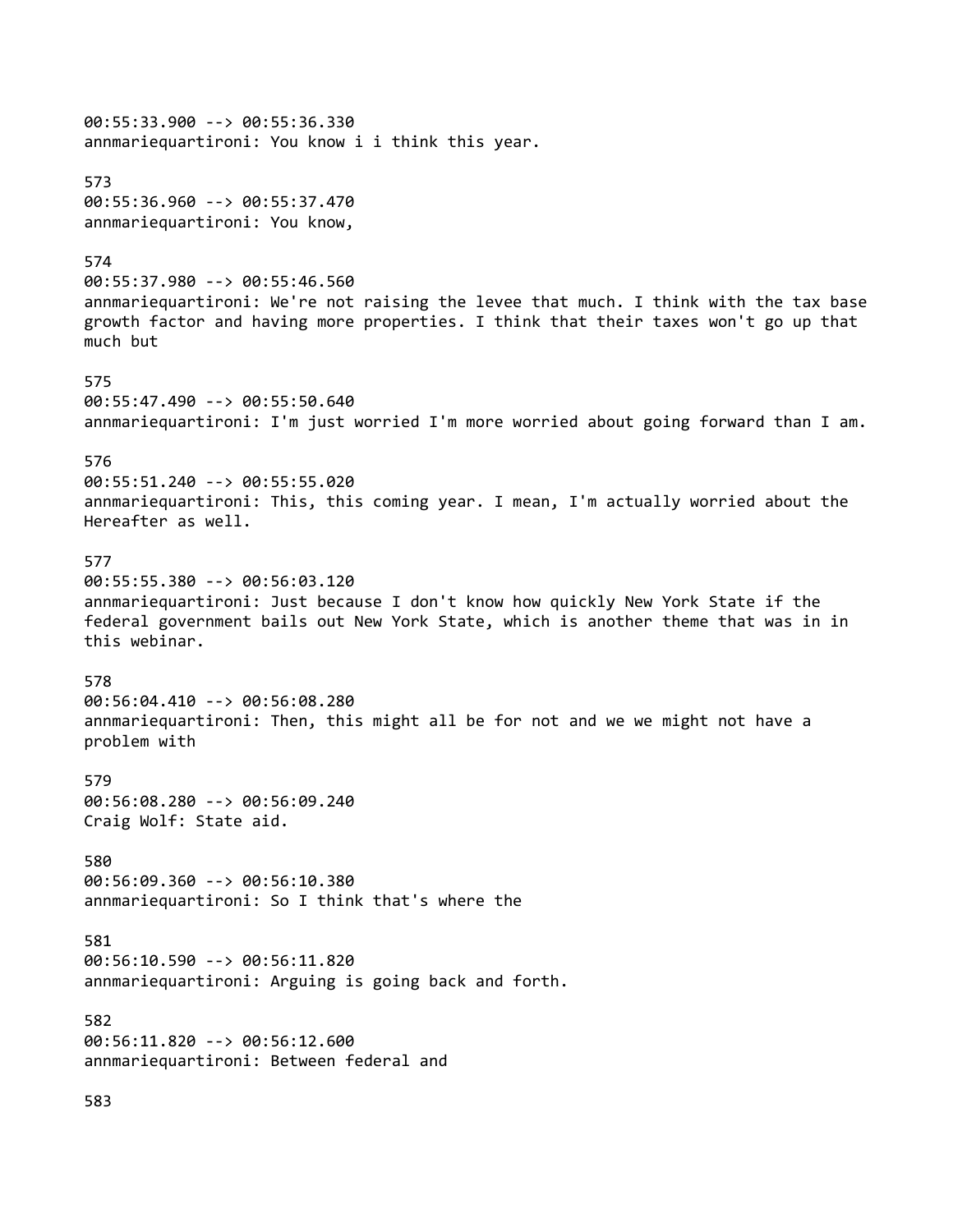00:55:33.900 --> 00:55:36.330 annmariequartironi: You know i i think this year. 573 00:55:36.960 --> 00:55:37.470 annmariequartironi: You know, 574 00:55:37.980 --> 00:55:46.560 annmariequartironi: We're not raising the levee that much. I think with the tax base growth factor and having more properties. I think that their taxes won't go up that much but 575 00:55:47.490 --> 00:55:50.640 annmariequartironi: I'm just worried I'm more worried about going forward than I am. 576 00:55:51.240 --> 00:55:55.020 annmariequartironi: This, this coming year. I mean, I'm actually worried about the Hereafter as well. 577 00:55:55.380 --> 00:56:03.120 annmariequartironi: Just because I don't know how quickly New York State if the federal government bails out New York State, which is another theme that was in in this webinar. 578 00:56:04.410 --> 00:56:08.280 annmariequartironi: Then, this might all be for not and we we might not have a problem with 579 00:56:08.280 --> 00:56:09.240 Craig Wolf: State aid. 580 00:56:09.360 --> 00:56:10.380 annmariequartironi: So I think that's where the 581 00:56:10.590 --> 00:56:11.820 annmariequartironi: Arguing is going back and forth. 582 00:56:11.820 --> 00:56:12.600 annmariequartironi: Between federal and

583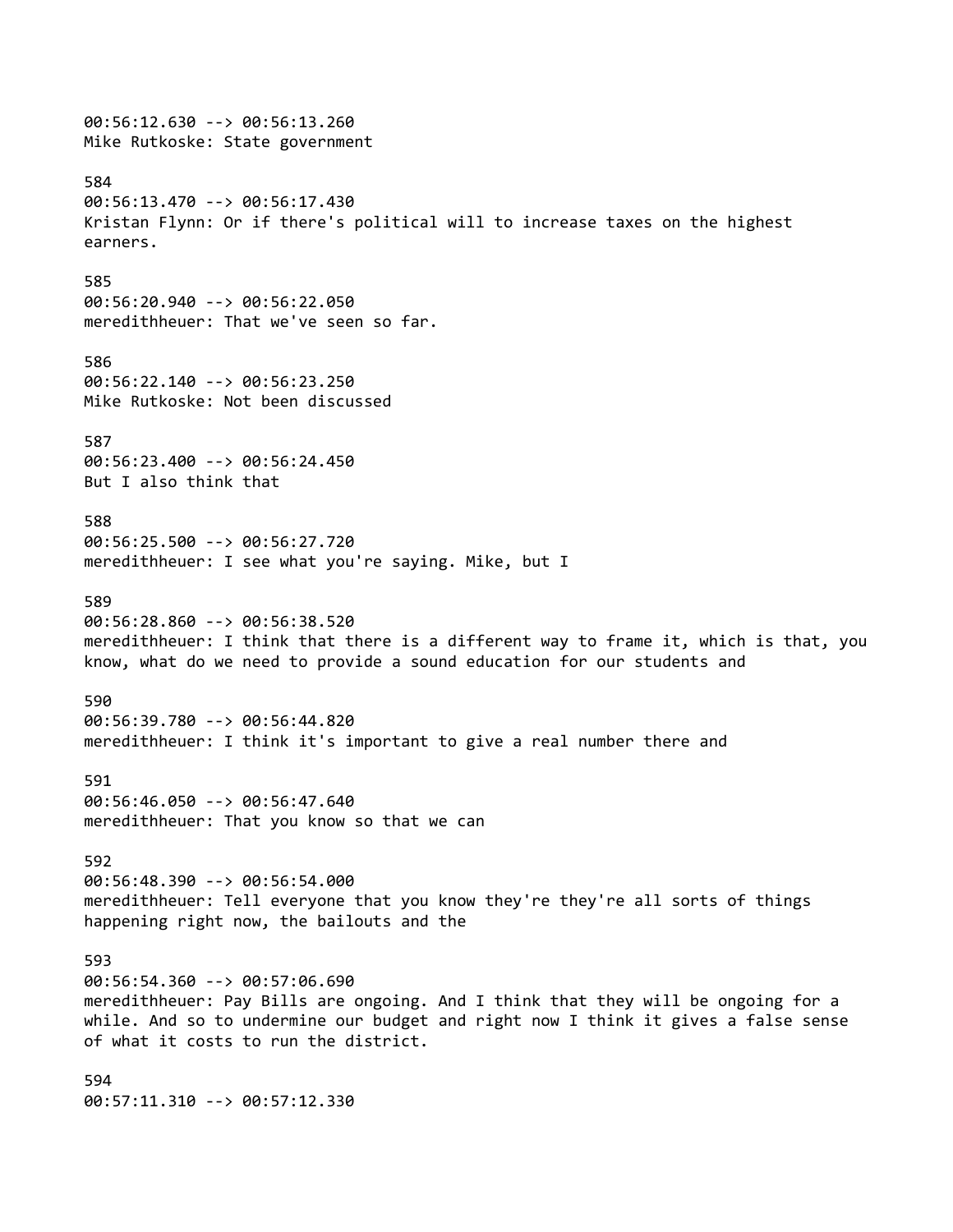00:56:12.630 --> 00:56:13.260 Mike Rutkoske: State government 584 00:56:13.470 --> 00:56:17.430 Kristan Flynn: Or if there's political will to increase taxes on the highest earners. 585 00:56:20.940 --> 00:56:22.050 meredithheuer: That we've seen so far. 586 00:56:22.140 --> 00:56:23.250 Mike Rutkoske: Not been discussed 587 00:56:23.400 --> 00:56:24.450 But I also think that 588 00:56:25.500 --> 00:56:27.720 meredithheuer: I see what you're saying. Mike, but I 589 00:56:28.860 --> 00:56:38.520 meredithheuer: I think that there is a different way to frame it, which is that, you know, what do we need to provide a sound education for our students and 590 00:56:39.780 --> 00:56:44.820 meredithheuer: I think it's important to give a real number there and 591 00:56:46.050 --> 00:56:47.640 meredithheuer: That you know so that we can 592 00:56:48.390 --> 00:56:54.000 meredithheuer: Tell everyone that you know they're they're all sorts of things happening right now, the bailouts and the 593 00:56:54.360 --> 00:57:06.690 meredithheuer: Pay Bills are ongoing. And I think that they will be ongoing for a while. And so to undermine our budget and right now I think it gives a false sense of what it costs to run the district. 594 00:57:11.310 --> 00:57:12.330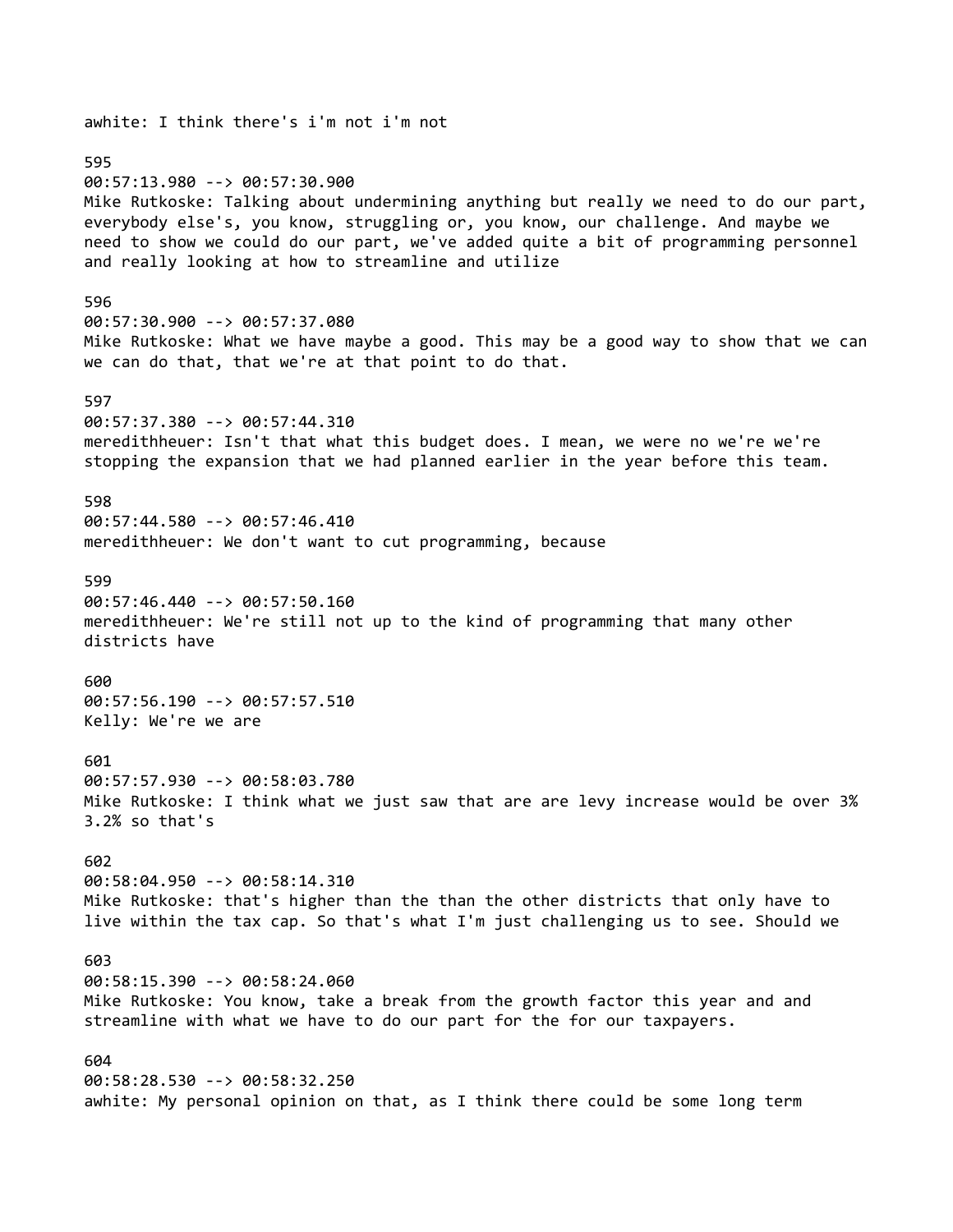awhite: I think there's i'm not i'm not 595 00:57:13.980 --> 00:57:30.900 Mike Rutkoske: Talking about undermining anything but really we need to do our part, everybody else's, you know, struggling or, you know, our challenge. And maybe we need to show we could do our part, we've added quite a bit of programming personnel and really looking at how to streamline and utilize 596 00:57:30.900 --> 00:57:37.080 Mike Rutkoske: What we have maybe a good. This may be a good way to show that we can we can do that, that we're at that point to do that. 597 00:57:37.380 --> 00:57:44.310 meredithheuer: Isn't that what this budget does. I mean, we were no we're we're stopping the expansion that we had planned earlier in the year before this team. 598 00:57:44.580 --> 00:57:46.410 meredithheuer: We don't want to cut programming, because 599 00:57:46.440 --> 00:57:50.160 meredithheuer: We're still not up to the kind of programming that many other districts have 600 00:57:56.190 --> 00:57:57.510 Kelly: We're we are 601 00:57:57.930 --> 00:58:03.780 Mike Rutkoske: I think what we just saw that are are levy increase would be over 3% 3.2% so that's 602 00:58:04.950 --> 00:58:14.310 Mike Rutkoske: that's higher than the than the other districts that only have to live within the tax cap. So that's what I'm just challenging us to see. Should we 603 00:58:15.390 --> 00:58:24.060 Mike Rutkoske: You know, take a break from the growth factor this year and and streamline with what we have to do our part for the for our taxpayers. 604 00:58:28.530 --> 00:58:32.250 awhite: My personal opinion on that, as I think there could be some long term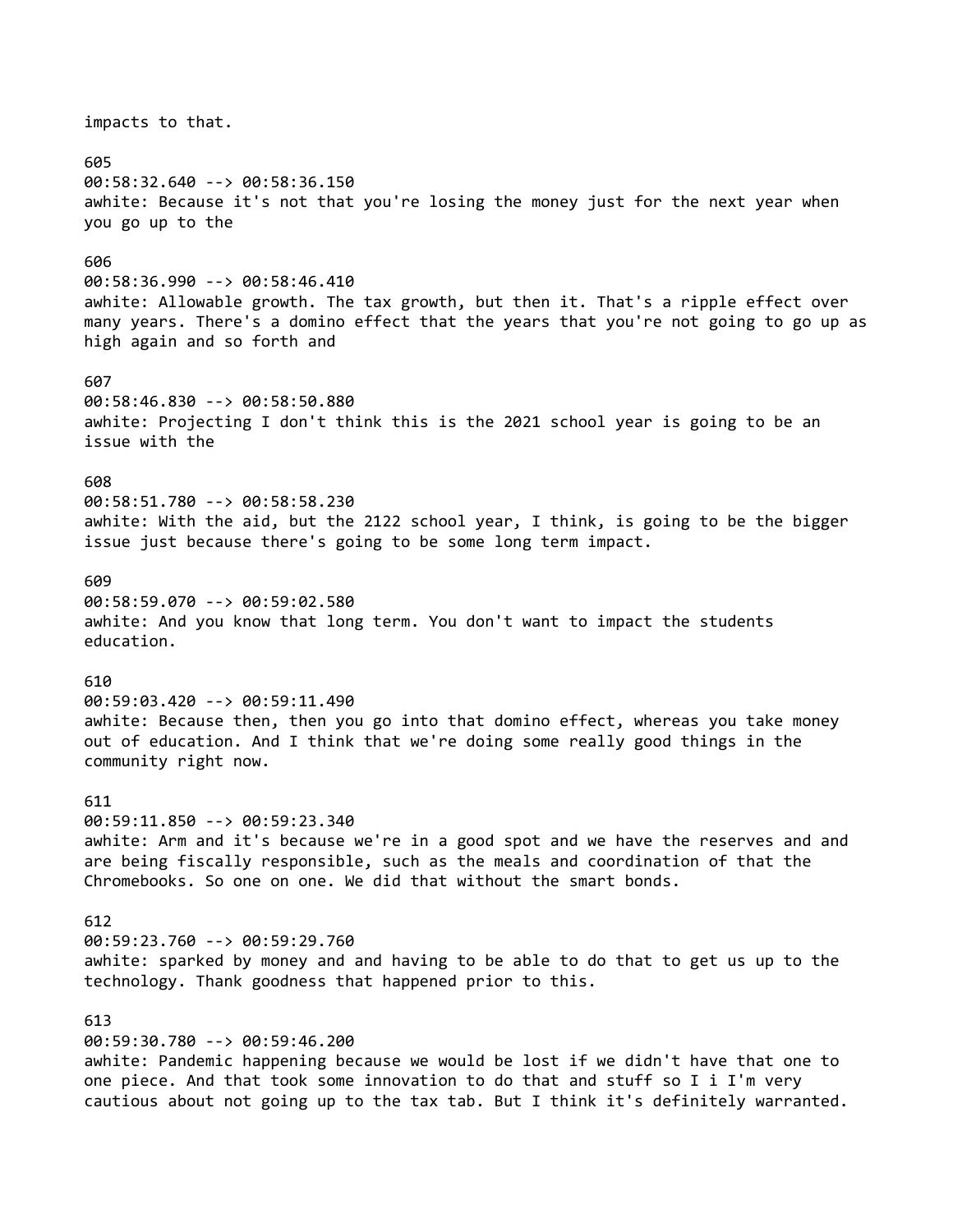impacts to that. 605 00:58:32.640 --> 00:58:36.150 awhite: Because it's not that you're losing the money just for the next year when you go up to the 606 00:58:36.990 --> 00:58:46.410 awhite: Allowable growth. The tax growth, but then it. That's a ripple effect over many years. There's a domino effect that the years that you're not going to go up as high again and so forth and 607 00:58:46.830 --> 00:58:50.880 awhite: Projecting I don't think this is the 2021 school year is going to be an issue with the 608 00:58:51.780 --> 00:58:58.230 awhite: With the aid, but the 2122 school year, I think, is going to be the bigger issue just because there's going to be some long term impact. 609 00:58:59.070 --> 00:59:02.580 awhite: And you know that long term. You don't want to impact the students education. 610 00:59:03.420 --> 00:59:11.490 awhite: Because then, then you go into that domino effect, whereas you take money out of education. And I think that we're doing some really good things in the community right now. 611 00:59:11.850 --> 00:59:23.340 awhite: Arm and it's because we're in a good spot and we have the reserves and and are being fiscally responsible, such as the meals and coordination of that the Chromebooks. So one on one. We did that without the smart bonds. 612 00:59:23.760 --> 00:59:29.760 awhite: sparked by money and and having to be able to do that to get us up to the technology. Thank goodness that happened prior to this. 613 00:59:30.780 --> 00:59:46.200 awhite: Pandemic happening because we would be lost if we didn't have that one to

one piece. And that took some innovation to do that and stuff so I i I'm very cautious about not going up to the tax tab. But I think it's definitely warranted.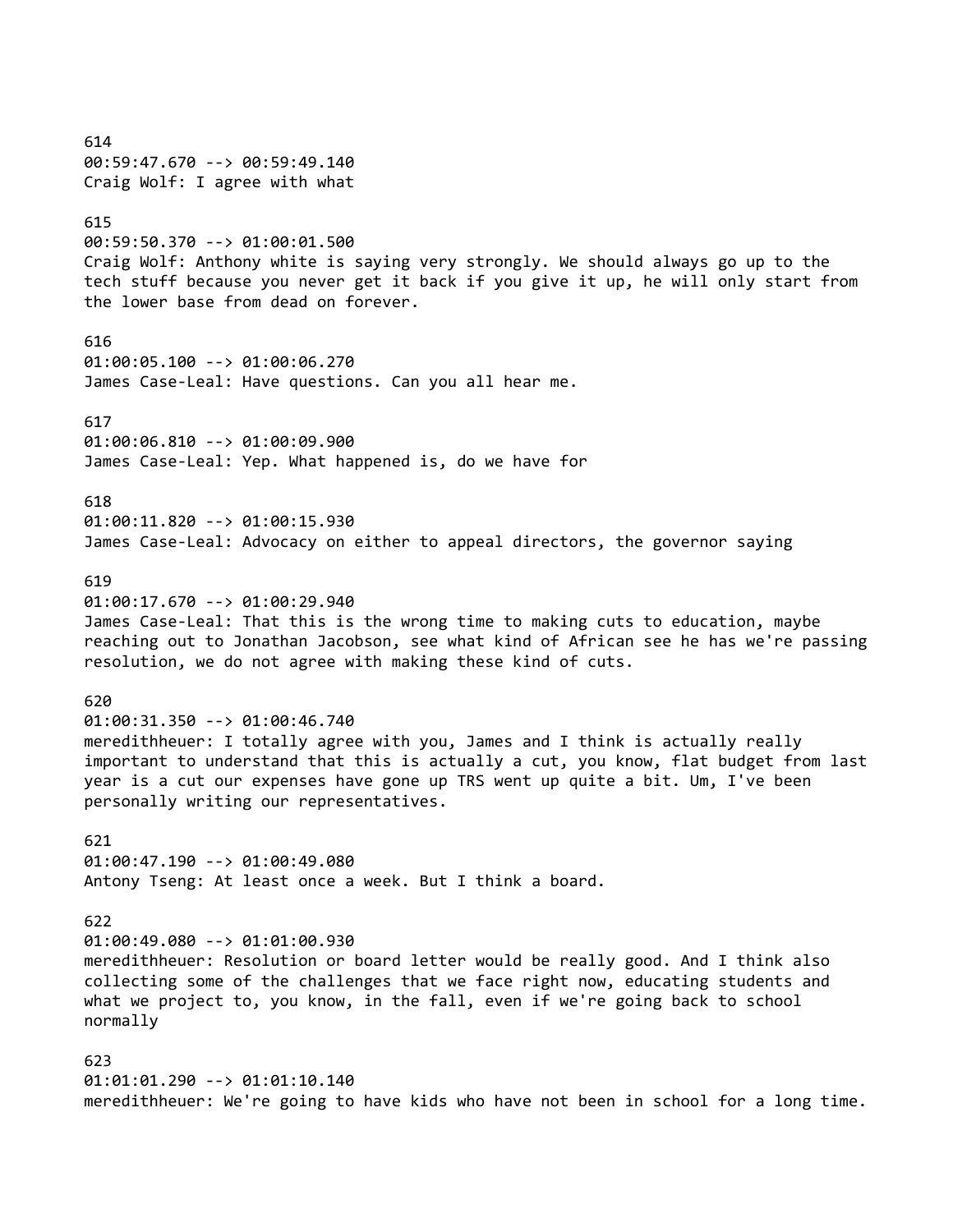614 00:59:47.670 --> 00:59:49.140 Craig Wolf: I agree with what 615 00:59:50.370 --> 01:00:01.500 Craig Wolf: Anthony white is saying very strongly. We should always go up to the tech stuff because you never get it back if you give it up, he will only start from the lower base from dead on forever. 616 01:00:05.100 --> 01:00:06.270 James Case-Leal: Have questions. Can you all hear me. 617 01:00:06.810 --> 01:00:09.900 James Case-Leal: Yep. What happened is, do we have for 618 01:00:11.820 --> 01:00:15.930 James Case-Leal: Advocacy on either to appeal directors, the governor saying 619 01:00:17.670 --> 01:00:29.940 James Case-Leal: That this is the wrong time to making cuts to education, maybe reaching out to Jonathan Jacobson, see what kind of African see he has we're passing resolution, we do not agree with making these kind of cuts. 620 01:00:31.350 --> 01:00:46.740 meredithheuer: I totally agree with you, James and I think is actually really important to understand that this is actually a cut, you know, flat budget from last year is a cut our expenses have gone up TRS went up quite a bit. Um, I've been personally writing our representatives. 621 01:00:47.190 --> 01:00:49.080 Antony Tseng: At least once a week. But I think a board. 622 01:00:49.080 --> 01:01:00.930 meredithheuer: Resolution or board letter would be really good. And I think also collecting some of the challenges that we face right now, educating students and what we project to, you know, in the fall, even if we're going back to school normally 623 01:01:01.290 --> 01:01:10.140 meredithheuer: We're going to have kids who have not been in school for a long time.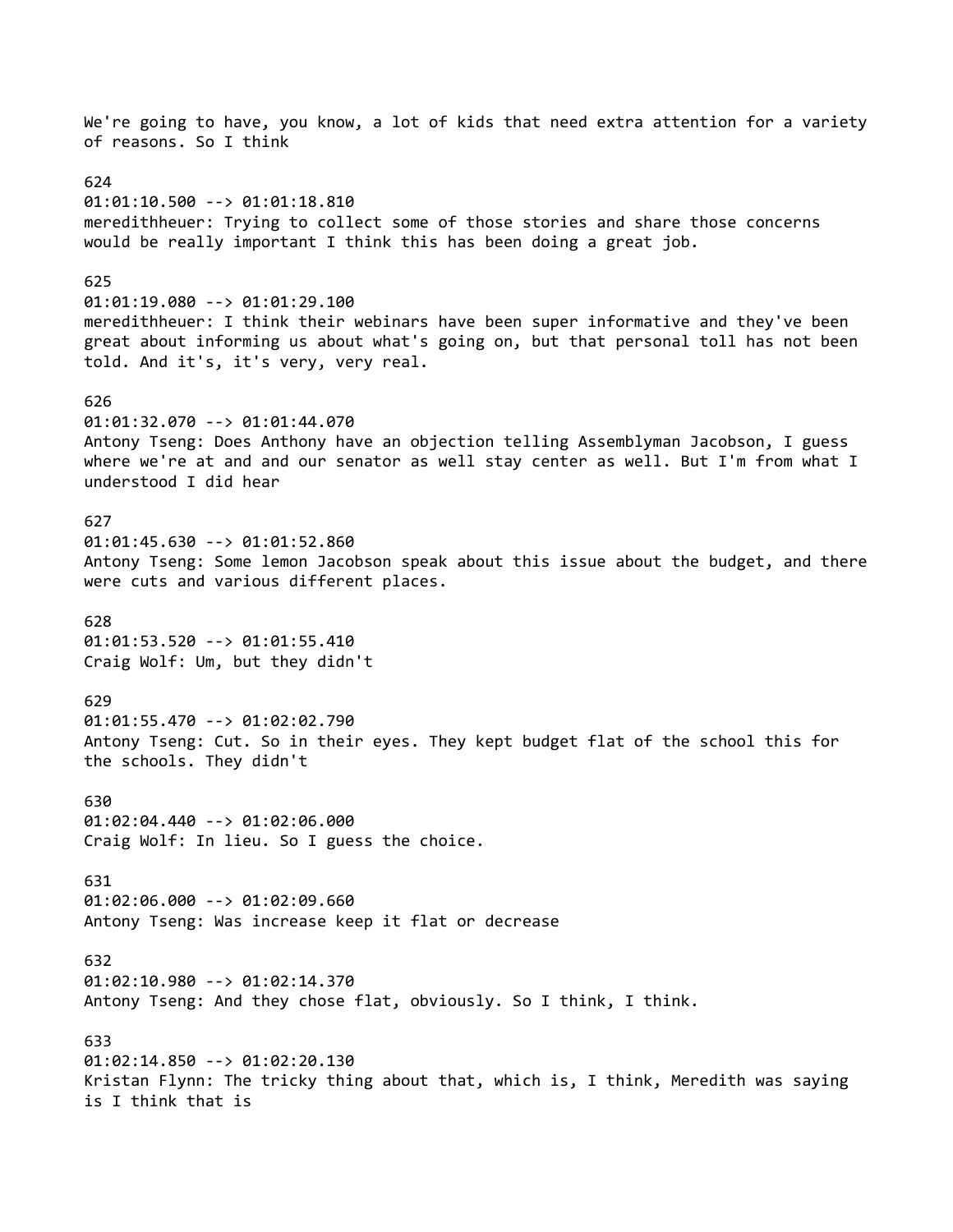We're going to have, you know, a lot of kids that need extra attention for a variety of reasons. So I think 624 01:01:10.500 --> 01:01:18.810 meredithheuer: Trying to collect some of those stories and share those concerns would be really important I think this has been doing a great job. 625 01:01:19.080 --> 01:01:29.100 meredithheuer: I think their webinars have been super informative and they've been great about informing us about what's going on, but that personal toll has not been told. And it's, it's very, very real. 626 01:01:32.070 --> 01:01:44.070 Antony Tseng: Does Anthony have an objection telling Assemblyman Jacobson, I guess where we're at and and our senator as well stay center as well. But I'm from what I understood I did hear 627 01:01:45.630 --> 01:01:52.860 Antony Tseng: Some lemon Jacobson speak about this issue about the budget, and there were cuts and various different places. 628 01:01:53.520 --> 01:01:55.410 Craig Wolf: Um, but they didn't 629 01:01:55.470 --> 01:02:02.790 Antony Tseng: Cut. So in their eyes. They kept budget flat of the school this for the schools. They didn't 630 01:02:04.440 --> 01:02:06.000 Craig Wolf: In lieu. So I guess the choice. 631 01:02:06.000 --> 01:02:09.660 Antony Tseng: Was increase keep it flat or decrease 632 01:02:10.980 --> 01:02:14.370 Antony Tseng: And they chose flat, obviously. So I think, I think. 633 01:02:14.850 --> 01:02:20.130 Kristan Flynn: The tricky thing about that, which is, I think, Meredith was saying is I think that is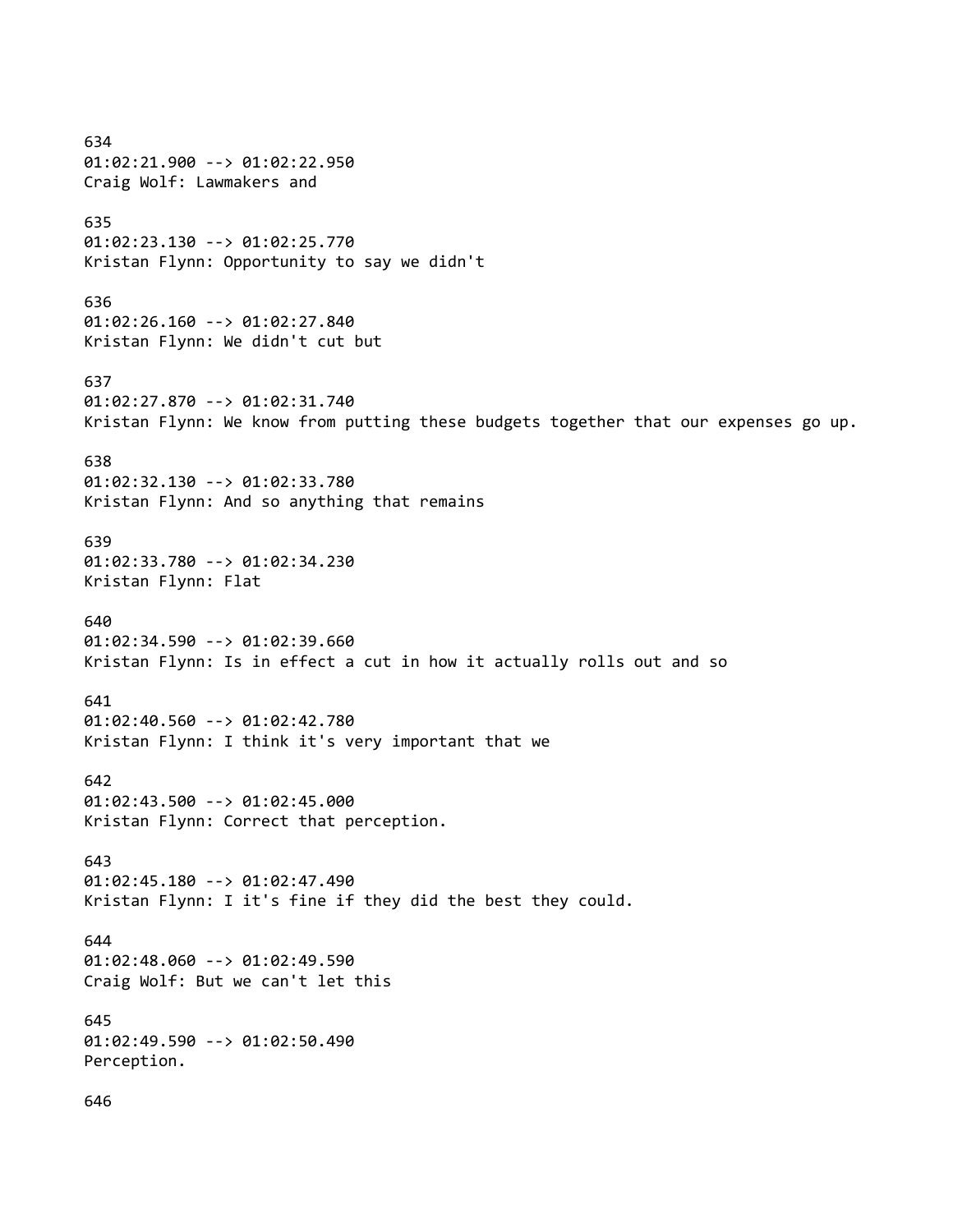634 01:02:21.900 --> 01:02:22.950 Craig Wolf: Lawmakers and 635 01:02:23.130 --> 01:02:25.770 Kristan Flynn: Opportunity to say we didn't 636 01:02:26.160 --> 01:02:27.840 Kristan Flynn: We didn't cut but 637 01:02:27.870 --> 01:02:31.740 Kristan Flynn: We know from putting these budgets together that our expenses go up. 638 01:02:32.130 --> 01:02:33.780 Kristan Flynn: And so anything that remains 639 01:02:33.780 --> 01:02:34.230 Kristan Flynn: Flat 640 01:02:34.590 --> 01:02:39.660 Kristan Flynn: Is in effect a cut in how it actually rolls out and so 641 01:02:40.560 --> 01:02:42.780 Kristan Flynn: I think it's very important that we 642 01:02:43.500 --> 01:02:45.000 Kristan Flynn: Correct that perception. 643 01:02:45.180 --> 01:02:47.490 Kristan Flynn: I it's fine if they did the best they could. 644 01:02:48.060 --> 01:02:49.590 Craig Wolf: But we can't let this 645 01:02:49.590 --> 01:02:50.490 Perception. 646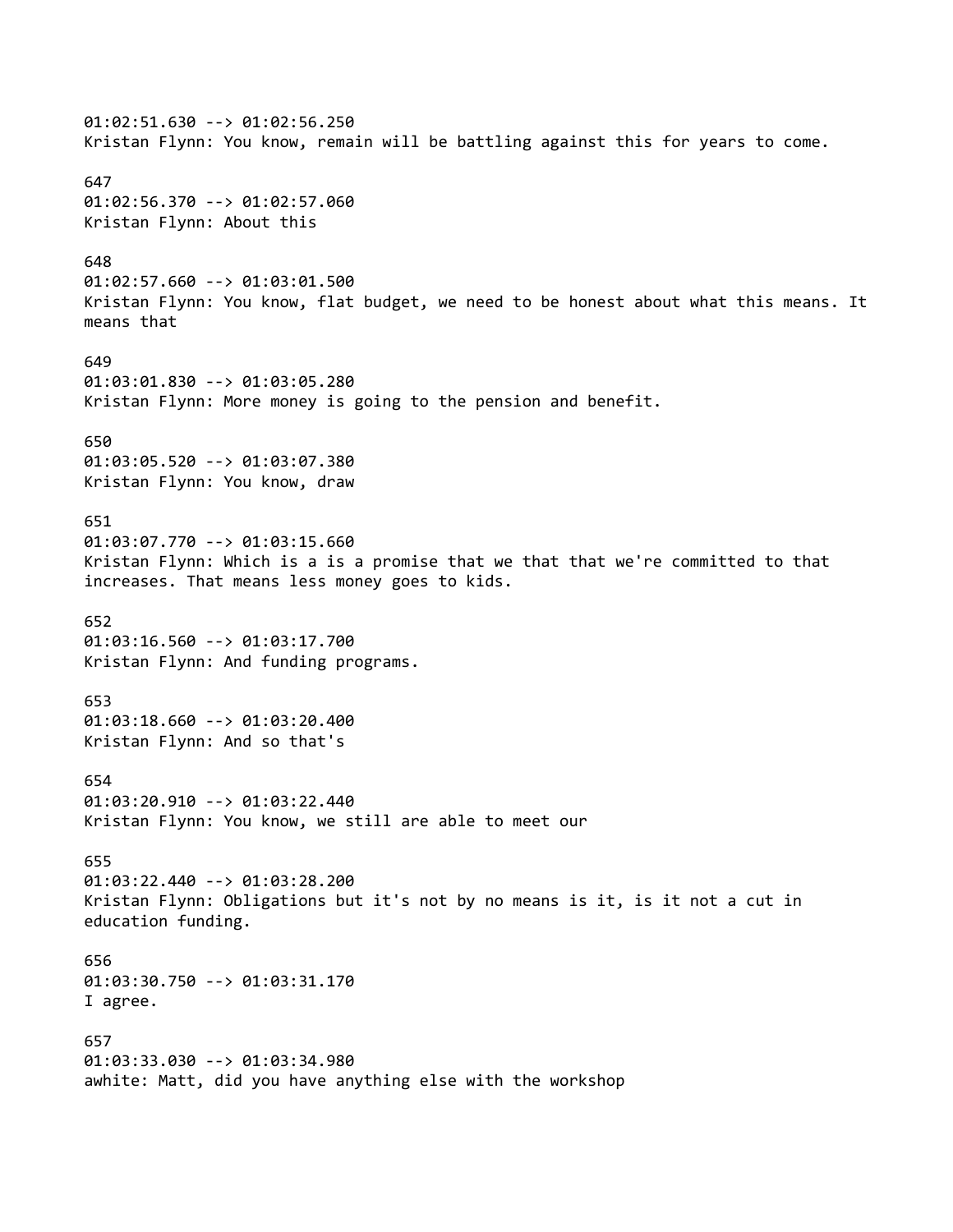01:02:51.630 --> 01:02:56.250 Kristan Flynn: You know, remain will be battling against this for years to come. 647 01:02:56.370 --> 01:02:57.060 Kristan Flynn: About this 648 01:02:57.660 --> 01:03:01.500 Kristan Flynn: You know, flat budget, we need to be honest about what this means. It means that 649 01:03:01.830 --> 01:03:05.280 Kristan Flynn: More money is going to the pension and benefit. 650 01:03:05.520 --> 01:03:07.380 Kristan Flynn: You know, draw 651 01:03:07.770 --> 01:03:15.660 Kristan Flynn: Which is a is a promise that we that that we're committed to that increases. That means less money goes to kids. 652 01:03:16.560 --> 01:03:17.700 Kristan Flynn: And funding programs. 653 01:03:18.660 --> 01:03:20.400 Kristan Flynn: And so that's 654 01:03:20.910 --> 01:03:22.440 Kristan Flynn: You know, we still are able to meet our 655 01:03:22.440 --> 01:03:28.200 Kristan Flynn: Obligations but it's not by no means is it, is it not a cut in education funding. 656 01:03:30.750 --> 01:03:31.170 I agree. 657 01:03:33.030 --> 01:03:34.980 awhite: Matt, did you have anything else with the workshop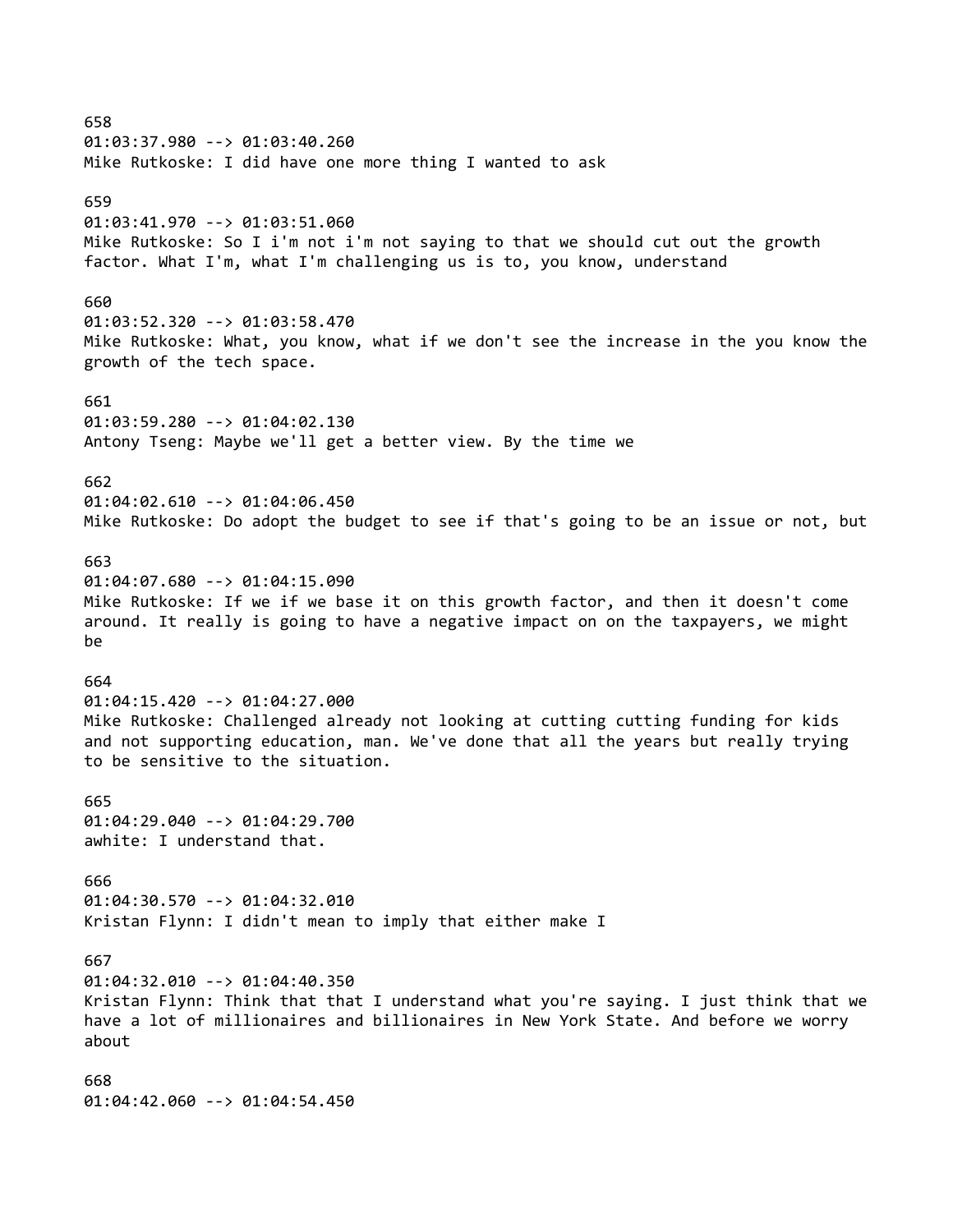658 01:03:37.980 --> 01:03:40.260 Mike Rutkoske: I did have one more thing I wanted to ask 659 01:03:41.970 --> 01:03:51.060 Mike Rutkoske: So I i'm not i'm not saying to that we should cut out the growth factor. What I'm, what I'm challenging us is to, you know, understand 660 01:03:52.320 --> 01:03:58.470 Mike Rutkoske: What, you know, what if we don't see the increase in the you know the growth of the tech space. 661 01:03:59.280 --> 01:04:02.130 Antony Tseng: Maybe we'll get a better view. By the time we 662 01:04:02.610 --> 01:04:06.450 Mike Rutkoske: Do adopt the budget to see if that's going to be an issue or not, but 663 01:04:07.680 --> 01:04:15.090 Mike Rutkoske: If we if we base it on this growth factor, and then it doesn't come around. It really is going to have a negative impact on on the taxpayers, we might be 664 01:04:15.420 --> 01:04:27.000 Mike Rutkoske: Challenged already not looking at cutting cutting funding for kids and not supporting education, man. We've done that all the years but really trying to be sensitive to the situation. 665 01:04:29.040 --> 01:04:29.700 awhite: I understand that. 666 01:04:30.570 --> 01:04:32.010 Kristan Flynn: I didn't mean to imply that either make I 667 01:04:32.010 --> 01:04:40.350 Kristan Flynn: Think that that I understand what you're saying. I just think that we have a lot of millionaires and billionaires in New York State. And before we worry about 668 01:04:42.060 --> 01:04:54.450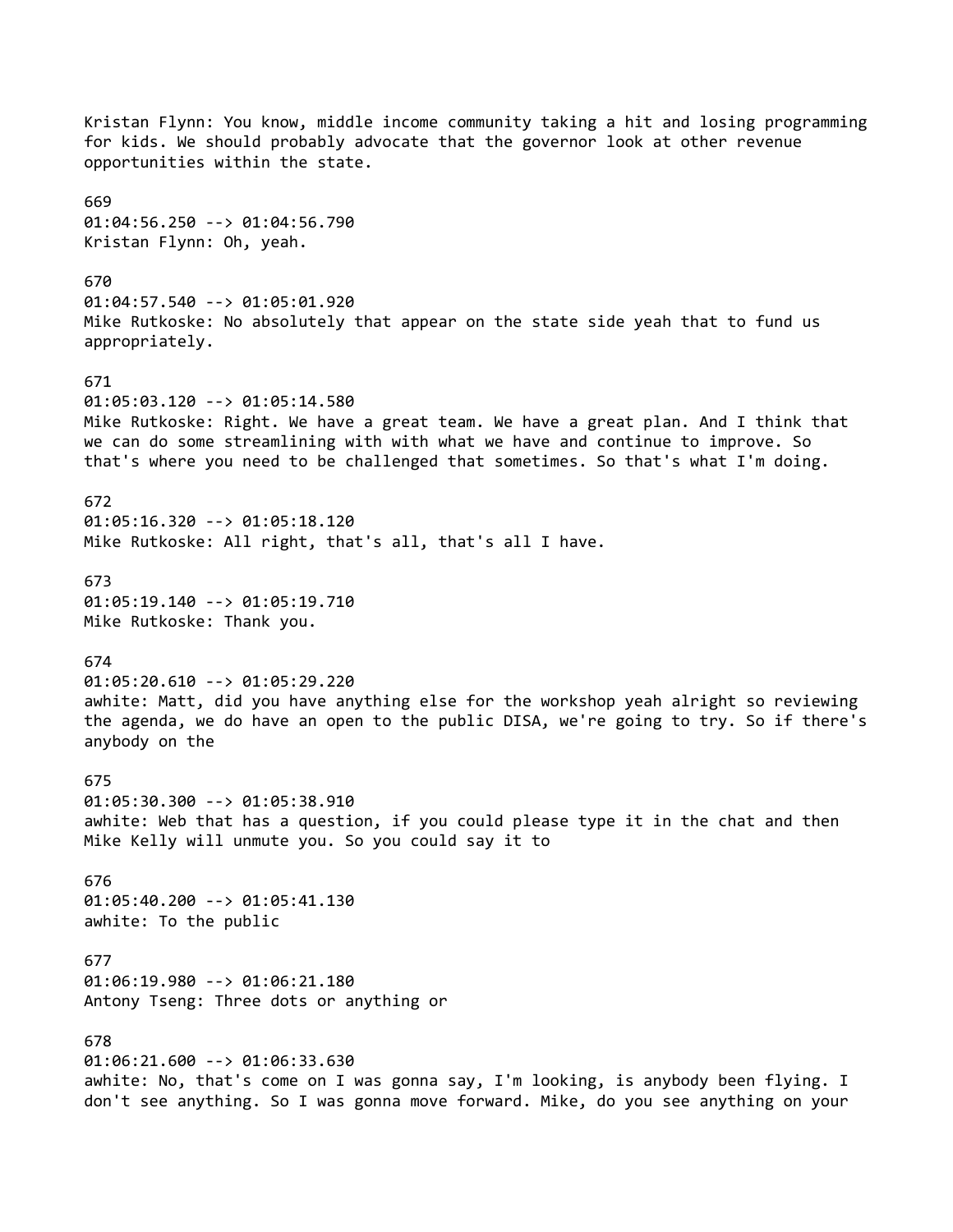Kristan Flynn: You know, middle income community taking a hit and losing programming for kids. We should probably advocate that the governor look at other revenue opportunities within the state. 669 01:04:56.250 --> 01:04:56.790 Kristan Flynn: Oh, yeah. 670 01:04:57.540 --> 01:05:01.920 Mike Rutkoske: No absolutely that appear on the state side yeah that to fund us appropriately. 671 01:05:03.120 --> 01:05:14.580 Mike Rutkoske: Right. We have a great team. We have a great plan. And I think that we can do some streamlining with with what we have and continue to improve. So that's where you need to be challenged that sometimes. So that's what I'm doing. 672 01:05:16.320 --> 01:05:18.120 Mike Rutkoske: All right, that's all, that's all I have. 673 01:05:19.140 --> 01:05:19.710 Mike Rutkoske: Thank you. 674 01:05:20.610 --> 01:05:29.220 awhite: Matt, did you have anything else for the workshop yeah alright so reviewing the agenda, we do have an open to the public DISA, we're going to try. So if there's anybody on the 675 01:05:30.300 --> 01:05:38.910 awhite: Web that has a question, if you could please type it in the chat and then Mike Kelly will unmute you. So you could say it to 676 01:05:40.200 --> 01:05:41.130 awhite: To the public 677 01:06:19.980 --> 01:06:21.180 Antony Tseng: Three dots or anything or 678 01:06:21.600 --> 01:06:33.630 awhite: No, that's come on I was gonna say, I'm looking, is anybody been flying. I don't see anything. So I was gonna move forward. Mike, do you see anything on your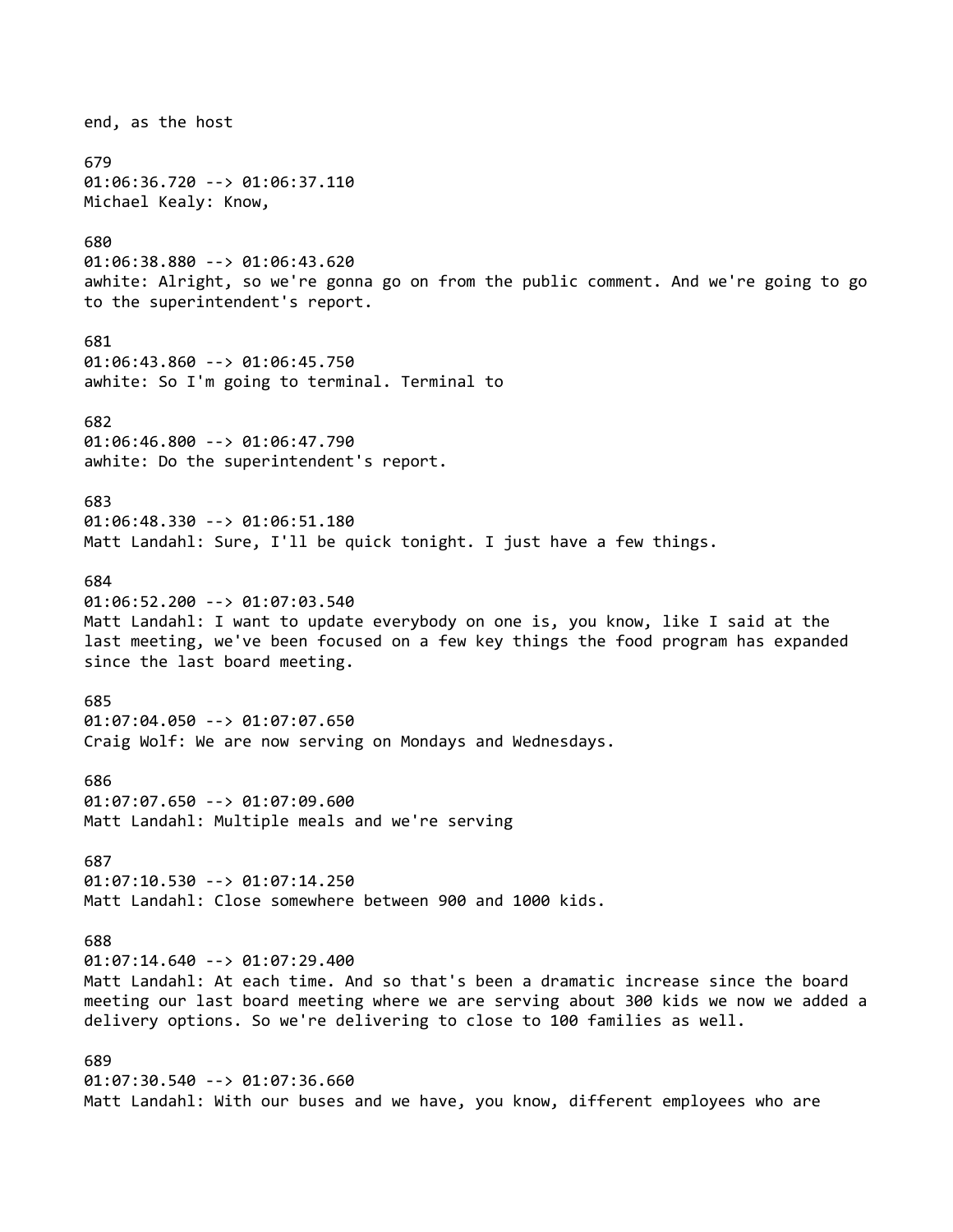## end, as the host 679 01:06:36.720 --> 01:06:37.110 Michael Kealy: Know, 680 01:06:38.880 --> 01:06:43.620 awhite: Alright, so we're gonna go on from the public comment. And we're going to go to the superintendent's report. 681 01:06:43.860 --> 01:06:45.750 awhite: So I'm going to terminal. Terminal to 682 01:06:46.800 --> 01:06:47.790 awhite: Do the superintendent's report. 683 01:06:48.330 --> 01:06:51.180 Matt Landahl: Sure, I'll be quick tonight. I just have a few things. 684 01:06:52.200 --> 01:07:03.540 Matt Landahl: I want to update everybody on one is, you know, like I said at the last meeting, we've been focused on a few key things the food program has expanded since the last board meeting. 685 01:07:04.050 --> 01:07:07.650 Craig Wolf: We are now serving on Mondays and Wednesdays. 686 01:07:07.650 --> 01:07:09.600 Matt Landahl: Multiple meals and we're serving 687 01:07:10.530 --> 01:07:14.250 Matt Landahl: Close somewhere between 900 and 1000 kids. 688 01:07:14.640 --> 01:07:29.400 Matt Landahl: At each time. And so that's been a dramatic increase since the board meeting our last board meeting where we are serving about 300 kids we now we added a delivery options. So we're delivering to close to 100 families as well. 689 01:07:30.540 --> 01:07:36.660 Matt Landahl: With our buses and we have, you know, different employees who are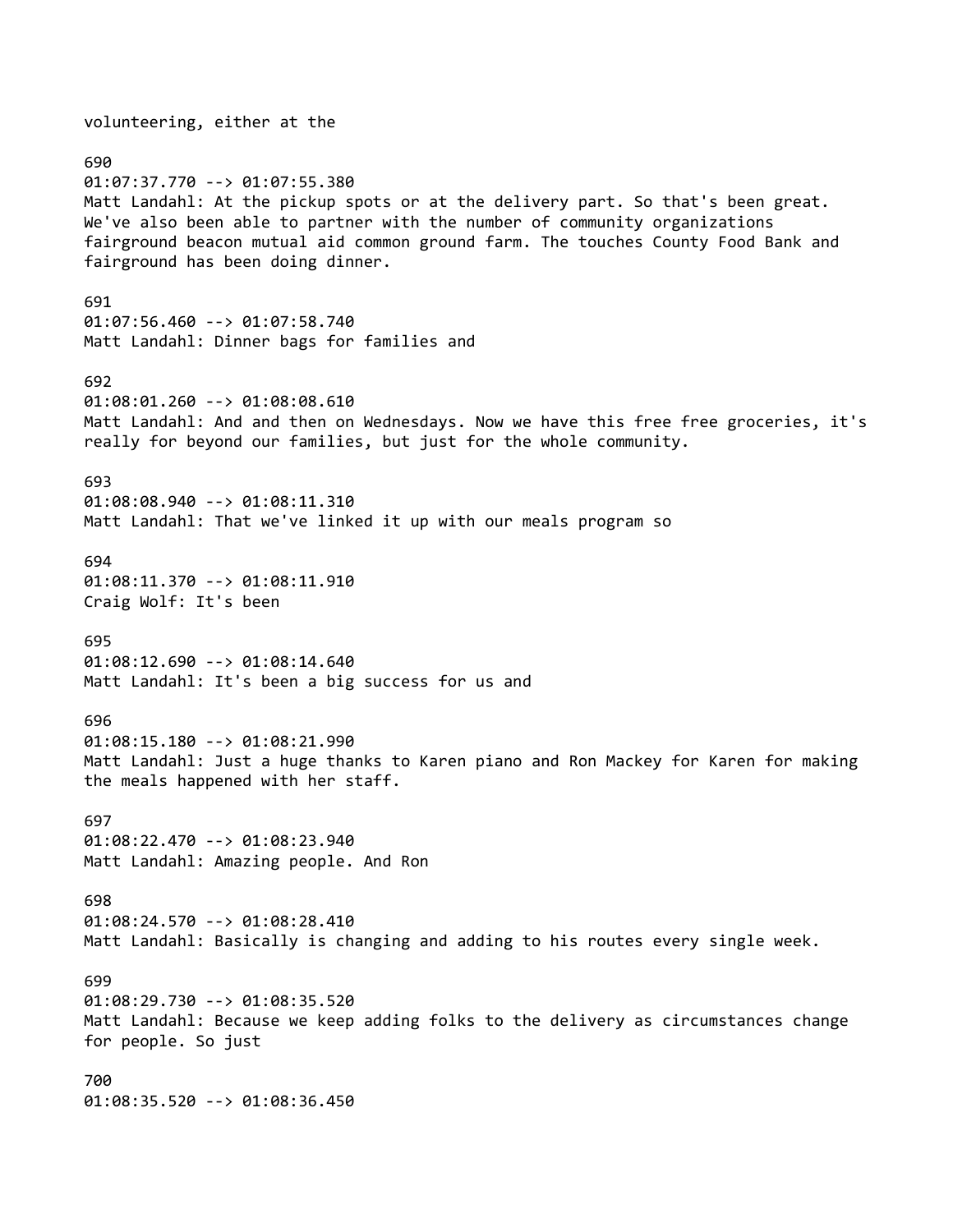volunteering, either at the 690 01:07:37.770 --> 01:07:55.380 Matt Landahl: At the pickup spots or at the delivery part. So that's been great. We've also been able to partner with the number of community organizations fairground beacon mutual aid common ground farm. The touches County Food Bank and fairground has been doing dinner. 691 01:07:56.460 --> 01:07:58.740 Matt Landahl: Dinner bags for families and 692 01:08:01.260 --> 01:08:08.610 Matt Landahl: And and then on Wednesdays. Now we have this free free groceries, it's really for beyond our families, but just for the whole community. 693 01:08:08.940 --> 01:08:11.310 Matt Landahl: That we've linked it up with our meals program so 694 01:08:11.370 --> 01:08:11.910 Craig Wolf: It's been 695 01:08:12.690 --> 01:08:14.640 Matt Landahl: It's been a big success for us and 696 01:08:15.180 --> 01:08:21.990 Matt Landahl: Just a huge thanks to Karen piano and Ron Mackey for Karen for making the meals happened with her staff. 697 01:08:22.470 --> 01:08:23.940 Matt Landahl: Amazing people. And Ron 698 01:08:24.570 --> 01:08:28.410 Matt Landahl: Basically is changing and adding to his routes every single week. 699 01:08:29.730 --> 01:08:35.520 Matt Landahl: Because we keep adding folks to the delivery as circumstances change for people. So just 700 01:08:35.520 --> 01:08:36.450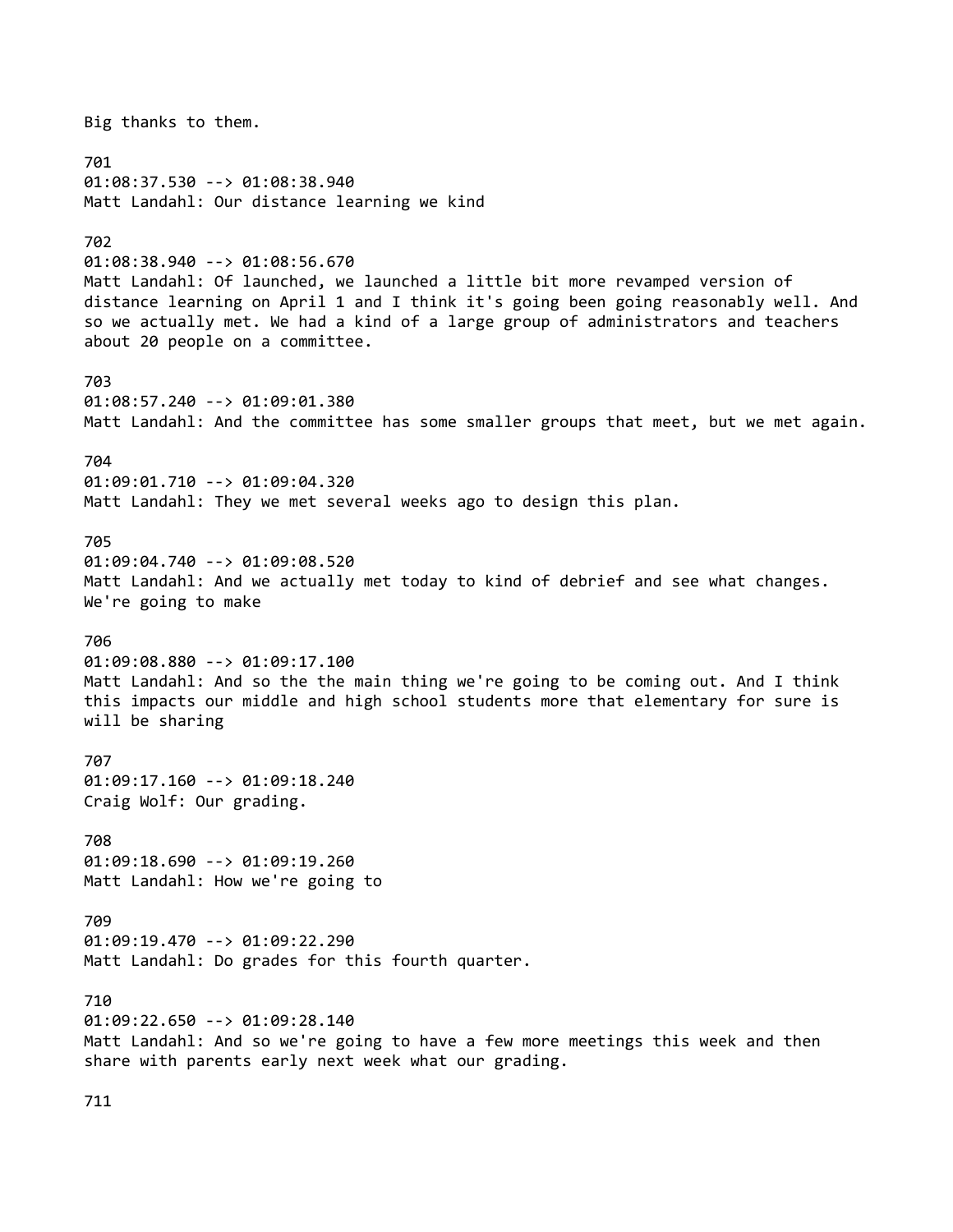Big thanks to them. 701 01:08:37.530 --> 01:08:38.940 Matt Landahl: Our distance learning we kind 702 01:08:38.940 --> 01:08:56.670 Matt Landahl: Of launched, we launched a little bit more revamped version of distance learning on April 1 and I think it's going been going reasonably well. And so we actually met. We had a kind of a large group of administrators and teachers about 20 people on a committee. 703 01:08:57.240 --> 01:09:01.380 Matt Landahl: And the committee has some smaller groups that meet, but we met again. 704 01:09:01.710 --> 01:09:04.320 Matt Landahl: They we met several weeks ago to design this plan. 705 01:09:04.740 --> 01:09:08.520 Matt Landahl: And we actually met today to kind of debrief and see what changes. We're going to make 706 01:09:08.880 --> 01:09:17.100 Matt Landahl: And so the the main thing we're going to be coming out. And I think this impacts our middle and high school students more that elementary for sure is will be sharing 707 01:09:17.160 --> 01:09:18.240 Craig Wolf: Our grading. 708 01:09:18.690 --> 01:09:19.260 Matt Landahl: How we're going to 709 01:09:19.470 --> 01:09:22.290 Matt Landahl: Do grades for this fourth quarter. 710 01:09:22.650 --> 01:09:28.140 Matt Landahl: And so we're going to have a few more meetings this week and then share with parents early next week what our grading.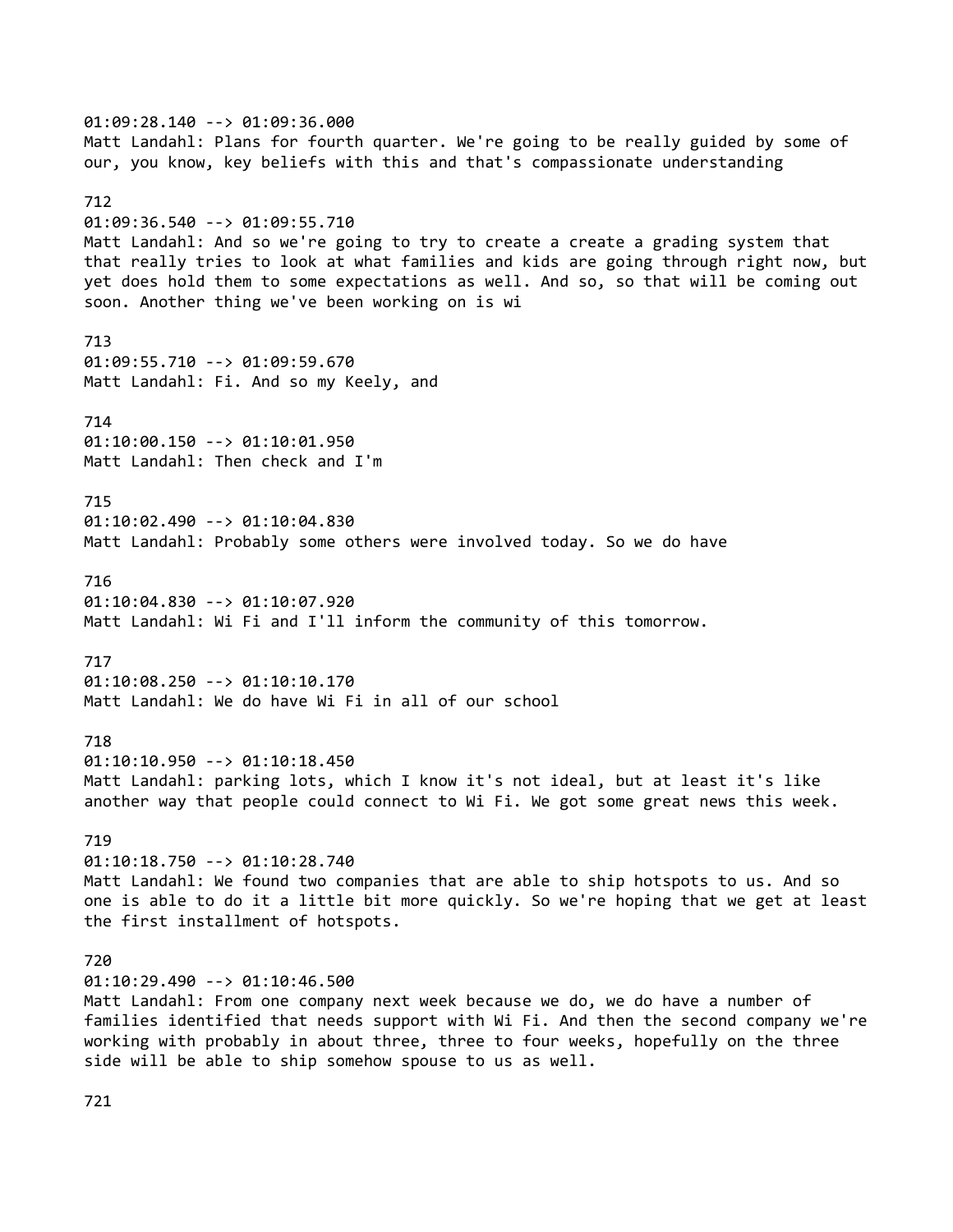01:09:28.140 --> 01:09:36.000 Matt Landahl: Plans for fourth quarter. We're going to be really guided by some of our, you know, key beliefs with this and that's compassionate understanding 712 01:09:36.540 --> 01:09:55.710 Matt Landahl: And so we're going to try to create a create a grading system that that really tries to look at what families and kids are going through right now, but yet does hold them to some expectations as well. And so, so that will be coming out soon. Another thing we've been working on is wi 713 01:09:55.710 --> 01:09:59.670 Matt Landahl: Fi. And so my Keely, and 714 01:10:00.150 --> 01:10:01.950 Matt Landahl: Then check and I'm 715 01:10:02.490 --> 01:10:04.830 Matt Landahl: Probably some others were involved today. So we do have 716 01:10:04.830 --> 01:10:07.920 Matt Landahl: Wi Fi and I'll inform the community of this tomorrow. 717 01:10:08.250 --> 01:10:10.170 Matt Landahl: We do have Wi Fi in all of our school 718 01:10:10.950 --> 01:10:18.450 Matt Landahl: parking lots, which I know it's not ideal, but at least it's like another way that people could connect to Wi Fi. We got some great news this week. 719 01:10:18.750 --> 01:10:28.740 Matt Landahl: We found two companies that are able to ship hotspots to us. And so one is able to do it a little bit more quickly. So we're hoping that we get at least the first installment of hotspots. 720 01:10:29.490 --> 01:10:46.500 Matt Landahl: From one company next week because we do, we do have a number of families identified that needs support with Wi Fi. And then the second company we're working with probably in about three, three to four weeks, hopefully on the three side will be able to ship somehow spouse to us as well.

721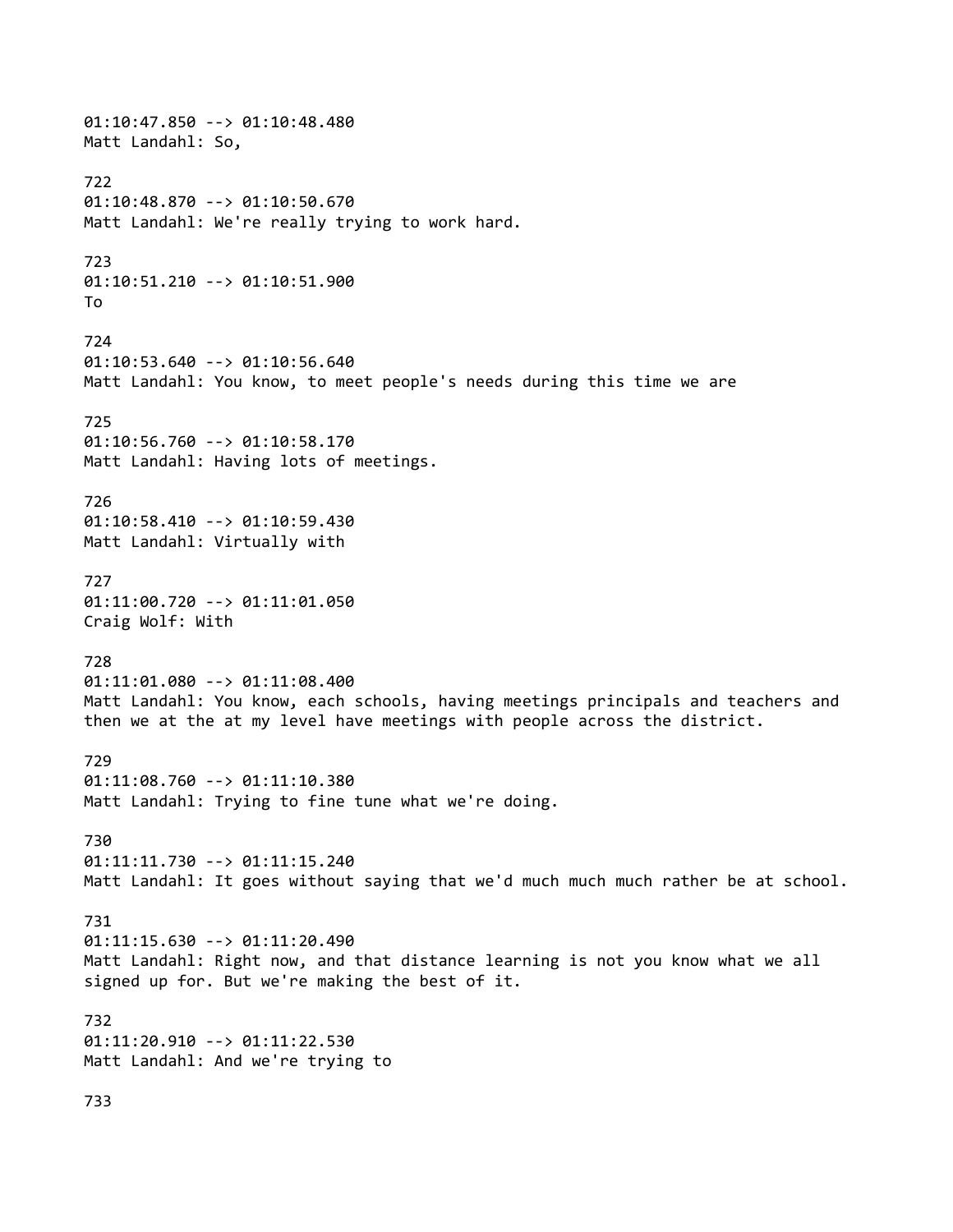01:10:47.850 --> 01:10:48.480 Matt Landahl: So, 722 01:10:48.870 --> 01:10:50.670 Matt Landahl: We're really trying to work hard. 723 01:10:51.210 --> 01:10:51.900 To 724 01:10:53.640 --> 01:10:56.640 Matt Landahl: You know, to meet people's needs during this time we are 725 01:10:56.760 --> 01:10:58.170 Matt Landahl: Having lots of meetings. 726 01:10:58.410 --> 01:10:59.430 Matt Landahl: Virtually with 727 01:11:00.720 --> 01:11:01.050 Craig Wolf: With 728 01:11:01.080 --> 01:11:08.400 Matt Landahl: You know, each schools, having meetings principals and teachers and then we at the at my level have meetings with people across the district. 729 01:11:08.760 --> 01:11:10.380 Matt Landahl: Trying to fine tune what we're doing. 730 01:11:11.730 --> 01:11:15.240 Matt Landahl: It goes without saying that we'd much much much rather be at school. 731 01:11:15.630 --> 01:11:20.490 Matt Landahl: Right now, and that distance learning is not you know what we all signed up for. But we're making the best of it. 732 01:11:20.910 --> 01:11:22.530 Matt Landahl: And we're trying to 733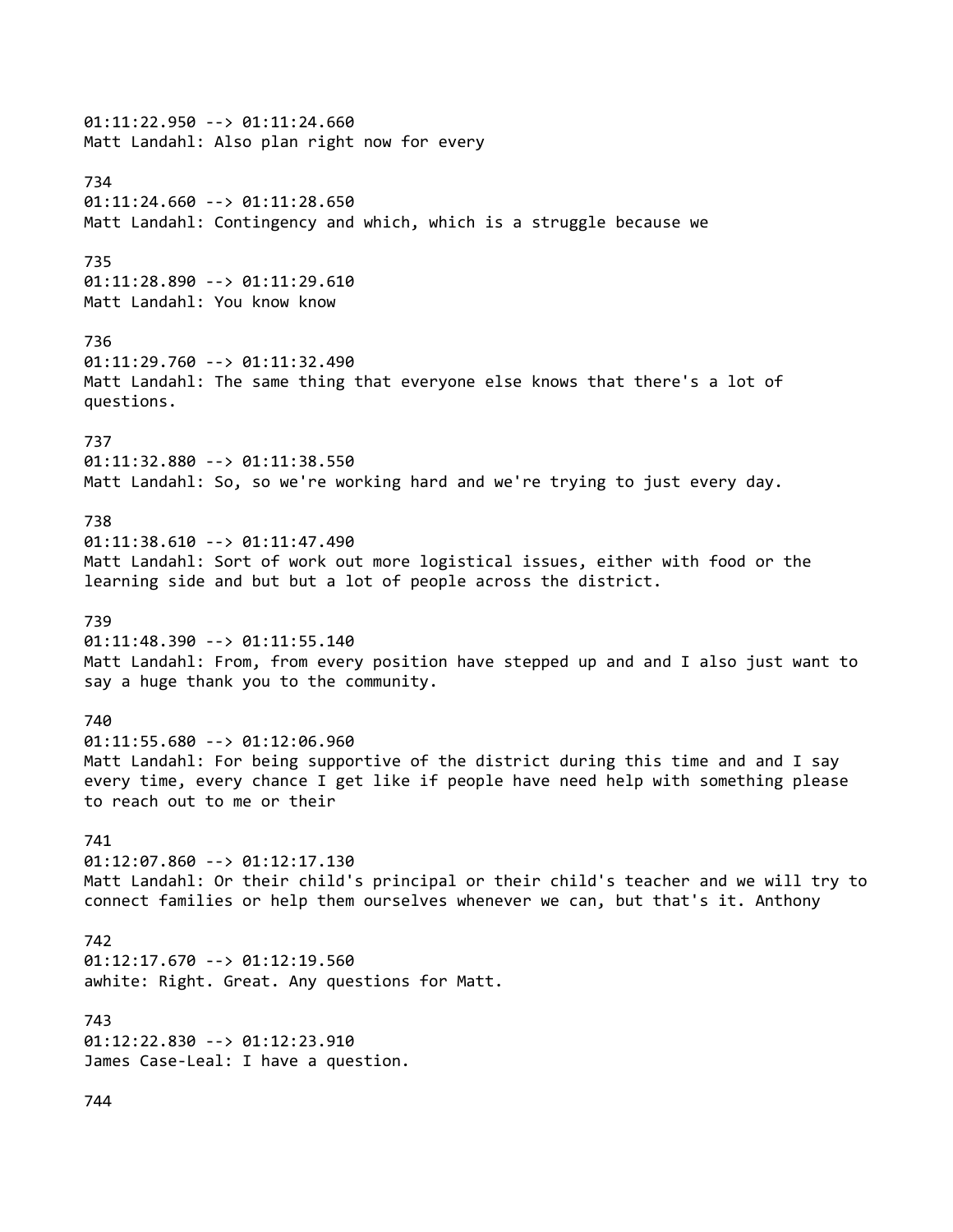## 01:11:22.950 --> 01:11:24.660 Matt Landahl: Also plan right now for every 734 01:11:24.660 --> 01:11:28.650 Matt Landahl: Contingency and which, which is a struggle because we 735 01:11:28.890 --> 01:11:29.610 Matt Landahl: You know know 736 01:11:29.760 --> 01:11:32.490 Matt Landahl: The same thing that everyone else knows that there's a lot of questions. 737 01:11:32.880 --> 01:11:38.550 Matt Landahl: So, so we're working hard and we're trying to just every day. 738 01:11:38.610 --> 01:11:47.490 Matt Landahl: Sort of work out more logistical issues, either with food or the learning side and but but a lot of people across the district. 739 01:11:48.390 --> 01:11:55.140 Matt Landahl: From, from every position have stepped up and and I also just want to say a huge thank you to the community. 740 01:11:55.680 --> 01:12:06.960 Matt Landahl: For being supportive of the district during this time and and I say every time, every chance I get like if people have need help with something please to reach out to me or their 741 01:12:07.860 --> 01:12:17.130 Matt Landahl: Or their child's principal or their child's teacher and we will try to connect families or help them ourselves whenever we can, but that's it. Anthony 742 01:12:17.670 --> 01:12:19.560 awhite: Right. Great. Any questions for Matt. 743 01:12:22.830 --> 01:12:23.910 James Case-Leal: I have a question. 744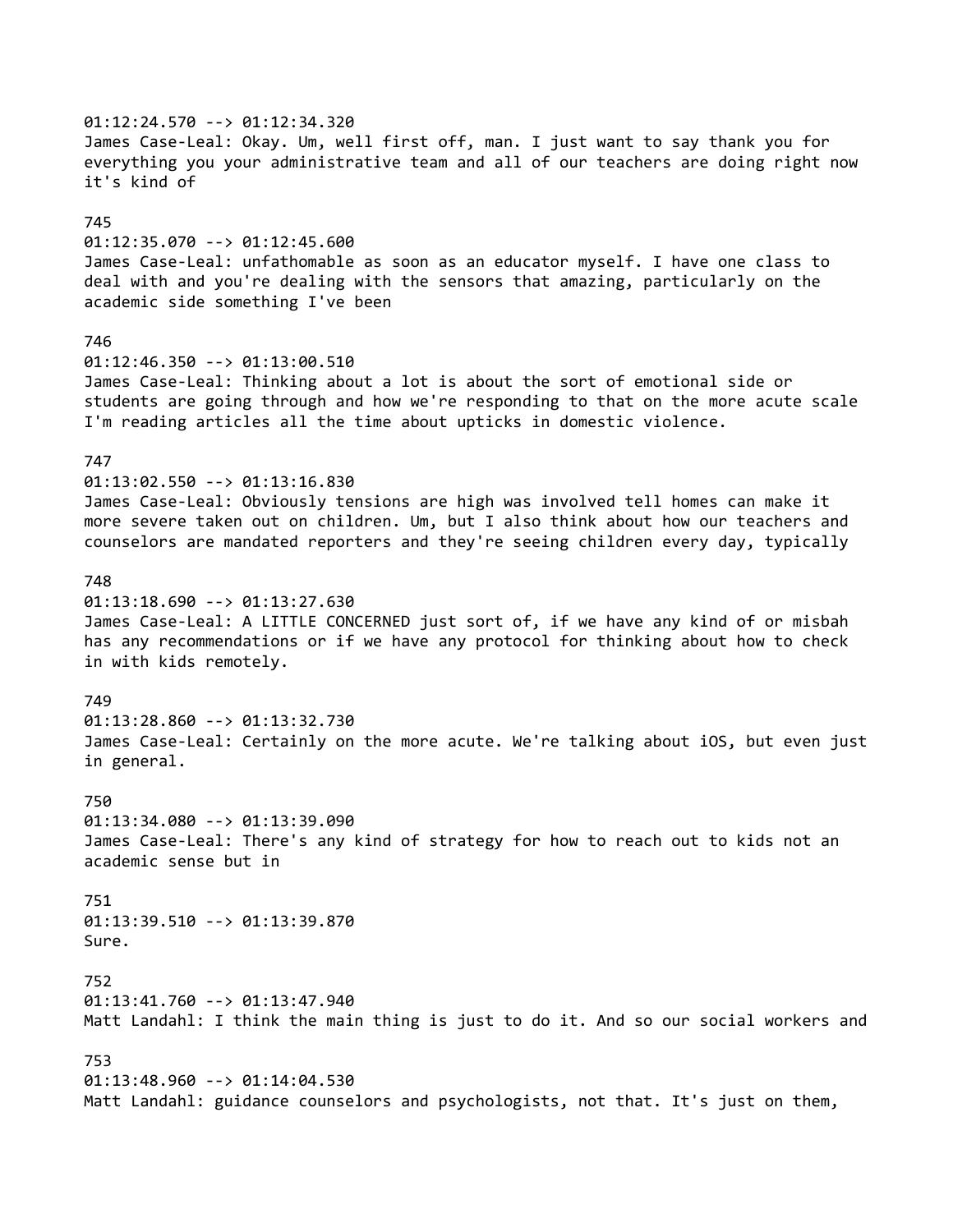01:12:24.570 --> 01:12:34.320 James Case-Leal: Okay. Um, well first off, man. I just want to say thank you for everything you your administrative team and all of our teachers are doing right now it's kind of 745 01:12:35.070 --> 01:12:45.600 James Case-Leal: unfathomable as soon as an educator myself. I have one class to deal with and you're dealing with the sensors that amazing, particularly on the academic side something I've been 746 01:12:46.350 --> 01:13:00.510 James Case-Leal: Thinking about a lot is about the sort of emotional side or students are going through and how we're responding to that on the more acute scale I'm reading articles all the time about upticks in domestic violence. 747 01:13:02.550 --> 01:13:16.830 James Case-Leal: Obviously tensions are high was involved tell homes can make it more severe taken out on children. Um, but I also think about how our teachers and counselors are mandated reporters and they're seeing children every day, typically 748 01:13:18.690 --> 01:13:27.630 James Case-Leal: A LITTLE CONCERNED just sort of, if we have any kind of or misbah has any recommendations or if we have any protocol for thinking about how to check in with kids remotely. 749 01:13:28.860 --> 01:13:32.730 James Case-Leal: Certainly on the more acute. We're talking about iOS, but even just in general. 750 01:13:34.080 --> 01:13:39.090 James Case-Leal: There's any kind of strategy for how to reach out to kids not an academic sense but in 751 01:13:39.510 --> 01:13:39.870 Sure. 752 01:13:41.760 --> 01:13:47.940 Matt Landahl: I think the main thing is just to do it. And so our social workers and 753 01:13:48.960 --> 01:14:04.530 Matt Landahl: guidance counselors and psychologists, not that. It's just on them,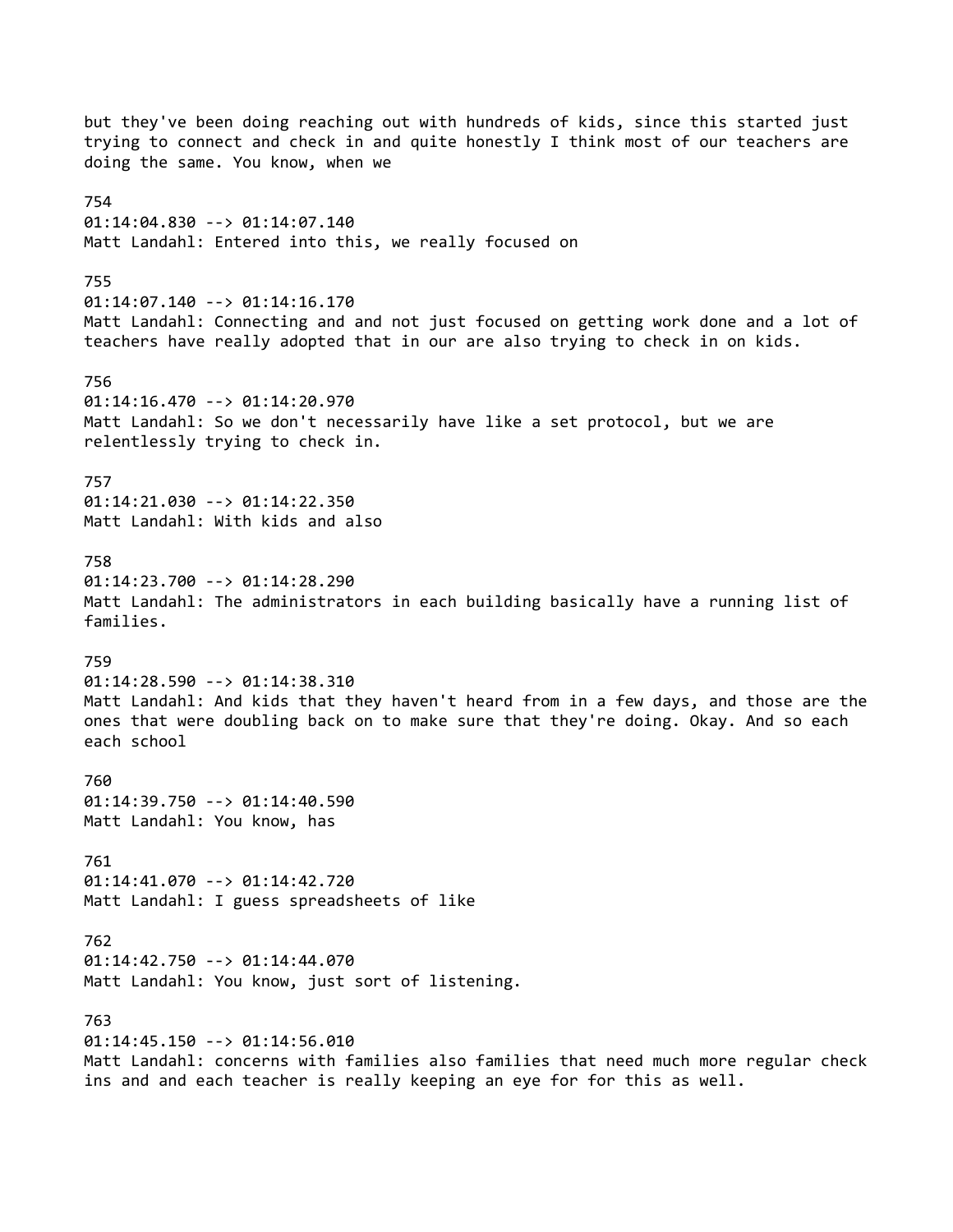but they've been doing reaching out with hundreds of kids, since this started just trying to connect and check in and quite honestly I think most of our teachers are doing the same. You know, when we 754 01:14:04.830 --> 01:14:07.140 Matt Landahl: Entered into this, we really focused on 755 01:14:07.140 --> 01:14:16.170 Matt Landahl: Connecting and and not just focused on getting work done and a lot of teachers have really adopted that in our are also trying to check in on kids. 756 01:14:16.470 --> 01:14:20.970 Matt Landahl: So we don't necessarily have like a set protocol, but we are relentlessly trying to check in. 757 01:14:21.030 --> 01:14:22.350 Matt Landahl: With kids and also 758 01:14:23.700 --> 01:14:28.290 Matt Landahl: The administrators in each building basically have a running list of families. 759 01:14:28.590 --> 01:14:38.310 Matt Landahl: And kids that they haven't heard from in a few days, and those are the ones that were doubling back on to make sure that they're doing. Okay. And so each each school 760 01:14:39.750 --> 01:14:40.590 Matt Landahl: You know, has 761 01:14:41.070 --> 01:14:42.720 Matt Landahl: I guess spreadsheets of like 762 01:14:42.750 --> 01:14:44.070 Matt Landahl: You know, just sort of listening. 763 01:14:45.150 --> 01:14:56.010 Matt Landahl: concerns with families also families that need much more regular check ins and and each teacher is really keeping an eye for for this as well.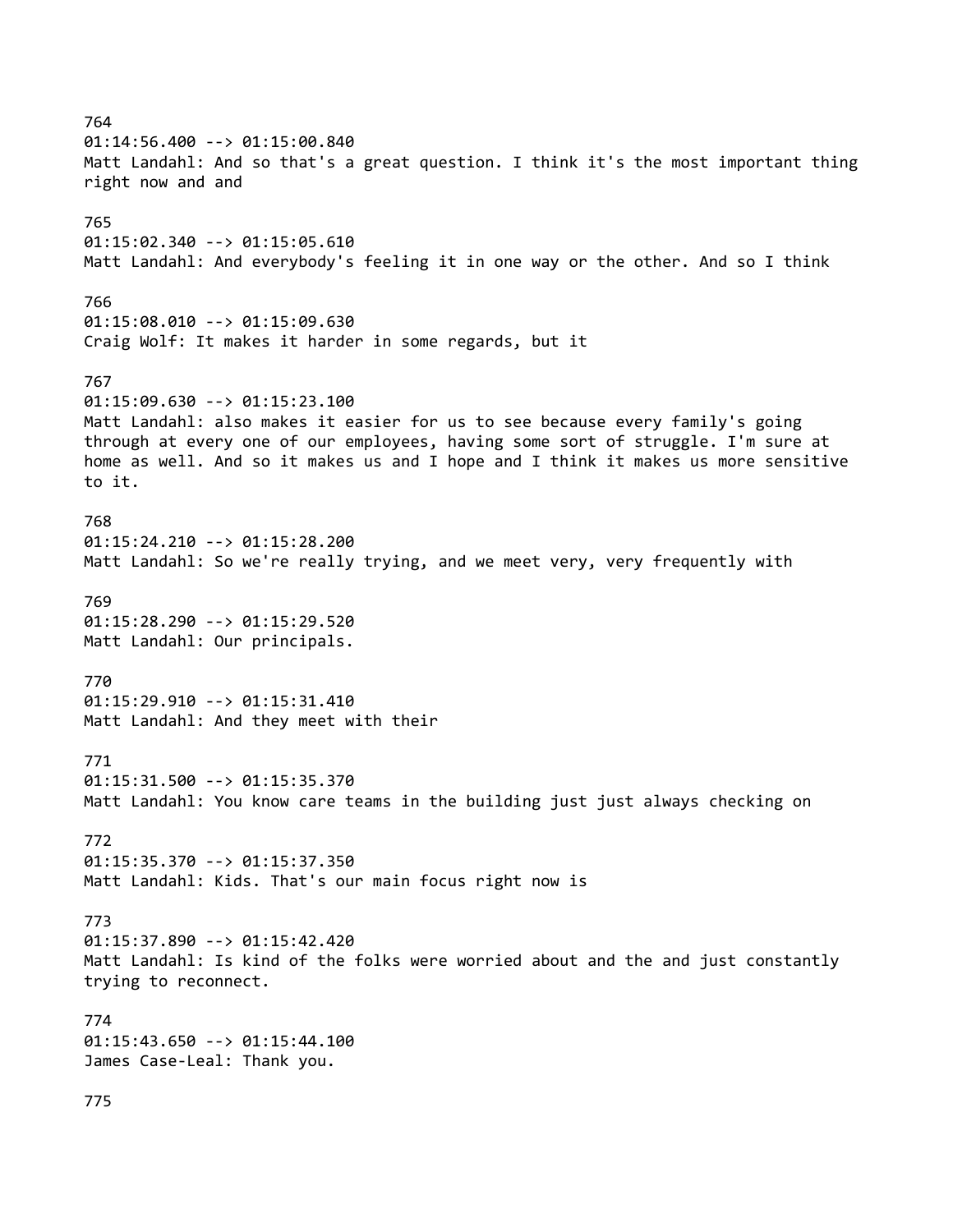764 01:14:56.400 --> 01:15:00.840 Matt Landahl: And so that's a great question. I think it's the most important thing right now and and 765 01:15:02.340 --> 01:15:05.610 Matt Landahl: And everybody's feeling it in one way or the other. And so I think 766 01:15:08.010 --> 01:15:09.630 Craig Wolf: It makes it harder in some regards, but it 767 01:15:09.630 --> 01:15:23.100 Matt Landahl: also makes it easier for us to see because every family's going through at every one of our employees, having some sort of struggle. I'm sure at home as well. And so it makes us and I hope and I think it makes us more sensitive to it. 768 01:15:24.210 --> 01:15:28.200 Matt Landahl: So we're really trying, and we meet very, very frequently with 769 01:15:28.290 --> 01:15:29.520 Matt Landahl: Our principals. 770 01:15:29.910 --> 01:15:31.410 Matt Landahl: And they meet with their 771 01:15:31.500 --> 01:15:35.370 Matt Landahl: You know care teams in the building just just always checking on 772 01:15:35.370 --> 01:15:37.350 Matt Landahl: Kids. That's our main focus right now is 773 01:15:37.890 --> 01:15:42.420 Matt Landahl: Is kind of the folks were worried about and the and just constantly trying to reconnect. 774 01:15:43.650 --> 01:15:44.100 James Case-Leal: Thank you. 775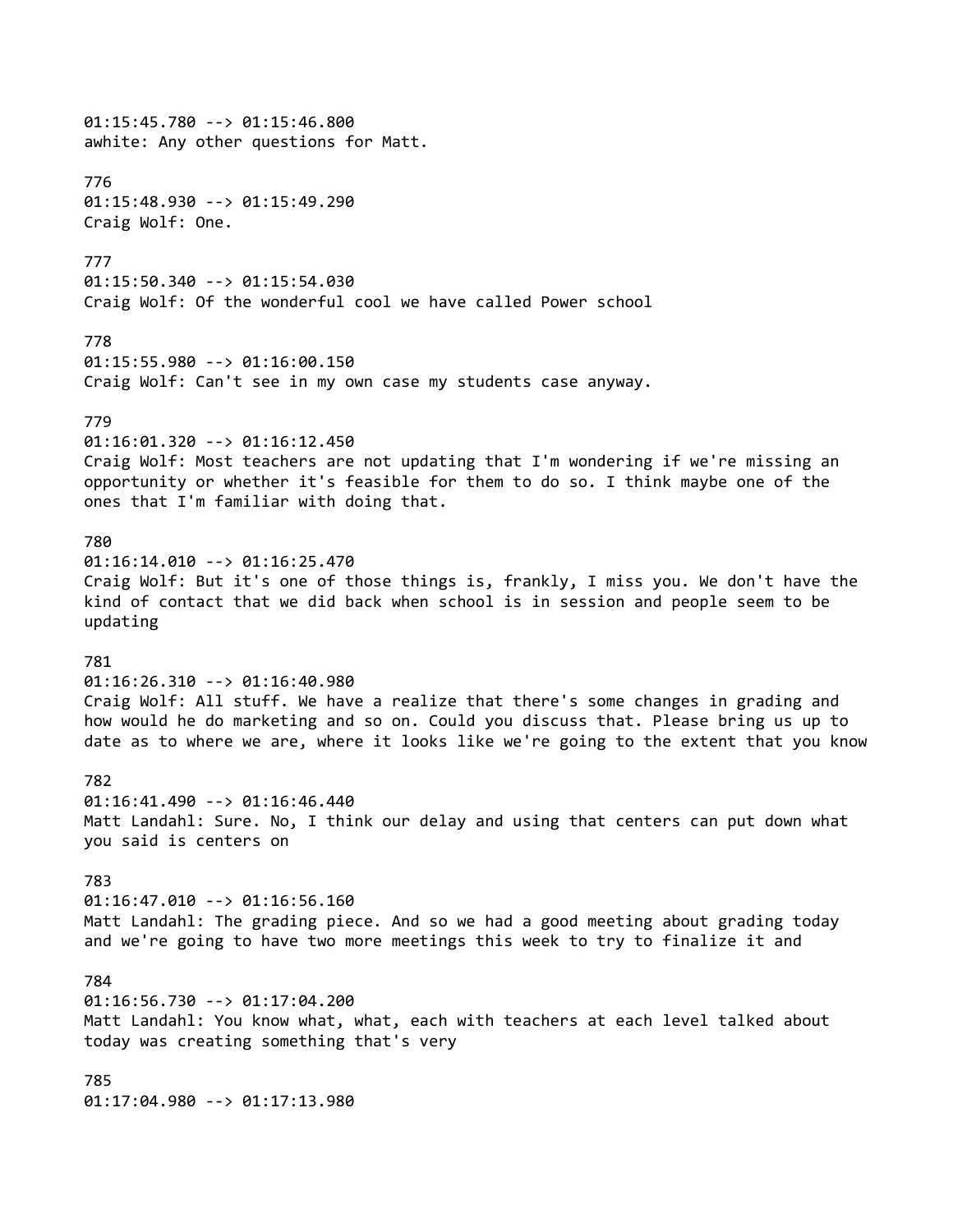01:15:45.780 --> 01:15:46.800 awhite: Any other questions for Matt. 776 01:15:48.930 --> 01:15:49.290 Craig Wolf: One. 777 01:15:50.340 --> 01:15:54.030 Craig Wolf: Of the wonderful cool we have called Power school 778 01:15:55.980 --> 01:16:00.150 Craig Wolf: Can't see in my own case my students case anyway. 779 01:16:01.320 --> 01:16:12.450 Craig Wolf: Most teachers are not updating that I'm wondering if we're missing an opportunity or whether it's feasible for them to do so. I think maybe one of the ones that I'm familiar with doing that. 780 01:16:14.010 --> 01:16:25.470 Craig Wolf: But it's one of those things is, frankly, I miss you. We don't have the kind of contact that we did back when school is in session and people seem to be updating 781 01:16:26.310 --> 01:16:40.980 Craig Wolf: All stuff. We have a realize that there's some changes in grading and how would he do marketing and so on. Could you discuss that. Please bring us up to date as to where we are, where it looks like we're going to the extent that you know 782 01:16:41.490 --> 01:16:46.440 Matt Landahl: Sure. No, I think our delay and using that centers can put down what you said is centers on 783 01:16:47.010 --> 01:16:56.160 Matt Landahl: The grading piece. And so we had a good meeting about grading today and we're going to have two more meetings this week to try to finalize it and 784 01:16:56.730 --> 01:17:04.200 Matt Landahl: You know what, what, each with teachers at each level talked about today was creating something that's very 785 01:17:04.980 --> 01:17:13.980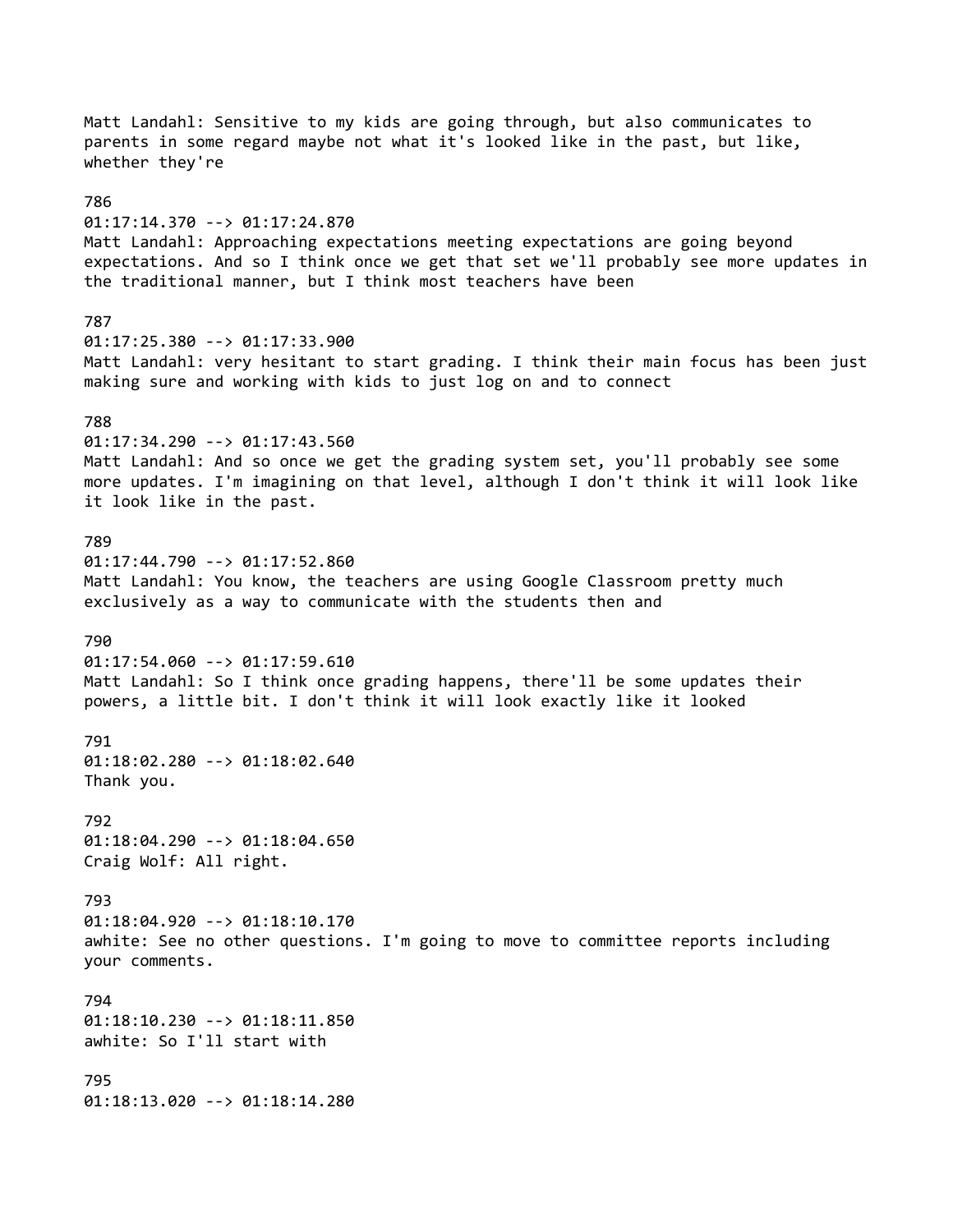Matt Landahl: Sensitive to my kids are going through, but also communicates to parents in some regard maybe not what it's looked like in the past, but like, whether they're 786 01:17:14.370 --> 01:17:24.870 Matt Landahl: Approaching expectations meeting expectations are going beyond expectations. And so I think once we get that set we'll probably see more updates in the traditional manner, but I think most teachers have been 787 01:17:25.380 --> 01:17:33.900 Matt Landahl: very hesitant to start grading. I think their main focus has been just making sure and working with kids to just log on and to connect 788 01:17:34.290 --> 01:17:43.560 Matt Landahl: And so once we get the grading system set, you'll probably see some more updates. I'm imagining on that level, although I don't think it will look like it look like in the past. 789 01:17:44.790 --> 01:17:52.860 Matt Landahl: You know, the teachers are using Google Classroom pretty much exclusively as a way to communicate with the students then and 790 01:17:54.060 --> 01:17:59.610 Matt Landahl: So I think once grading happens, there'll be some updates their powers, a little bit. I don't think it will look exactly like it looked 791 01:18:02.280 --> 01:18:02.640 Thank you. 792 01:18:04.290 --> 01:18:04.650 Craig Wolf: All right. 793 01:18:04.920 --> 01:18:10.170 awhite: See no other questions. I'm going to move to committee reports including your comments. 794 01:18:10.230 --> 01:18:11.850 awhite: So I'll start with 795 01:18:13.020 --> 01:18:14.280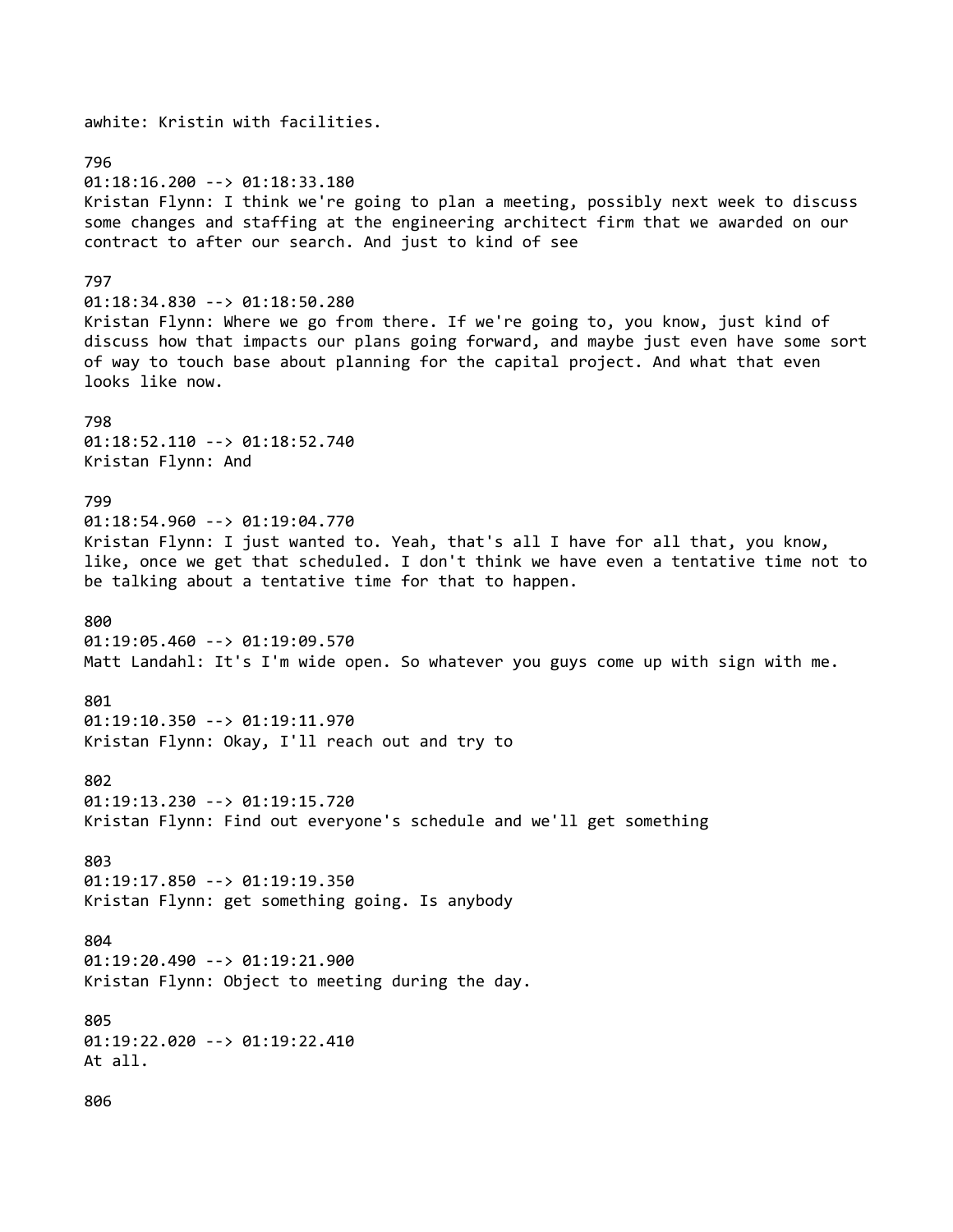796 01:18:16.200 --> 01:18:33.180 Kristan Flynn: I think we're going to plan a meeting, possibly next week to discuss some changes and staffing at the engineering architect firm that we awarded on our contract to after our search. And just to kind of see 797 01:18:34.830 --> 01:18:50.280 Kristan Flynn: Where we go from there. If we're going to, you know, just kind of discuss how that impacts our plans going forward, and maybe just even have some sort of way to touch base about planning for the capital project. And what that even looks like now. 798 01:18:52.110 --> 01:18:52.740 Kristan Flynn: And 799 01:18:54.960 --> 01:19:04.770 Kristan Flynn: I just wanted to. Yeah, that's all I have for all that, you know, like, once we get that scheduled. I don't think we have even a tentative time not to be talking about a tentative time for that to happen. 800 01:19:05.460 --> 01:19:09.570 Matt Landahl: It's I'm wide open. So whatever you guys come up with sign with me. 801 01:19:10.350 --> 01:19:11.970 Kristan Flynn: Okay, I'll reach out and try to 802 01:19:13.230 --> 01:19:15.720 Kristan Flynn: Find out everyone's schedule and we'll get something 803 01:19:17.850 --> 01:19:19.350 Kristan Flynn: get something going. Is anybody 804 01:19:20.490 --> 01:19:21.900 Kristan Flynn: Object to meeting during the day. 805 01:19:22.020 --> 01:19:22.410 At all. 806

awhite: Kristin with facilities.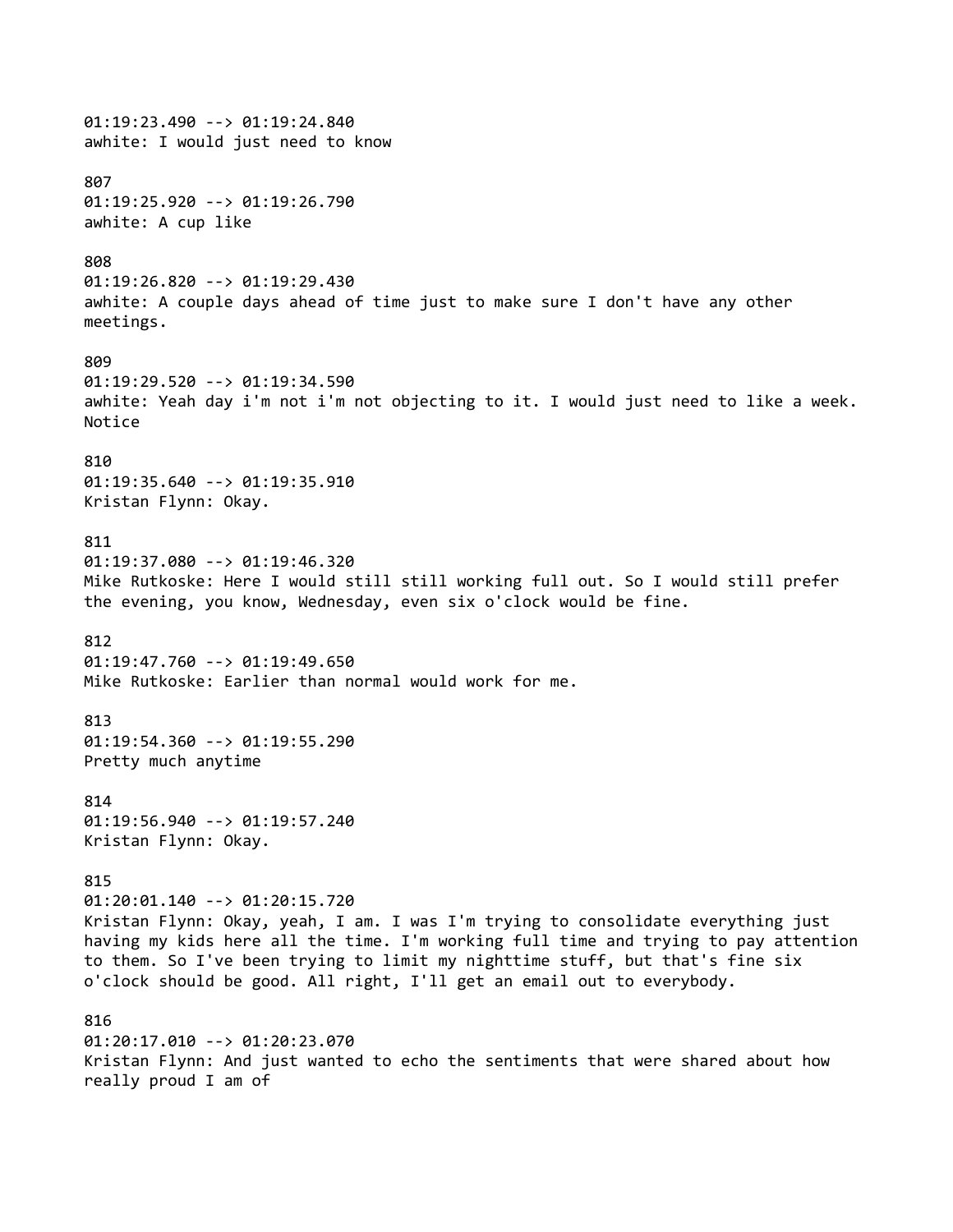01:19:23.490 --> 01:19:24.840 awhite: I would just need to know 807 01:19:25.920 --> 01:19:26.790 awhite: A cup like 808 01:19:26.820 --> 01:19:29.430 awhite: A couple days ahead of time just to make sure I don't have any other meetings. 809 01:19:29.520 --> 01:19:34.590 awhite: Yeah day i'm not i'm not objecting to it. I would just need to like a week. Notice 810 01:19:35.640 --> 01:19:35.910 Kristan Flynn: Okay. 811 01:19:37.080 --> 01:19:46.320 Mike Rutkoske: Here I would still still working full out. So I would still prefer the evening, you know, Wednesday, even six o'clock would be fine. 812 01:19:47.760 --> 01:19:49.650 Mike Rutkoske: Earlier than normal would work for me. 813 01:19:54.360 --> 01:19:55.290 Pretty much anytime 814 01:19:56.940 --> 01:19:57.240 Kristan Flynn: Okay. 815 01:20:01.140 --> 01:20:15.720 Kristan Flynn: Okay, yeah, I am. I was I'm trying to consolidate everything just having my kids here all the time. I'm working full time and trying to pay attention to them. So I've been trying to limit my nighttime stuff, but that's fine six o'clock should be good. All right, I'll get an email out to everybody. 816 01:20:17.010 --> 01:20:23.070 Kristan Flynn: And just wanted to echo the sentiments that were shared about how really proud I am of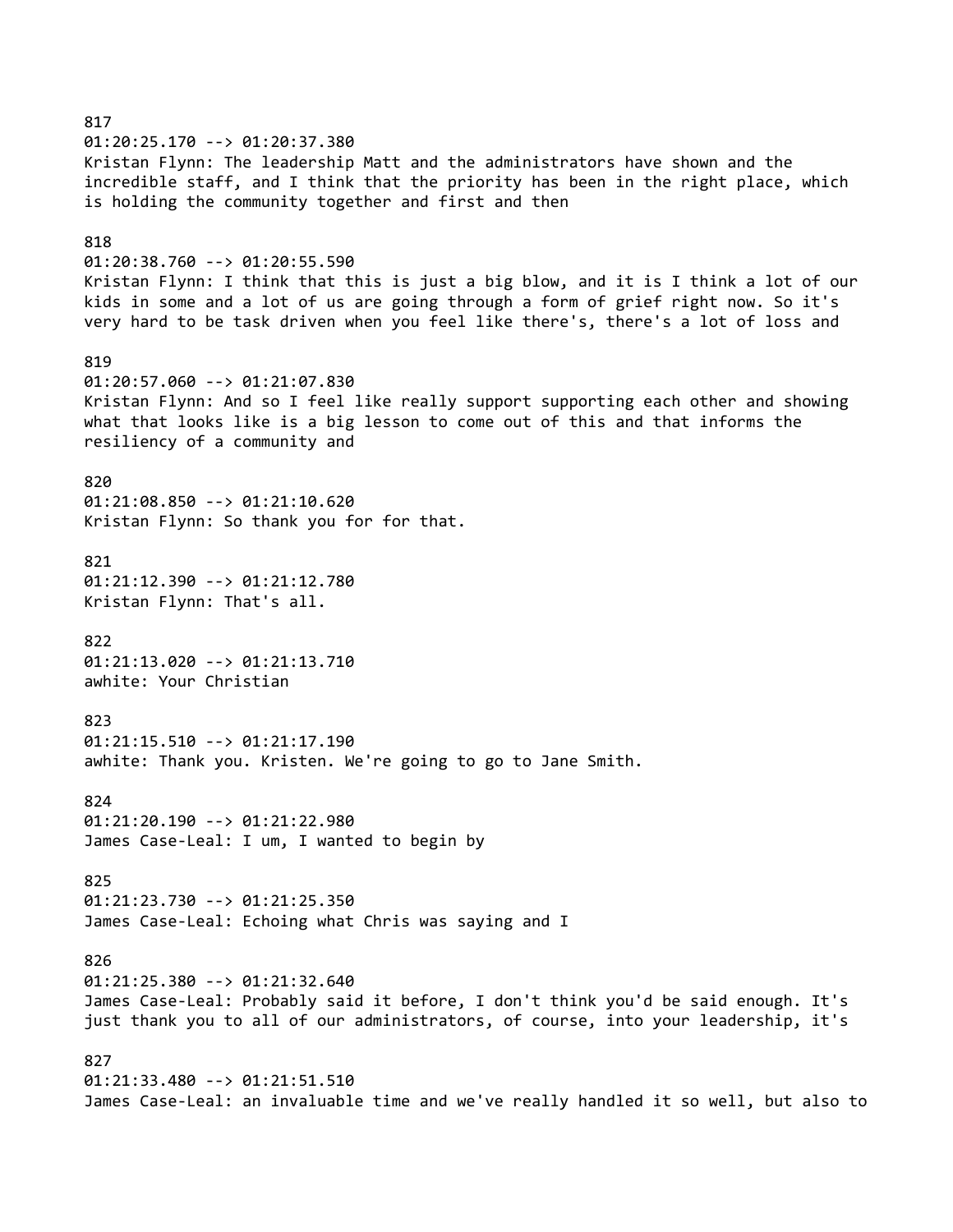817 01:20:25.170 --> 01:20:37.380 Kristan Flynn: The leadership Matt and the administrators have shown and the incredible staff, and I think that the priority has been in the right place, which is holding the community together and first and then 818 01:20:38.760 --> 01:20:55.590 Kristan Flynn: I think that this is just a big blow, and it is I think a lot of our kids in some and a lot of us are going through a form of grief right now. So it's very hard to be task driven when you feel like there's, there's a lot of loss and 819 01:20:57.060 --> 01:21:07.830 Kristan Flynn: And so I feel like really support supporting each other and showing what that looks like is a big lesson to come out of this and that informs the resiliency of a community and 820 01:21:08.850 --> 01:21:10.620 Kristan Flynn: So thank you for for that. 821 01:21:12.390 --> 01:21:12.780 Kristan Flynn: That's all. 822 01:21:13.020 --> 01:21:13.710 awhite: Your Christian 823 01:21:15.510 --> 01:21:17.190 awhite: Thank you. Kristen. We're going to go to Jane Smith. 824 01:21:20.190 --> 01:21:22.980 James Case-Leal: I um, I wanted to begin by 825 01:21:23.730 --> 01:21:25.350 James Case-Leal: Echoing what Chris was saying and I 826 01:21:25.380 --> 01:21:32.640 James Case-Leal: Probably said it before, I don't think you'd be said enough. It's just thank you to all of our administrators, of course, into your leadership, it's 827 01:21:33.480 --> 01:21:51.510 James Case-Leal: an invaluable time and we've really handled it so well, but also to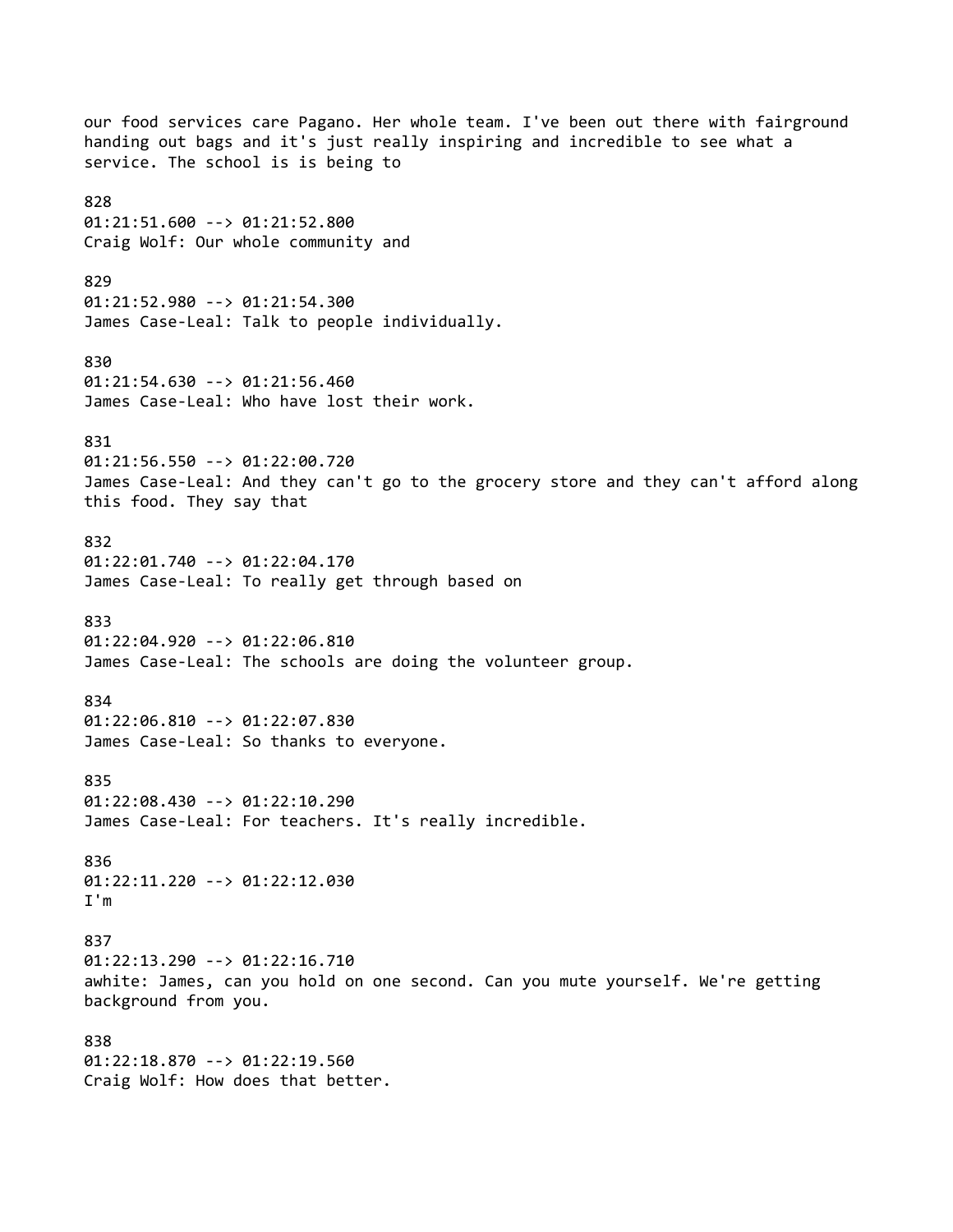our food services care Pagano. Her whole team. I've been out there with fairground handing out bags and it's just really inspiring and incredible to see what a service. The school is is being to 828 01:21:51.600 --> 01:21:52.800 Craig Wolf: Our whole community and 829 01:21:52.980 --> 01:21:54.300 James Case-Leal: Talk to people individually. 830 01:21:54.630 --> 01:21:56.460 James Case-Leal: Who have lost their work. 831 01:21:56.550 --> 01:22:00.720 James Case-Leal: And they can't go to the grocery store and they can't afford along this food. They say that 832 01:22:01.740 --> 01:22:04.170 James Case-Leal: To really get through based on 833 01:22:04.920 --> 01:22:06.810 James Case-Leal: The schools are doing the volunteer group. 834 01:22:06.810 --> 01:22:07.830 James Case-Leal: So thanks to everyone. 835 01:22:08.430 --> 01:22:10.290 James Case-Leal: For teachers. It's really incredible. 836 01:22:11.220 --> 01:22:12.030 I'm 837 01:22:13.290 --> 01:22:16.710 awhite: James, can you hold on one second. Can you mute yourself. We're getting background from you. 838 01:22:18.870 --> 01:22:19.560 Craig Wolf: How does that better.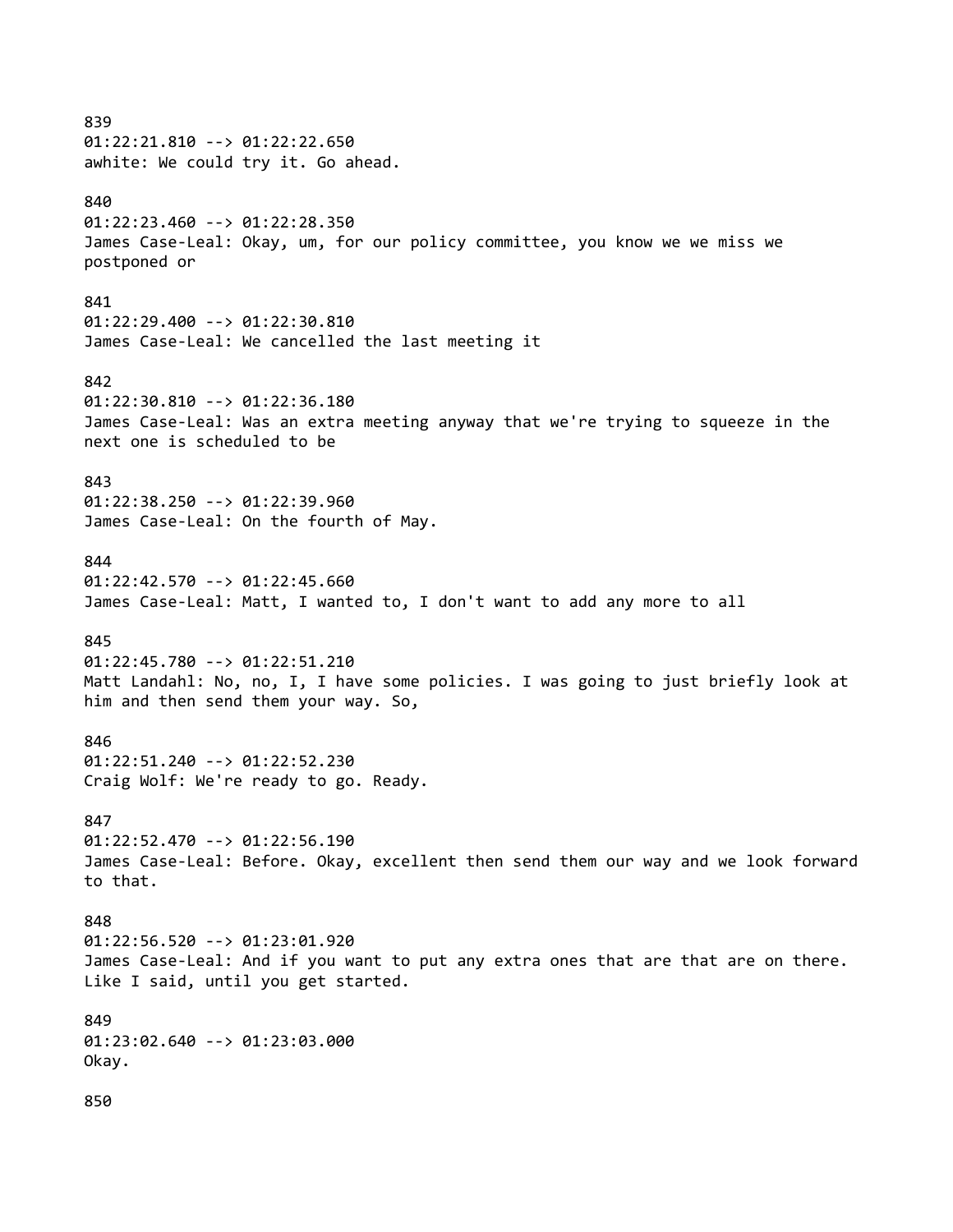839 01:22:21.810 --> 01:22:22.650 awhite: We could try it. Go ahead. 840 01:22:23.460 --> 01:22:28.350 James Case-Leal: Okay, um, for our policy committee, you know we we miss we postponed or 841 01:22:29.400 --> 01:22:30.810 James Case-Leal: We cancelled the last meeting it 842 01:22:30.810 --> 01:22:36.180 James Case-Leal: Was an extra meeting anyway that we're trying to squeeze in the next one is scheduled to be 843 01:22:38.250 --> 01:22:39.960 James Case-Leal: On the fourth of May. 844 01:22:42.570 --> 01:22:45.660 James Case-Leal: Matt, I wanted to, I don't want to add any more to all 845 01:22:45.780 --> 01:22:51.210 Matt Landahl: No, no, I, I have some policies. I was going to just briefly look at him and then send them your way. So, 846 01:22:51.240 --> 01:22:52.230 Craig Wolf: We're ready to go. Ready. 847 01:22:52.470 --> 01:22:56.190 James Case-Leal: Before. Okay, excellent then send them our way and we look forward to that. 848 01:22:56.520 --> 01:23:01.920 James Case-Leal: And if you want to put any extra ones that are that are on there. Like I said, until you get started. 849 01:23:02.640 --> 01:23:03.000 Okay. 850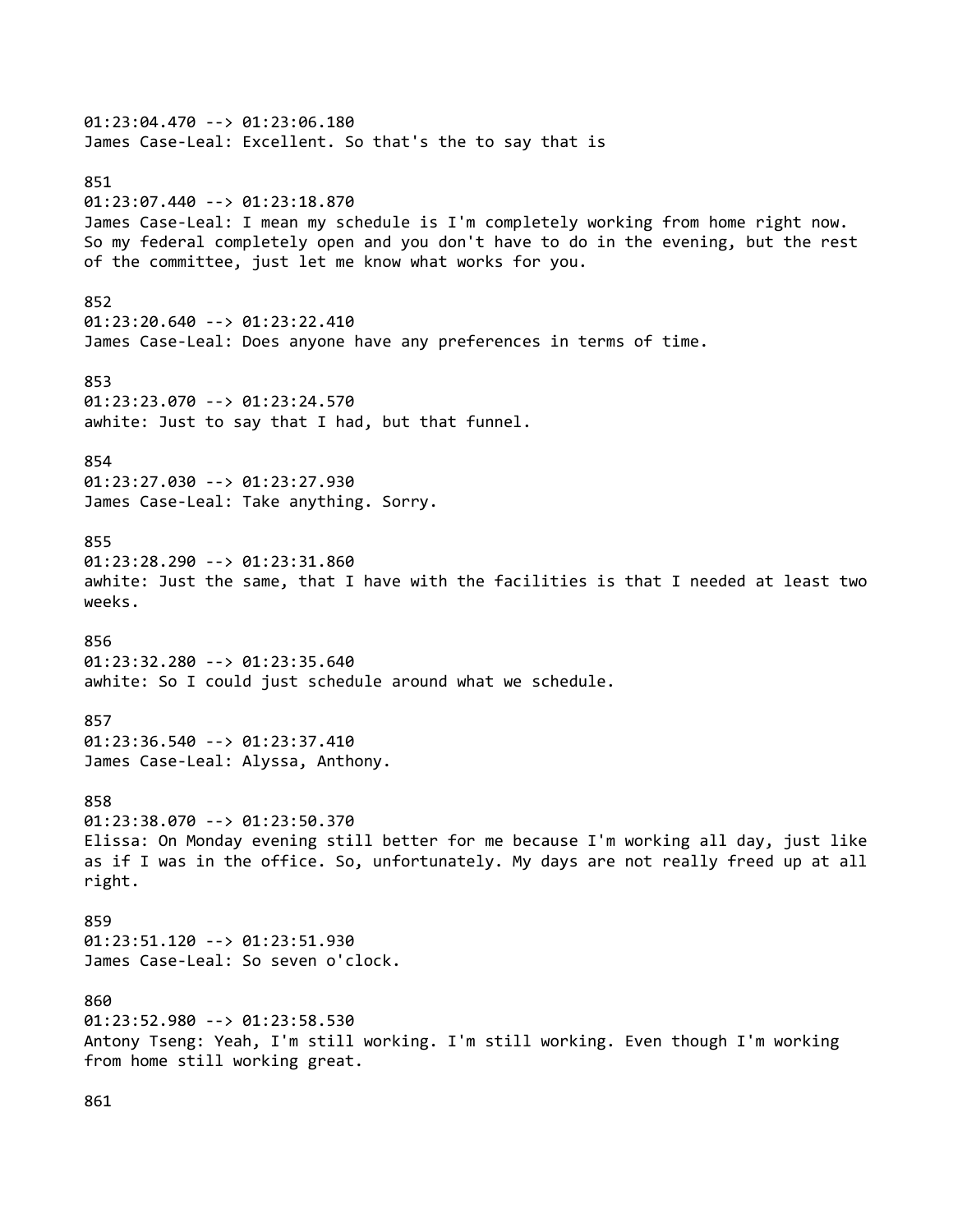01:23:04.470 --> 01:23:06.180 James Case-Leal: Excellent. So that's the to say that is 851 01:23:07.440 --> 01:23:18.870 James Case-Leal: I mean my schedule is I'm completely working from home right now. So my federal completely open and you don't have to do in the evening, but the rest of the committee, just let me know what works for you. 852 01:23:20.640 --> 01:23:22.410 James Case-Leal: Does anyone have any preferences in terms of time. 853 01:23:23.070 --> 01:23:24.570 awhite: Just to say that I had, but that funnel. 854 01:23:27.030 --> 01:23:27.930 James Case-Leal: Take anything. Sorry. 855 01:23:28.290 --> 01:23:31.860 awhite: Just the same, that I have with the facilities is that I needed at least two weeks. 856 01:23:32.280 --> 01:23:35.640 awhite: So I could just schedule around what we schedule. 857 01:23:36.540 --> 01:23:37.410 James Case-Leal: Alyssa, Anthony. 858 01:23:38.070 --> 01:23:50.370 Elissa: On Monday evening still better for me because I'm working all day, just like as if I was in the office. So, unfortunately. My days are not really freed up at all right. 859 01:23:51.120 --> 01:23:51.930 James Case-Leal: So seven o'clock. 860 01:23:52.980 --> 01:23:58.530 Antony Tseng: Yeah, I'm still working. I'm still working. Even though I'm working from home still working great.

861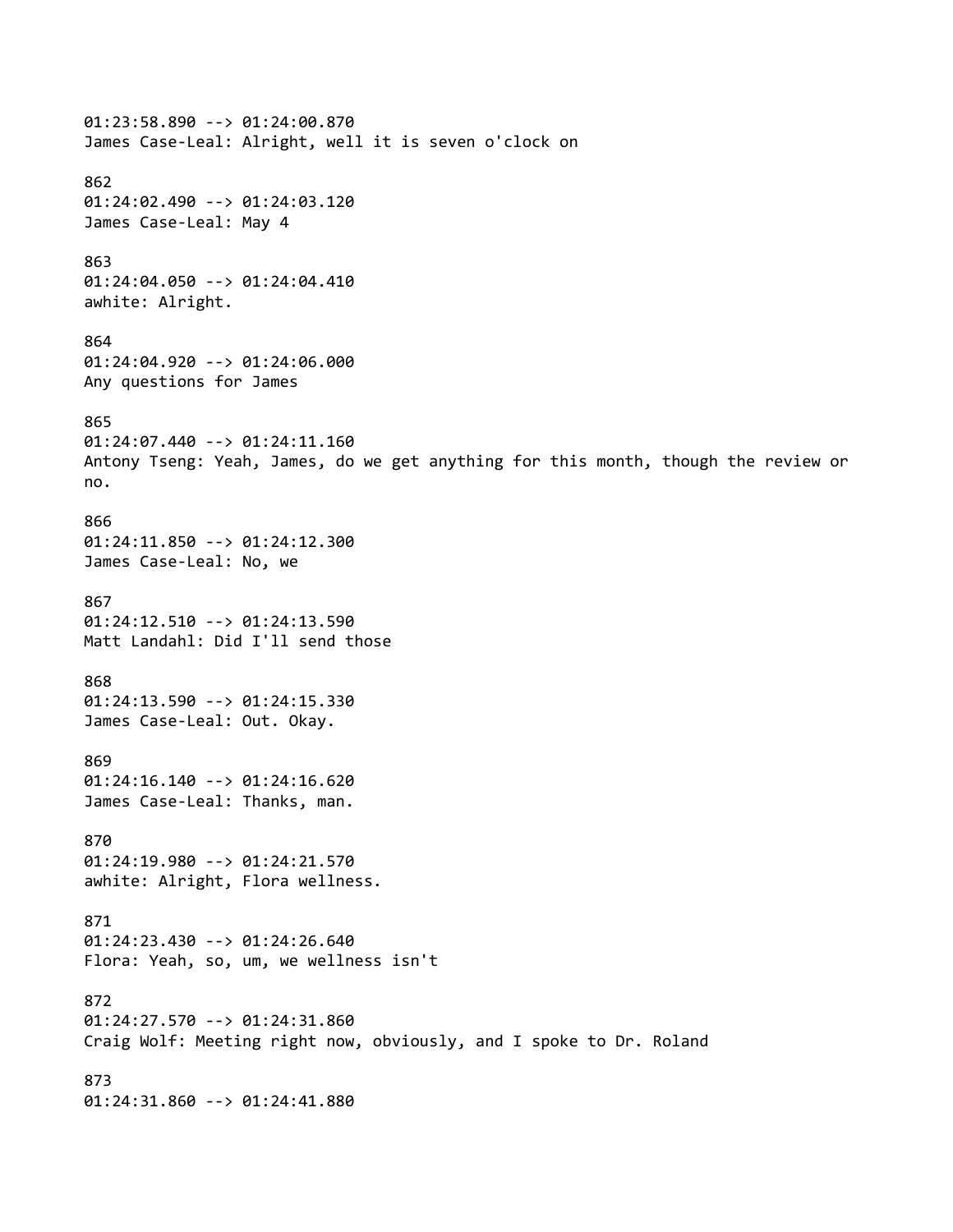01:23:58.890 --> 01:24:00.870 James Case-Leal: Alright, well it is seven o'clock on 862 01:24:02.490 --> 01:24:03.120 James Case-Leal: May 4 863 01:24:04.050 --> 01:24:04.410 awhite: Alright. 864 01:24:04.920 --> 01:24:06.000 Any questions for James 865 01:24:07.440 --> 01:24:11.160 Antony Tseng: Yeah, James, do we get anything for this month, though the review or no. 866 01:24:11.850 --> 01:24:12.300 James Case-Leal: No, we 867 01:24:12.510 --> 01:24:13.590 Matt Landahl: Did I'll send those 868 01:24:13.590 --> 01:24:15.330 James Case-Leal: Out. Okay. 869 01:24:16.140 --> 01:24:16.620 James Case-Leal: Thanks, man. 870 01:24:19.980 --> 01:24:21.570 awhite: Alright, Flora wellness. 871 01:24:23.430 --> 01:24:26.640 Flora: Yeah, so, um, we wellness isn't 872 01:24:27.570 --> 01:24:31.860 Craig Wolf: Meeting right now, obviously, and I spoke to Dr. Roland 873 01:24:31.860 --> 01:24:41.880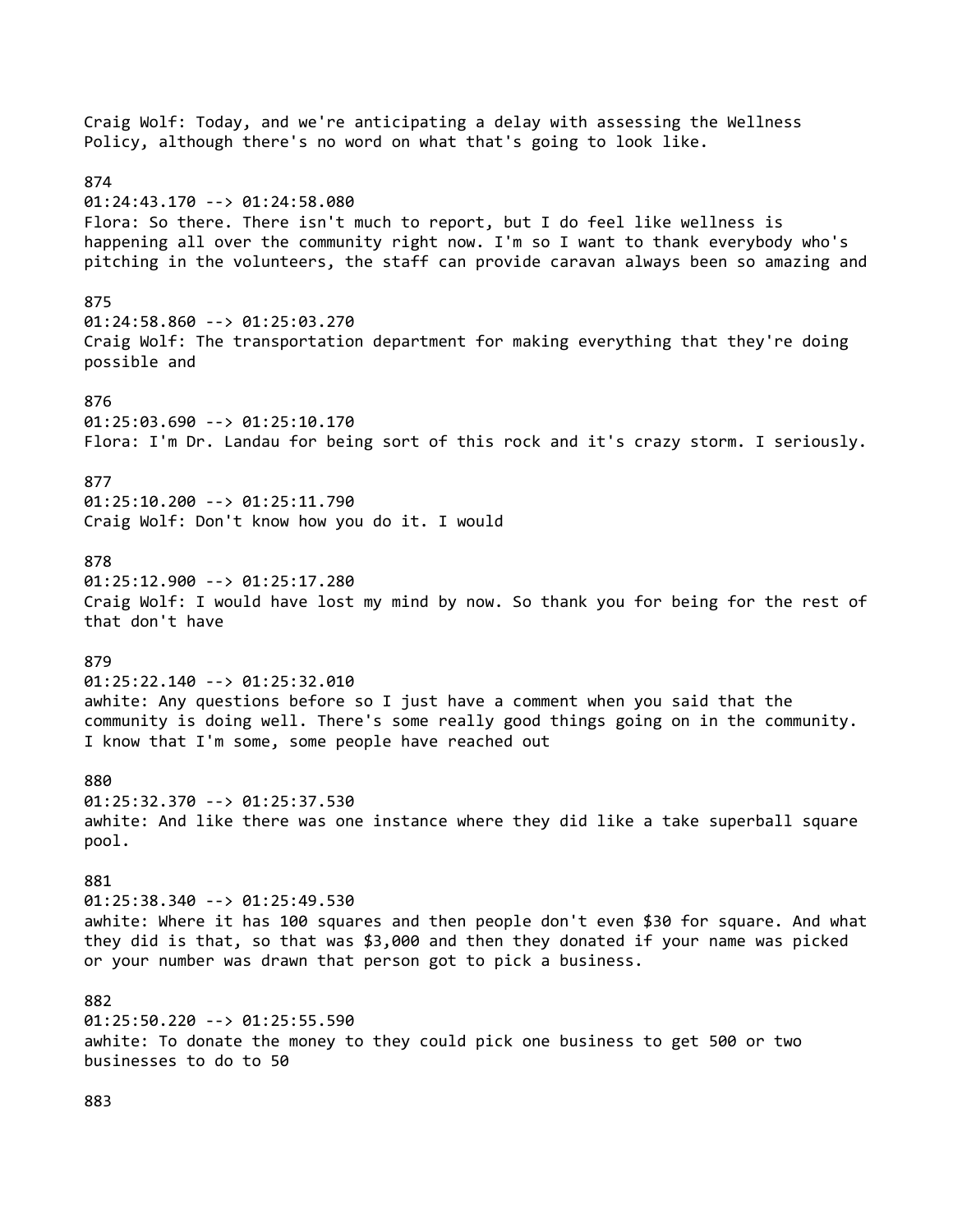Craig Wolf: Today, and we're anticipating a delay with assessing the Wellness Policy, although there's no word on what that's going to look like. 874 01:24:43.170 --> 01:24:58.080 Flora: So there. There isn't much to report, but I do feel like wellness is happening all over the community right now. I'm so I want to thank everybody who's pitching in the volunteers, the staff can provide caravan always been so amazing and 875 01:24:58.860 --> 01:25:03.270 Craig Wolf: The transportation department for making everything that they're doing possible and 876 01:25:03.690 --> 01:25:10.170 Flora: I'm Dr. Landau for being sort of this rock and it's crazy storm. I seriously. 877 01:25:10.200 --> 01:25:11.790 Craig Wolf: Don't know how you do it. I would 878 01:25:12.900 --> 01:25:17.280 Craig Wolf: I would have lost my mind by now. So thank you for being for the rest of that don't have 879 01:25:22.140 --> 01:25:32.010 awhite: Any questions before so I just have a comment when you said that the community is doing well. There's some really good things going on in the community. I know that I'm some, some people have reached out 880 01:25:32.370 --> 01:25:37.530 awhite: And like there was one instance where they did like a take superball square pool. 881 01:25:38.340 --> 01:25:49.530 awhite: Where it has 100 squares and then people don't even \$30 for square. And what they did is that, so that was \$3,000 and then they donated if your name was picked or your number was drawn that person got to pick a business. 882 01:25:50.220 --> 01:25:55.590 awhite: To donate the money to they could pick one business to get 500 or two businesses to do to 50

883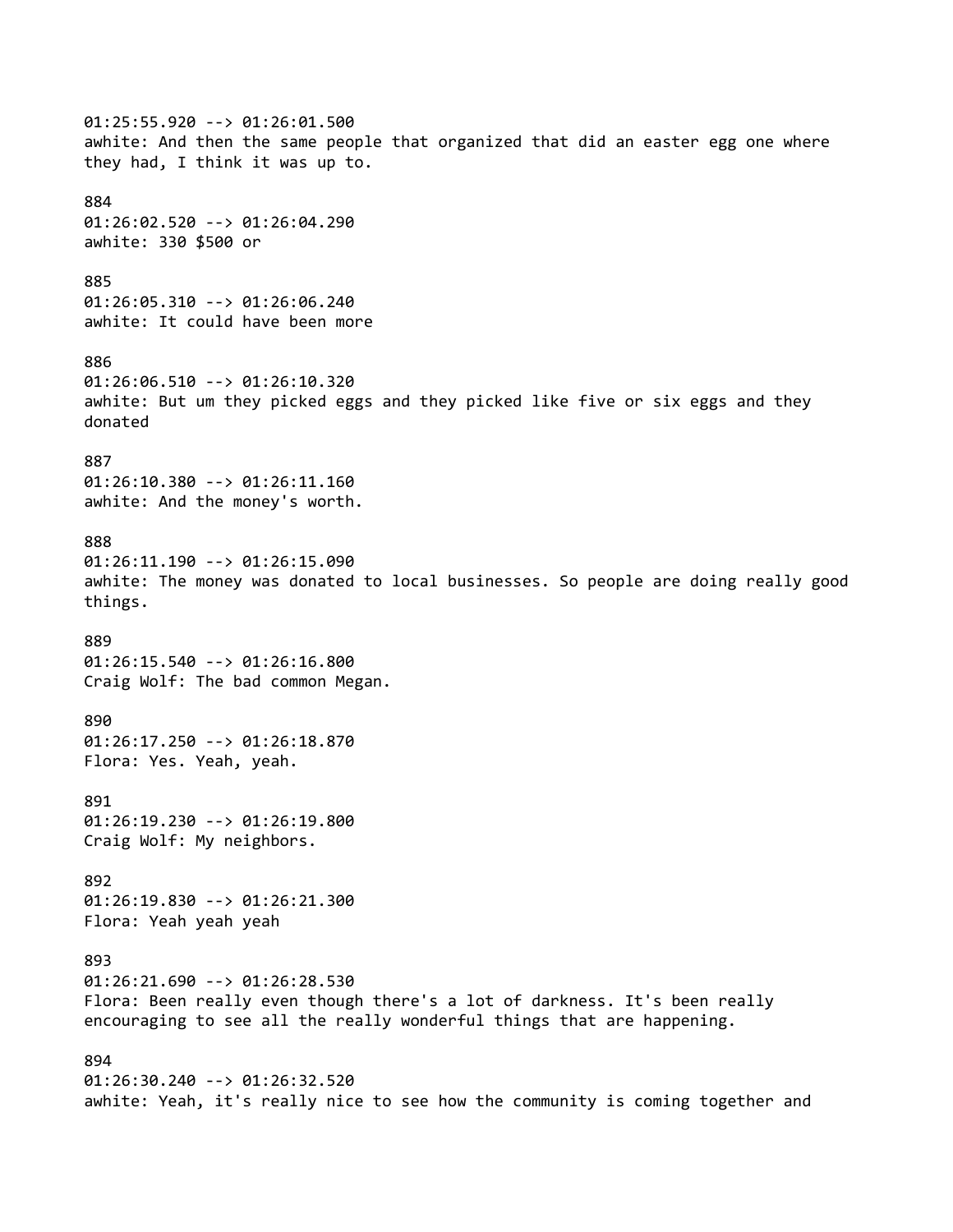01:25:55.920 --> 01:26:01.500 awhite: And then the same people that organized that did an easter egg one where they had, I think it was up to. 884 01:26:02.520 --> 01:26:04.290 awhite: 330 \$500 or 885 01:26:05.310 --> 01:26:06.240 awhite: It could have been more 886 01:26:06.510 --> 01:26:10.320 awhite: But um they picked eggs and they picked like five or six eggs and they donated 887 01:26:10.380 --> 01:26:11.160 awhite: And the money's worth. 888 01:26:11.190 --> 01:26:15.090 awhite: The money was donated to local businesses. So people are doing really good things. 889 01:26:15.540 --> 01:26:16.800 Craig Wolf: The bad common Megan. 890 01:26:17.250 --> 01:26:18.870 Flora: Yes. Yeah, yeah. 891 01:26:19.230 --> 01:26:19.800 Craig Wolf: My neighbors. 892 01:26:19.830 --> 01:26:21.300 Flora: Yeah yeah yeah 893 01:26:21.690 --> 01:26:28.530 Flora: Been really even though there's a lot of darkness. It's been really encouraging to see all the really wonderful things that are happening. 894 01:26:30.240 --> 01:26:32.520 awhite: Yeah, it's really nice to see how the community is coming together and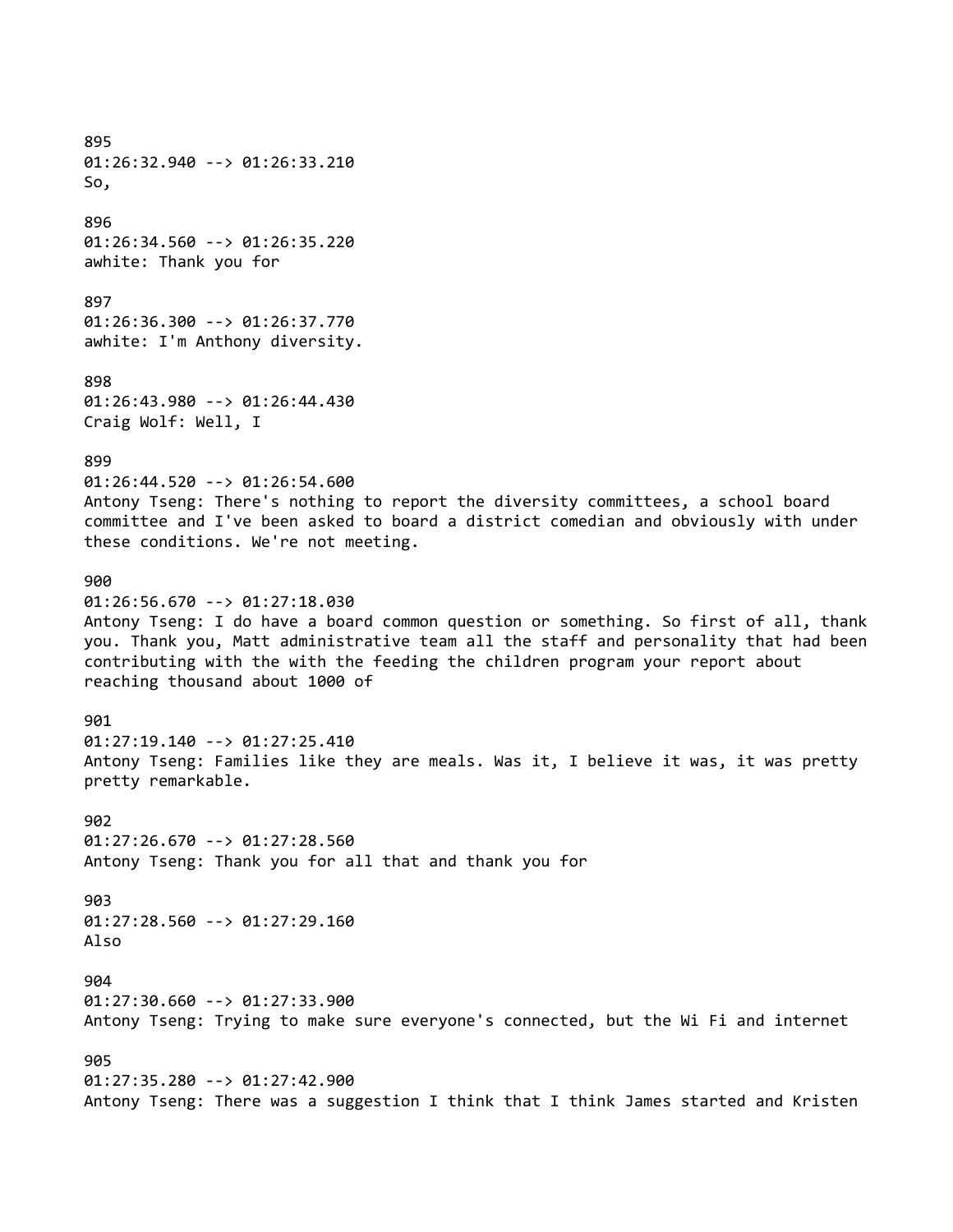895 01:26:32.940 --> 01:26:33.210 So, 896 01:26:34.560 --> 01:26:35.220 awhite: Thank you for 897 01:26:36.300 --> 01:26:37.770 awhite: I'm Anthony diversity. 898 01:26:43.980 --> 01:26:44.430 Craig Wolf: Well, I 899 01:26:44.520 --> 01:26:54.600 Antony Tseng: There's nothing to report the diversity committees, a school board committee and I've been asked to board a district comedian and obviously with under these conditions. We're not meeting. 900 01:26:56.670 --> 01:27:18.030 Antony Tseng: I do have a board common question or something. So first of all, thank you. Thank you, Matt administrative team all the staff and personality that had been contributing with the with the feeding the children program your report about reaching thousand about 1000 of 901 01:27:19.140 --> 01:27:25.410 Antony Tseng: Families like they are meals. Was it, I believe it was, it was pretty pretty remarkable. 902 01:27:26.670 --> 01:27:28.560 Antony Tseng: Thank you for all that and thank you for 903 01:27:28.560 --> 01:27:29.160 Also 904 01:27:30.660 --> 01:27:33.900 Antony Tseng: Trying to make sure everyone's connected, but the Wi Fi and internet 905 01:27:35.280 --> 01:27:42.900 Antony Tseng: There was a suggestion I think that I think James started and Kristen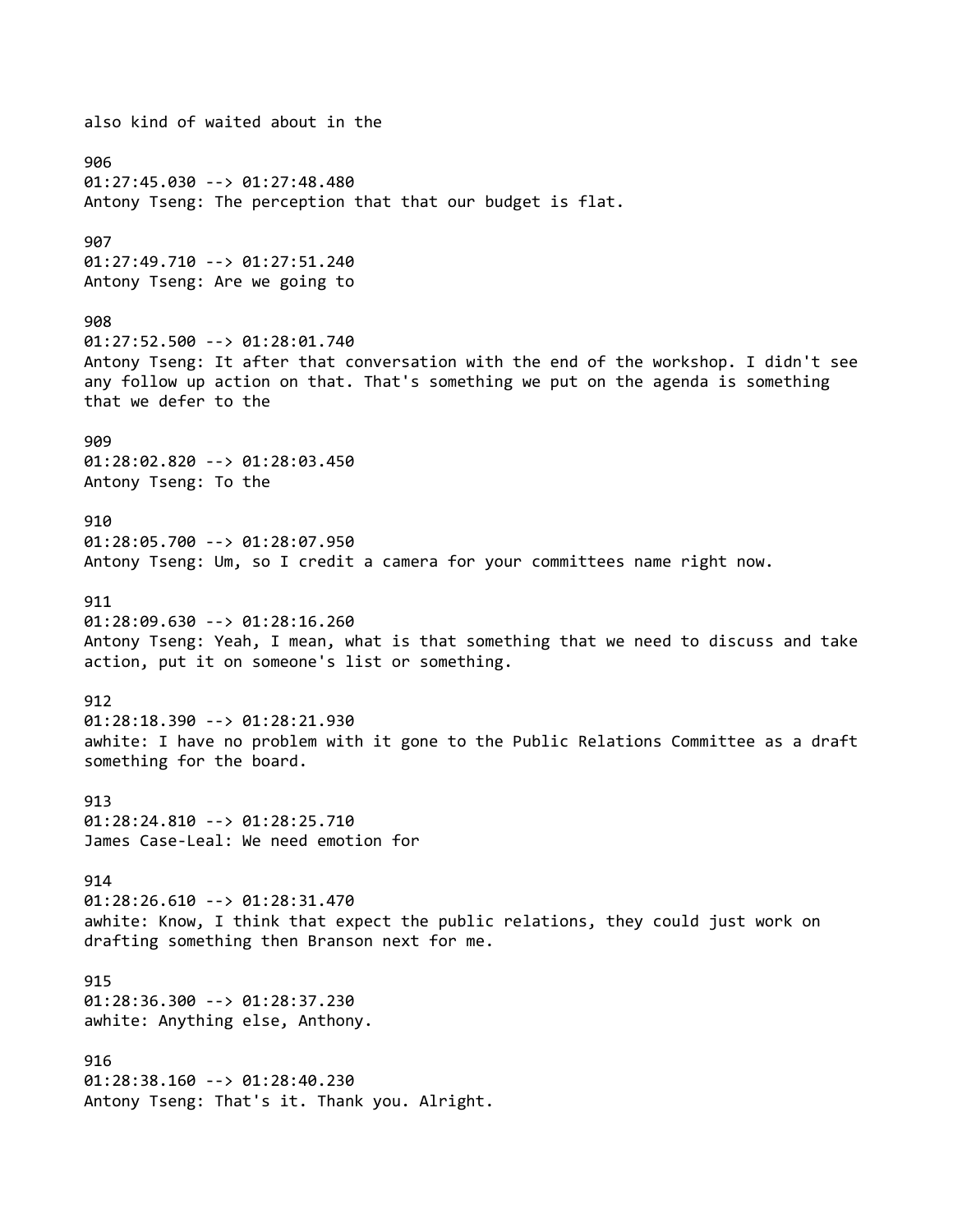also kind of waited about in the 906 01:27:45.030 --> 01:27:48.480 Antony Tseng: The perception that that our budget is flat. 907 01:27:49.710 --> 01:27:51.240 Antony Tseng: Are we going to 908 01:27:52.500 --> 01:28:01.740 Antony Tseng: It after that conversation with the end of the workshop. I didn't see any follow up action on that. That's something we put on the agenda is something that we defer to the 909 01:28:02.820 --> 01:28:03.450 Antony Tseng: To the 910 01:28:05.700 --> 01:28:07.950 Antony Tseng: Um, so I credit a camera for your committees name right now. 911 01:28:09.630 --> 01:28:16.260 Antony Tseng: Yeah, I mean, what is that something that we need to discuss and take action, put it on someone's list or something. 912 01:28:18.390 --> 01:28:21.930 awhite: I have no problem with it gone to the Public Relations Committee as a draft something for the board. 913 01:28:24.810 --> 01:28:25.710 James Case-Leal: We need emotion for 914 01:28:26.610 --> 01:28:31.470 awhite: Know, I think that expect the public relations, they could just work on drafting something then Branson next for me. 915 01:28:36.300 --> 01:28:37.230 awhite: Anything else, Anthony. 916 01:28:38.160 --> 01:28:40.230 Antony Tseng: That's it. Thank you. Alright.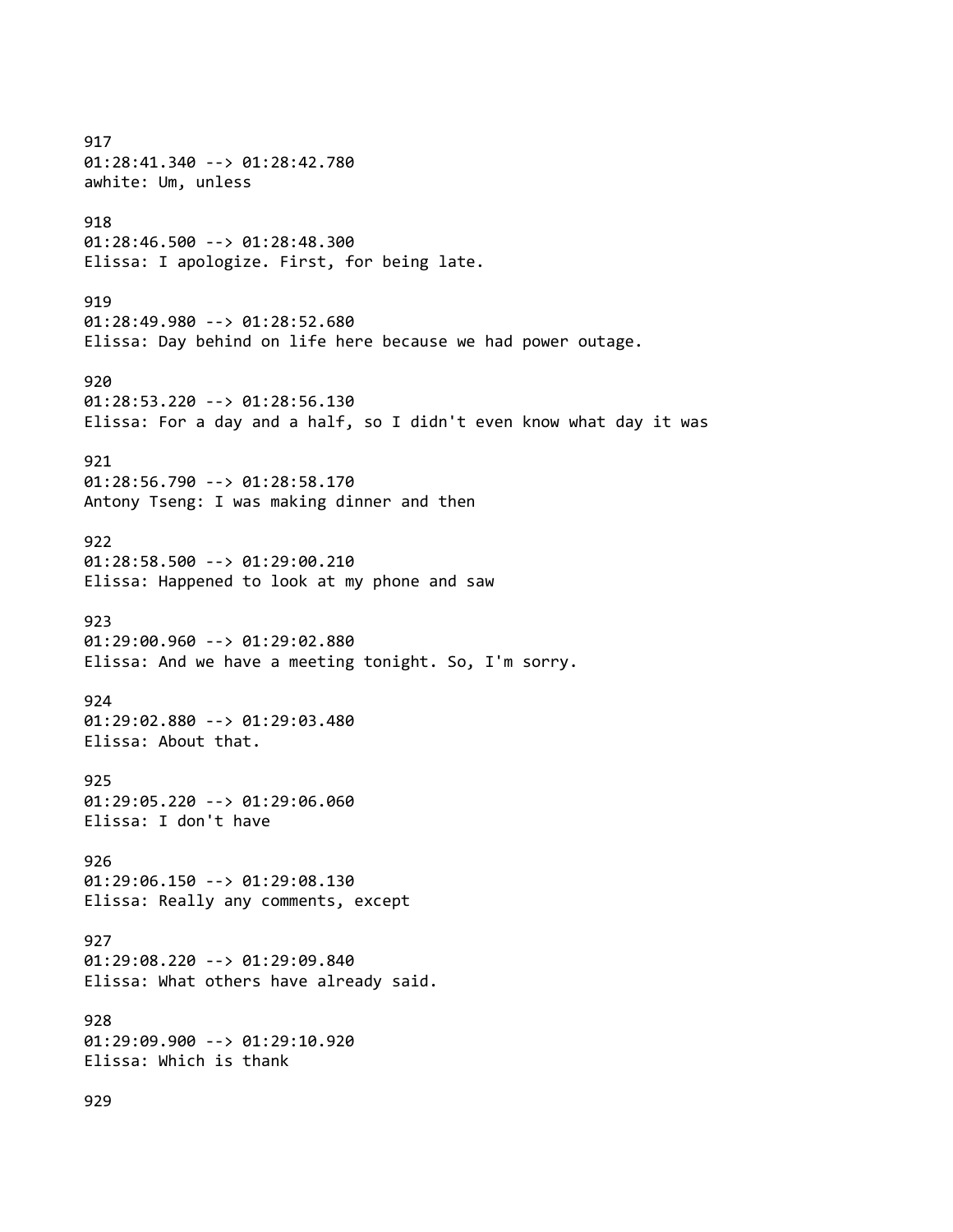917 01:28:41.340 --> 01:28:42.780 awhite: Um, unless 918 01:28:46.500 --> 01:28:48.300 Elissa: I apologize. First, for being late. 919 01:28:49.980 --> 01:28:52.680 Elissa: Day behind on life here because we had power outage. 920 01:28:53.220 --> 01:28:56.130 Elissa: For a day and a half, so I didn't even know what day it was 921 01:28:56.790 --> 01:28:58.170 Antony Tseng: I was making dinner and then 922 01:28:58.500 --> 01:29:00.210 Elissa: Happened to look at my phone and saw 923 01:29:00.960 --> 01:29:02.880 Elissa: And we have a meeting tonight. So, I'm sorry. 924 01:29:02.880 --> 01:29:03.480 Elissa: About that. 925 01:29:05.220 --> 01:29:06.060 Elissa: I don't have 926 01:29:06.150 --> 01:29:08.130 Elissa: Really any comments, except 927 01:29:08.220 --> 01:29:09.840 Elissa: What others have already said. 928 01:29:09.900 --> 01:29:10.920 Elissa: Which is thank 929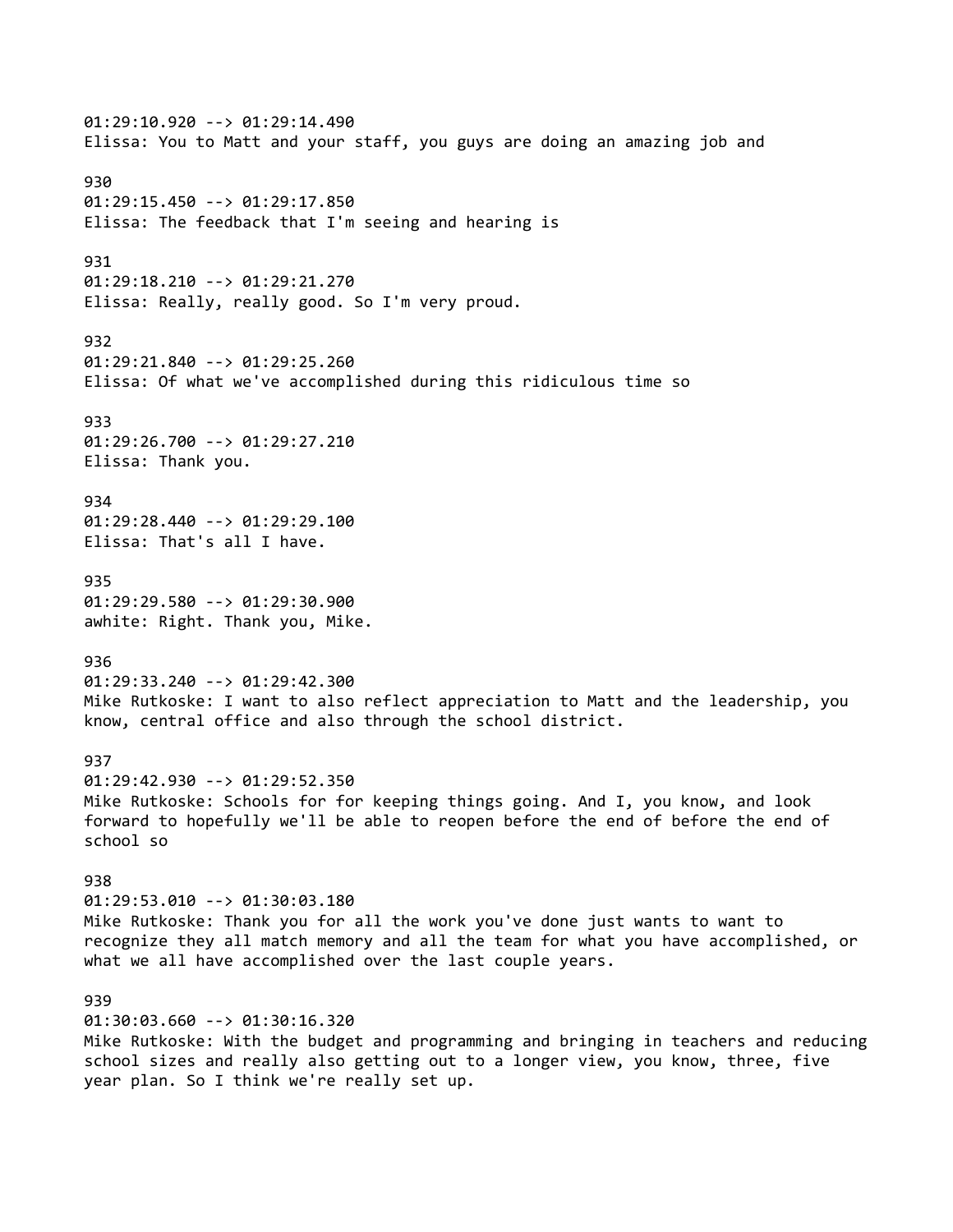01:29:10.920 --> 01:29:14.490 Elissa: You to Matt and your staff, you guys are doing an amazing job and 930 01:29:15.450 --> 01:29:17.850 Elissa: The feedback that I'm seeing and hearing is 931 01:29:18.210 --> 01:29:21.270 Elissa: Really, really good. So I'm very proud. 932 01:29:21.840 --> 01:29:25.260 Elissa: Of what we've accomplished during this ridiculous time so 933 01:29:26.700 --> 01:29:27.210 Elissa: Thank you. 934 01:29:28.440 --> 01:29:29.100 Elissa: That's all I have. 935 01:29:29.580 --> 01:29:30.900 awhite: Right. Thank you, Mike. 936 01:29:33.240 --> 01:29:42.300 Mike Rutkoske: I want to also reflect appreciation to Matt and the leadership, you know, central office and also through the school district. 937 01:29:42.930 --> 01:29:52.350 Mike Rutkoske: Schools for for keeping things going. And I, you know, and look forward to hopefully we'll be able to reopen before the end of before the end of school so 938 01:29:53.010 --> 01:30:03.180 Mike Rutkoske: Thank you for all the work you've done just wants to want to recognize they all match memory and all the team for what you have accomplished, or what we all have accomplished over the last couple years. 939 01:30:03.660 --> 01:30:16.320 Mike Rutkoske: With the budget and programming and bringing in teachers and reducing school sizes and really also getting out to a longer view, you know, three, five

year plan. So I think we're really set up.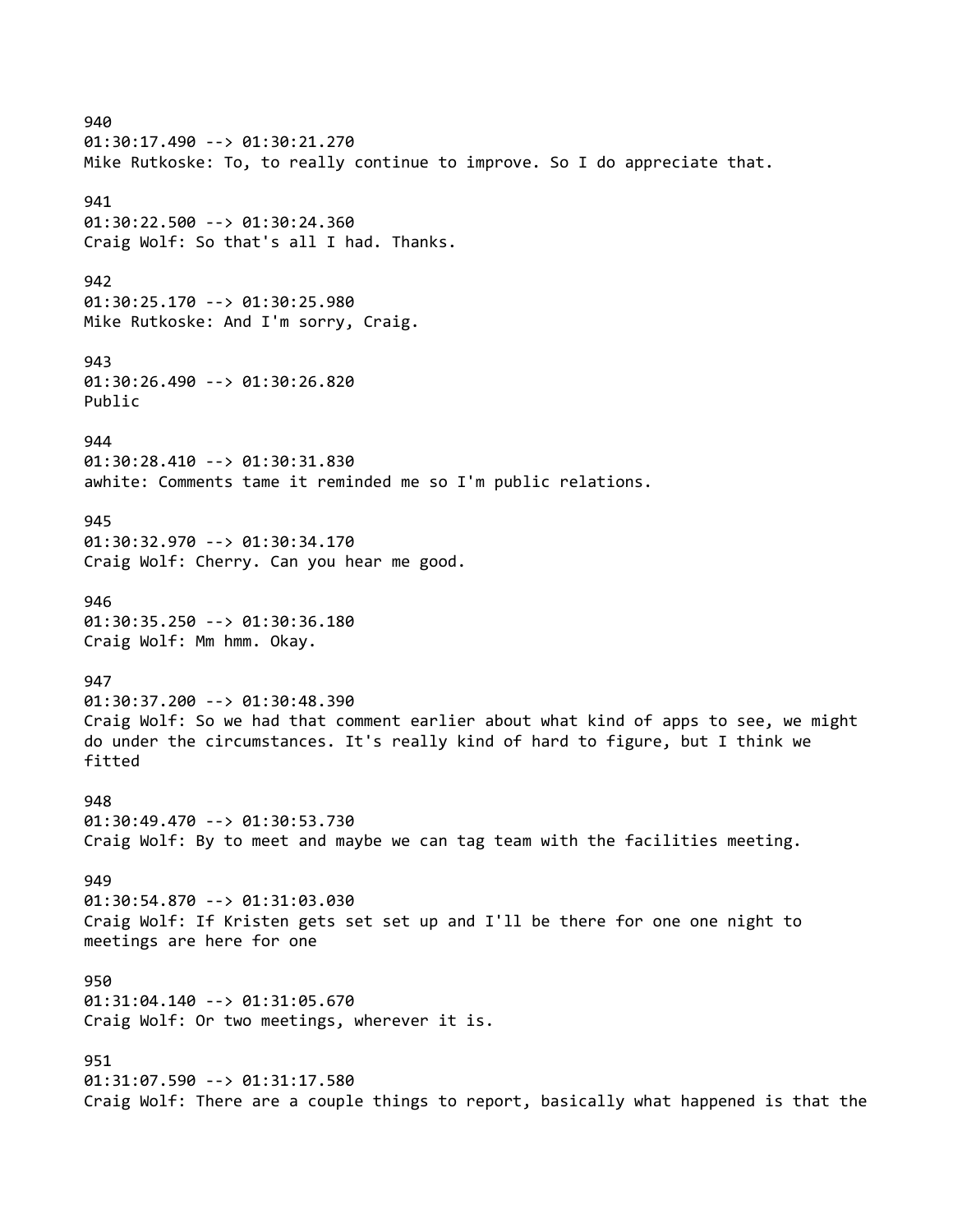940 01:30:17.490 --> 01:30:21.270 Mike Rutkoske: To, to really continue to improve. So I do appreciate that. 941 01:30:22.500 --> 01:30:24.360 Craig Wolf: So that's all I had. Thanks. 942 01:30:25.170 --> 01:30:25.980 Mike Rutkoske: And I'm sorry, Craig. 943 01:30:26.490 --> 01:30:26.820 Public 944 01:30:28.410 --> 01:30:31.830 awhite: Comments tame it reminded me so I'm public relations. 945 01:30:32.970 --> 01:30:34.170 Craig Wolf: Cherry. Can you hear me good. 946 01:30:35.250 --> 01:30:36.180 Craig Wolf: Mm hmm. Okay. 947 01:30:37.200 --> 01:30:48.390 Craig Wolf: So we had that comment earlier about what kind of apps to see, we might do under the circumstances. It's really kind of hard to figure, but I think we fitted 948 01:30:49.470 --> 01:30:53.730 Craig Wolf: By to meet and maybe we can tag team with the facilities meeting. 949 01:30:54.870 --> 01:31:03.030 Craig Wolf: If Kristen gets set set up and I'll be there for one one night to meetings are here for one 950 01:31:04.140 --> 01:31:05.670 Craig Wolf: Or two meetings, wherever it is. 951 01:31:07.590 --> 01:31:17.580 Craig Wolf: There are a couple things to report, basically what happened is that the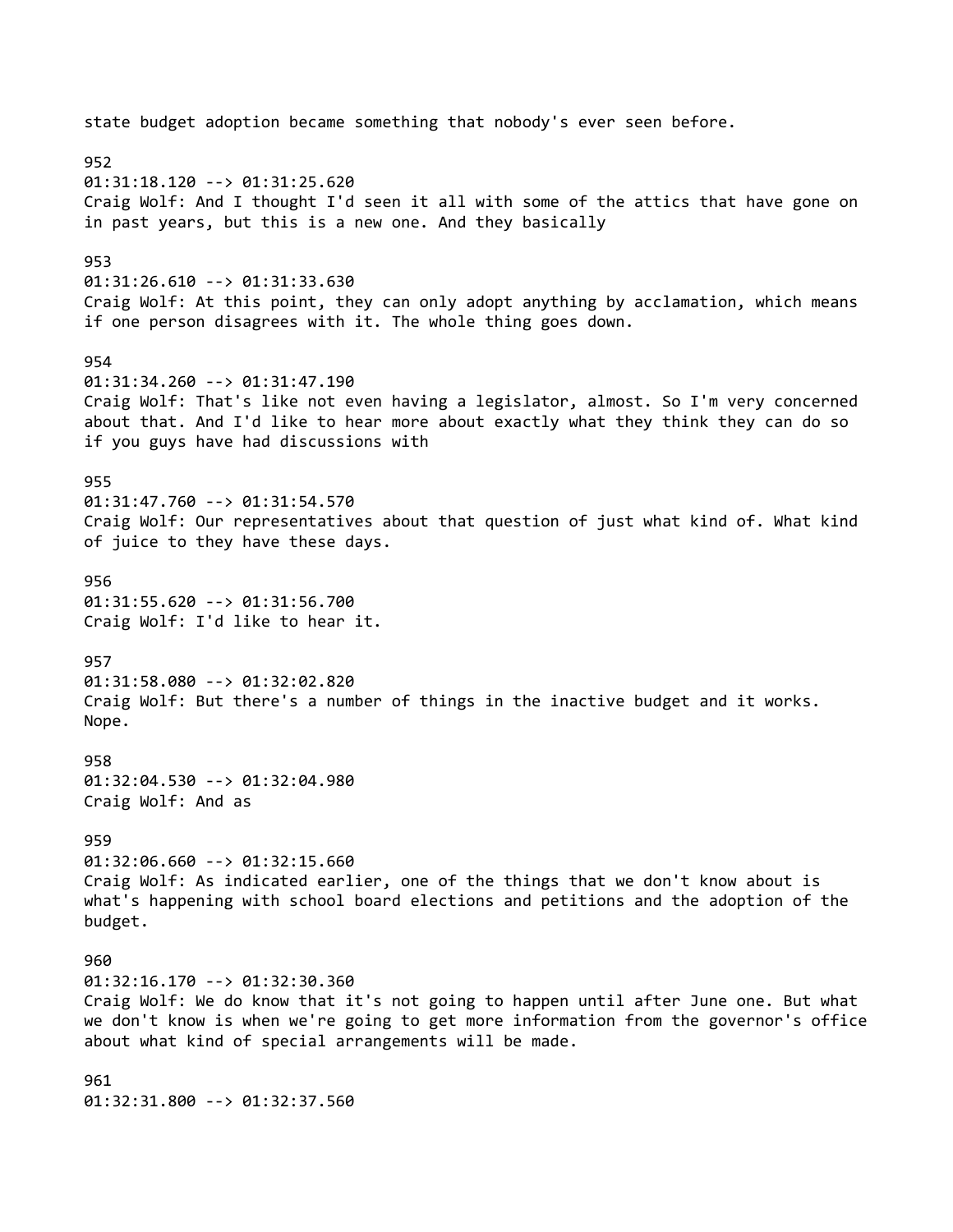state budget adoption became something that nobody's ever seen before. 952 01:31:18.120 --> 01:31:25.620 Craig Wolf: And I thought I'd seen it all with some of the attics that have gone on in past years, but this is a new one. And they basically 953 01:31:26.610 --> 01:31:33.630 Craig Wolf: At this point, they can only adopt anything by acclamation, which means if one person disagrees with it. The whole thing goes down. 954 01:31:34.260 --> 01:31:47.190 Craig Wolf: That's like not even having a legislator, almost. So I'm very concerned about that. And I'd like to hear more about exactly what they think they can do so if you guys have had discussions with 955 01:31:47.760 --> 01:31:54.570 Craig Wolf: Our representatives about that question of just what kind of. What kind of juice to they have these days. 956 01:31:55.620 --> 01:31:56.700 Craig Wolf: I'd like to hear it. 957 01:31:58.080 --> 01:32:02.820 Craig Wolf: But there's a number of things in the inactive budget and it works. Nope. 958 01:32:04.530 --> 01:32:04.980 Craig Wolf: And as 959 01:32:06.660 --> 01:32:15.660 Craig Wolf: As indicated earlier, one of the things that we don't know about is what's happening with school board elections and petitions and the adoption of the budget. 960 01:32:16.170 --> 01:32:30.360 Craig Wolf: We do know that it's not going to happen until after June one. But what we don't know is when we're going to get more information from the governor's office about what kind of special arrangements will be made. 961 01:32:31.800 --> 01:32:37.560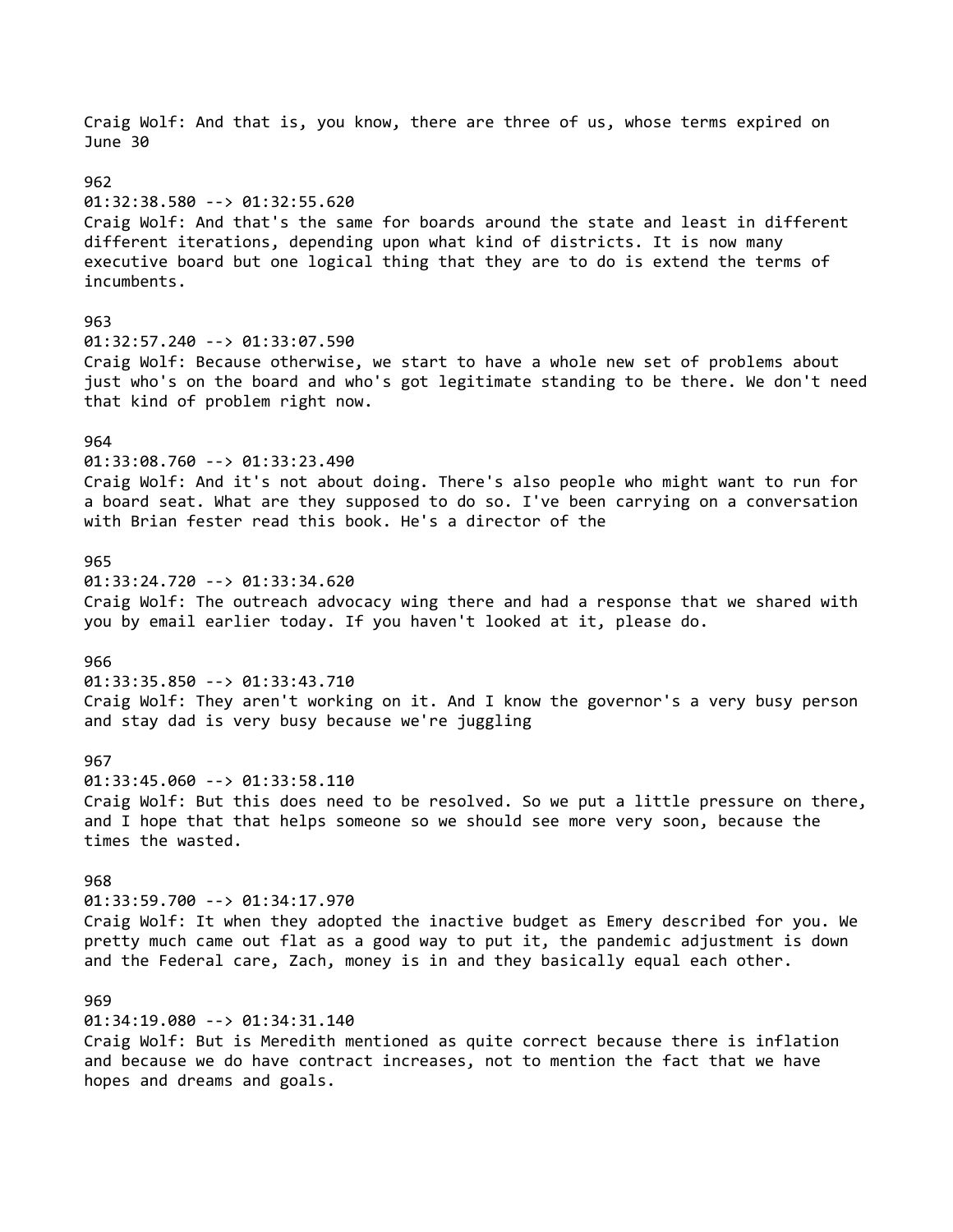Craig Wolf: And that is, you know, there are three of us, whose terms expired on June 30 962 01:32:38.580 --> 01:32:55.620 Craig Wolf: And that's the same for boards around the state and least in different different iterations, depending upon what kind of districts. It is now many executive board but one logical thing that they are to do is extend the terms of incumbents. 963 01:32:57.240 --> 01:33:07.590 Craig Wolf: Because otherwise, we start to have a whole new set of problems about just who's on the board and who's got legitimate standing to be there. We don't need that kind of problem right now. 964 01:33:08.760 --> 01:33:23.490 Craig Wolf: And it's not about doing. There's also people who might want to run for a board seat. What are they supposed to do so. I've been carrying on a conversation with Brian fester read this book. He's a director of the 965 01:33:24.720 --> 01:33:34.620 Craig Wolf: The outreach advocacy wing there and had a response that we shared with you by email earlier today. If you haven't looked at it, please do. 966 01:33:35.850 --> 01:33:43.710 Craig Wolf: They aren't working on it. And I know the governor's a very busy person and stay dad is very busy because we're juggling 967 01:33:45.060 --> 01:33:58.110 Craig Wolf: But this does need to be resolved. So we put a little pressure on there, and I hope that that helps someone so we should see more very soon, because the times the wasted. 968 01:33:59.700 --> 01:34:17.970 Craig Wolf: It when they adopted the inactive budget as Emery described for you. We pretty much came out flat as a good way to put it, the pandemic adjustment is down and the Federal care, Zach, money is in and they basically equal each other. 969 01:34:19.080 --> 01:34:31.140 Craig Wolf: But is Meredith mentioned as quite correct because there is inflation and because we do have contract increases, not to mention the fact that we have hopes and dreams and goals.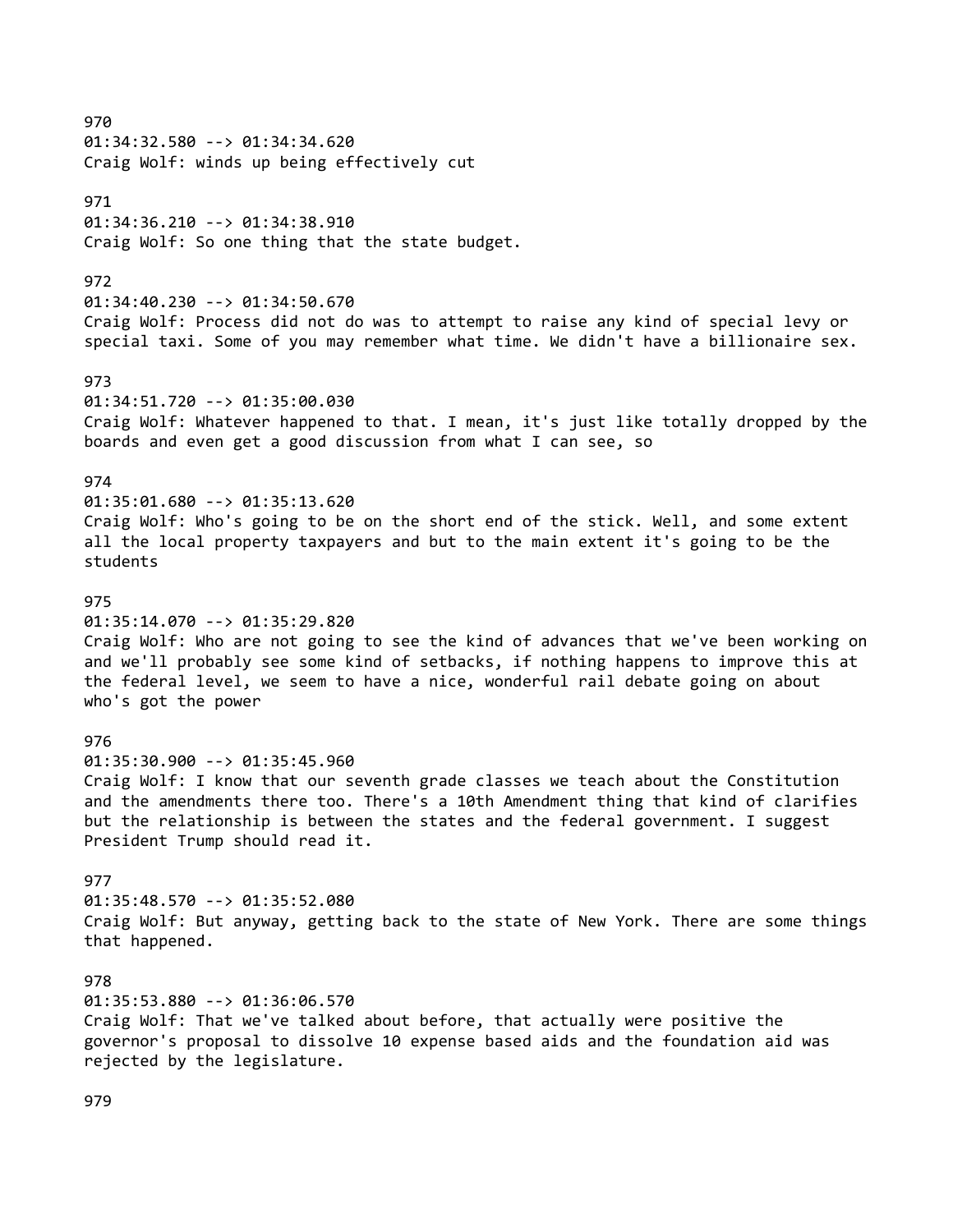970 01:34:32.580 --> 01:34:34.620 Craig Wolf: winds up being effectively cut 971 01:34:36.210 --> 01:34:38.910 Craig Wolf: So one thing that the state budget. 972 01:34:40.230 --> 01:34:50.670 Craig Wolf: Process did not do was to attempt to raise any kind of special levy or special taxi. Some of you may remember what time. We didn't have a billionaire sex. 973 01:34:51.720 --> 01:35:00.030 Craig Wolf: Whatever happened to that. I mean, it's just like totally dropped by the boards and even get a good discussion from what I can see, so 974 01:35:01.680 --> 01:35:13.620 Craig Wolf: Who's going to be on the short end of the stick. Well, and some extent all the local property taxpayers and but to the main extent it's going to be the students 975 01:35:14.070 --> 01:35:29.820 Craig Wolf: Who are not going to see the kind of advances that we've been working on and we'll probably see some kind of setbacks, if nothing happens to improve this at the federal level, we seem to have a nice, wonderful rail debate going on about who's got the power 976 01:35:30.900 --> 01:35:45.960 Craig Wolf: I know that our seventh grade classes we teach about the Constitution and the amendments there too. There's a 10th Amendment thing that kind of clarifies but the relationship is between the states and the federal government. I suggest President Trump should read it. 977 01:35:48.570 --> 01:35:52.080 Craig Wolf: But anyway, getting back to the state of New York. There are some things that happened. 978 01:35:53.880 --> 01:36:06.570 Craig Wolf: That we've talked about before, that actually were positive the governor's proposal to dissolve 10 expense based aids and the foundation aid was rejected by the legislature.

979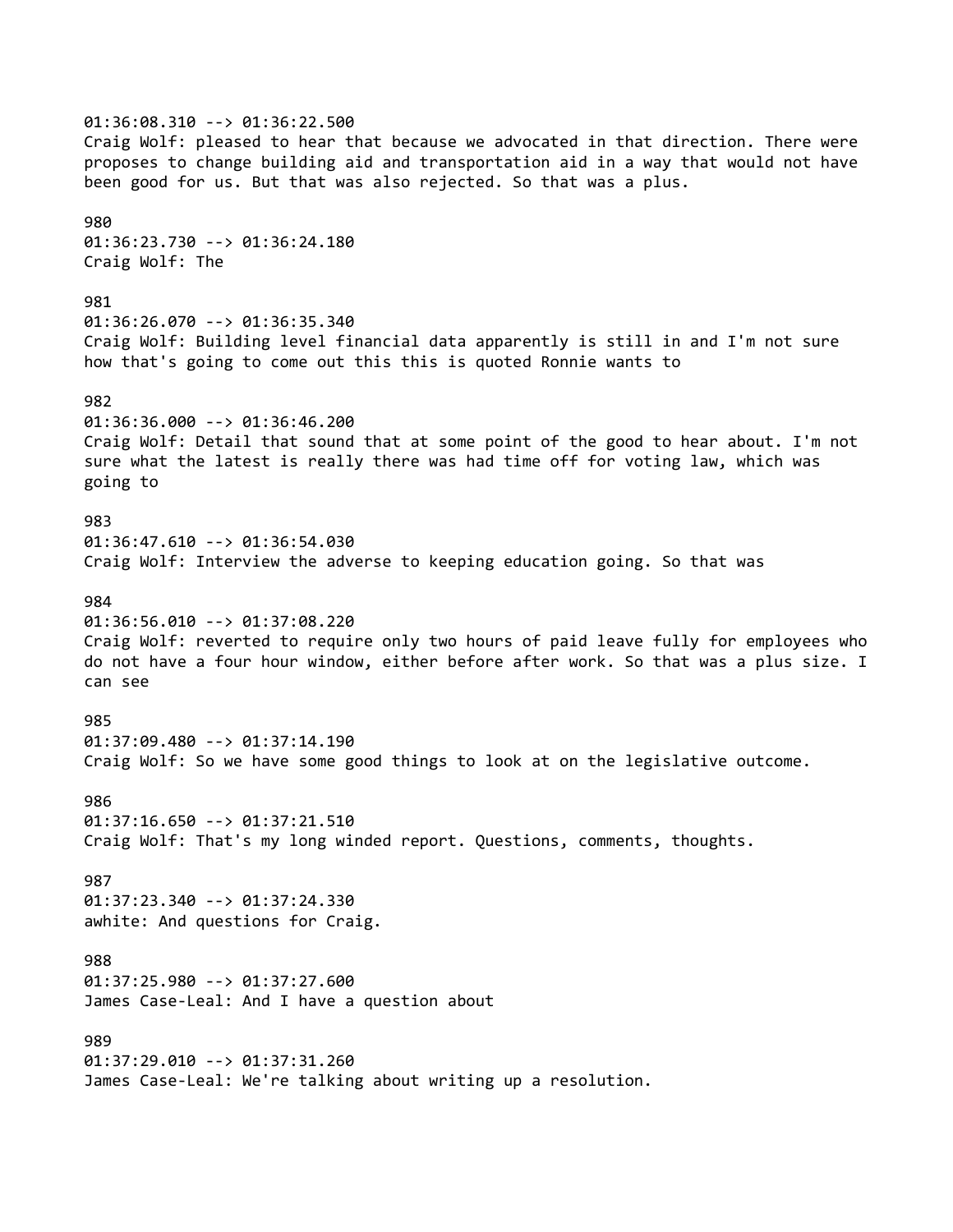01:36:08.310 --> 01:36:22.500 Craig Wolf: pleased to hear that because we advocated in that direction. There were proposes to change building aid and transportation aid in a way that would not have been good for us. But that was also rejected. So that was a plus. 980 01:36:23.730 --> 01:36:24.180 Craig Wolf: The 981 01:36:26.070 --> 01:36:35.340 Craig Wolf: Building level financial data apparently is still in and I'm not sure how that's going to come out this this is quoted Ronnie wants to 982 01:36:36.000 --> 01:36:46.200 Craig Wolf: Detail that sound that at some point of the good to hear about. I'm not sure what the latest is really there was had time off for voting law, which was going to 983 01:36:47.610 --> 01:36:54.030 Craig Wolf: Interview the adverse to keeping education going. So that was 984 01:36:56.010 --> 01:37:08.220 Craig Wolf: reverted to require only two hours of paid leave fully for employees who do not have a four hour window, either before after work. So that was a plus size. I can see 985 01:37:09.480 --> 01:37:14.190 Craig Wolf: So we have some good things to look at on the legislative outcome. 986 01:37:16.650 --> 01:37:21.510 Craig Wolf: That's my long winded report. Questions, comments, thoughts. 987 01:37:23.340 --> 01:37:24.330 awhite: And questions for Craig. 988 01:37:25.980 --> 01:37:27.600 James Case-Leal: And I have a question about 989 01:37:29.010 --> 01:37:31.260 James Case-Leal: We're talking about writing up a resolution.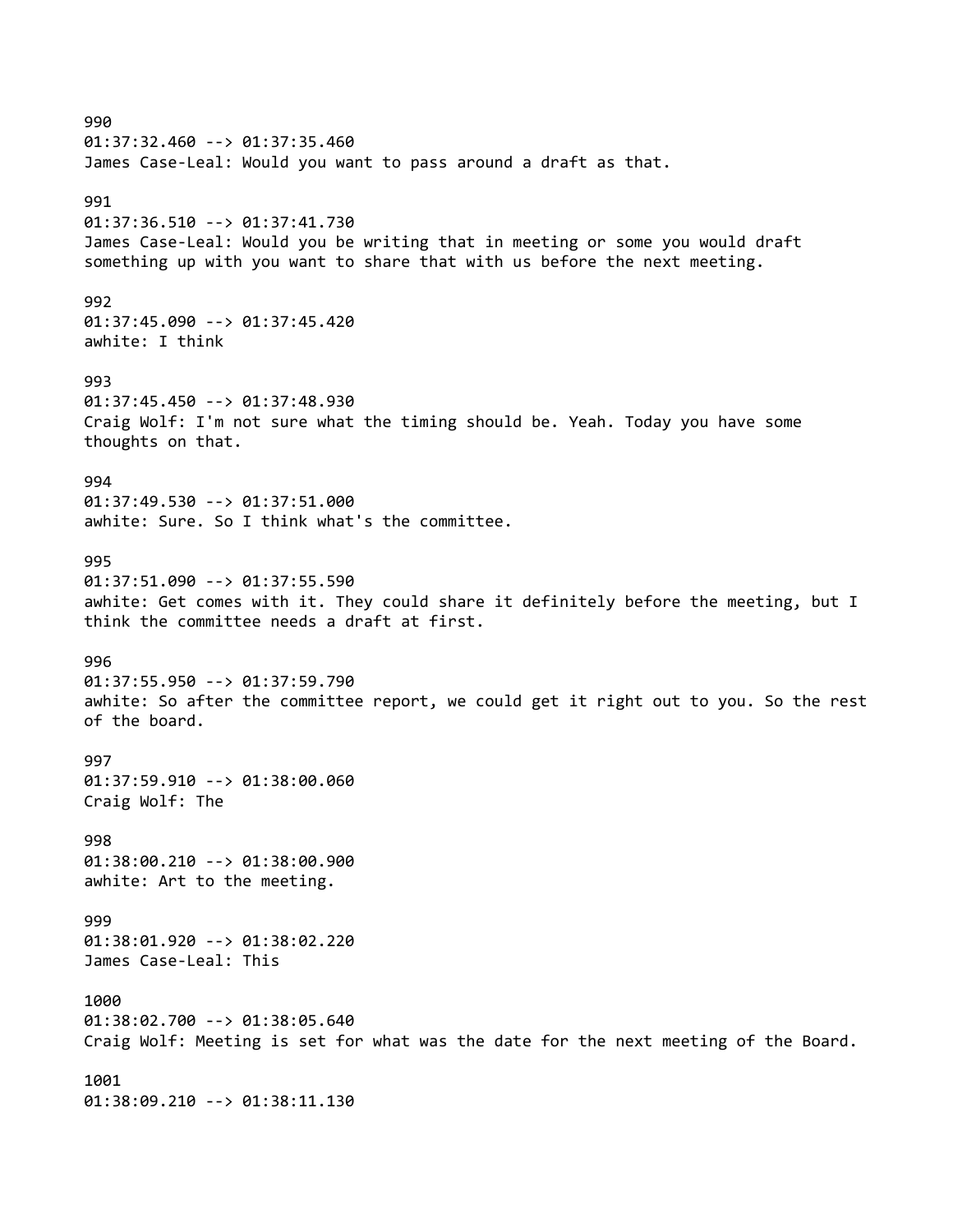990 01:37:32.460 --> 01:37:35.460 James Case-Leal: Would you want to pass around a draft as that. 991 01:37:36.510 --> 01:37:41.730 James Case-Leal: Would you be writing that in meeting or some you would draft something up with you want to share that with us before the next meeting. 992 01:37:45.090 --> 01:37:45.420 awhite: I think 993 01:37:45.450 --> 01:37:48.930 Craig Wolf: I'm not sure what the timing should be. Yeah. Today you have some thoughts on that. 994 01:37:49.530 --> 01:37:51.000 awhite: Sure. So I think what's the committee. 995 01:37:51.090 --> 01:37:55.590 awhite: Get comes with it. They could share it definitely before the meeting, but I think the committee needs a draft at first. 996 01:37:55.950 --> 01:37:59.790 awhite: So after the committee report, we could get it right out to you. So the rest of the board. 997 01:37:59.910 --> 01:38:00.060 Craig Wolf: The 998 01:38:00.210 --> 01:38:00.900 awhite: Art to the meeting. 999 01:38:01.920 --> 01:38:02.220 James Case-Leal: This 1000 01:38:02.700 --> 01:38:05.640 Craig Wolf: Meeting is set for what was the date for the next meeting of the Board. 1001

01:38:09.210 --> 01:38:11.130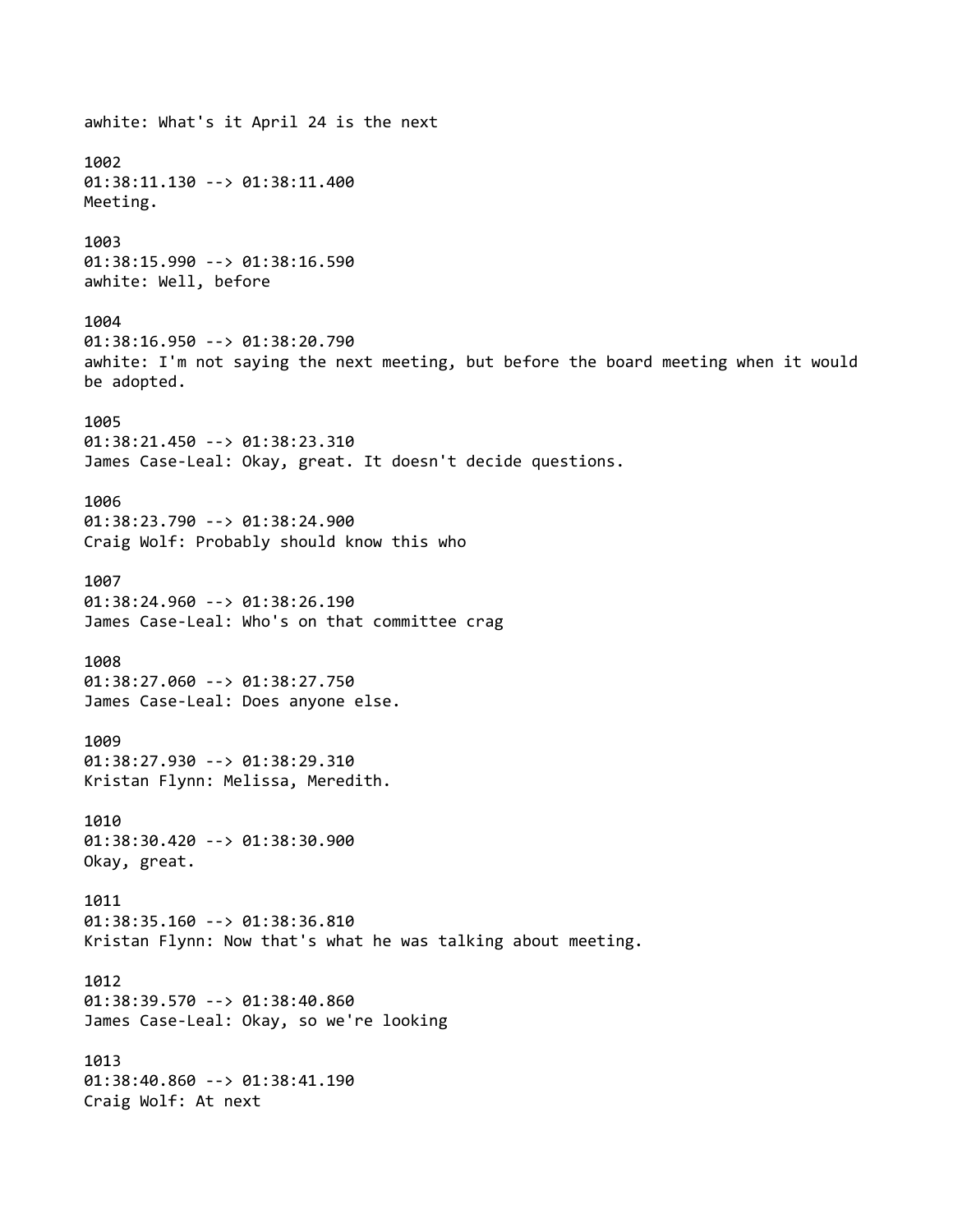## awhite: What's it April 24 is the next 1002 01:38:11.130 --> 01:38:11.400 Meeting. 1003 01:38:15.990 --> 01:38:16.590 awhite: Well, before 1004 01:38:16.950 --> 01:38:20.790 awhite: I'm not saying the next meeting, but before the board meeting when it would be adopted. 1005 01:38:21.450 --> 01:38:23.310 James Case-Leal: Okay, great. It doesn't decide questions. 1006 01:38:23.790 --> 01:38:24.900 Craig Wolf: Probably should know this who 1007 01:38:24.960 --> 01:38:26.190 James Case-Leal: Who's on that committee crag 1008 01:38:27.060 --> 01:38:27.750 James Case-Leal: Does anyone else. 1009 01:38:27.930 --> 01:38:29.310 Kristan Flynn: Melissa, Meredith. 1010 01:38:30.420 --> 01:38:30.900 Okay, great. 1011 01:38:35.160 --> 01:38:36.810 Kristan Flynn: Now that's what he was talking about meeting. 1012 01:38:39.570 --> 01:38:40.860 James Case-Leal: Okay, so we're looking 1013 01:38:40.860 --> 01:38:41.190 Craig Wolf: At next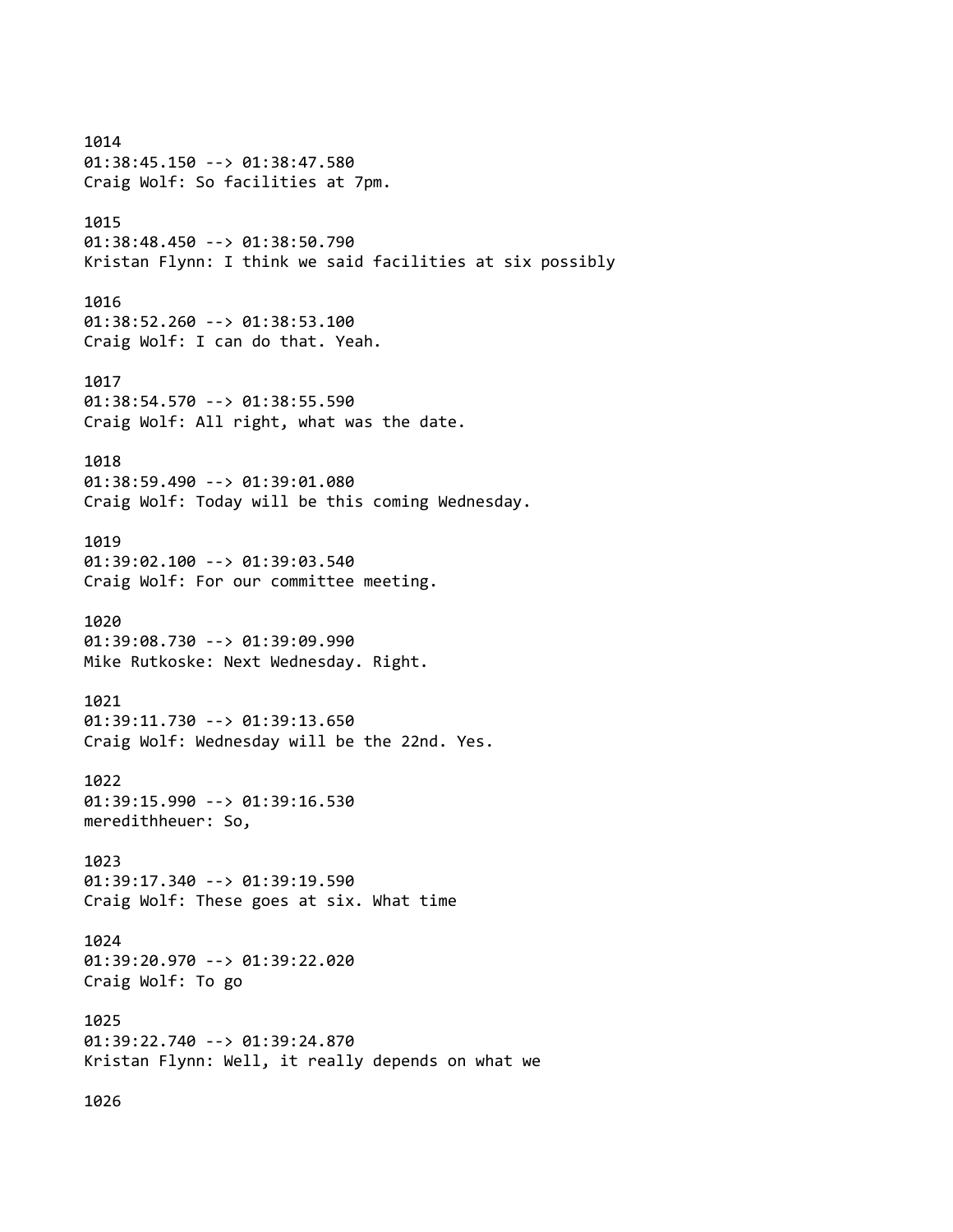1014 01:38:45.150 --> 01:38:47.580 Craig Wolf: So facilities at 7pm. 1015 01:38:48.450 --> 01:38:50.790 Kristan Flynn: I think we said facilities at six possibly 1016 01:38:52.260 --> 01:38:53.100 Craig Wolf: I can do that. Yeah. 1017 01:38:54.570 --> 01:38:55.590 Craig Wolf: All right, what was the date. 1018 01:38:59.490 --> 01:39:01.080 Craig Wolf: Today will be this coming Wednesday. 1019 01:39:02.100 --> 01:39:03.540 Craig Wolf: For our committee meeting. 1020 01:39:08.730 --> 01:39:09.990 Mike Rutkoske: Next Wednesday. Right. 1021 01:39:11.730 --> 01:39:13.650 Craig Wolf: Wednesday will be the 22nd. Yes. 1022 01:39:15.990 --> 01:39:16.530 meredithheuer: So, 1023 01:39:17.340 --> 01:39:19.590 Craig Wolf: These goes at six. What time 1024 01:39:20.970 --> 01:39:22.020 Craig Wolf: To go 1025 01:39:22.740 --> 01:39:24.870 Kristan Flynn: Well, it really depends on what we

1026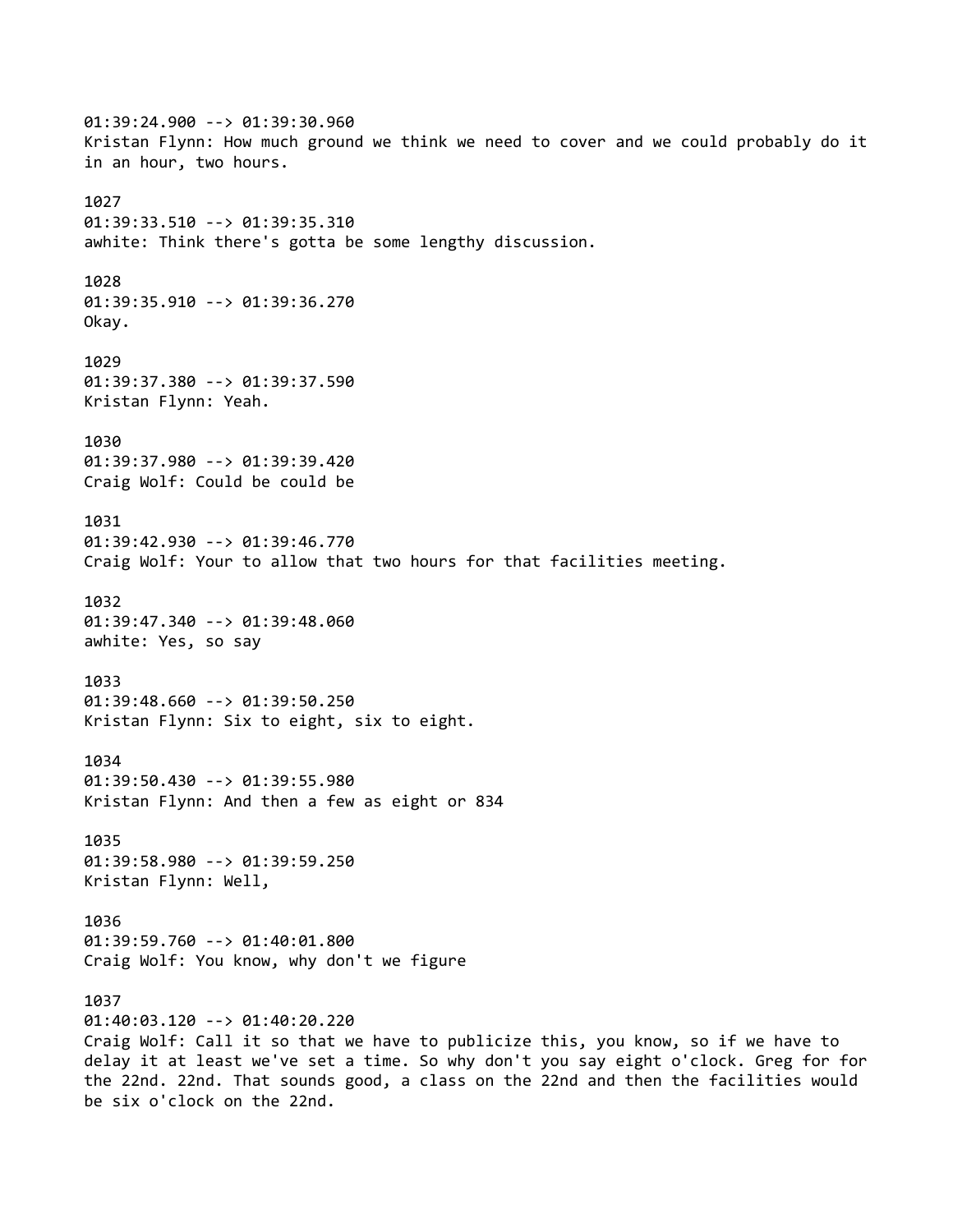01:39:24.900 --> 01:39:30.960 Kristan Flynn: How much ground we think we need to cover and we could probably do it in an hour, two hours. 1027 01:39:33.510 --> 01:39:35.310 awhite: Think there's gotta be some lengthy discussion. 1028 01:39:35.910 --> 01:39:36.270 Okay. 1029 01:39:37.380 --> 01:39:37.590 Kristan Flynn: Yeah. 1030 01:39:37.980 --> 01:39:39.420 Craig Wolf: Could be could be 1031 01:39:42.930 --> 01:39:46.770 Craig Wolf: Your to allow that two hours for that facilities meeting. 1032 01:39:47.340 --> 01:39:48.060 awhite: Yes, so say 1033 01:39:48.660 --> 01:39:50.250 Kristan Flynn: Six to eight, six to eight. 1034 01:39:50.430 --> 01:39:55.980 Kristan Flynn: And then a few as eight or 834 1035 01:39:58.980 --> 01:39:59.250 Kristan Flynn: Well, 1036 01:39:59.760 --> 01:40:01.800 Craig Wolf: You know, why don't we figure 1037 01:40:03.120 --> 01:40:20.220 Craig Wolf: Call it so that we have to publicize this, you know, so if we have to delay it at least we've set a time. So why don't you say eight o'clock. Greg for for the 22nd. 22nd. That sounds good, a class on the 22nd and then the facilities would be six o'clock on the 22nd.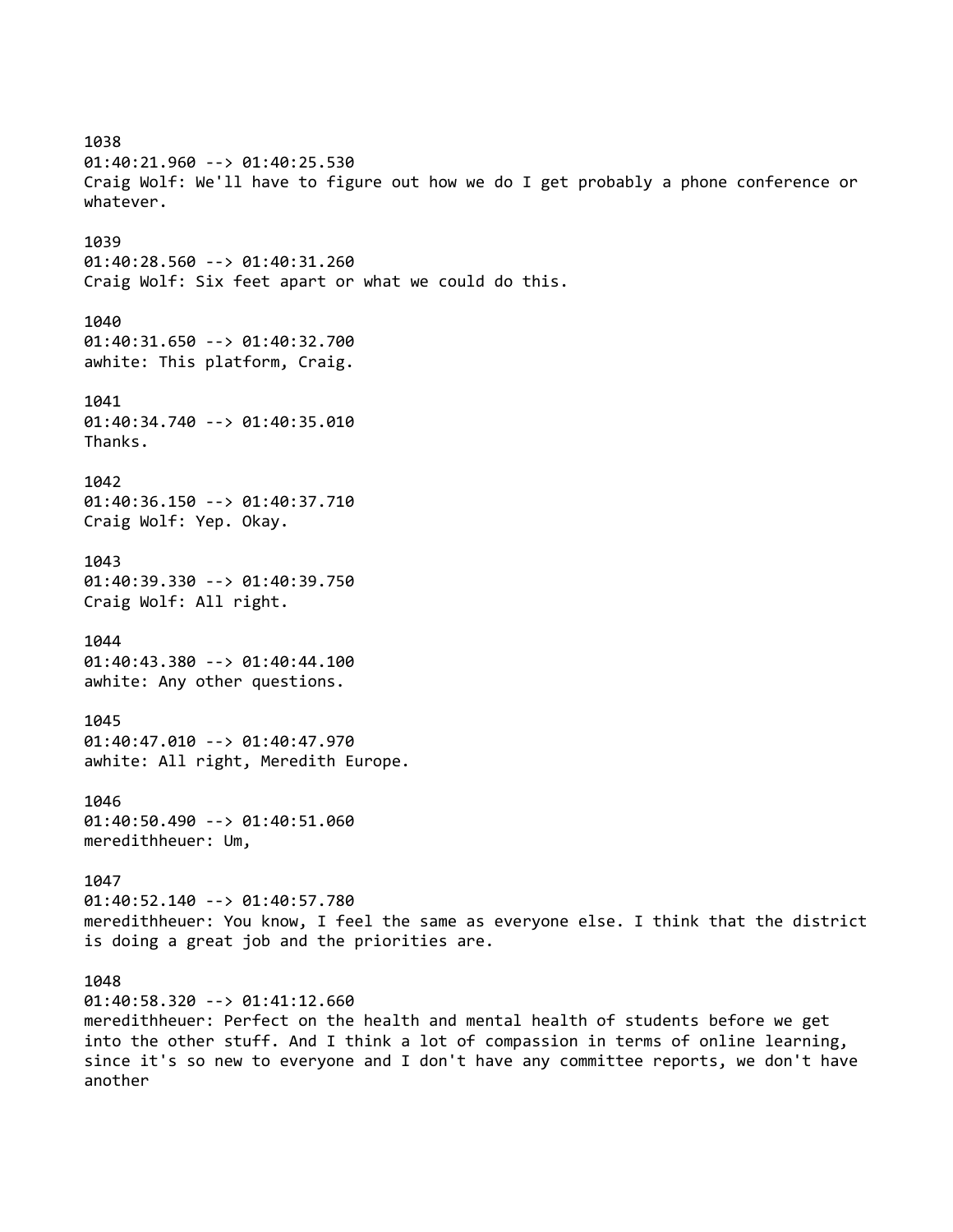1038 01:40:21.960 --> 01:40:25.530 Craig Wolf: We'll have to figure out how we do I get probably a phone conference or whatever. 1039 01:40:28.560 --> 01:40:31.260 Craig Wolf: Six feet apart or what we could do this. 1040 01:40:31.650 --> 01:40:32.700 awhite: This platform, Craig. 1041 01:40:34.740 --> 01:40:35.010 Thanks. 1042 01:40:36.150 --> 01:40:37.710 Craig Wolf: Yep. Okay. 1043 01:40:39.330 --> 01:40:39.750 Craig Wolf: All right. 1044 01:40:43.380 --> 01:40:44.100 awhite: Any other questions. 1045 01:40:47.010 --> 01:40:47.970 awhite: All right, Meredith Europe. 1046 01:40:50.490 --> 01:40:51.060 meredithheuer: Um, 1047 01:40:52.140 --> 01:40:57.780 meredithheuer: You know, I feel the same as everyone else. I think that the district is doing a great job and the priorities are. 1048 01:40:58.320 --> 01:41:12.660 meredithheuer: Perfect on the health and mental health of students before we get into the other stuff. And I think a lot of compassion in terms of online learning, since it's so new to everyone and I don't have any committee reports, we don't have another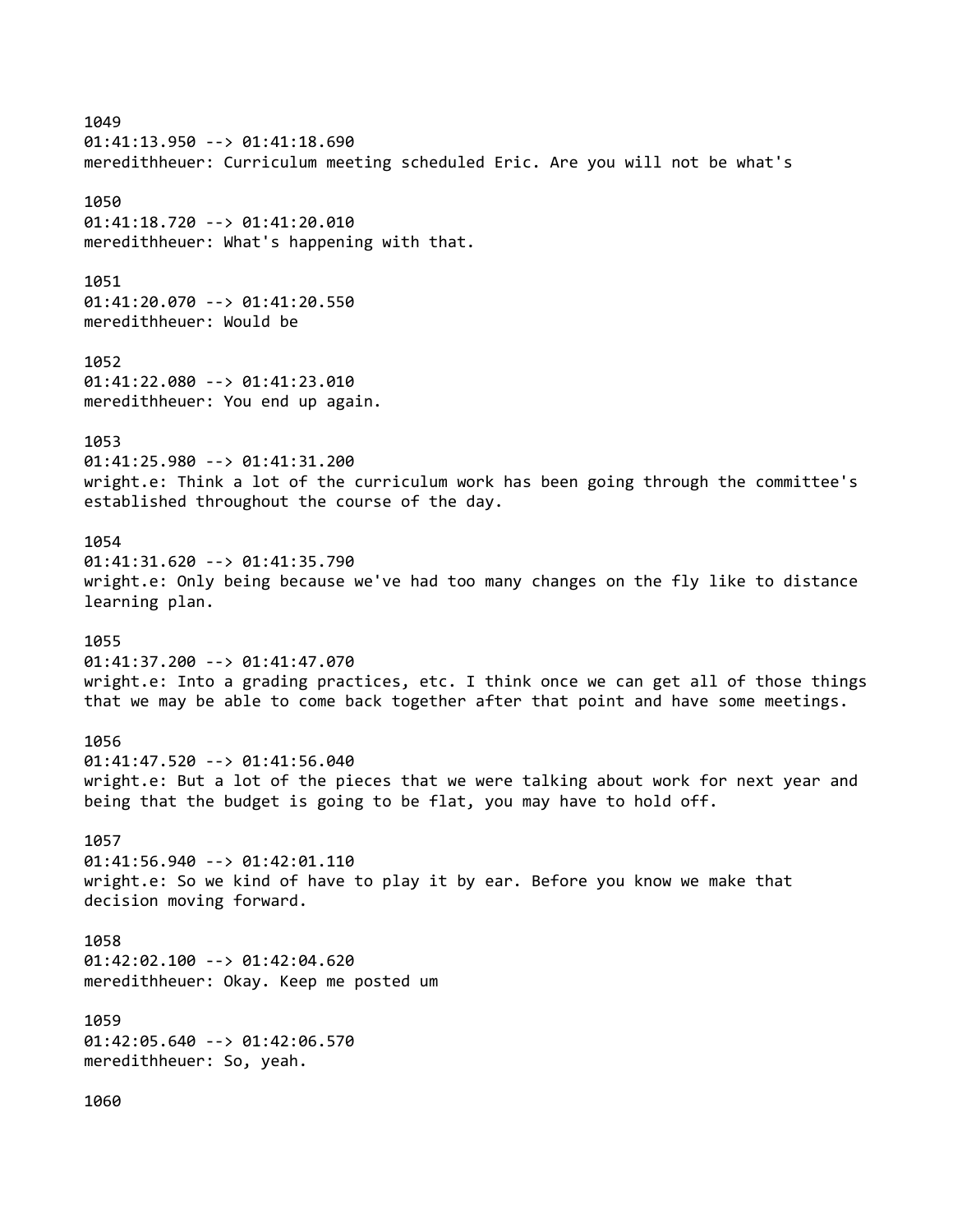1049 01:41:13.950 --> 01:41:18.690 meredithheuer: Curriculum meeting scheduled Eric. Are you will not be what's 1050 01:41:18.720 --> 01:41:20.010 meredithheuer: What's happening with that. 1051 01:41:20.070 --> 01:41:20.550 meredithheuer: Would be 1052 01:41:22.080 --> 01:41:23.010 meredithheuer: You end up again. 1053 01:41:25.980 --> 01:41:31.200 wright.e: Think a lot of the curriculum work has been going through the committee's established throughout the course of the day. 1054 01:41:31.620 --> 01:41:35.790 wright.e: Only being because we've had too many changes on the fly like to distance learning plan. 1055 01:41:37.200 --> 01:41:47.070 wright.e: Into a grading practices, etc. I think once we can get all of those things that we may be able to come back together after that point and have some meetings. 1056 01:41:47.520 --> 01:41:56.040 wright.e: But a lot of the pieces that we were talking about work for next year and being that the budget is going to be flat, you may have to hold off. 1057 01:41:56.940 --> 01:42:01.110 wright.e: So we kind of have to play it by ear. Before you know we make that decision moving forward. 1058 01:42:02.100 --> 01:42:04.620 meredithheuer: Okay. Keep me posted um 1059 01:42:05.640 --> 01:42:06.570 meredithheuer: So, yeah. 1060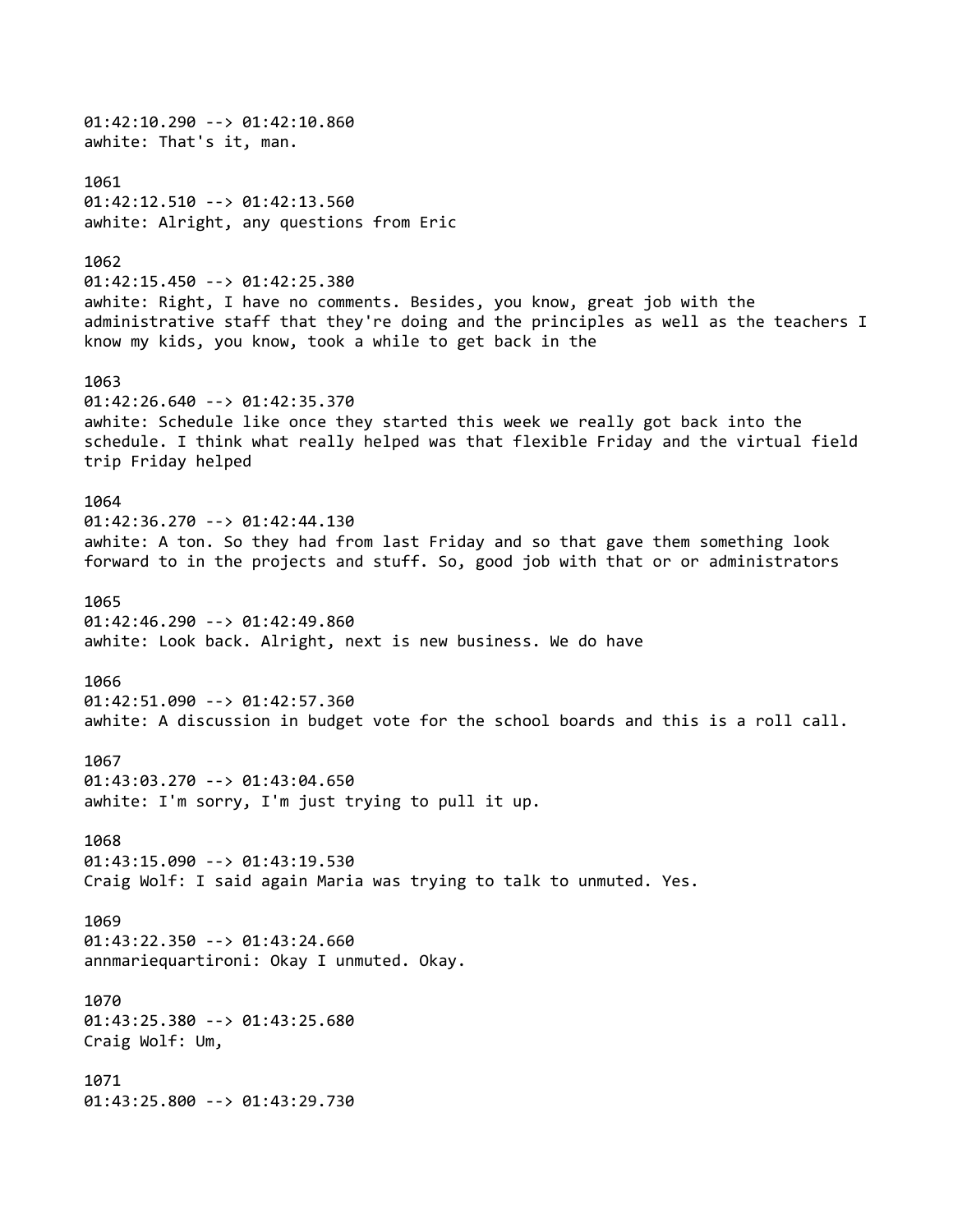01:42:10.290 --> 01:42:10.860 awhite: That's it, man. 1061 01:42:12.510 --> 01:42:13.560 awhite: Alright, any questions from Eric 1062 01:42:15.450 --> 01:42:25.380 awhite: Right, I have no comments. Besides, you know, great job with the administrative staff that they're doing and the principles as well as the teachers I know my kids, you know, took a while to get back in the 1063 01:42:26.640 --> 01:42:35.370 awhite: Schedule like once they started this week we really got back into the schedule. I think what really helped was that flexible Friday and the virtual field trip Friday helped 1064 01:42:36.270 --> 01:42:44.130 awhite: A ton. So they had from last Friday and so that gave them something look forward to in the projects and stuff. So, good job with that or or administrators 1065 01:42:46.290 --> 01:42:49.860 awhite: Look back. Alright, next is new business. We do have 1066 01:42:51.090 --> 01:42:57.360 awhite: A discussion in budget vote for the school boards and this is a roll call. 1067 01:43:03.270 --> 01:43:04.650 awhite: I'm sorry, I'm just trying to pull it up. 1068 01:43:15.090 --> 01:43:19.530 Craig Wolf: I said again Maria was trying to talk to unmuted. Yes. 1069 01:43:22.350 --> 01:43:24.660 annmariequartironi: Okay I unmuted. Okay. 1070 01:43:25.380 --> 01:43:25.680 Craig Wolf: Um, 1071 01:43:25.800 --> 01:43:29.730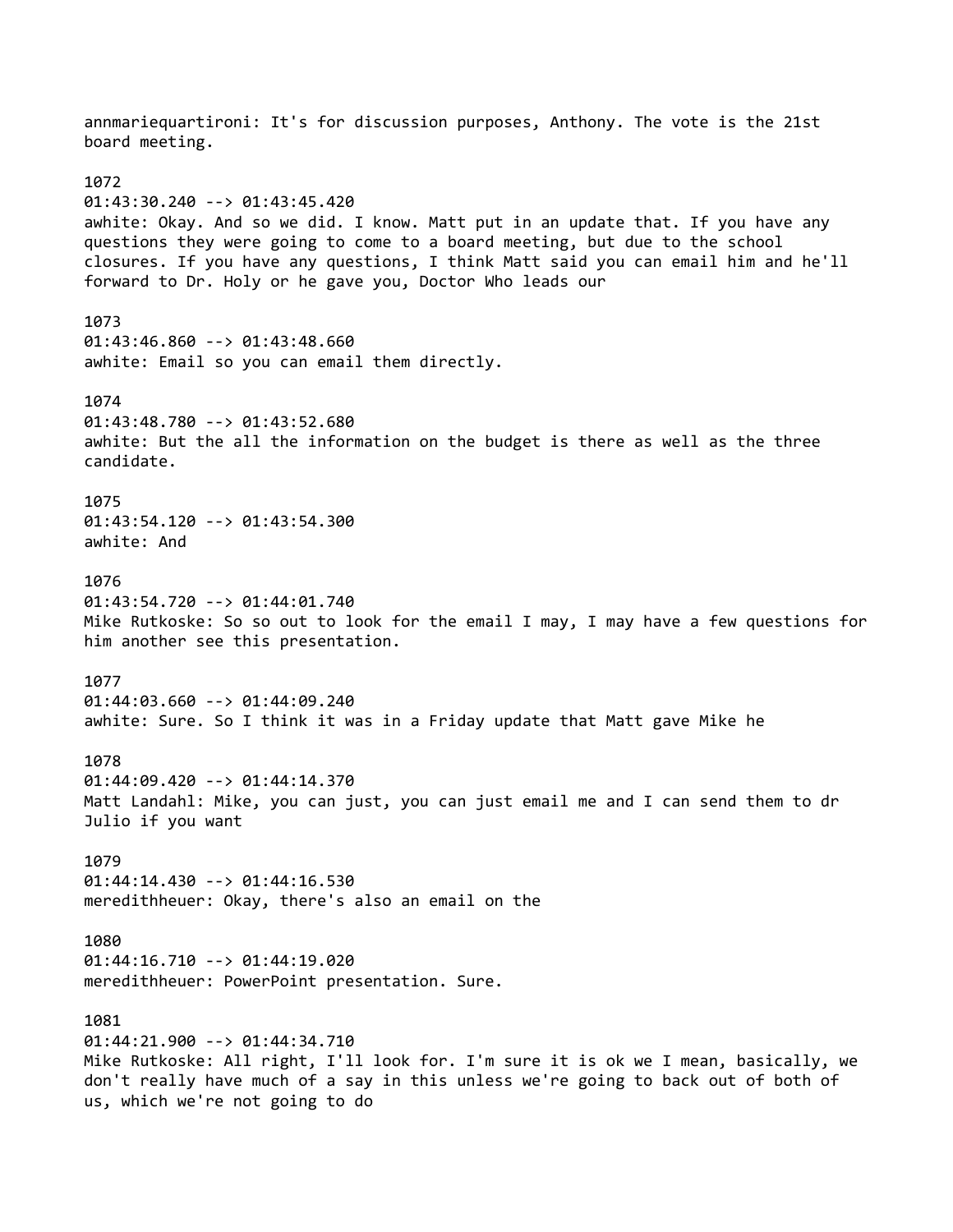annmariequartironi: It's for discussion purposes, Anthony. The vote is the 21st board meeting. 1072 01:43:30.240 --> 01:43:45.420 awhite: Okay. And so we did. I know. Matt put in an update that. If you have any questions they were going to come to a board meeting, but due to the school closures. If you have any questions, I think Matt said you can email him and he'll forward to Dr. Holy or he gave you, Doctor Who leads our 1073 01:43:46.860 --> 01:43:48.660 awhite: Email so you can email them directly. 1074 01:43:48.780 --> 01:43:52.680 awhite: But the all the information on the budget is there as well as the three candidate. 1075 01:43:54.120 --> 01:43:54.300 awhite: And 1076 01:43:54.720 --> 01:44:01.740 Mike Rutkoske: So so out to look for the email I may, I may have a few questions for him another see this presentation. 1077 01:44:03.660 --> 01:44:09.240 awhite: Sure. So I think it was in a Friday update that Matt gave Mike he 1078 01:44:09.420 --> 01:44:14.370 Matt Landahl: Mike, you can just, you can just email me and I can send them to dr Julio if you want 1079 01:44:14.430 --> 01:44:16.530 meredithheuer: Okay, there's also an email on the 1080 01:44:16.710 --> 01:44:19.020 meredithheuer: PowerPoint presentation. Sure. 1081 01:44:21.900 --> 01:44:34.710 Mike Rutkoske: All right, I'll look for. I'm sure it is ok we I mean, basically, we don't really have much of a say in this unless we're going to back out of both of us, which we're not going to do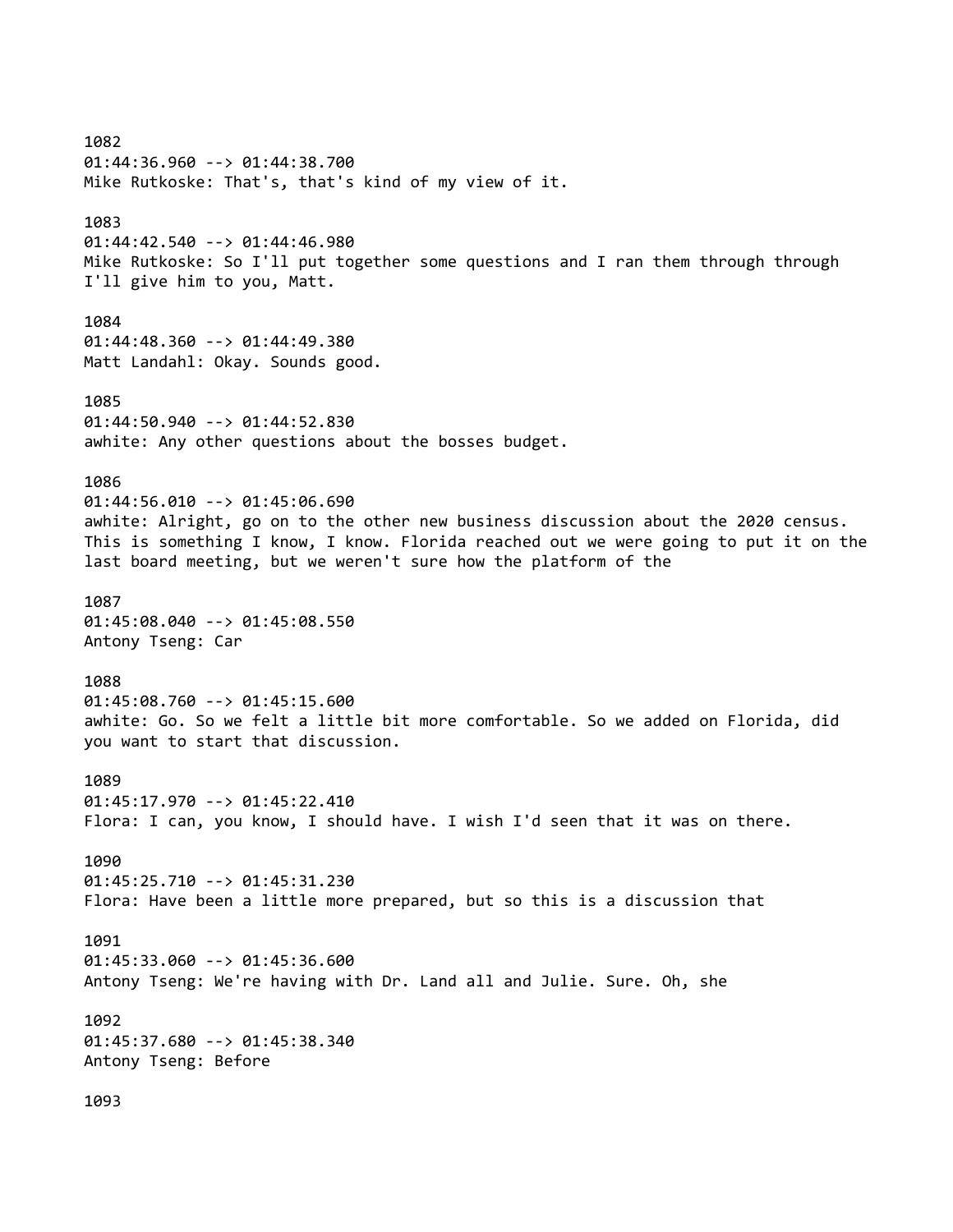1082 01:44:36.960 --> 01:44:38.700 Mike Rutkoske: That's, that's kind of my view of it. 1083 01:44:42.540 --> 01:44:46.980 Mike Rutkoske: So I'll put together some questions and I ran them through through I'll give him to you, Matt. 1084 01:44:48.360 --> 01:44:49.380 Matt Landahl: Okay. Sounds good. 1085 01:44:50.940 --> 01:44:52.830 awhite: Any other questions about the bosses budget. 1086 01:44:56.010 --> 01:45:06.690 awhite: Alright, go on to the other new business discussion about the 2020 census. This is something I know, I know. Florida reached out we were going to put it on the last board meeting, but we weren't sure how the platform of the 1087 01:45:08.040 --> 01:45:08.550 Antony Tseng: Car 1088 01:45:08.760 --> 01:45:15.600 awhite: Go. So we felt a little bit more comfortable. So we added on Florida, did you want to start that discussion. 1089 01:45:17.970 --> 01:45:22.410 Flora: I can, you know, I should have. I wish I'd seen that it was on there. 1090 01:45:25.710 --> 01:45:31.230 Flora: Have been a little more prepared, but so this is a discussion that 1091 01:45:33.060 --> 01:45:36.600 Antony Tseng: We're having with Dr. Land all and Julie. Sure. Oh, she 1092 01:45:37.680 --> 01:45:38.340 Antony Tseng: Before 1093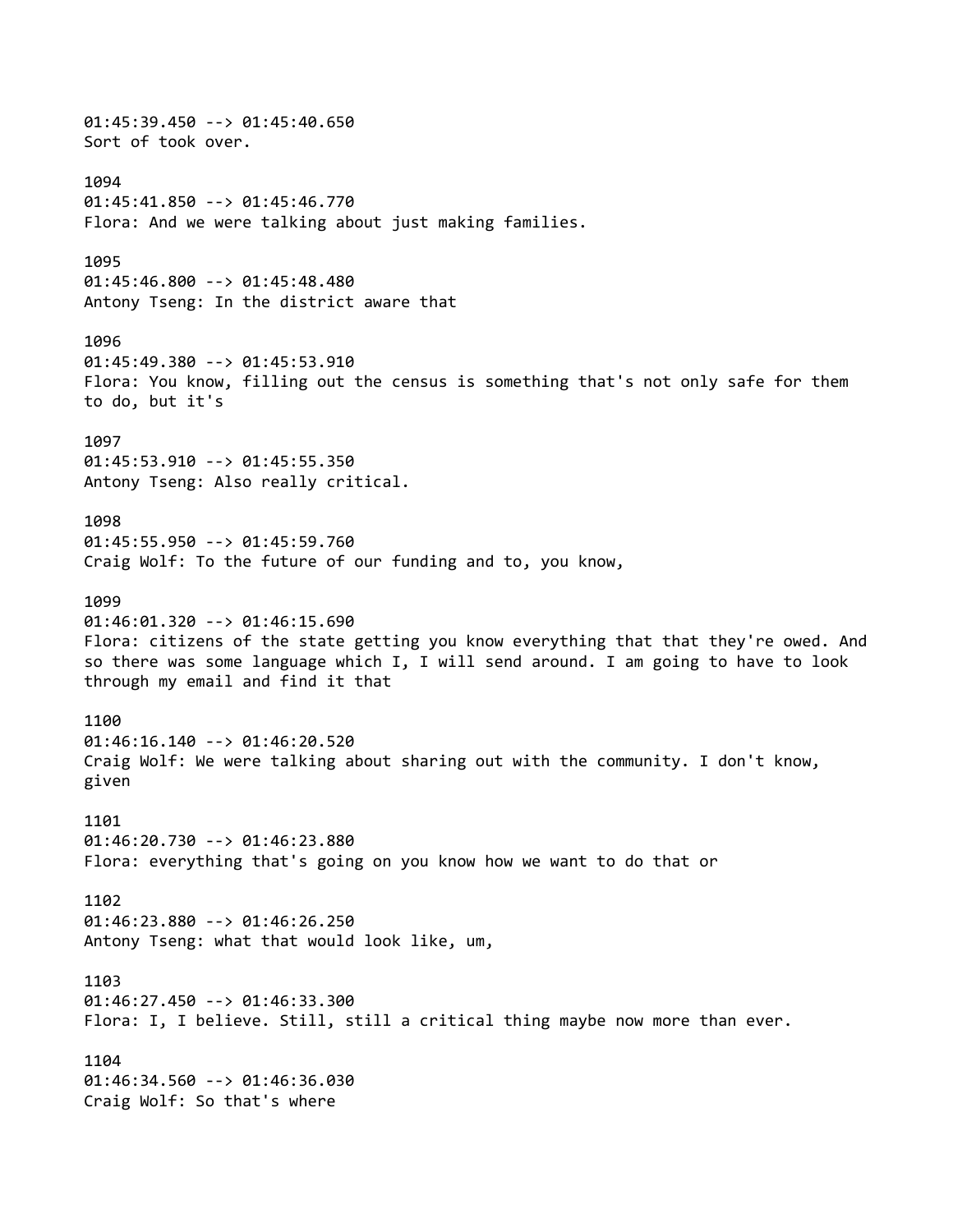01:45:39.450 --> 01:45:40.650 Sort of took over. 1094 01:45:41.850 --> 01:45:46.770 Flora: And we were talking about just making families. 1095 01:45:46.800 --> 01:45:48.480 Antony Tseng: In the district aware that 1096 01:45:49.380 --> 01:45:53.910 Flora: You know, filling out the census is something that's not only safe for them to do, but it's 1097 01:45:53.910 --> 01:45:55.350 Antony Tseng: Also really critical. 1098 01:45:55.950 --> 01:45:59.760 Craig Wolf: To the future of our funding and to, you know, 1099 01:46:01.320 --> 01:46:15.690 Flora: citizens of the state getting you know everything that that they're owed. And so there was some language which I, I will send around. I am going to have to look through my email and find it that 1100 01:46:16.140 --> 01:46:20.520 Craig Wolf: We were talking about sharing out with the community. I don't know, given 1101 01:46:20.730 --> 01:46:23.880 Flora: everything that's going on you know how we want to do that or 1102 01:46:23.880 --> 01:46:26.250 Antony Tseng: what that would look like, um, 1103 01:46:27.450 --> 01:46:33.300 Flora: I, I believe. Still, still a critical thing maybe now more than ever. 1104 01:46:34.560 --> 01:46:36.030 Craig Wolf: So that's where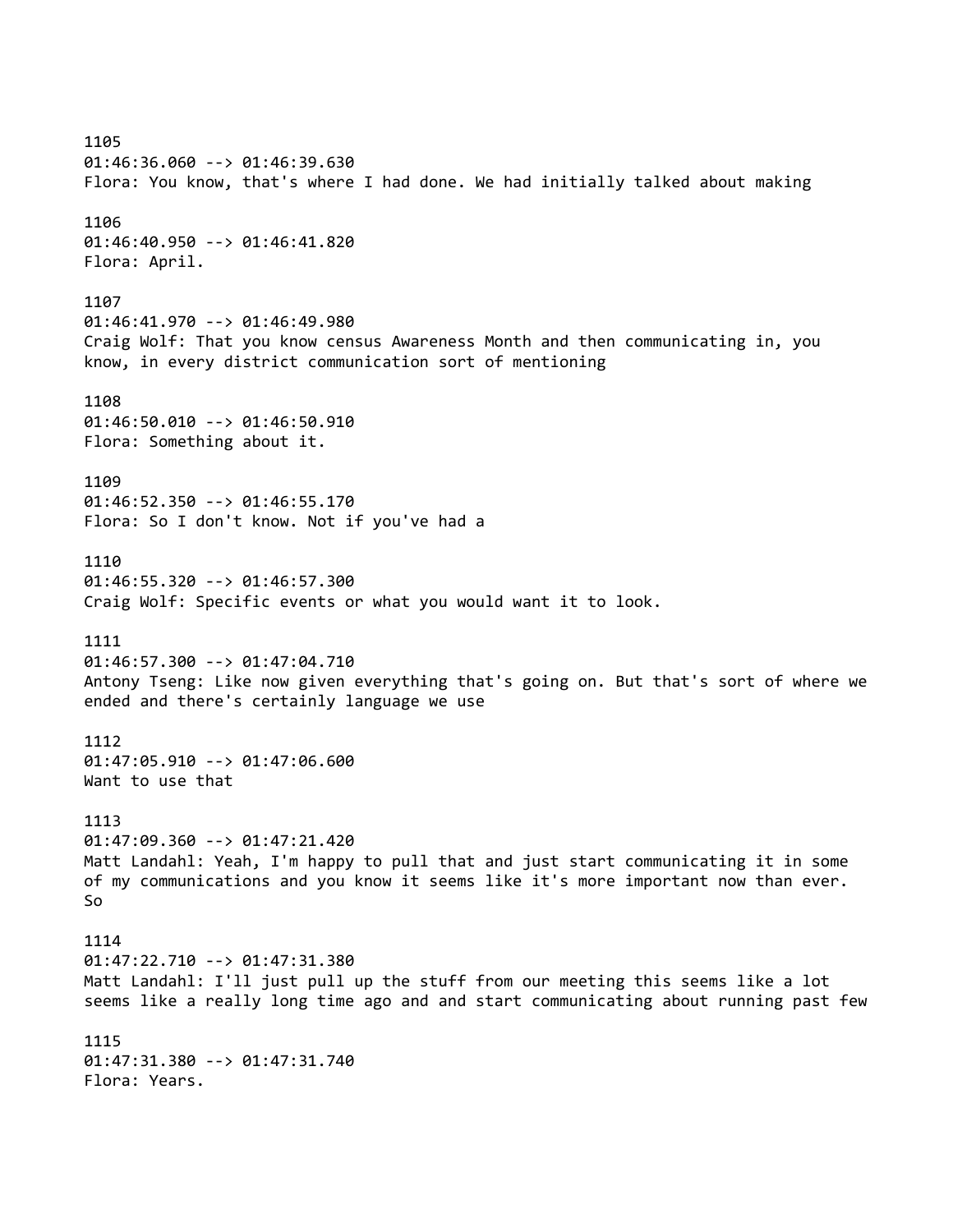1105 01:46:36.060 --> 01:46:39.630 Flora: You know, that's where I had done. We had initially talked about making 1106 01:46:40.950 --> 01:46:41.820 Flora: April. 1107 01:46:41.970 --> 01:46:49.980 Craig Wolf: That you know census Awareness Month and then communicating in, you know, in every district communication sort of mentioning 1108 01:46:50.010 --> 01:46:50.910 Flora: Something about it. 1109 01:46:52.350 --> 01:46:55.170 Flora: So I don't know. Not if you've had a 1110 01:46:55.320 --> 01:46:57.300 Craig Wolf: Specific events or what you would want it to look. 1111 01:46:57.300 --> 01:47:04.710 Antony Tseng: Like now given everything that's going on. But that's sort of where we ended and there's certainly language we use 1112 01:47:05.910 --> 01:47:06.600 Want to use that 1113 01:47:09.360 --> 01:47:21.420 Matt Landahl: Yeah, I'm happy to pull that and just start communicating it in some of my communications and you know it seems like it's more important now than ever. So 1114 01:47:22.710 --> 01:47:31.380 Matt Landahl: I'll just pull up the stuff from our meeting this seems like a lot seems like a really long time ago and and start communicating about running past few 1115 01:47:31.380 --> 01:47:31.740 Flora: Years.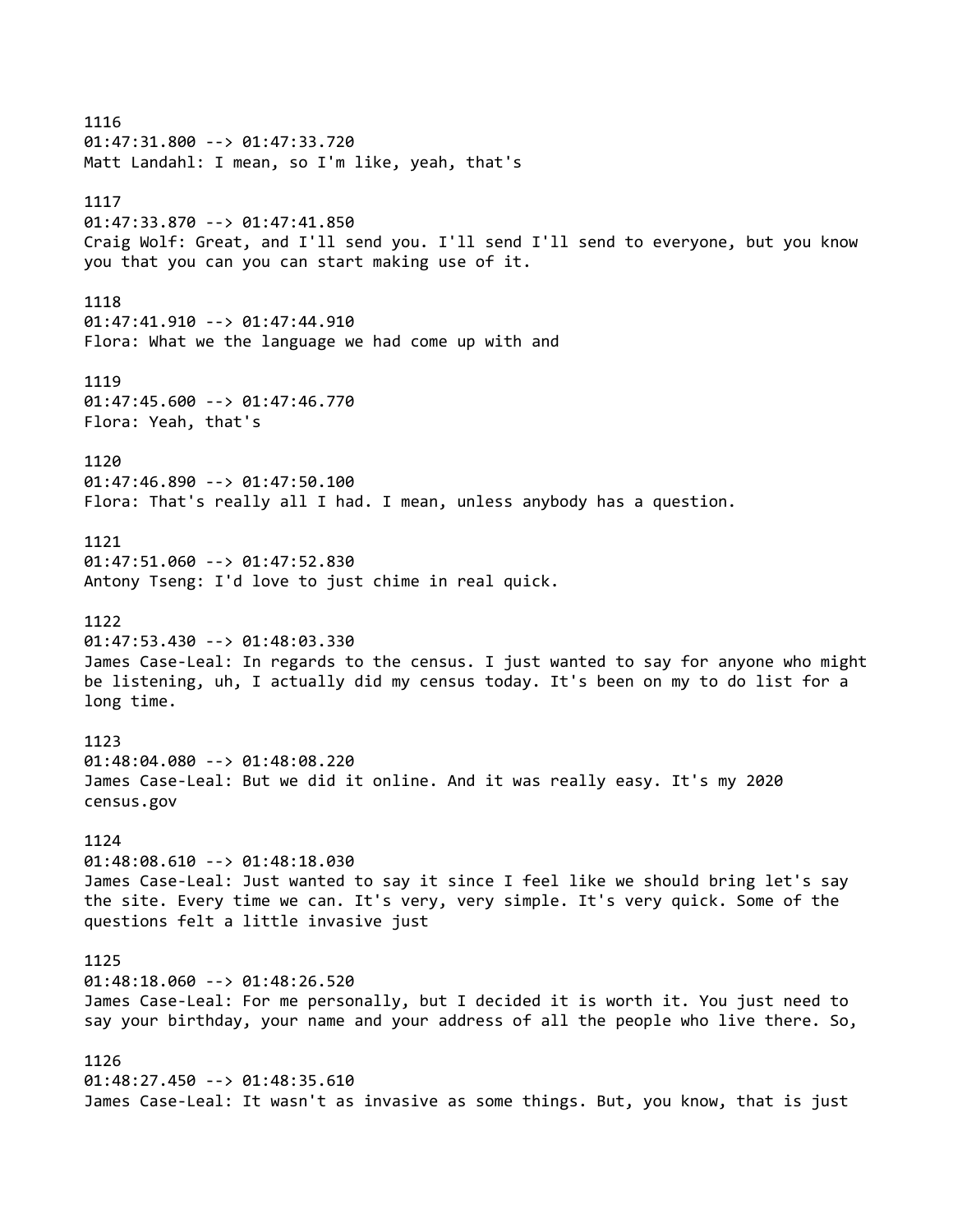1116 01:47:31.800 --> 01:47:33.720 Matt Landahl: I mean, so I'm like, yeah, that's 1117 01:47:33.870 --> 01:47:41.850 Craig Wolf: Great, and I'll send you. I'll send I'll send to everyone, but you know you that you can you can start making use of it. 1118 01:47:41.910 --> 01:47:44.910 Flora: What we the language we had come up with and 1119 01:47:45.600 --> 01:47:46.770 Flora: Yeah, that's 1120 01:47:46.890 --> 01:47:50.100 Flora: That's really all I had. I mean, unless anybody has a question. 1121 01:47:51.060 --> 01:47:52.830 Antony Tseng: I'd love to just chime in real quick. 1122 01:47:53.430 --> 01:48:03.330 James Case-Leal: In regards to the census. I just wanted to say for anyone who might be listening, uh, I actually did my census today. It's been on my to do list for a long time. 1123 01:48:04.080 --> 01:48:08.220 James Case-Leal: But we did it online. And it was really easy. It's my 2020 census.gov 1124 01:48:08.610 --> 01:48:18.030 James Case-Leal: Just wanted to say it since I feel like we should bring let's say the site. Every time we can. It's very, very simple. It's very quick. Some of the questions felt a little invasive just 1125 01:48:18.060 --> 01:48:26.520 James Case-Leal: For me personally, but I decided it is worth it. You just need to say your birthday, your name and your address of all the people who live there. So, 1126 01:48:27.450 --> 01:48:35.610 James Case-Leal: It wasn't as invasive as some things. But, you know, that is just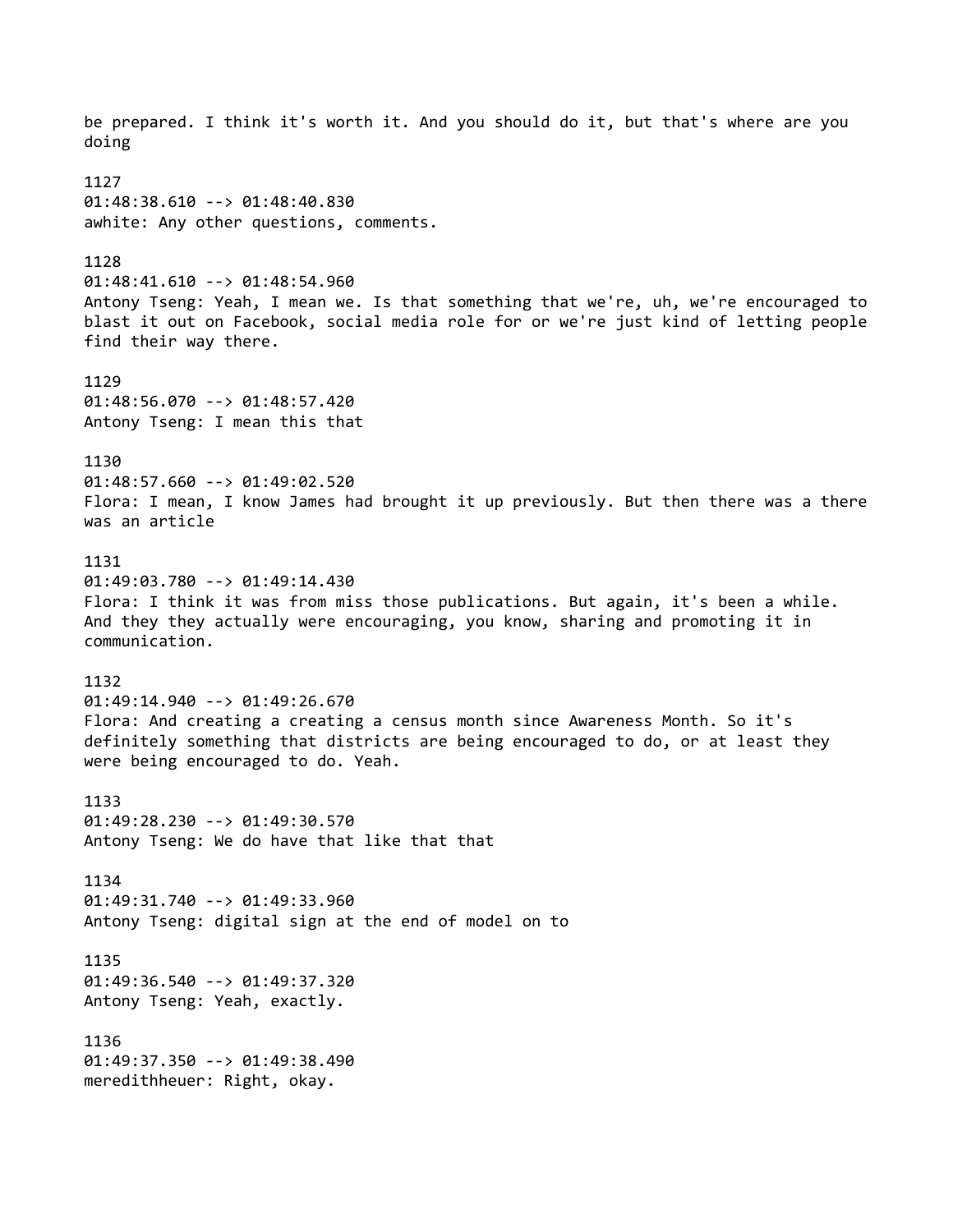be prepared. I think it's worth it. And you should do it, but that's where are you doing 1127 01:48:38.610 --> 01:48:40.830 awhite: Any other questions, comments. 1128 01:48:41.610 --> 01:48:54.960 Antony Tseng: Yeah, I mean we. Is that something that we're, uh, we're encouraged to blast it out on Facebook, social media role for or we're just kind of letting people find their way there. 1129 01:48:56.070 --> 01:48:57.420 Antony Tseng: I mean this that 1130 01:48:57.660 --> 01:49:02.520 Flora: I mean, I know James had brought it up previously. But then there was a there was an article 1131 01:49:03.780 --> 01:49:14.430 Flora: I think it was from miss those publications. But again, it's been a while. And they they actually were encouraging, you know, sharing and promoting it in communication. 1132 01:49:14.940 --> 01:49:26.670 Flora: And creating a creating a census month since Awareness Month. So it's definitely something that districts are being encouraged to do, or at least they were being encouraged to do. Yeah. 1133 01:49:28.230 --> 01:49:30.570 Antony Tseng: We do have that like that that 1134 01:49:31.740 --> 01:49:33.960 Antony Tseng: digital sign at the end of model on to 1135 01:49:36.540 --> 01:49:37.320 Antony Tseng: Yeah, exactly. 1136 01:49:37.350 --> 01:49:38.490 meredithheuer: Right, okay.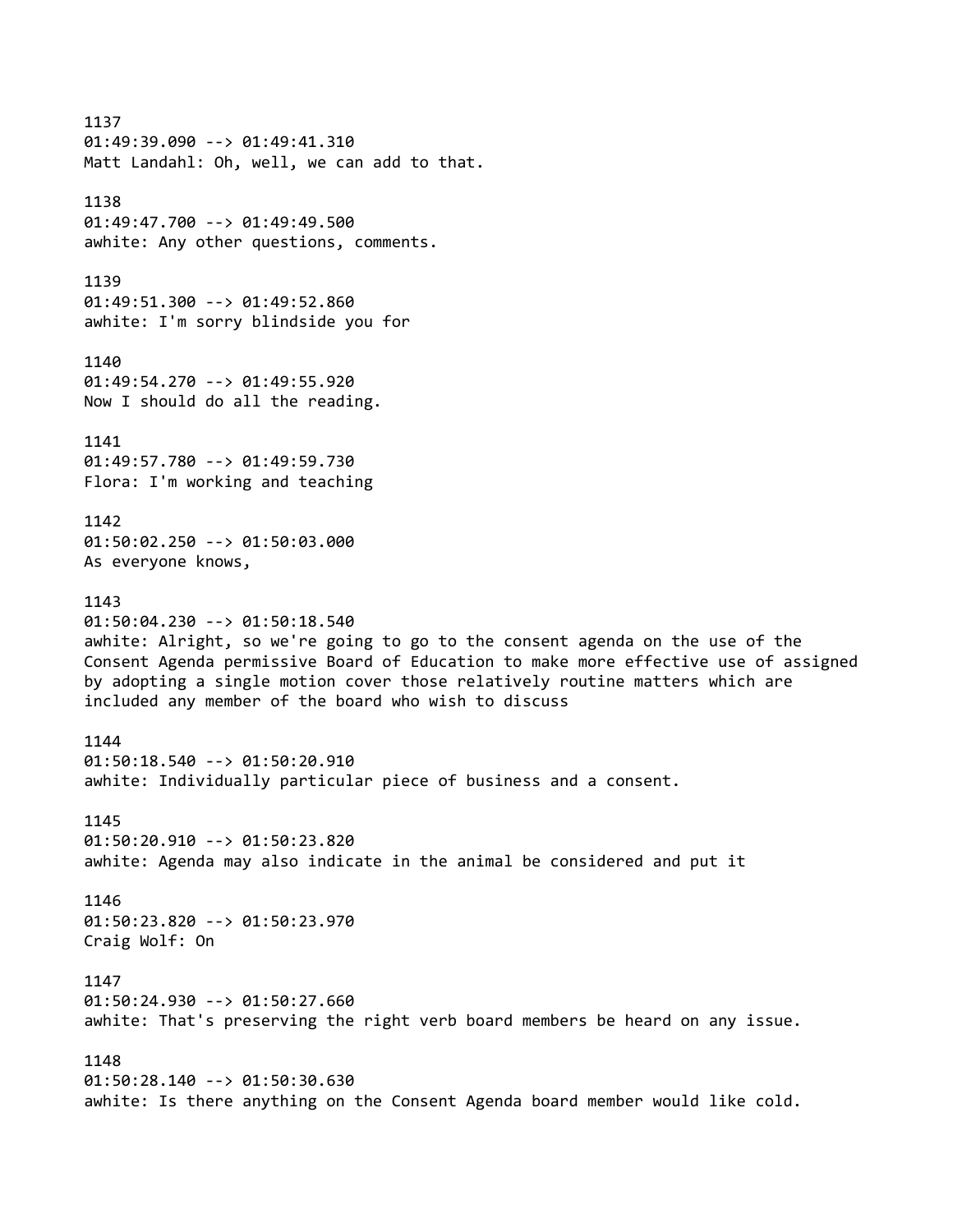1137 01:49:39.090 --> 01:49:41.310 Matt Landahl: Oh, well, we can add to that. 1138 01:49:47.700 --> 01:49:49.500 awhite: Any other questions, comments. 1139 01:49:51.300 --> 01:49:52.860 awhite: I'm sorry blindside you for 1140 01:49:54.270 --> 01:49:55.920 Now I should do all the reading. 1141 01:49:57.780 --> 01:49:59.730 Flora: I'm working and teaching 1142 01:50:02.250 --> 01:50:03.000 As everyone knows, 1143 01:50:04.230 --> 01:50:18.540 awhite: Alright, so we're going to go to the consent agenda on the use of the Consent Agenda permissive Board of Education to make more effective use of assigned by adopting a single motion cover those relatively routine matters which are included any member of the board who wish to discuss 1144 01:50:18.540 --> 01:50:20.910 awhite: Individually particular piece of business and a consent. 1145 01:50:20.910 --> 01:50:23.820 awhite: Agenda may also indicate in the animal be considered and put it 1146 01:50:23.820 --> 01:50:23.970 Craig Wolf: On 1147 01:50:24.930 --> 01:50:27.660 awhite: That's preserving the right verb board members be heard on any issue. 1148 01:50:28.140 --> 01:50:30.630 awhite: Is there anything on the Consent Agenda board member would like cold.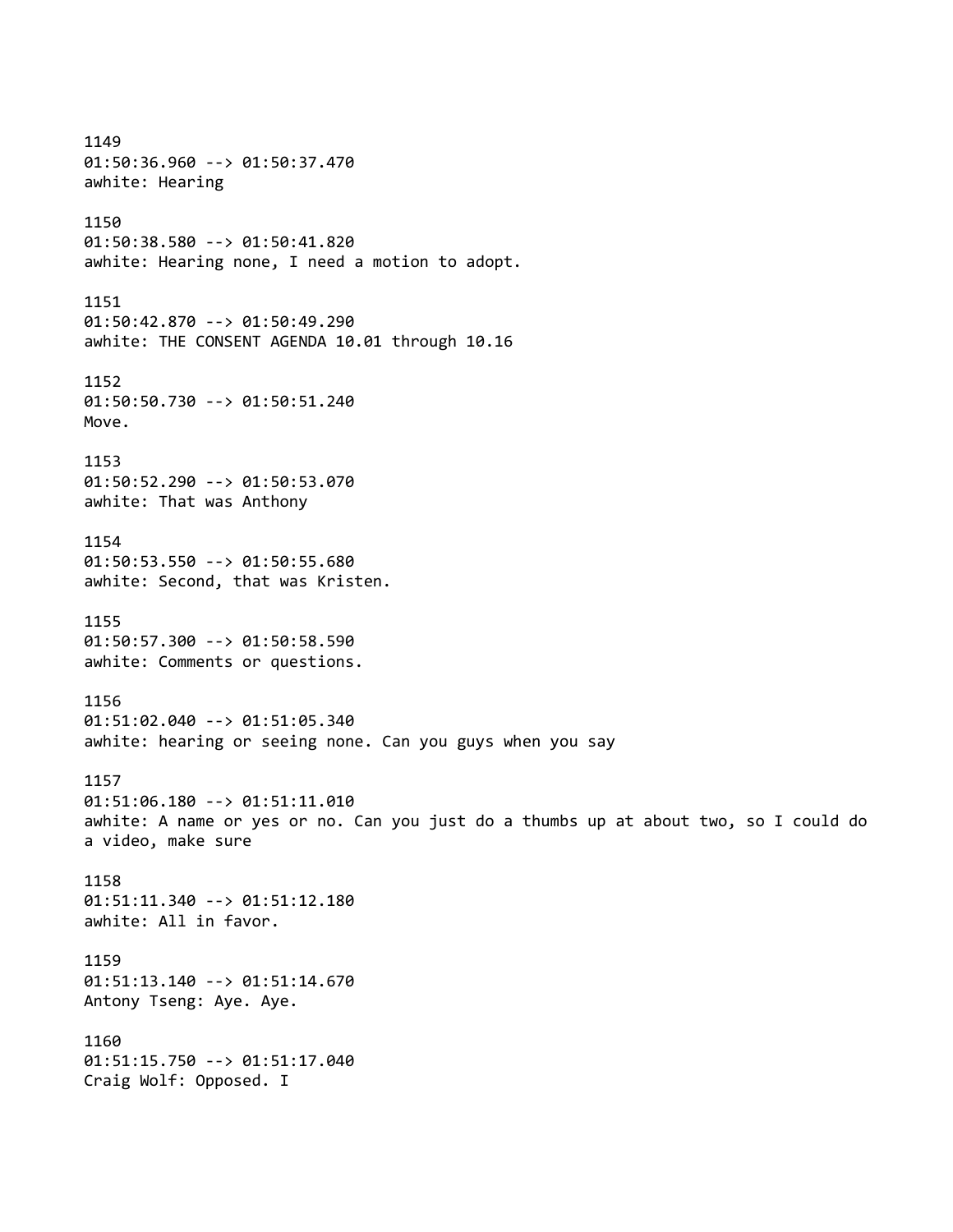1149 01:50:36.960 --> 01:50:37.470 awhite: Hearing 1150 01:50:38.580 --> 01:50:41.820 awhite: Hearing none, I need a motion to adopt. 1151 01:50:42.870 --> 01:50:49.290 awhite: THE CONSENT AGENDA 10.01 through 10.16 1152 01:50:50.730 --> 01:50:51.240 Move. 1153 01:50:52.290 --> 01:50:53.070 awhite: That was Anthony 1154 01:50:53.550 --> 01:50:55.680 awhite: Second, that was Kristen. 1155 01:50:57.300 --> 01:50:58.590 awhite: Comments or questions. 1156 01:51:02.040 --> 01:51:05.340 awhite: hearing or seeing none. Can you guys when you say 1157 01:51:06.180 --> 01:51:11.010 awhite: A name or yes or no. Can you just do a thumbs up at about two, so I could do a video, make sure 1158 01:51:11.340 --> 01:51:12.180 awhite: All in favor. 1159 01:51:13.140 --> 01:51:14.670 Antony Tseng: Aye. Aye. 1160 01:51:15.750 --> 01:51:17.040 Craig Wolf: Opposed. I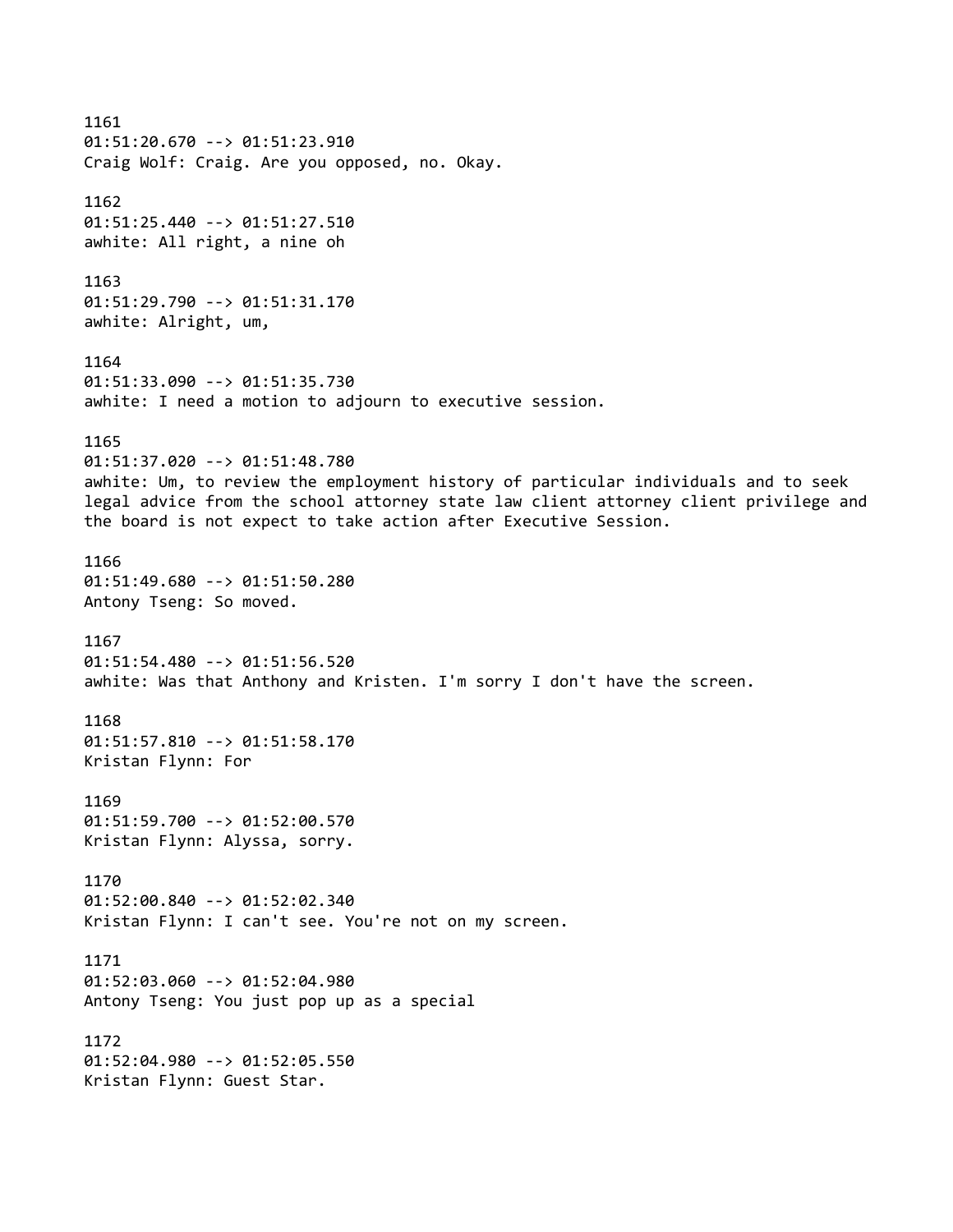1161 01:51:20.670 --> 01:51:23.910 Craig Wolf: Craig. Are you opposed, no. Okay. 1162 01:51:25.440 --> 01:51:27.510 awhite: All right, a nine oh 1163 01:51:29.790 --> 01:51:31.170 awhite: Alright, um, 1164 01:51:33.090 --> 01:51:35.730 awhite: I need a motion to adjourn to executive session. 1165 01:51:37.020 --> 01:51:48.780 awhite: Um, to review the employment history of particular individuals and to seek legal advice from the school attorney state law client attorney client privilege and the board is not expect to take action after Executive Session. 1166 01:51:49.680 --> 01:51:50.280 Antony Tseng: So moved. 1167 01:51:54.480 --> 01:51:56.520 awhite: Was that Anthony and Kristen. I'm sorry I don't have the screen. 1168 01:51:57.810 --> 01:51:58.170 Kristan Flynn: For 1169 01:51:59.700 --> 01:52:00.570 Kristan Flynn: Alyssa, sorry. 1170 01:52:00.840 --> 01:52:02.340 Kristan Flynn: I can't see. You're not on my screen. 1171 01:52:03.060 --> 01:52:04.980 Antony Tseng: You just pop up as a special 1172 01:52:04.980 --> 01:52:05.550 Kristan Flynn: Guest Star.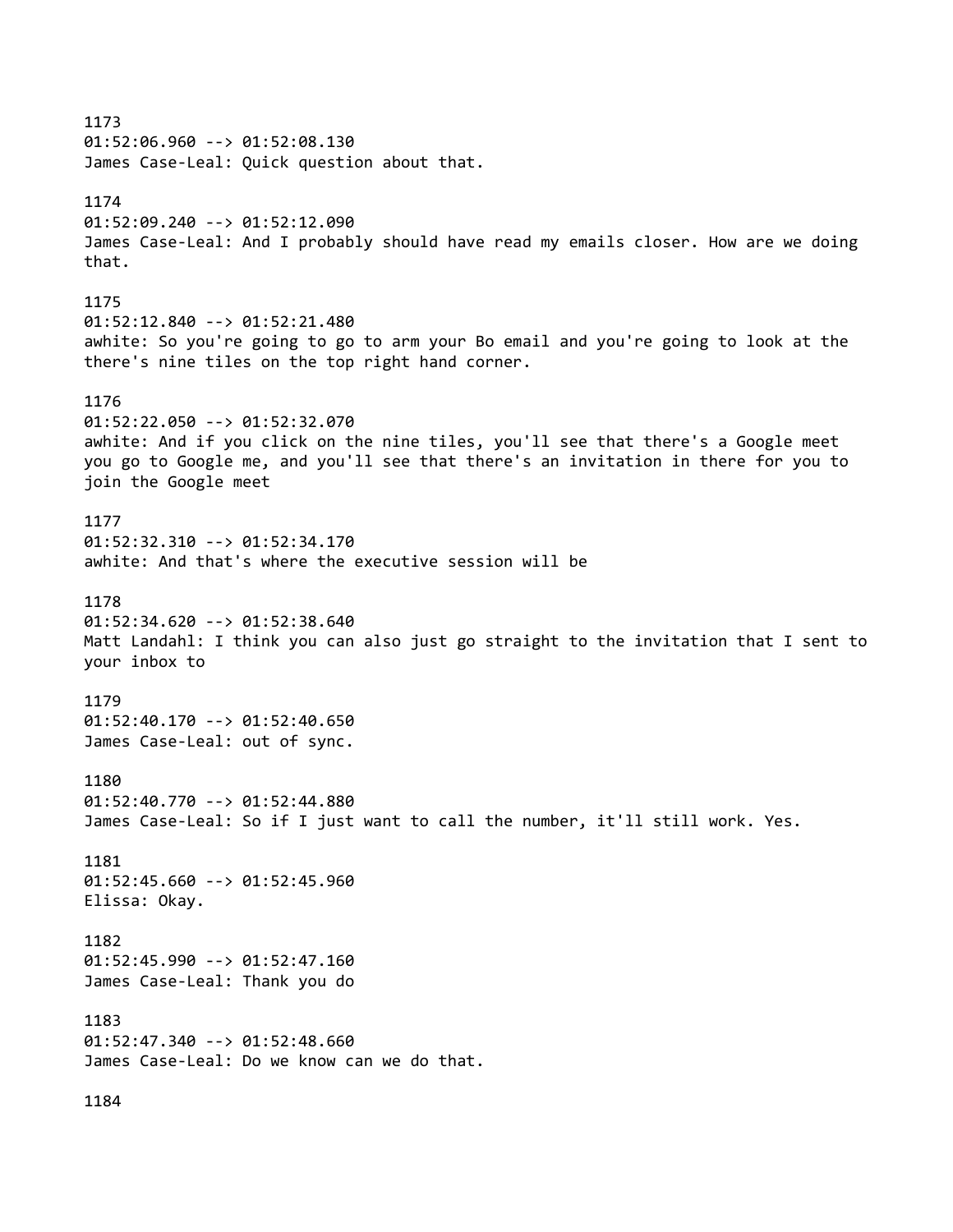1173 01:52:06.960 --> 01:52:08.130 James Case-Leal: Quick question about that. 1174 01:52:09.240 --> 01:52:12.090 James Case-Leal: And I probably should have read my emails closer. How are we doing that. 1175 01:52:12.840 --> 01:52:21.480 awhite: So you're going to go to arm your Bo email and you're going to look at the there's nine tiles on the top right hand corner. 1176 01:52:22.050 --> 01:52:32.070 awhite: And if you click on the nine tiles, you'll see that there's a Google meet you go to Google me, and you'll see that there's an invitation in there for you to join the Google meet 1177 01:52:32.310 --> 01:52:34.170 awhite: And that's where the executive session will be 1178 01:52:34.620 --> 01:52:38.640 Matt Landahl: I think you can also just go straight to the invitation that I sent to your inbox to 1179 01:52:40.170 --> 01:52:40.650 James Case-Leal: out of sync. 1180 01:52:40.770 --> 01:52:44.880 James Case-Leal: So if I just want to call the number, it'll still work. Yes. 1181 01:52:45.660 --> 01:52:45.960 Elissa: Okay. 1182 01:52:45.990 --> 01:52:47.160 James Case-Leal: Thank you do 1183 01:52:47.340 --> 01:52:48.660 James Case-Leal: Do we know can we do that. 1184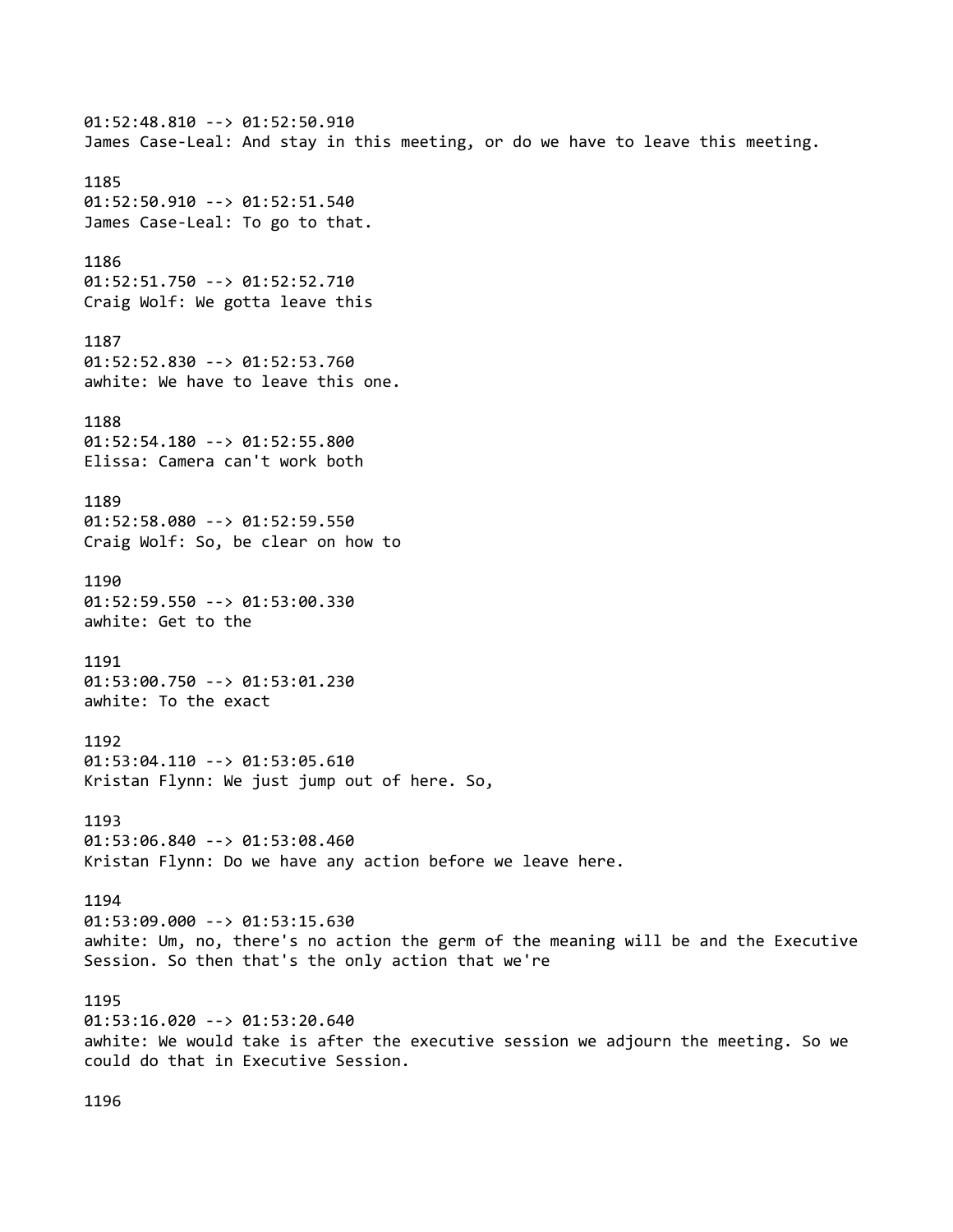01:52:48.810 --> 01:52:50.910 James Case-Leal: And stay in this meeting, or do we have to leave this meeting. 1185 01:52:50.910 --> 01:52:51.540 James Case-Leal: To go to that. 1186 01:52:51.750 --> 01:52:52.710 Craig Wolf: We gotta leave this 1187 01:52:52.830 --> 01:52:53.760 awhite: We have to leave this one. 1188 01:52:54.180 --> 01:52:55.800 Elissa: Camera can't work both 1189 01:52:58.080 --> 01:52:59.550 Craig Wolf: So, be clear on how to 1190 01:52:59.550 --> 01:53:00.330 awhite: Get to the 1191 01:53:00.750 --> 01:53:01.230 awhite: To the exact 1192 01:53:04.110 --> 01:53:05.610 Kristan Flynn: We just jump out of here. So, 1193 01:53:06.840 --> 01:53:08.460 Kristan Flynn: Do we have any action before we leave here. 1194 01:53:09.000 --> 01:53:15.630 awhite: Um, no, there's no action the germ of the meaning will be and the Executive Session. So then that's the only action that we're 1195 01:53:16.020 --> 01:53:20.640 awhite: We would take is after the executive session we adjourn the meeting. So we could do that in Executive Session.

1196